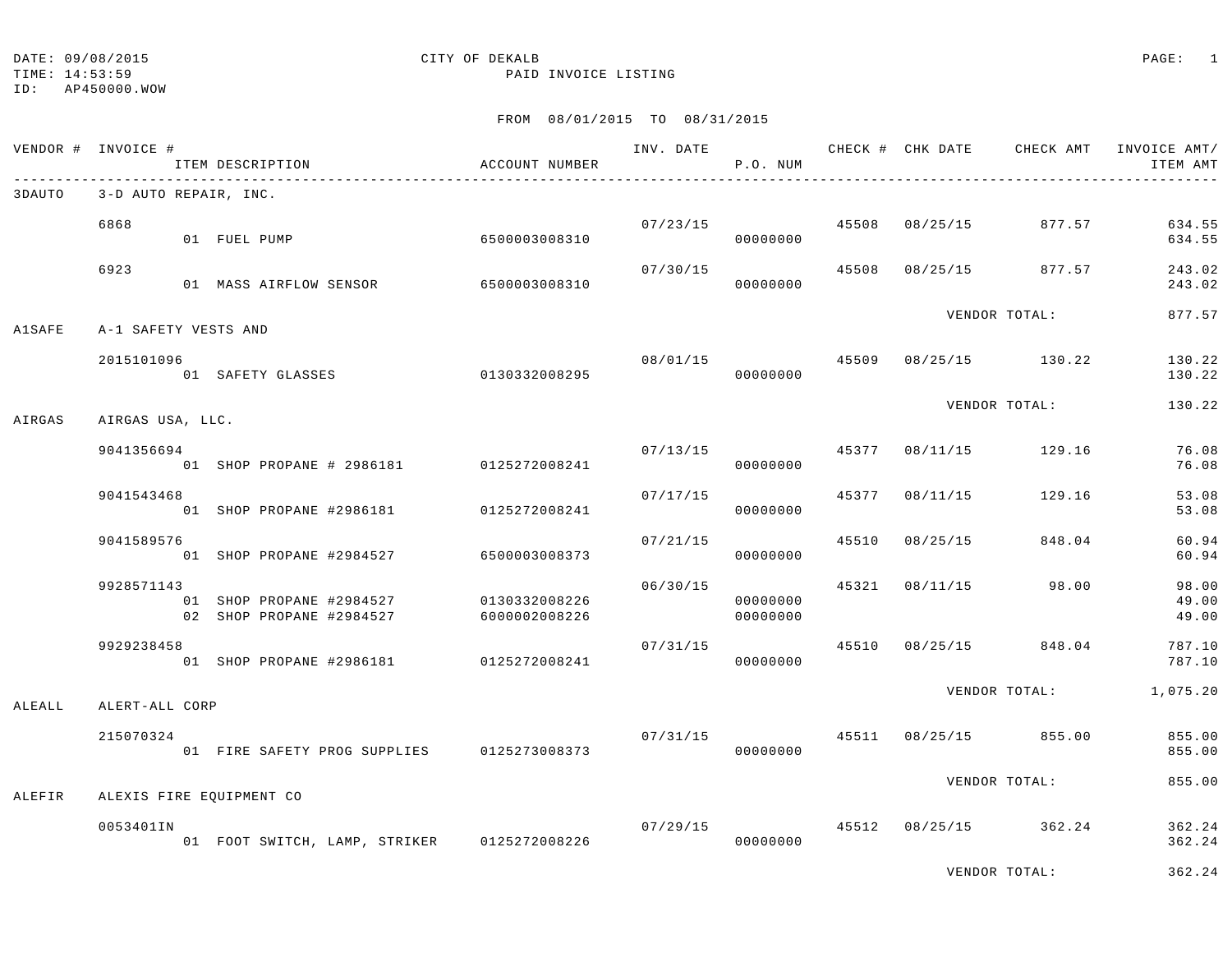TIME: 14:53:59 PAID INVOICE LISTING

ID: AP450000.WOW

DATE: 09/08/2015 CITY OF DEKALB PAGE: 1

|               | VENDOR # INVOICE #    | ITEM DESCRIPTION                                     | ACCOUNT NUMBER                 | INV. DATE | P.O. NUM                   |       |                           | CHECK # CHK DATE CHECK AMT             | INVOICE AMT/<br>ITEM AMT |
|---------------|-----------------------|------------------------------------------------------|--------------------------------|-----------|----------------------------|-------|---------------------------|----------------------------------------|--------------------------|
| 3DAUTO        | 3-D AUTO REPAIR, INC. |                                                      |                                |           |                            |       |                           |                                        |                          |
|               | 6868                  | 01 FUEL PUMP                                         | 6500003008310                  |           | 00000000                   |       | $07/23/15$ 45508 08/25/15 | 877.57                                 | 634.55<br>634.55         |
|               | 6923                  | 01 MASS AIRFLOW SENSOR                               | 6500003008310                  | 07/30/15  | 00000000                   |       | 45508 08/25/15            | 877.57                                 | 243.02<br>243.02         |
| <b>A1SAFE</b> | A-1 SAFETY VESTS AND  |                                                      |                                |           |                            |       |                           | VENDOR TOTAL:                          | 877.57                   |
|               | 2015101096            | 01 SAFETY GLASSES                                    | 0130332008295                  |           | 08/01/15 45509<br>00000000 |       |                           | 08/25/15 130.22                        | 130.22<br>130.22         |
| AIRGAS        | AIRGAS USA, LLC.      |                                                      |                                |           |                            |       |                           | VENDOR TOTAL:                          | 130.22                   |
|               | 9041356694            | 01 SHOP PROPANE # 2986181 0125272008241              |                                |           | 07/13/15<br>00000000       |       |                           | 45377 08/11/15 129.16                  | 76.08<br>76.08           |
|               | 9041543468            | 01 SHOP PROPANE #2986181                             | 0125272008241                  |           | 07/17/15<br>00000000       | 45377 | 08/11/15                  | 129.16                                 | 53.08<br>53.08           |
|               | 9041589576            | 01 SHOP PROPANE #2984527                             | 6500003008373                  | 07/21/15  | 00000000                   |       | 45510 08/25/15            | 848.04                                 | 60.94<br>60.94           |
|               | 9928571143            | 01 SHOP PROPANE #2984527<br>02 SHOP PROPANE #2984527 | 0130332008226<br>6000002008226 | 06/30/15  | 00000000<br>00000000       |       | 45321 08/11/15            | 98.00                                  | 98.00<br>49.00<br>49.00  |
|               | 9929238458            | 01 SHOP PROPANE #2986181 0125272008241               |                                | 07/31/15  | 00000000                   |       | 45510 08/25/15            | 848.04                                 | 787.10<br>787.10         |
| ALEALL        | ALERT-ALL CORP        |                                                      |                                |           |                            |       |                           | VENDOR TOTAL:                          | 1,075.20                 |
|               | 215070324             | 01 FIRE SAFETY PROG SUPPLIES 0125273008373           |                                | 07/31/15  | 00000000                   |       |                           | 45511 08/25/15 855.00                  | 855.00<br>855.00         |
| ALEFIR        |                       | ALEXIS FIRE EQUIPMENT CO                             |                                |           |                            |       |                           | VENDOR TOTAL:                          | 855.00                   |
|               | 0053401IN             | 01 FOOT SWITCH, LAMP, STRIKER 0125272008226          |                                |           | 00000000                   |       |                           | $07/29/15$ $45512$ $08/25/15$ $362.24$ | 362.24<br>362.24         |
|               |                       |                                                      |                                |           |                            |       |                           | VENDOR TOTAL:                          | 362.24                   |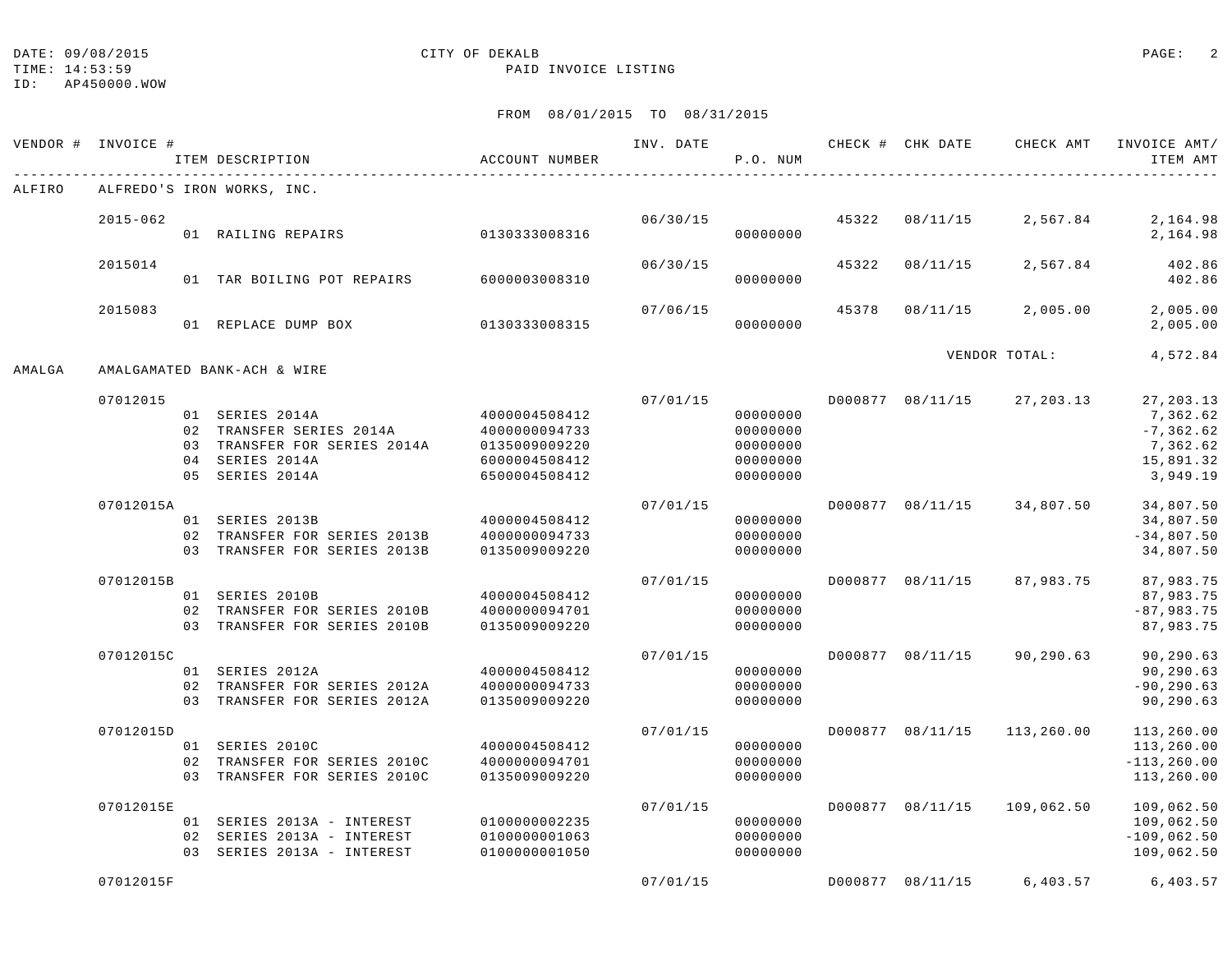ID: AP450000.WOW

#### TIME: 14:53:59 PAID INVOICE LISTING

|        | VENDOR # INVOICE # | ITEM DESCRIPTION                                                                                                  | ACCOUNT NUMBER                                                                    | INV. DATE | P.O. NUM                                                 |       | CHECK # CHK DATE | CHECK AMT                   | INVOICE AMT/<br>ITEM AMT                                      |
|--------|--------------------|-------------------------------------------------------------------------------------------------------------------|-----------------------------------------------------------------------------------|-----------|----------------------------------------------------------|-------|------------------|-----------------------------|---------------------------------------------------------------|
| ALFIRO |                    | ALFREDO'S IRON WORKS, INC.                                                                                        |                                                                                   |           |                                                          |       |                  |                             |                                                               |
|        | $2015 - 062$       | 01 RAILING REPAIRS                                                                                                | 0130333008316                                                                     | 06/30/15  | 00000000                                                 | 45322 | 08/11/15         | 2,567.84                    | 2,164.98<br>2,164.98                                          |
|        | 2015014            | 01 TAR BOILING POT REPAIRS                                                                                        | 6000003008310                                                                     | 06/30/15  | 00000000                                                 | 45322 | 08/11/15         | 2,567.84                    | 402.86<br>402.86                                              |
|        | 2015083            | 01 REPLACE DUMP BOX                                                                                               | 0130333008315                                                                     | 07/06/15  | 00000000                                                 | 45378 | 08/11/15         | 2,005.00                    | 2,005.00<br>2,005.00                                          |
| AMALGA |                    | AMALGAMATED BANK-ACH & WIRE                                                                                       |                                                                                   |           |                                                          |       | VENDOR TOTAL:    | 4,572.84                    |                                                               |
|        | 07012015           |                                                                                                                   |                                                                                   | 07/01/15  |                                                          |       | D000877 08/11/15 | 27,203.13                   | 27, 203.13                                                    |
|        |                    | 01 SERIES 2014A<br>02 TRANSFER SERIES 2014A<br>03 TRANSFER FOR SERIES 2014A<br>04 SERIES 2014A<br>05 SERIES 2014A | 4000004508412<br>4000000094733<br>0135009009220<br>6000004508412<br>6500004508412 |           | 00000000<br>00000000<br>00000000<br>00000000<br>00000000 |       |                  |                             | 7,362.62<br>$-7, 362.62$<br>7,362.62<br>15,891.32<br>3,949.19 |
|        | 07012015A          | 01 SERIES 2013B<br>02 TRANSFER FOR SERIES 2013B<br>03 TRANSFER FOR SERIES 2013B                                   | 4000004508412<br>4000000094733<br>0135009009220                                   | 07/01/15  | 00000000<br>00000000<br>00000000                         |       | D000877 08/11/15 | 34,807.50                   | 34,807.50<br>34,807.50<br>$-34,807.50$<br>34,807.50           |
|        | 07012015B          | 01 SERIES 2010B<br>02 TRANSFER FOR SERIES 2010B<br>03 TRANSFER FOR SERIES 2010B                                   | 4000004508412<br>4000000094701<br>0135009009220                                   | 07/01/15  | 00000000<br>00000000<br>00000000                         |       | D000877 08/11/15 | 87,983.75                   | 87,983.75<br>87,983.75<br>$-87,983.75$<br>87,983.75           |
|        | 07012015C          | 01 SERIES 2012A<br>02 TRANSFER FOR SERIES 2012A<br>03 TRANSFER FOR SERIES 2012A                                   | 4000004508412<br>4000000094733<br>0135009009220                                   | 07/01/15  | 00000000<br>00000000<br>00000000                         |       | D000877 08/11/15 | 90,290.63                   | 90,290.63<br>90,290.63<br>$-90, 290.63$<br>90,290.63          |
|        | 07012015D          | 01 SERIES 2010C<br>02 TRANSFER FOR SERIES 2010C<br>03 TRANSFER FOR SERIES 2010C                                   | 4000004508412<br>4000000094701<br>0135009009220                                   | 07/01/15  | 00000000<br>00000000<br>00000000                         |       |                  | D000877 08/11/15 113,260.00 | 113,260.00<br>113,260.00<br>$-113, 260.00$<br>113,260.00      |
|        | 07012015E          | 01 SERIES 2013A - INTEREST<br>02 SERIES 2013A - INTEREST<br>03 SERIES 2013A - INTEREST                            | 0100000002235<br>0100000001063<br>0100000001050                                   | 07/01/15  | 00000000<br>00000000<br>00000000                         |       | D000877 08/11/15 | 109,062.50                  | 109,062.50<br>109,062.50<br>$-109,062.50$<br>109,062.50       |
|        | 07012015F          |                                                                                                                   |                                                                                   | 07/01/15  |                                                          |       |                  | D000877 08/11/15 6,403.57   | 6,403.57                                                      |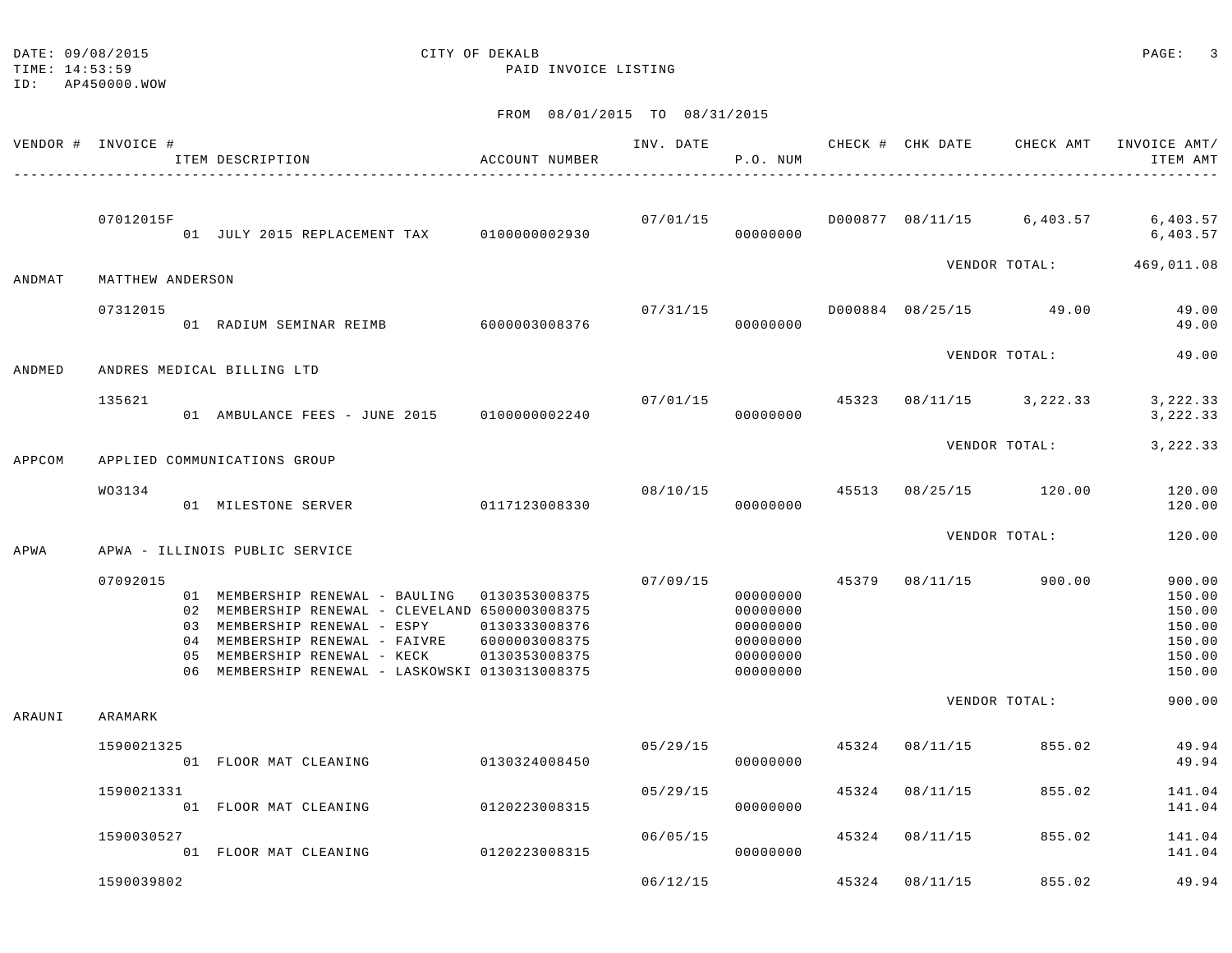| DATE: 09/08/2015 | CITY OF DEKALB | PAGE: |  |
|------------------|----------------|-------|--|

TIME: 14:53:59 PAID INVOICE LISTING

ID: AP450000.WOW

|        | VENDOR # INVOICE # | ITEM DESCRIPTION                                                                                                                                                                                                                                      | ACCOUNT NUMBER                                  | INV. DATE | P.O. NUM                                                             |       | CHECK # CHK DATE       | CHECK AMT            | INVOICE AMT/<br>ITEM AMT                                           |
|--------|--------------------|-------------------------------------------------------------------------------------------------------------------------------------------------------------------------------------------------------------------------------------------------------|-------------------------------------------------|-----------|----------------------------------------------------------------------|-------|------------------------|----------------------|--------------------------------------------------------------------|
|        | 07012015F          | 01 JULY 2015 REPLACEMENT TAX                                                                                                                                                                                                                          | 0100000002930                                   | 07/01/15  | 00000000                                                             |       |                        |                      | D000877 08/11/15 6,403.57 6,403.57<br>6,403.57                     |
| ANDMAT | MATTHEW ANDERSON   |                                                                                                                                                                                                                                                       |                                                 |           |                                                                      |       |                        | VENDOR TOTAL:        | 469,011.08                                                         |
|        | 07312015           | 01 RADIUM SEMINAR REIMB 6000003008376                                                                                                                                                                                                                 |                                                 | 07/31/15  | 00000000                                                             |       | D000884 08/25/15 49.00 |                      | 49.00<br>49.00                                                     |
| ANDMED |                    | ANDRES MEDICAL BILLING LTD                                                                                                                                                                                                                            |                                                 |           |                                                                      |       |                        | VENDOR TOTAL:        | 49.00                                                              |
|        | 135621             | 01 AMBULANCE FEES - JUNE 2015                                                                                                                                                                                                                         | 0100000002240                                   | 07/01/15  | 00000000                                                             | 45323 |                        | $08/11/15$ 3, 222.33 | 3, 222.33<br>3,222.33                                              |
| APPCOM |                    | APPLIED COMMUNICATIONS GROUP                                                                                                                                                                                                                          |                                                 |           |                                                                      |       |                        | VENDOR TOTAL:        | 3,222.33                                                           |
|        | WO3134             | 01 MILESTONE SERVER                                                                                                                                                                                                                                   | 0117123008330                                   | 08/10/15  | 00000000                                                             |       | 45513 08/25/15 120.00  |                      | 120.00<br>120.00                                                   |
| APWA   |                    | APWA - ILLINOIS PUBLIC SERVICE                                                                                                                                                                                                                        |                                                 |           |                                                                      |       |                        | VENDOR TOTAL:        | 120.00                                                             |
|        | 07092015           | 01 MEMBERSHIP RENEWAL - BAULING 0130353008375<br>02 MEMBERSHIP RENEWAL - CLEVELAND 6500003008375<br>03 MEMBERSHIP RENEWAL - ESPY<br>04 MEMBERSHIP RENEWAL - FAIVRE<br>05 MEMBERSHIP RENEWAL - KECK<br>06 MEMBERSHIP RENEWAL - LASKOWSKI 0130313008375 | 0130333008376<br>6000003008375<br>0130353008375 | 07/09/15  | 00000000<br>00000000<br>00000000<br>00000000<br>00000000<br>00000000 | 45379 | 08/11/15               | 900.00               | 900.00<br>150.00<br>150.00<br>150.00<br>150.00<br>150.00<br>150.00 |
| ARAUNI | ARAMARK            |                                                                                                                                                                                                                                                       |                                                 |           |                                                                      |       |                        | VENDOR TOTAL:        | 900.00                                                             |
|        | 1590021325         | 01 FLOOR MAT CLEANING                                                                                                                                                                                                                                 | 0130324008450                                   | 05/29/15  | 00000000                                                             | 45324 | 08/11/15               | 855.02               | 49.94<br>49.94                                                     |
|        | 1590021331         | 01 FLOOR MAT CLEANING                                                                                                                                                                                                                                 | 0120223008315                                   | 05/29/15  | 00000000                                                             | 45324 | 08/11/15               | 855.02               | 141.04<br>141.04                                                   |
|        | 1590030527         | 01 FLOOR MAT CLEANING                                                                                                                                                                                                                                 | 0120223008315                                   | 06/05/15  | 00000000                                                             | 45324 | 08/11/15               | 855.02               | 141.04<br>141.04                                                   |
|        | 1590039802         |                                                                                                                                                                                                                                                       |                                                 | 06/12/15  |                                                                      | 45324 | 08/11/15               | 855.02               | 49.94                                                              |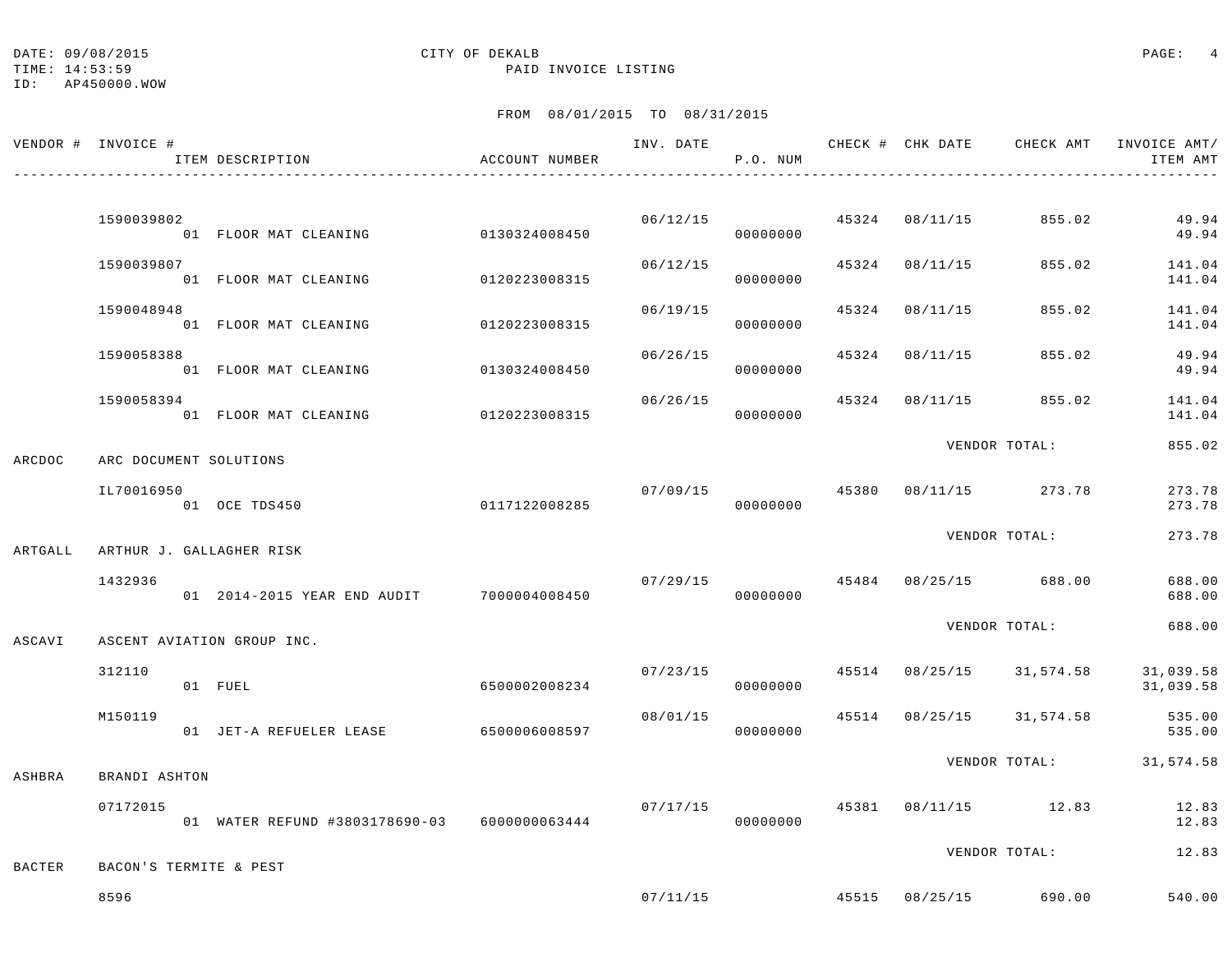TIME: 14:53:59 PAID INVOICE LISTING

### ID: AP450000.WOW

|               | VENDOR # INVOICE #       | ITEM DESCRIPTION                             | ACCOUNT NUMBER | INV. DATE | P.O. NUM                   |       | CHECK # CHK DATE | CHECK AMT             | INVOICE AMT/<br>ITEM AMT                                           |
|---------------|--------------------------|----------------------------------------------|----------------|-----------|----------------------------|-------|------------------|-----------------------|--------------------------------------------------------------------|
|               |                          |                                              |                |           |                            |       |                  |                       |                                                                    |
|               | 1590039802               | 01 FLOOR MAT CLEANING                        | 0130324008450  |           | 06/12/15<br>00000000       |       | 45324 08/11/15   | 855.02                | 49.94<br>49.94                                                     |
|               | 1590039807               | 01 FLOOR MAT CLEANING                        | 0120223008315  | 06/12/15  | 00000000                   |       |                  | 45324 08/11/15 855.02 | 141.04<br>141.04                                                   |
|               | 1590048948               | 01 FLOOR MAT CLEANING                        | 0120223008315  | 06/19/15  | 00000000                   | 45324 | 08/11/15         | 855.02                | 141.04<br>141.04                                                   |
|               | 1590058388               | 01 FLOOR MAT CLEANING                        | 0130324008450  | 06/26/15  | 00000000                   |       |                  | 45324 08/11/15 855.02 | 49.94<br>49.94                                                     |
|               | 1590058394               | 01 FLOOR MAT CLEANING                        | 0120223008315  | 06/26/15  | 00000000                   | 45324 |                  | 08/11/15 855.02       | 141.04<br>141.04                                                   |
| ARCDOC        | ARC DOCUMENT SOLUTIONS   |                                              |                |           |                            |       |                  | VENDOR TOTAL:         | 855.02                                                             |
|               | IL70016950               | 01 OCE TDS450                                | 0117122008285  |           | 07/09/15 45380<br>00000000 |       |                  | 08/11/15 273.78       | 273.78<br>273.78                                                   |
| ARTGALL       | ARTHUR J. GALLAGHER RISK |                                              |                |           |                            |       |                  | VENDOR TOTAL:         | 273.78                                                             |
|               | 1432936                  | 01  2014-2015  YEAR END AUDIT  7000004008450 |                |           | 07/29/15<br>00000000       |       |                  | 45484 08/25/15 688.00 | 688.00<br>688.00                                                   |
| ASCAVI        |                          | ASCENT AVIATION GROUP INC.                   |                |           |                            |       |                  | VENDOR TOTAL:         | 688.00                                                             |
|               | 312110                   | 01 FUEL                                      | 6500002008234  |           | 00000000                   |       |                  |                       | $07/23/15$ $45514$ $08/25/15$ $31,574.58$ $31,039.58$<br>31,039.58 |
|               | M150119                  | 01 JET-A REFUELER LEASE                      | 6500006008597  | 08/01/15  | 00000000                   |       |                  |                       | 45514 08/25/15 31,574.58 535.00<br>535.00                          |
| ASHBRA        | BRANDI ASHTON            |                                              |                |           |                            |       |                  |                       | VENDOR TOTAL: 31,574.58                                            |
|               | 07172015                 | 01 WATER REFUND #3803178690-03 6000000063444 |                |           | 07/17/15<br>00000000       |       |                  | 45381 08/11/15 12.83  | 12.83<br>12.83                                                     |
| <b>BACTER</b> | BACON'S TERMITE & PEST   |                                              |                |           |                            |       |                  | VENDOR TOTAL:         | 12.83                                                              |
|               | 8596                     |                                              |                | 07/11/15  |                            |       |                  | 45515 08/25/15 690.00 | 540.00                                                             |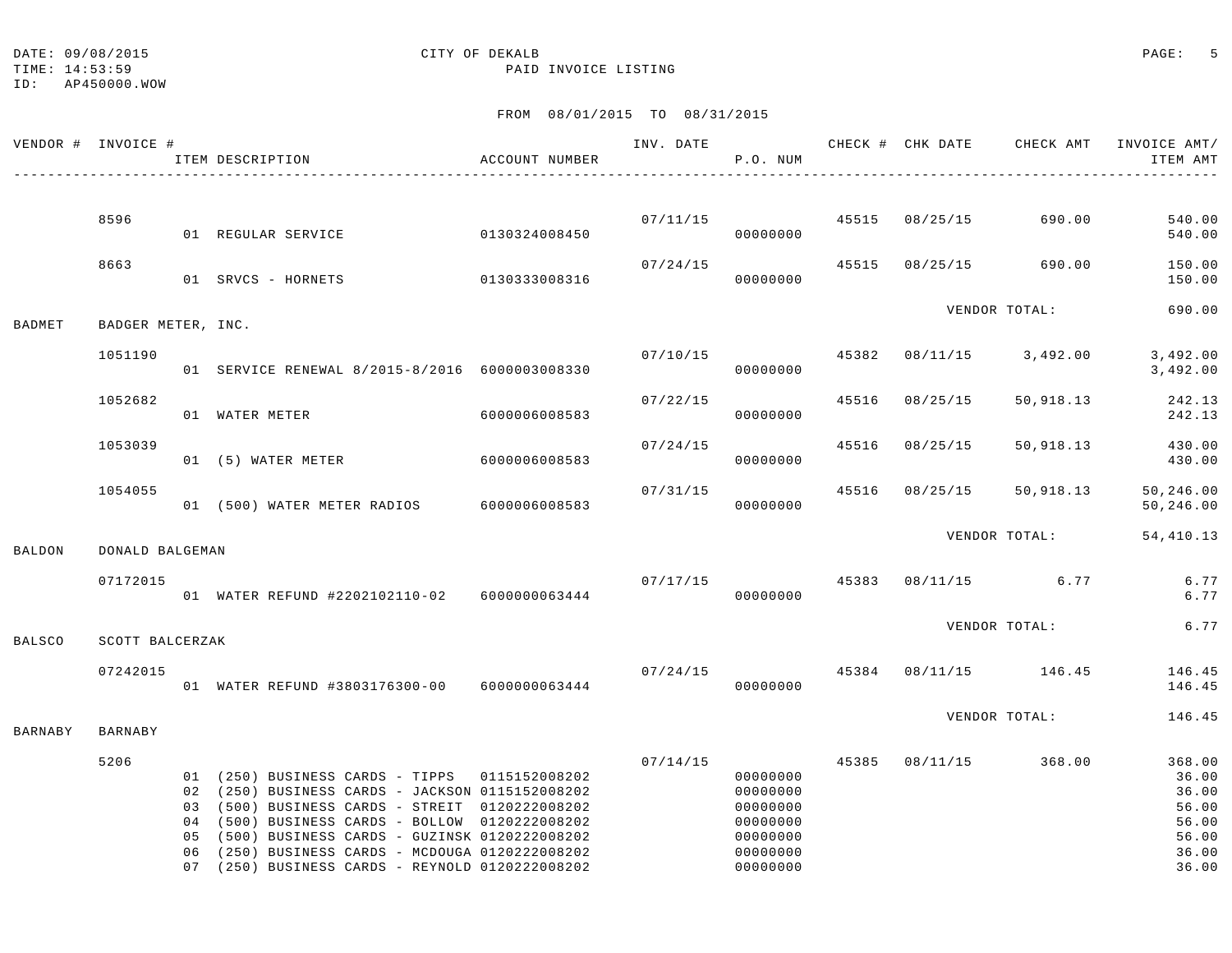### DATE:  $09/08/2015$  PAGE: 5

TIME: 14:53:59 PAID INVOICE LISTING

ID: AP450000.WOW

|         | VENDOR # INVOICE # | ACCOUNT NUMBER<br>ITEM DESCRIPTION                                                                                                                                                                                                                                                                                                                            |               |          | P.O. NUM                                                                         |       |                         | INV. DATE 6 1997 CHECK # CHK DATE CHECK AMT INVOICE AMT | ITEM AMT                                                              |
|---------|--------------------|---------------------------------------------------------------------------------------------------------------------------------------------------------------------------------------------------------------------------------------------------------------------------------------------------------------------------------------------------------------|---------------|----------|----------------------------------------------------------------------------------|-------|-------------------------|---------------------------------------------------------|-----------------------------------------------------------------------|
|         |                    |                                                                                                                                                                                                                                                                                                                                                               |               |          |                                                                                  |       |                         |                                                         |                                                                       |
|         | 8596               | 01 REGULAR SERVICE                                                                                                                                                                                                                                                                                                                                            | 0130324008450 |          | 00000000                                                                         |       | 07/11/15 45515 08/25/15 | 690.00                                                  | 540.00<br>540.00                                                      |
|         | 8663               | 01 SRVCS - HORNETS                                                                                                                                                                                                                                                                                                                                            | 0130333008316 | 07/24/15 | 00000000                                                                         |       | 45515 08/25/15          | 690.00                                                  | 150.00<br>150.00                                                      |
| BADMET  | BADGER METER, INC. |                                                                                                                                                                                                                                                                                                                                                               |               |          |                                                                                  |       |                         | VENDOR TOTAL:                                           | 690.00                                                                |
|         | 1051190            | 01 SERVICE RENEWAL 8/2015-8/2016 6000003008330                                                                                                                                                                                                                                                                                                                |               |          | 07/10/15<br>00000000                                                             | 45382 |                         | 08/11/15 3,492.00                                       | 3,492.00<br>3,492.00                                                  |
|         | 1052682            | 01 WATER METER                                                                                                                                                                                                                                                                                                                                                | 6000006008583 | 07/22/15 | 00000000                                                                         |       | 45516 08/25/15          | 50,918.13                                               | 242.13<br>242.13                                                      |
|         | 1053039            | 01 (5) WATER METER                                                                                                                                                                                                                                                                                                                                            | 6000006008583 | 07/24/15 | 00000000                                                                         |       | 45516 08/25/15          | 50,918.13                                               | 430.00<br>430.00                                                      |
|         | 1054055            | 01 (500) WATER METER RADIOS 6000006008583                                                                                                                                                                                                                                                                                                                     |               | 07/31/15 | 00000000                                                                         |       |                         | 45516 08/25/15 50,918.13                                | 50,246.00<br>50,246.00                                                |
| BALDON  | DONALD BALGEMAN    |                                                                                                                                                                                                                                                                                                                                                               |               |          |                                                                                  |       |                         | VENDOR TOTAL:                                           | 54,410.13                                                             |
|         | 07172015           | 01 WATER REFUND #2202102110-02 6000000063444                                                                                                                                                                                                                                                                                                                  |               |          | 00000000                                                                         |       |                         | $07/17/15$ $45383$ $08/11/15$ 6.77                      | 6.77<br>6.77                                                          |
| BALSCO  | SCOTT BALCERZAK    |                                                                                                                                                                                                                                                                                                                                                               |               |          |                                                                                  |       |                         | VENDOR TOTAL:                                           | 6.77                                                                  |
|         | 07242015           | 01 WATER REFUND #3803176300-00 6000000063444                                                                                                                                                                                                                                                                                                                  |               | 07/24/15 | 00000000                                                                         |       |                         | 45384 08/11/15 146.45                                   | 146.45<br>146.45                                                      |
| BARNABY | <b>BARNABY</b>     |                                                                                                                                                                                                                                                                                                                                                               |               |          |                                                                                  |       |                         | VENDOR TOTAL:                                           | 146.45                                                                |
|         | 5206               | 01 (250) BUSINESS CARDS - TIPPS 0115152008202<br>02 (250) BUSINESS CARDS - JACKSON 0115152008202<br>03 (500) BUSINESS CARDS - STREIT 0120222008202<br>04 (500) BUSINESS CARDS - BOLLOW 0120222008202<br>05 (500) BUSINESS CARDS - GUZINSK 0120222008202<br>06 (250) BUSINESS CARDS - MCDOUGA 0120222008202<br>07 (250) BUSINESS CARDS - REYNOLD 0120222008202 |               | 07/14/15 | 00000000<br>00000000<br>00000000<br>00000000<br>00000000<br>00000000<br>00000000 |       |                         | 45385 08/11/15 368.00                                   | 368.00<br>36.00<br>36.00<br>56.00<br>56.00<br>56.00<br>36.00<br>36.00 |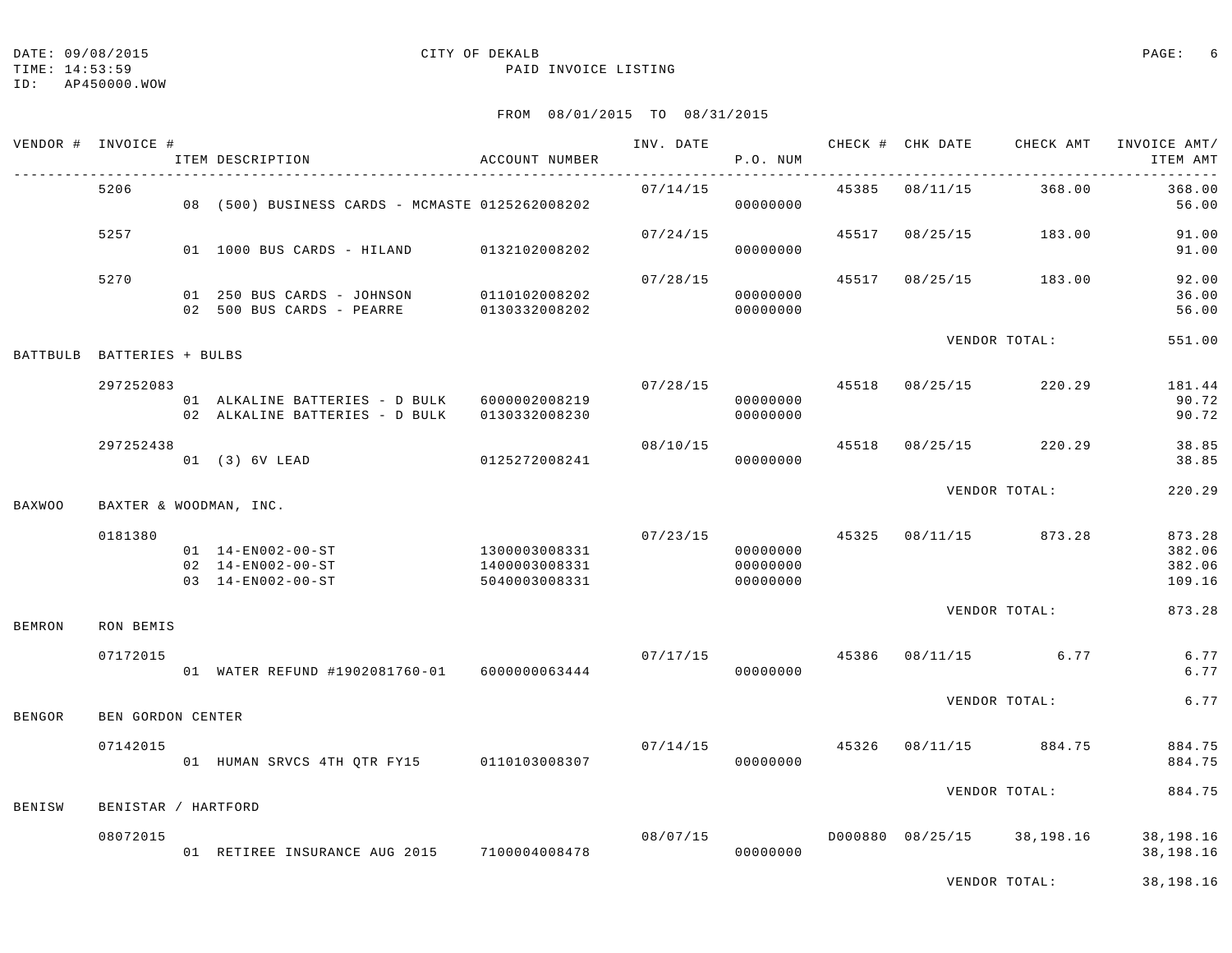TIME: 14:53:59 PAID INVOICE LISTING

ID: AP450000.WOW

#### FROM 08/01/2015 TO 08/31/2015

| VENDOR # INVOICE # |                     | ITEM DESCRIPTION                                                               | ACCOUNT NUMBER                                  | INV. DATE | P.O. NUM                                           |       |                  | CHECK # CHK DATE CHECK AMT INVOICE AMT/ | ITEM AMT<br>$- - - -$                |
|--------------------|---------------------|--------------------------------------------------------------------------------|-------------------------------------------------|-----------|----------------------------------------------------|-------|------------------|-----------------------------------------|--------------------------------------|
|                    | 5206                | 08 (500) BUSINESS CARDS - MCMASTE 0125262008202                                |                                                 | 07/14/15  | 00000000                                           | 45385 | 08/11/15         | 368.00                                  | 368.00<br>56.00                      |
|                    | 5257                | 01 1000 BUS CARDS - HILAND                                                     | 0132102008202                                   | 07/24/15  | 00000000                                           | 45517 | 08/25/15         | 183.00                                  | 91.00<br>91.00                       |
|                    | 5270                | 01 250 BUS CARDS - JOHNSON<br>02 500 BUS CARDS - PEARRE                        | 0110102008202<br>0130332008202                  | 07/28/15  | 00000000<br>00000000                               | 45517 |                  | 08/25/15 183.00                         | 92.00<br>36.00<br>56.00              |
| BATTBULB           | BATTERIES + BULBS   |                                                                                |                                                 |           |                                                    |       |                  | VENDOR TOTAL:                           | 551.00                               |
|                    | 297252083           | 01 ALKALINE BATTERIES - D BULK 6000002008219<br>02 ALKALINE BATTERIES - D BULK | 0130332008230                                   | 07/28/15  | 00000000<br>00000000                               |       | 45518 08/25/15   | 220.29                                  | 181.44<br>90.72<br>90.72             |
|                    | 297252438           | 01 (3) 6V LEAD                                                                 | 0125272008241                                   | 08/10/15  | 00000000                                           | 45518 |                  | 08/25/15 220.29                         | 38.85<br>38.85                       |
| <b>BAXWOO</b>      |                     | BAXTER & WOODMAN, INC.                                                         |                                                 |           |                                                    |       |                  | VENDOR TOTAL:                           | 220.29                               |
|                    | 0181380             | 01 14-EN002-00-ST<br>02 14-EN002-00-ST<br>03 14-EN002-00-ST                    | 1300003008331<br>1400003008331<br>5040003008331 |           | 07/23/15 45325<br>00000000<br>00000000<br>00000000 |       |                  | 08/11/15 873.28                         | 873.28<br>382.06<br>382.06<br>109.16 |
| <b>BEMRON</b>      | RON BEMIS           |                                                                                |                                                 |           |                                                    |       |                  | VENDOR TOTAL:                           | 873.28                               |
|                    | 07172015            | 01 WATER REFUND #1902081760-01 6000000063444                                   |                                                 | 07/17/15  | 00000000                                           | 45386 | 08/11/15         | 6.77                                    | 6.77<br>6.77                         |
| BENGOR             | BEN GORDON CENTER   |                                                                                |                                                 |           |                                                    |       |                  | VENDOR TOTAL:                           | 6.77                                 |
|                    | 07142015            | 01 HUMAN SRVCS 4TH QTR FY15 0110103008307                                      |                                                 | 07/14/15  | 00000000                                           | 45326 |                  | 08/11/15 884.75                         | 884.75<br>884.75                     |
| <b>BENISW</b>      | BENISTAR / HARTFORD |                                                                                |                                                 |           |                                                    |       |                  | VENDOR TOTAL:                           | 884.75                               |
|                    | 08072015            | 01 RETIREE INSURANCE AUG 2015                                                  | 7100004008478                                   | 08/07/15  | 00000000                                           |       | D000880 08/25/15 | 38,198.16                               | 38,198.16<br>38,198.16               |

VENDOR TOTAL: 38,198.16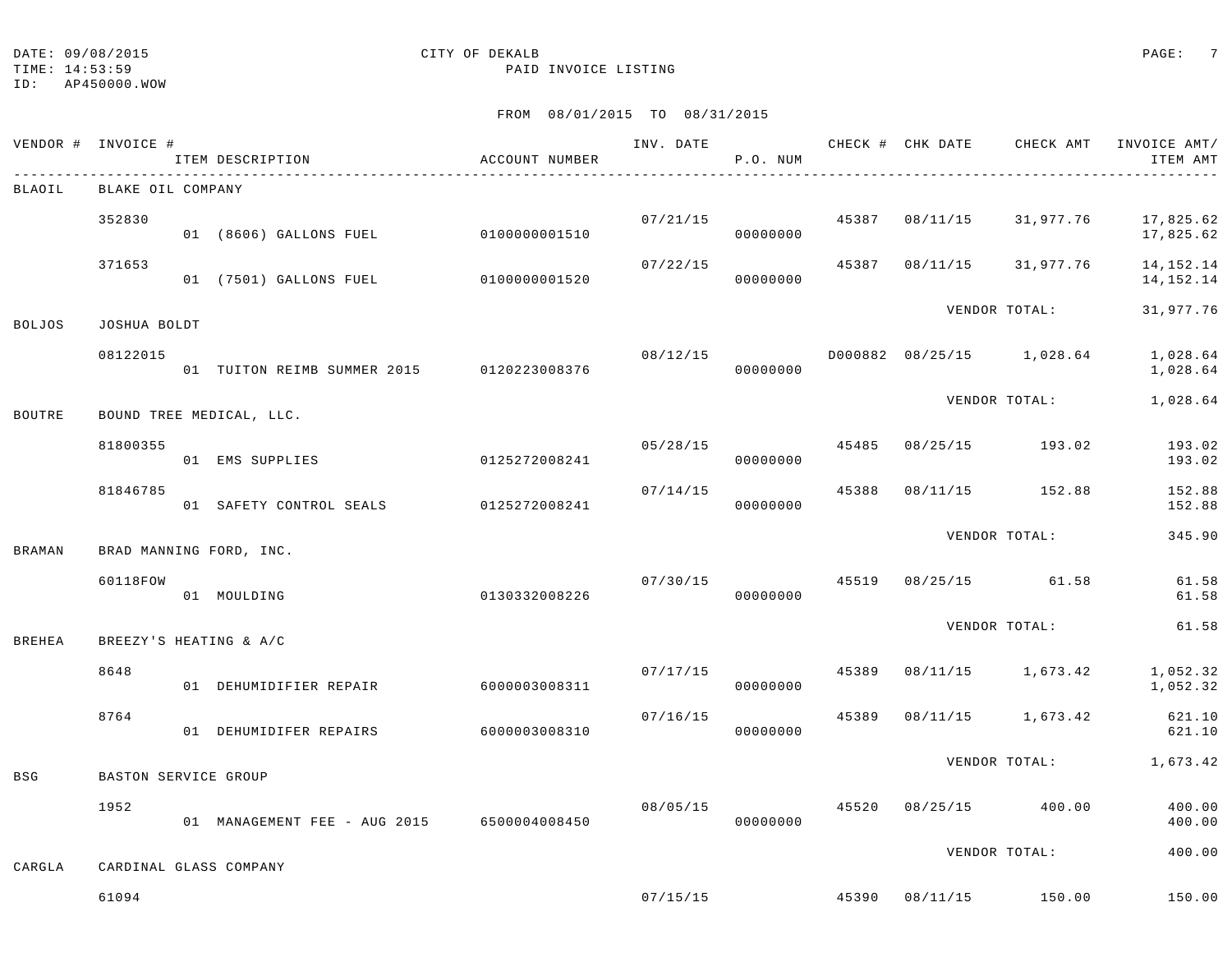TIME: 14:53:59 PAID INVOICE LISTING

ID: AP450000.WOW

|               | VENDOR # INVOICE #   | ITEM DESCRIPTION<br>----------------------------- | ACCOUNT NUMBER |          | P.O. NUM             |       |          | INV. DATE 6 CHECK # CHK DATE CHECK AMT INVOICE AMT/ | ITEM AMT               |
|---------------|----------------------|---------------------------------------------------|----------------|----------|----------------------|-------|----------|-----------------------------------------------------|------------------------|
| BLAOIL        | BLAKE OIL COMPANY    |                                                   |                |          |                      |       |          |                                                     |                        |
|               | 352830               | 01 (8606) GALLONS FUEL                            | 0100000001510  | 07/21/15 | 00000000             | 45387 |          | 08/11/15 31,977.76                                  | 17,825.62<br>17,825.62 |
|               | 371653               | 01 (7501) GALLONS FUEL                            | 0100000001520  | 07/22/15 | 00000000             | 45387 |          | 08/11/15 31,977.76                                  | 14,152.14<br>14,152.14 |
| <b>BOLJOS</b> | JOSHUA BOLDT         |                                                   |                |          |                      |       |          | VENDOR TOTAL:                                       | 31,977.76              |
|               | 08122015             | 01 TUITON REIMB SUMMER 2015 0120223008376         |                |          | 08/12/15<br>00000000 |       |          | D000882 08/25/15 1,028.64                           | 1,028.64<br>1,028.64   |
| BOUTRE        |                      | BOUND TREE MEDICAL, LLC.                          |                |          |                      |       |          | VENDOR TOTAL:                                       | 1,028.64               |
|               | 81800355             | 01 EMS SUPPLIES                                   | 0125272008241  | 05/28/15 | 00000000             | 45485 | 08/25/15 | 193.02                                              | 193.02<br>193.02       |
|               | 81846785             | 01 SAFETY CONTROL SEALS                           | 0125272008241  | 07/14/15 | 00000000             | 45388 |          | 08/11/15 152.88                                     | 152.88<br>152.88       |
| BRAMAN        |                      | BRAD MANNING FORD, INC.                           |                |          |                      |       |          | VENDOR TOTAL:                                       | 345.90                 |
|               | 60118FOW             | 01 MOULDING                                       | 0130332008226  | 07/30/15 | 00000000             |       |          | 45519 08/25/15 61.58                                | 61.58<br>61.58         |
| <b>BREHEA</b> |                      | BREEZY'S HEATING & A/C                            |                |          |                      |       |          | VENDOR TOTAL:                                       | 61.58                  |
|               | 8648                 | 01 DEHUMIDIFIER REPAIR                            | 6000003008311  | 07/17/15 | 00000000             | 45389 |          | 08/11/15 1,673.42                                   | 1,052.32<br>1,052.32   |
|               | 8764                 | 01 DEHUMIDIFER REPAIRS                            | 6000003008310  | 07/16/15 | 00000000             | 45389 |          | 08/11/15 1,673.42                                   | 621.10<br>621.10       |
| <b>BSG</b>    | BASTON SERVICE GROUP |                                                   |                |          |                      |       |          | VENDOR TOTAL:                                       | 1,673.42               |
|               | 1952                 | 01 MANAGEMENT FEE - AUG 2015 6500004008450        |                | 08/05/15 | 00000000             | 45520 |          | 08/25/15 400.00                                     | 400.00<br>400.00       |
|               |                      |                                                   |                |          |                      |       |          | VENDOR TOTAL:                                       | 400.00                 |
| CARGLA        |                      | CARDINAL GLASS COMPANY                            |                |          |                      |       |          |                                                     |                        |
|               | 61094                |                                                   |                |          |                      |       |          | $07/15/15$ $45390$ $08/11/15$ $150.00$              | 150.00                 |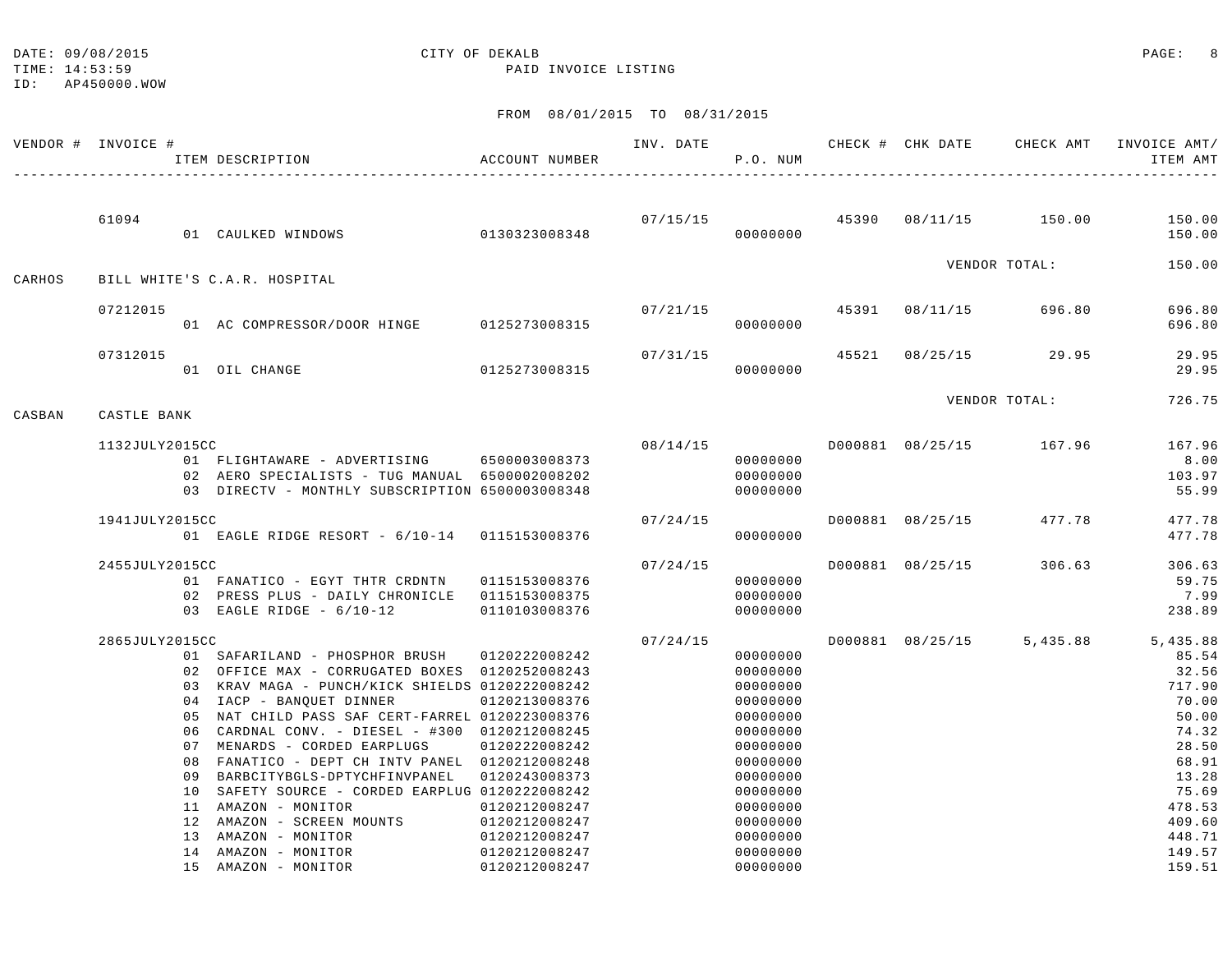TIME: 14:53:59 PAID INVOICE LISTING

|        | VENDOR # INVOICE # | ITEM DESCRIPTION                                                                                  | ACCOUNT NUMBER | INV. DATE | P.O. NUM             |       | CHECK # CHK DATE | CHECK AMT                              | INVOICE AMT/<br>ITEM AMT |
|--------|--------------------|---------------------------------------------------------------------------------------------------|----------------|-----------|----------------------|-------|------------------|----------------------------------------|--------------------------|
|        | 61094              | 01 CAULKED WINDOWS                                                                                | 0130323008348  |           | 00000000             |       |                  | $07/15/15$ $45390$ $08/11/15$ $150.00$ | 150.00<br>150.00         |
| CARHOS |                    | BILL WHITE'S C.A.R. HOSPITAL                                                                      |                |           |                      |       |                  | VENDOR TOTAL:                          | 150.00                   |
|        |                    |                                                                                                   |                |           |                      |       |                  |                                        |                          |
|        | 07212015           | 01 AC COMPRESSOR/DOOR HINGE 0125273008315                                                         |                | 07/21/15  | 00000000             |       | 45391 08/11/15   | 696.80                                 | 696.80<br>696.80         |
|        | 07312015           | 01 OIL CHANGE                                                                                     | 0125273008315  | 07/31/15  | 00000000             | 45521 |                  | 08/25/15 29.95                         | 29.95<br>29.95           |
|        |                    |                                                                                                   |                |           |                      |       |                  | VENDOR TOTAL:                          | 726.75                   |
| CASBAN | CASTLE BANK        |                                                                                                   |                |           |                      |       |                  |                                        |                          |
|        | 1132JULY2015CC     | 01 FLIGHTAWARE - ADVERTISING 6500003008373                                                        |                |           | 08/14/15<br>00000000 |       |                  | D000881 08/25/15 167.96                | 167.96<br>8.00           |
|        |                    | 02 AERO SPECIALISTS - TUG MANUAL 6500002008202<br>03 DIRECTV - MONTHLY SUBSCRIPTION 6500003008348 |                |           | 00000000<br>00000000 |       |                  |                                        | 103.97<br>55.99          |
|        | 1941JULY2015CC     |                                                                                                   |                | 07/24/15  |                      |       |                  | D000881 08/25/15 477.78                | 477.78                   |
|        |                    | 01 EAGLE RIDGE RESORT - 6/10-14 0115153008376                                                     |                |           | 00000000             |       |                  |                                        | 477.78                   |
|        |                    |                                                                                                   |                | 07/24/15  |                      |       |                  |                                        | 306.63                   |
|        | 2455JULY2015CC     | 01 FANATICO - EGYT THTR CRDNTN                                                                    | 0115153008376  |           | 00000000             |       |                  | D000881 08/25/15 306.63                | 59.75                    |
|        |                    | 02 PRESS PLUS - DAILY CHRONICLE 0115153008375                                                     |                |           | 00000000             |       |                  |                                        | 7.99                     |
|        |                    | 03 EAGLE RIDGE $-6/10-12$                                                                         | 0110103008376  |           | 00000000             |       |                  |                                        | 238.89                   |
|        | 2865JULY2015CC     |                                                                                                   |                | 07/24/15  |                      |       |                  | D000881 08/25/15 5,435.88              | 5,435.88                 |
|        |                    | 01 SAFARILAND - PHOSPHOR BRUSH                                                                    | 0120222008242  |           | 00000000             |       |                  |                                        | 85.54                    |
|        |                    | 02 OFFICE MAX - CORRUGATED BOXES 0120252008243                                                    |                |           | 00000000             |       |                  |                                        | 32.56                    |
|        |                    | 03 KRAV MAGA - PUNCH/KICK SHIELDS 0120222008242                                                   |                |           | 00000000             |       |                  |                                        | 717.90                   |
|        |                    | 04 IACP - BANQUET DINNER                                                                          | 0120213008376  |           | 00000000             |       |                  |                                        | 70.00                    |
|        |                    | 05 NAT CHILD PASS SAF CERT-FARREL 0120223008376                                                   |                |           | 00000000             |       |                  |                                        | 50.00                    |
|        |                    | 06 CARDNAL CONV. - DIESEL - #300 0120212008245                                                    |                |           | 00000000             |       |                  |                                        | 74.32                    |
|        |                    | 07 MENARDS - CORDED EARPLUGS                                                                      | 0120222008242  |           | 00000000             |       |                  |                                        | 28.50                    |
|        |                    | 08 FANATICO - DEPT CH INTV PANEL 0120212008248                                                    |                |           | 00000000             |       |                  |                                        | 68.91                    |
|        |                    | 09 BARBCITYBGLS-DPTYCHFINVPANEL                                                                   | 0120243008373  |           | 00000000             |       |                  |                                        | 13.28                    |
|        |                    | 10 SAFETY SOURCE - CORDED EARPLUG 0120222008242                                                   |                |           | 00000000             |       |                  |                                        | 75.69                    |
|        |                    | 11 AMAZON - MONITOR                                                                               | 0120212008247  |           | 00000000             |       |                  |                                        | 478.53                   |
|        |                    | 12 AMAZON - SCREEN MOUNTS                                                                         | 0120212008247  |           | 00000000             |       |                  |                                        | 409.60                   |
|        |                    | 13 AMAZON - MONITOR                                                                               | 0120212008247  |           | 00000000             |       |                  |                                        | 448.71                   |
|        |                    | 14 AMAZON - MONITOR                                                                               | 0120212008247  |           | 00000000             |       |                  |                                        | 149.57                   |
|        |                    | 15 AMAZON - MONITOR                                                                               | 0120212008247  |           | 00000000             |       |                  |                                        | 159.51                   |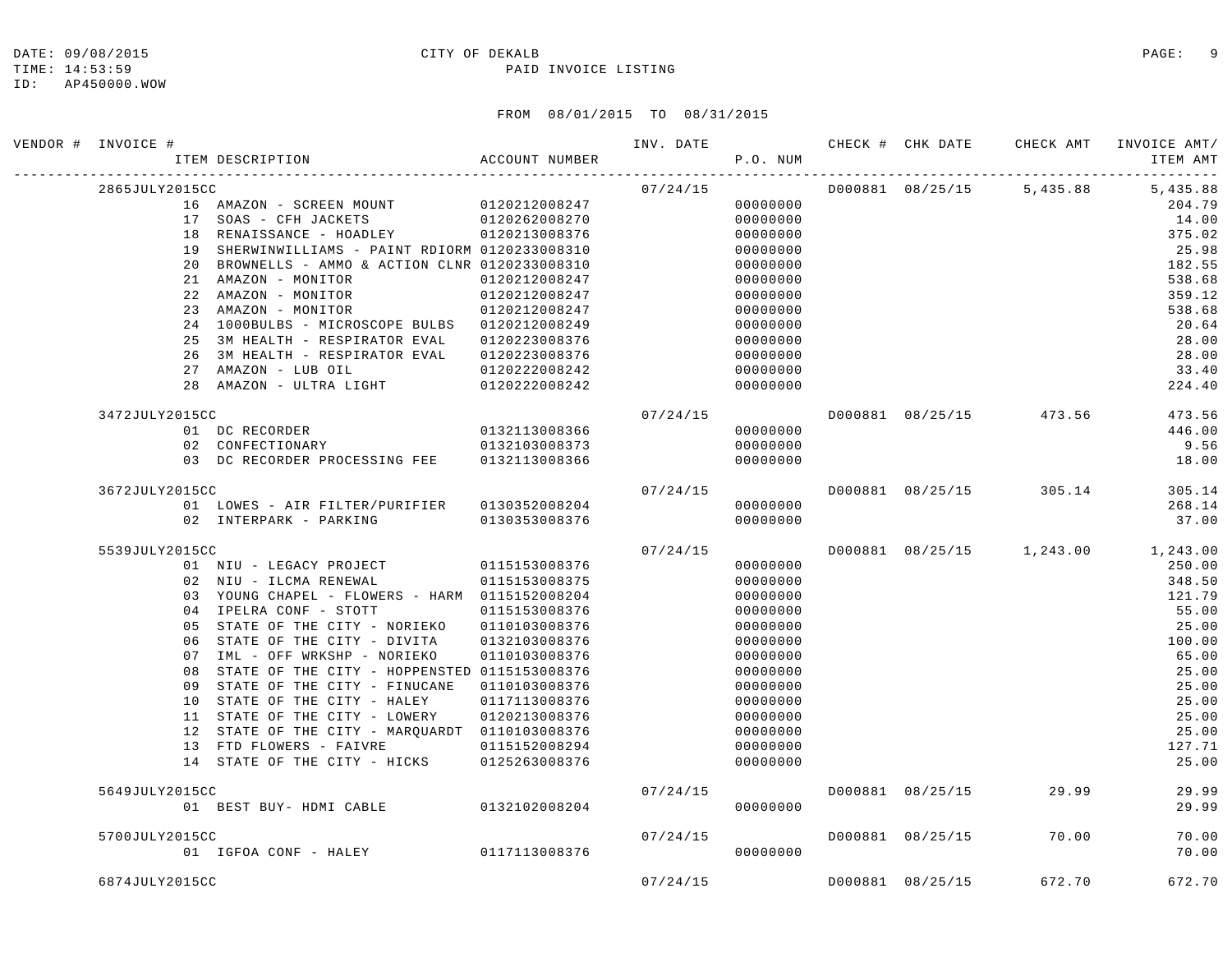TIME: 14:53:59 PAID INVOICE LISTING

ID: AP450000.WOW

| VENDOR # INVOICE # | ITEM DESCRIPTION ACCOUNT NUMBER                                                                                   |               |          | P.O. NUM |                  |                        | INV. DATE 6 1997 CHECK # CHK DATE CHECK AMT INVOICE AMT/<br>ITEM AMT |
|--------------------|-------------------------------------------------------------------------------------------------------------------|---------------|----------|----------|------------------|------------------------|----------------------------------------------------------------------|
| 2865JULY2015CC     |                                                                                                                   |               | 07/24/15 |          |                  |                        | D000881 08/25/15 5,435.88 5,435.88                                   |
|                    | 16 AMAZON - SCREEN MOUNT 0120212008247                                                                            |               |          | 00000000 |                  |                        | 204.79                                                               |
|                    | 17 SOAS - CFH JACKETS                         0120262008270<br>18 RENAISSANCE - HOADLEY             0120213008376 |               |          | 00000000 |                  |                        | 14.00                                                                |
|                    |                                                                                                                   |               |          | 00000000 |                  |                        | 375.02                                                               |
|                    | 19 SHERWINWILLIAMS - PAINT RDIORM 0120233008310                                                                   |               |          | 00000000 |                  |                        | 25.98                                                                |
|                    | 20 BROWNELLS - AMMO & ACTION CLNR 0120233008310                                                                   |               |          | 00000000 |                  |                        | 182.55                                                               |
|                    | 21 AMAZON - MONITOR                                                                                               | 0120212008247 |          | 00000000 |                  |                        | 538.68                                                               |
|                    | 22 AMAZON - MONITOR                                                                                               | 0120212008247 |          | 00000000 |                  |                        | 359.12                                                               |
|                    | 23 AMAZON - MONITOR                                                                                               | 0120212008247 |          | 00000000 |                  |                        | 538.68                                                               |
|                    | 24 1000BULBS - MICROSCOPE BULBS 0120212008249                                                                     |               |          | 00000000 |                  |                        | 20.64                                                                |
|                    | 25 3M HEALTH - RESPIRATOR EVAL                                                                                    | 0120223008376 |          | 00000000 |                  |                        | 28.00                                                                |
|                    | 26 3M HEALTH - RESPIRATOR EVAL 0120223008376                                                                      |               |          | 00000000 |                  |                        | 28.00                                                                |
|                    | 27 AMAZON - LUB OIL                                                                                               | 0120222008242 |          | 00000000 |                  |                        | 33.40                                                                |
|                    | 28 AMAZON - ULTRA LIGHT                                                                                           | 0120222008242 |          | 00000000 |                  |                        | 224.40                                                               |
| 3472JULY2015CC     |                                                                                                                   |               | 07/24/15 |          |                  |                        | D000881 08/25/15 473.56 473.56                                       |
|                    | 01 DC RECORDER<br>02 CONFECTIONARY 0132103008373                                                                  |               |          | 00000000 |                  |                        | 446.00                                                               |
|                    |                                                                                                                   |               |          | 00000000 |                  |                        | 9.56                                                                 |
|                    | 03 DC RECORDER PROCESSING FEE 0132113008366                                                                       |               |          | 00000000 |                  |                        | 18.00                                                                |
| 3672JULY2015CC     |                                                                                                                   |               |          | 07/24/15 |                  |                        | D000881 08/25/15 305.14 305.14                                       |
|                    | 01 LOWES - AIR FILTER/PURIFIER 0130352008204                                                                      |               |          | 00000000 |                  |                        | 268.14                                                               |
|                    | 02 INTERPARK - PARKING 0130353008376                                                                              |               |          | 00000000 |                  |                        | 37.00                                                                |
| 5539JULY2015CC     |                                                                                                                   |               | 07/24/15 |          |                  |                        | D000881 08/25/15 1,243.00 1,243.00                                   |
|                    | 01 NIU - LEGACY PROJECT 0115153008376                                                                             |               |          | 00000000 |                  |                        | 250.00                                                               |
|                    | 02 NIU - ILCMA RENEWAL                                                                                            | 0115153008375 |          | 00000000 |                  |                        | 348.50                                                               |
|                    | 03 YOUNG CHAPEL - FLOWERS - HARM 0115152008204                                                                    |               |          | 00000000 |                  |                        | 121.79                                                               |
|                    | 04 IPELRA CONF - STOTT                                                                                            | 0115153008376 |          | 00000000 |                  |                        | 55.00                                                                |
|                    | 05 STATE OF THE CITY - NORIEKO  0110103008376                                                                     |               |          | 00000000 |                  |                        | 25.00                                                                |
|                    | 06 STATE OF THE CITY - DIVITA 0132103008376                                                                       |               |          | 00000000 |                  |                        | 100.00                                                               |
|                    | 07 IML - OFF WRKSHP - NORIEKO                                                                                     | 0110103008376 |          | 00000000 |                  |                        | 65.00                                                                |
|                    | 08 STATE OF THE CITY - HOPPENSTED 0115153008376                                                                   |               |          | 00000000 |                  |                        | 25.00                                                                |
|                    | 09 STATE OF THE CITY - FINUCANE  0110103008376                                                                    |               |          | 00000000 |                  |                        | 25.00                                                                |
|                    | 10 STATE OF THE CITY - HALEY                                                                                      | 0117113008376 |          | 00000000 |                  |                        | 25.00                                                                |
|                    | 11 STATE OF THE CITY - LOWERY                                                                                     | 0120213008376 |          | 00000000 |                  |                        | 25.00                                                                |
|                    | 12 STATE OF THE CITY - MARQUARDT 0110103008376                                                                    |               |          | 00000000 |                  |                        | 25.00                                                                |
|                    | 13 FTD FLOWERS - FAIVRE 0115152008294                                                                             |               |          | 00000000 |                  |                        | 127.71                                                               |
|                    | 14 STATE OF THE CITY - HICKS 0125263008376                                                                        |               |          | 00000000 |                  |                        | 25.00                                                                |
| 5649JULY2015CC     |                                                                                                                   |               | 07/24/15 |          | D000881 08/25/15 | 29.99                  | 29.99                                                                |
|                    | 01 BEST BUY- HDMI CABLE 0132102008204                                                                             |               |          | 00000000 |                  |                        | 29.99                                                                |
| 5700JULY2015CC     |                                                                                                                   |               | 07/24/15 |          |                  | D000881 08/25/15 70.00 | 70.00                                                                |
|                    | 01 IGFOA CONF - HALEY 0117113008376                                                                               |               |          | 00000000 |                  |                        | 70.00                                                                |
| 6874JULY2015CC     |                                                                                                                   |               | 07/24/15 |          | D000881 08/25/15 | 672.70                 | 672.70                                                               |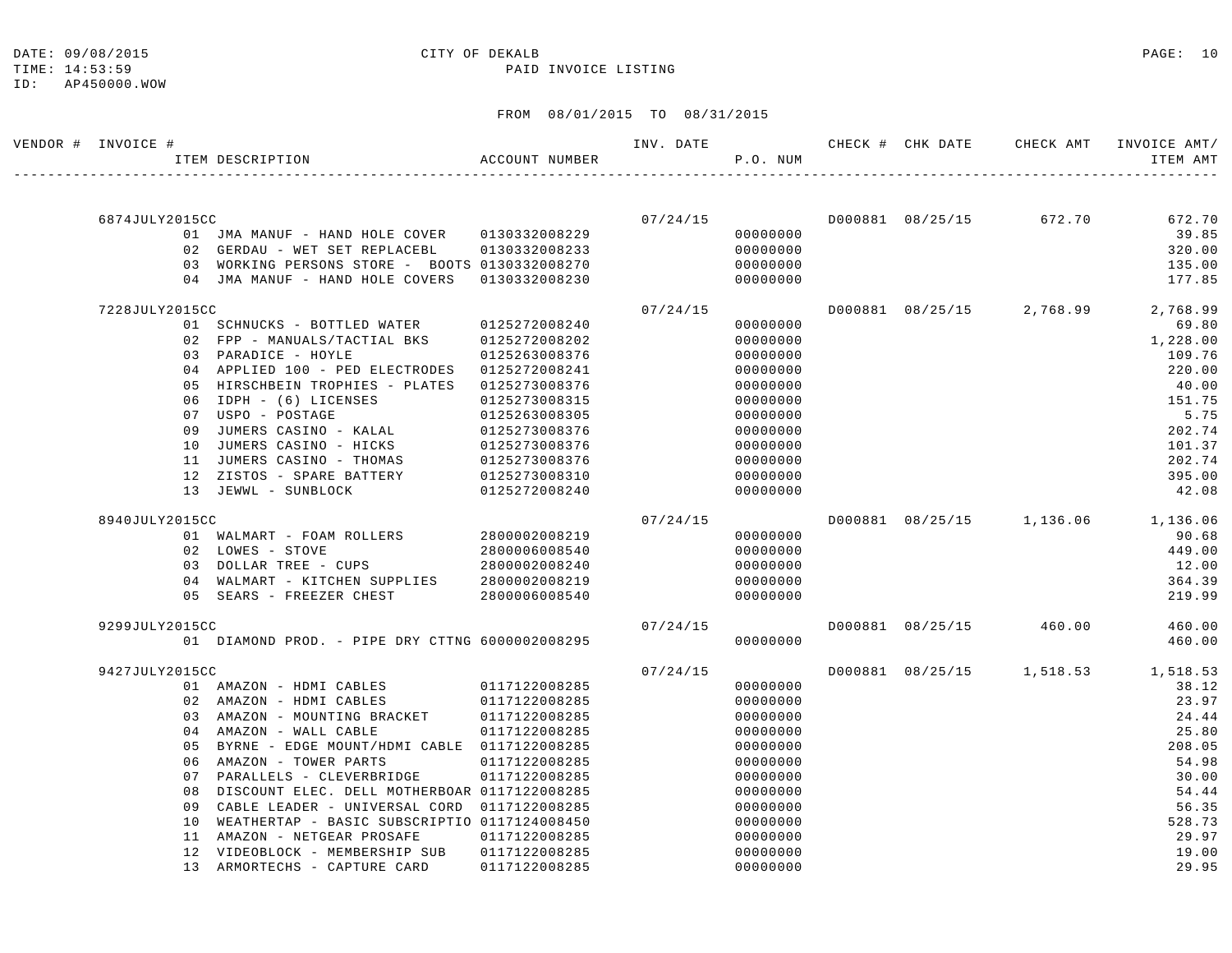ID: AP450000.WOW

#### DATE: 09/08/2015 CITY OF DEKALB PAGE: 10

TIME: 14:53:59 PAID INVOICE LISTING

| VENDOR # INVOICE # |                |    | ITEM DESCRIPTION ACCOUNT NUMBER                                                 |                                |          | P.O. NUM             |  | INV. DATE 6 CHECK # CHK DATE CHECK AMT INVOICE AMT/ | ITEM AMT         |
|--------------------|----------------|----|---------------------------------------------------------------------------------|--------------------------------|----------|----------------------|--|-----------------------------------------------------|------------------|
|                    |                |    |                                                                                 |                                |          |                      |  |                                                     |                  |
|                    |                |    |                                                                                 |                                |          |                      |  |                                                     |                  |
|                    | 6874JULY2015CC |    |                                                                                 |                                | 07/24/15 |                      |  | D000881 08/25/15 672.70                             | 672.70           |
|                    |                |    |                                                                                 |                                |          | 00000000<br>00000000 |  |                                                     | 39.85            |
|                    |                |    | 02 GERDAU - WET SET REPLACEBL<br>03 WORKING PERSONS STORE - BOOTS 0130332008270 | 0130332008233                  |          | 00000000             |  |                                                     | 320.00<br>135.00 |
|                    |                |    | 04 JMA MANUF - HAND HOLE COVERS                                                 | 0130332008230                  |          | 00000000             |  |                                                     | 177.85           |
|                    | 7228JULY2015CC |    |                                                                                 |                                | 07/24/15 |                      |  | D000881 08/25/15 2,768.99                           | 2,768.99         |
|                    |                |    | 01 SCHNUCKS - BOTTLED WATER                                                     | 0125272008240                  |          | 00000000             |  |                                                     | 69.80            |
|                    |                |    | 02 FPP - MANUALS/TACTIAL BKS                                                    | 0125272008202                  |          | 00000000             |  |                                                     | 1,228.00         |
|                    |                |    | 03 PARADICE - HOYLE                                                             | 0125263008376                  |          | 00000000             |  |                                                     | 109.76           |
|                    |                |    | 04 APPLIED 100 - PED ELECTRODES                                                 | 0125272008241                  |          | 00000000             |  |                                                     | 220.00           |
|                    |                |    | 05 HIRSCHBEIN TROPHIES - PLATES                                                 | 0125273008376                  |          | 00000000             |  |                                                     | 40.00            |
|                    |                |    | 06 IDPH - (6) LICENSES                                                          | 0125273008315                  |          | 00000000             |  |                                                     | 151.75           |
|                    |                |    | 07 USPO - POSTAGE                                                               | 0125263008305                  |          | 00000000             |  |                                                     | 5.75             |
|                    |                | 09 | JUMERS CASINO - KALAL                                                           | 0125273008376                  |          | 00000000             |  |                                                     | 202.74           |
|                    |                | 10 | JUMERS CASINO - HICKS                                                           | 0125273008376                  |          | 00000000             |  |                                                     | 101.37           |
|                    |                |    | 11 JUMERS CASINO - THOMAS                                                       | 0125273008376                  |          | 00000000             |  |                                                     | 202.74           |
|                    |                |    | 12 ZISTOS - SPARE BATTERY                                                       | 0125273008310                  |          | 00000000             |  |                                                     | 395.00           |
|                    |                |    | 13 JEWWL - SUNBLOCK                                                             | 0125272008240                  |          | 00000000             |  |                                                     | 42.08            |
|                    | 8940JULY2015CC |    |                                                                                 |                                | 07/24/15 |                      |  | D000881 08/25/15 1,136.06 1,136.06                  |                  |
|                    |                |    | 01 WALMART - FOAM ROLLERS 2800002008219                                         |                                |          | 00000000             |  |                                                     | 90.68            |
|                    |                |    | 02 LOWES - STOVE                                                                | 2800006008540                  |          | 00000000             |  |                                                     | 449.00           |
|                    |                |    | 03 DOLLAR TREE - CUPS                                                           | 2800002008240                  |          | 00000000             |  |                                                     | 12.00            |
|                    |                |    | 04 WALMART - KITCHEN SUPPLIES                                                   | 2800002008219                  |          | 00000000             |  |                                                     | 364.39           |
|                    |                |    | 05 SEARS - FREEZER CHEST                                                        | 2800006008540                  |          | 00000000             |  |                                                     | 219.99           |
|                    | 9299JULY2015CC |    |                                                                                 |                                | 07/24/15 |                      |  | D000881 08/25/15 460.00                             | 460.00           |
|                    |                |    | 01 DIAMOND PROD. - PIPE DRY CTTNG 6000002008295                                 |                                |          | 00000000             |  |                                                     | 460.00           |
|                    | 9427JULY2015CC |    |                                                                                 |                                | 07/24/15 |                      |  | D000881 08/25/15 1,518.53 1,518.53                  |                  |
|                    |                |    | 01 AMAZON - HDMI CABLES 0117122008285                                           |                                |          | 00000000             |  |                                                     | 38.12            |
|                    |                |    | 02 AMAZON - HDMI CABLES                                                         | 0117122008285                  |          | 00000000             |  |                                                     | 23.97            |
|                    |                |    | 03 AMAZON - MOUNTING BRACKET 0117122008285                                      |                                |          | 00000000             |  |                                                     | 24.44            |
|                    |                |    | 04 AMAZON - WALL CABLE                                                          | 0117122008285                  |          | 00000000             |  |                                                     | 25.80            |
|                    |                | 05 | BYRNE - EDGE MOUNT/HDMI CABLE 0117122008285                                     |                                |          | 00000000             |  |                                                     | 208.05           |
|                    |                |    | 06 AMAZON - TOWER PARTS<br>07 PARALLELS - CLEVERBRIDGE                          | 0117122008285<br>0117122008285 |          | 00000000<br>00000000 |  |                                                     | 54.98<br>30.00   |
|                    |                | 08 | DISCOUNT ELEC. DELL MOTHERBOAR 0117122008285                                    |                                |          | 00000000             |  |                                                     | 54.44            |
|                    |                | 09 | CABLE LEADER - UNIVERSAL CORD 0117122008285                                     |                                |          | 00000000             |  |                                                     | 56.35            |
|                    |                | 10 | WEATHERTAP - BASIC SUBSCRIPTIO 0117124008450                                    |                                |          | 00000000             |  |                                                     | 528.73           |
|                    |                |    | 11 AMAZON - NETGEAR PROSAFE                                                     | 0117122008285                  |          | 00000000             |  |                                                     | 29.97            |
|                    |                |    | 12 VIDEOBLOCK - MEMBERSHIP SUB                                                  | 0117122008285                  |          | 00000000             |  |                                                     | 19.00            |
|                    |                |    | 13 ARMORTECHS - CAPTURE CARD                                                    | 0117122008285                  |          | 00000000             |  |                                                     | 29.95            |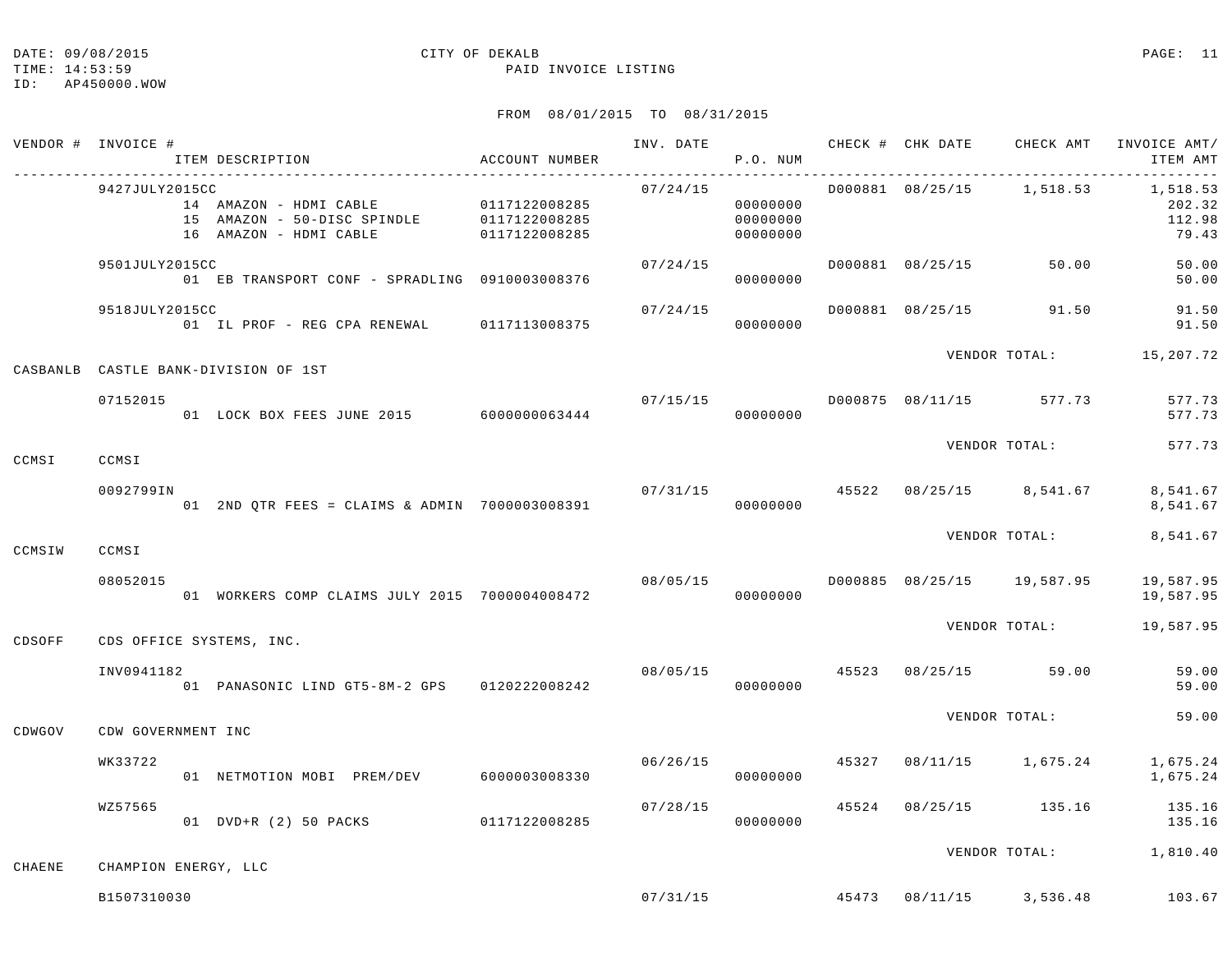TIME: 14:53:59 PAID INVOICE LISTING

|        | VENDOR # INVOICE #       | ACCOUNT NUMBER<br>ITEM DESCRIPTION             |               |          | P.O. NUM                         |  |                                          | INV. DATE 6 CHECK # CHK DATE CHECK AMT INVOICE AMT/<br>ITEM AMT |
|--------|--------------------------|------------------------------------------------|---------------|----------|----------------------------------|--|------------------------------------------|-----------------------------------------------------------------|
|        | 9427JULY2015CC           |                                                |               | 07/24/15 | 00000000<br>00000000<br>00000000 |  |                                          | D000881 08/25/15 1,518.53 1,518.53<br>202.32<br>112.98<br>79.43 |
|        | 9501JULY2015CC           | 01 EB TRANSPORT CONF - SPRADLING 0910003008376 |               | 07/24/15 | 00000000                         |  | D000881 08/25/15 50.00                   | 50.00<br>50.00                                                  |
|        | 9518JULY2015CC           | 01 IL PROF - REG CPA RENEWAL 0117113008375     |               | 07/24/15 | 00000000                         |  | D000881 08/25/15 91.50                   | 91.50<br>91.50                                                  |
|        |                          | CASBANLB CASTLE BANK-DIVISION OF 1ST           |               |          |                                  |  |                                          | VENDOR TOTAL: 15,207.72                                         |
|        | 07152015                 | 01 LOCK BOX FEES JUNE 2015 6000000063444       |               | 07/15/15 | 00000000                         |  | D000875 08/11/15 577.73                  | 577.73<br>577.73                                                |
| CCMSI  | CCMSI                    |                                                |               |          |                                  |  | VENDOR TOTAL:                            | 577.73                                                          |
|        | 0092799IN                | 01 2ND QTR FEES = CLAIMS & ADMIN 7000003008391 |               |          | 00000000                         |  | $07/31/15$ $45522$ $08/25/15$ $8,541.67$ | 8,541.67<br>8,541.67                                            |
| CCMSIW | CCMSI                    |                                                |               |          |                                  |  | VENDOR TOTAL:                            | 8,541.67                                                        |
|        | 08052015                 | 01 WORKERS COMP CLAIMS JULY 2015 7000004008472 |               | 08/05/15 | 00000000                         |  | D000885 08/25/15 19,587.95               | 19,587.95<br>19,587.95                                          |
| CDSOFF | CDS OFFICE SYSTEMS, INC. |                                                |               |          |                                  |  |                                          | VENDOR TOTAL: 19,587.95                                         |
|        | INV0941182               | 01 PANASONIC LIND GT5-8M-2 GPS 0120222008242   |               |          | 00000000                         |  | 08/05/15 45523 08/25/15 59.00            | 59.00<br>59.00                                                  |
| CDWGOV | CDW GOVERNMENT INC       |                                                |               |          |                                  |  | VENDOR TOTAL:                            | 59.00                                                           |
|        | WK33722                  | 01 NETMOTION MOBI PREM/DEV                     | 6000003008330 | 06/26/15 | 00000000                         |  | 45327 08/11/15 1,675.24                  | 1,675.24<br>1,675.24                                            |
|        | WZ57565                  | 01 DVD+R (2) 50 PACKS 0117122008285            |               | 07/28/15 | 00000000                         |  |                                          | 45524 08/25/15 135.16 135.16<br>135.16                          |
| CHAENE | CHAMPION ENERGY, LLC     |                                                |               |          |                                  |  |                                          | VENDOR TOTAL: 1,810.40                                          |
|        | B1507310030              |                                                |               |          |                                  |  |                                          | $07/31/15$ $45473$ $08/11/15$ $3.536.48$ $103.67$               |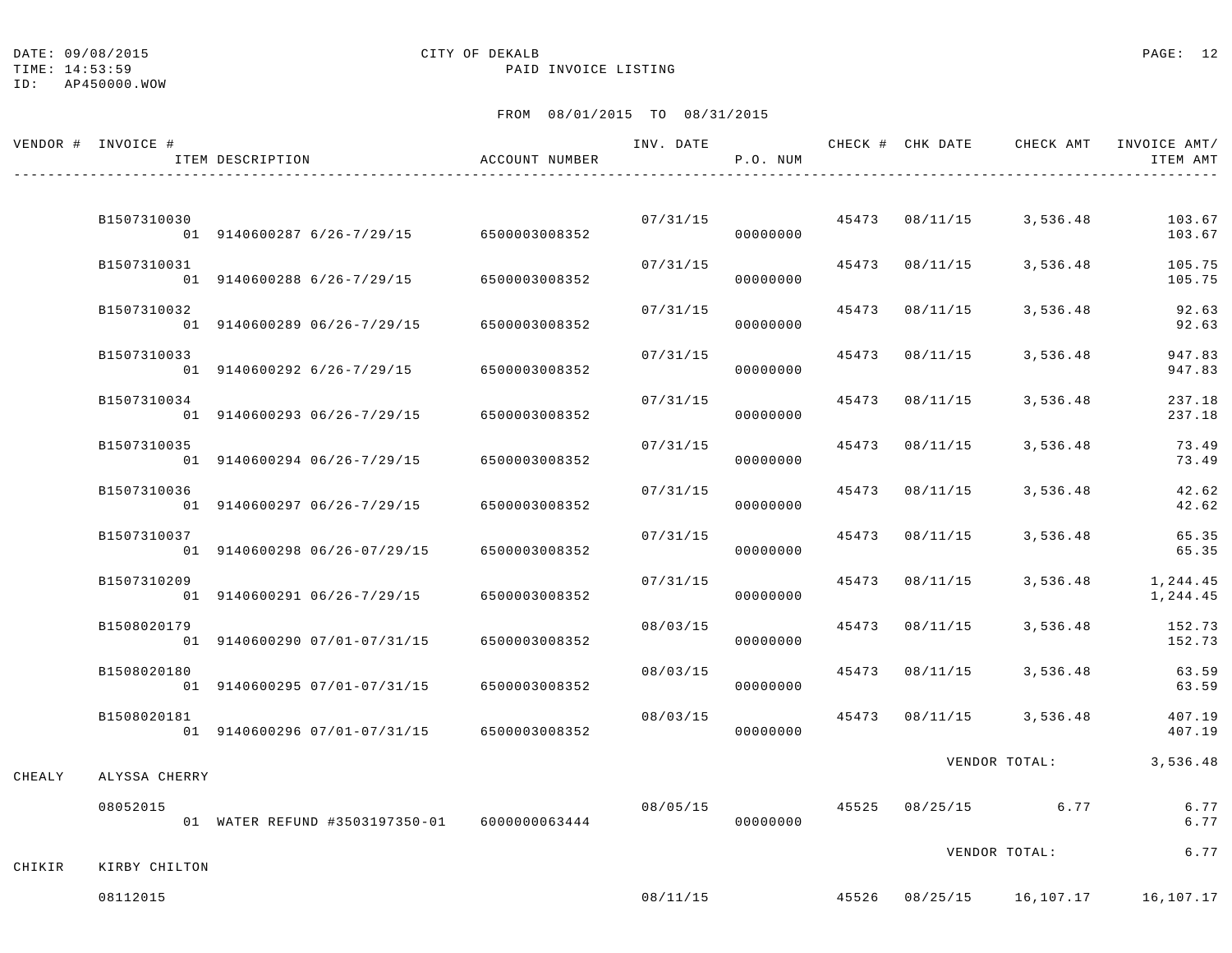TIME: 14:53:59 PAID INVOICE LISTING

## ID: AP450000.WOW

|        | VENDOR # INVOICE # | ITEM DESCRIPTION                             | ACCOUNT NUMBER | INV. DATE | P.O. NUM |       | CHECK # CHK DATE | CHECK AMT                | INVOICE AMT/<br>ITEM AMT |
|--------|--------------------|----------------------------------------------|----------------|-----------|----------|-------|------------------|--------------------------|--------------------------|
|        | B1507310030        | 01 9140600287 6/26-7/29/15                   | 6500003008352  | 07/31/15  | 00000000 |       | 45473 08/11/15   | 3,536.48                 | 103.67<br>103.67         |
|        | B1507310031        | 01 9140600288 6/26-7/29/15                   | 6500003008352  | 07/31/15  | 00000000 | 45473 | 08/11/15         | 3,536.48                 | 105.75<br>105.75         |
|        | B1507310032        | 01 9140600289 06/26-7/29/15                  | 6500003008352  | 07/31/15  | 00000000 | 45473 | 08/11/15         | 3,536.48                 | 92.63<br>92.63           |
|        | B1507310033        | 01 9140600292 6/26-7/29/15                   | 6500003008352  | 07/31/15  | 00000000 |       | 45473 08/11/15   | 3,536.48                 | 947.83<br>947.83         |
|        | B1507310034        | 01 9140600293 06/26-7/29/15                  | 6500003008352  | 07/31/15  | 00000000 | 45473 | 08/11/15         | 3,536.48                 | 237.18<br>237.18         |
|        | B1507310035        | 01 9140600294 06/26-7/29/15                  | 6500003008352  | 07/31/15  | 00000000 | 45473 | 08/11/15         | 3,536.48                 | 73.49<br>73.49           |
|        | B1507310036        | 01 9140600297 06/26-7/29/15                  | 6500003008352  | 07/31/15  | 00000000 | 45473 | 08/11/15         | 3,536.48                 | 42.62<br>42.62           |
|        | B1507310037        | 01 9140600298 06/26-07/29/15                 | 6500003008352  | 07/31/15  | 00000000 | 45473 | 08/11/15         | 3,536.48                 | 65.35<br>65.35           |
|        | B1507310209        | 01 9140600291 06/26-7/29/15                  | 6500003008352  | 07/31/15  | 00000000 | 45473 | 08/11/15         | 3,536.48                 | 1,244.45<br>1,244.45     |
|        | B1508020179        | 01 9140600290 07/01-07/31/15                 | 6500003008352  | 08/03/15  | 00000000 | 45473 | 08/11/15         | 3,536.48                 | 152.73<br>152.73         |
|        | B1508020180        | 01 9140600295 07/01-07/31/15                 | 6500003008352  | 08/03/15  | 00000000 | 45473 | 08/11/15         | 3,536.48                 | 63.59<br>63.59           |
|        | B1508020181        | 01 9140600296 07/01-07/31/15                 | 6500003008352  | 08/03/15  | 00000000 | 45473 | 08/11/15         | 3,536.48                 | 407.19<br>407.19         |
| CHEALY | ALYSSA CHERRY      |                                              |                |           |          |       |                  | VENDOR TOTAL:            | 3,536.48                 |
|        | 08052015           | 01 WATER REFUND #3503197350-01 6000000063444 |                | 08/05/15  | 00000000 | 45525 | 08/25/15         | 6.77                     | 6.77<br>6.77             |
| CHIKIR | KIRBY CHILTON      |                                              |                |           |          |       |                  | VENDOR TOTAL:            | 6.77                     |
|        | 08112015           |                                              |                | 08/11/15  |          |       |                  | 45526 08/25/15 16,107.17 | 16,107.17                |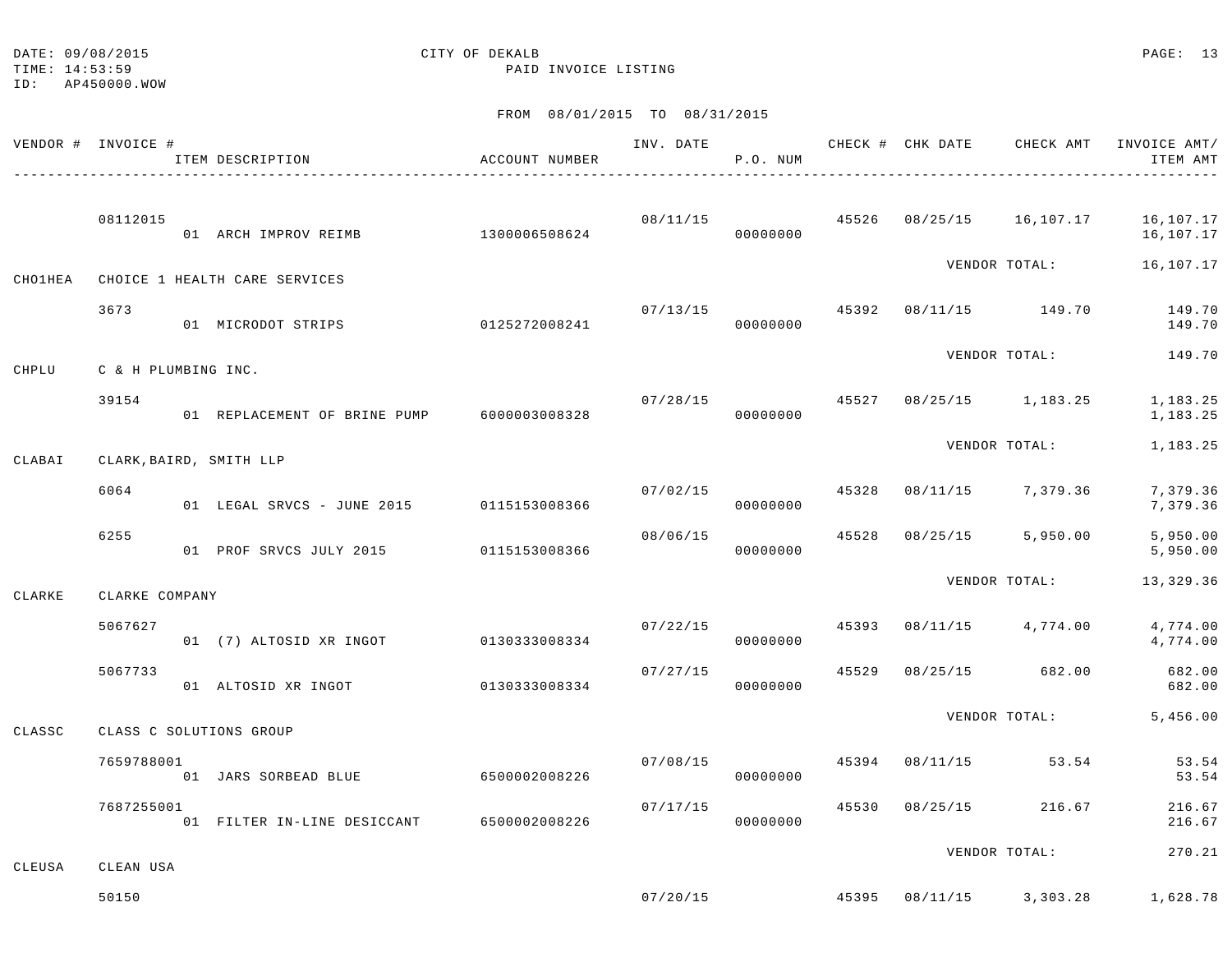| DATE: 09/08/2015 | CITY OF DEKALB | PAGE: 13 |  |
|------------------|----------------|----------|--|
|                  |                |          |  |

TIME: 14:53:59 PAID INVOICE LISTING

ID: AP450000.WOW

|         | VENDOR # INVOICE #  | ITEM DESCRIPTION                           | ACCOUNT NUMBER | INV. DATE | P.O. NUM |       |          | CHECK # CHK DATE CHECK AMT | INVOICE AMT/<br>ITEM AMT |
|---------|---------------------|--------------------------------------------|----------------|-----------|----------|-------|----------|----------------------------|--------------------------|
|         | 08112015            | 01 ARCH IMPROV REIMB                       | 1300006508624  | 08/11/15  | 00000000 |       |          | 45526 08/25/15 16,107.17   | 16,107.17<br>16,107.17   |
| CHO1HEA |                     | CHOICE 1 HEALTH CARE SERVICES              |                |           |          |       |          | VENDOR TOTAL:              | 16,107.17                |
|         | 3673                | 01 MICRODOT STRIPS                         | 0125272008241  | 07/13/15  | 00000000 | 45392 |          | 08/11/15 149.70            | 149.70<br>149.70         |
| CHPLU   | C & H PLUMBING INC. |                                            |                |           |          |       |          | VENDOR TOTAL:              | 149.70                   |
|         | 39154               | 01 REPLACEMENT OF BRINE PUMP 6000003008328 |                | 07/28/15  | 00000000 | 45527 |          | $08/25/15$ 1, 183.25       | 1,183.25<br>1,183.25     |
| CLABAI  |                     | CLARK, BAIRD, SMITH LLP                    |                |           |          |       |          | VENDOR TOTAL:              | 1,183.25                 |
|         | 6064                | 01 LEGAL SRVCS - JUNE 2015                 | 0115153008366  | 07/02/15  | 00000000 | 45328 | 08/11/15 | 7,379.36                   | 7,379.36<br>7,379.36     |
|         | 6255                | 01 PROF SRVCS JULY 2015                    | 0115153008366  | 08/06/15  | 00000000 | 45528 | 08/25/15 | 5,950.00                   | 5,950.00<br>5,950.00     |
| CLARKE  | CLARKE COMPANY      |                                            |                |           |          |       |          | VENDOR TOTAL:              | 13,329.36                |
|         | 5067627             | 01 (7) ALTOSID XR INGOT                    | 0130333008334  | 07/22/15  | 00000000 | 45393 |          | $08/11/15$ 4,774.00        | 4,774.00<br>4,774.00     |
|         | 5067733             | 01 ALTOSID XR INGOT                        | 0130333008334  | 07/27/15  | 00000000 | 45529 | 08/25/15 | 682.00                     | 682.00<br>682.00         |
| CLASSC  |                     | CLASS C SOLUTIONS GROUP                    |                |           |          |       |          | VENDOR TOTAL:              | 5,456.00                 |
|         | 7659788001          | 01 JARS SORBEAD BLUE                       | 6500002008226  | 07/08/15  | 00000000 | 45394 | 08/11/15 | 53.54                      | 53.54<br>53.54           |
|         | 7687255001          | 01 FILTER IN-LINE DESICCANT                | 6500002008226  | 07/17/15  | 00000000 | 45530 | 08/25/15 | 216.67                     | 216.67<br>216.67         |
| CLEUSA  | CLEAN USA           |                                            |                |           |          |       |          | VENDOR TOTAL:              | 270.21                   |
|         | 50150               |                                            |                | 07/20/15  | 45395    |       |          | 08/11/15 3,303.28          | 1,628.78                 |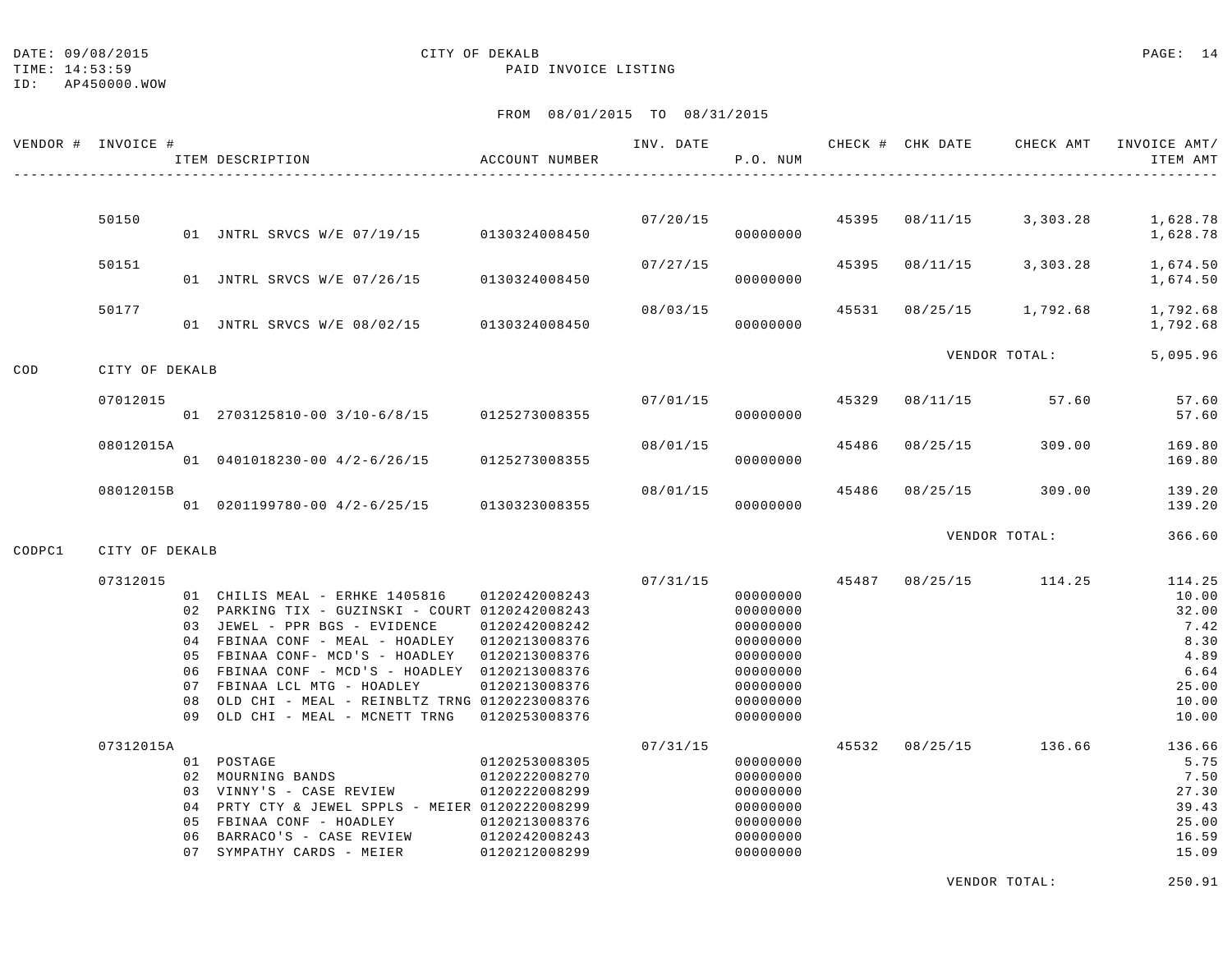TIME: 14:53:59 PAID INVOICE LISTING

ID: AP450000.WOW

#### FROM 08/01/2015 TO 08/31/2015

| VENDOR # | INVOICE #      |                            | ITEM DESCRIPTION                                                                                                                                                                                                                                                                                                                   | ACCOUNT NUMBER                                                                                                      | INV. DATE | P.O. NUM                                                                                                 |       | CHECK # CHK DATE | CHECK AMT     | INVOICE AMT/<br>ITEM AMT                                                            |
|----------|----------------|----------------------------|------------------------------------------------------------------------------------------------------------------------------------------------------------------------------------------------------------------------------------------------------------------------------------------------------------------------------------|---------------------------------------------------------------------------------------------------------------------|-----------|----------------------------------------------------------------------------------------------------------|-------|------------------|---------------|-------------------------------------------------------------------------------------|
|          |                |                            |                                                                                                                                                                                                                                                                                                                                    |                                                                                                                     |           |                                                                                                          |       |                  |               |                                                                                     |
|          | 50150          |                            | 01 JNTRL SRVCS W/E 07/19/15                                                                                                                                                                                                                                                                                                        | 0130324008450                                                                                                       | 07/20/15  | 00000000                                                                                                 | 45395 | 08/11/15         | 3,303.28      | 1,628.78<br>1,628.78                                                                |
|          | 50151          |                            | 01 JNTRL SRVCS W/E 07/26/15                                                                                                                                                                                                                                                                                                        | 0130324008450                                                                                                       | 07/27/15  | 00000000                                                                                                 | 45395 | 08/11/15         | 3,303.28      | 1,674.50<br>1,674.50                                                                |
|          | 50177          |                            | 01 JNTRL SRVCS W/E 08/02/15                                                                                                                                                                                                                                                                                                        | 0130324008450                                                                                                       | 08/03/15  | 00000000                                                                                                 | 45531 | 08/25/15         | 1,792.68      | 1,792.68<br>1,792.68                                                                |
|          |                |                            |                                                                                                                                                                                                                                                                                                                                    |                                                                                                                     |           |                                                                                                          |       |                  | VENDOR TOTAL: | 5,095.96                                                                            |
| COD      | CITY OF DEKALB |                            |                                                                                                                                                                                                                                                                                                                                    |                                                                                                                     |           |                                                                                                          |       |                  |               |                                                                                     |
|          | 07012015       |                            | 01 2703125810-00 3/10-6/8/15                                                                                                                                                                                                                                                                                                       | 0125273008355                                                                                                       | 07/01/15  | 00000000                                                                                                 | 45329 | 08/11/15         | 57.60         | 57.60<br>57.60                                                                      |
|          | 08012015A      |                            | 01 0401018230-00 4/2-6/26/15                                                                                                                                                                                                                                                                                                       | 0125273008355                                                                                                       | 08/01/15  | 00000000                                                                                                 | 45486 | 08/25/15         | 309.00        | 169.80<br>169.80                                                                    |
|          | 08012015B      |                            | 01 0201199780-00 4/2-6/25/15                                                                                                                                                                                                                                                                                                       | 0130323008355                                                                                                       | 08/01/15  | 00000000                                                                                                 | 45486 | 08/25/15         | 309.00        | 139.20<br>139.20                                                                    |
| CODPC1   | CITY OF DEKALB |                            |                                                                                                                                                                                                                                                                                                                                    |                                                                                                                     |           |                                                                                                          |       |                  | VENDOR TOTAL: | 366.60                                                                              |
|          |                |                            |                                                                                                                                                                                                                                                                                                                                    |                                                                                                                     |           |                                                                                                          |       |                  |               |                                                                                     |
|          | 07312015       | 05<br>06<br>07<br>08<br>09 | 01 CHILIS MEAL - ERHKE 1405816<br>02 PARKING TIX - GUZINSKI - COURT 0120242008243<br>03 JEWEL - PPR BGS - EVIDENCE<br>04 FBINAA CONF - MEAL - HOADLEY<br>FBINAA CONF- MCD'S - HOADLEY<br>FBINAA CONF - MCD'S - HOADLEY<br>FBINAA LCL MTG - HOADLEY<br>OLD CHI - MEAL - REINBLTZ TRNG 0120223008376<br>OLD CHI - MEAL - MCNETT TRNG | 0120242008243<br>0120242008242<br>0120213008376<br>0120213008376<br>0120213008376<br>0120213008376<br>0120253008376 | 07/31/15  | 00000000<br>00000000<br>00000000<br>00000000<br>00000000<br>00000000<br>00000000<br>00000000<br>00000000 | 45487 | 08/25/15         | 114.25        | 114.25<br>10.00<br>32.00<br>7.42<br>8.30<br>4.89<br>6.64<br>25.00<br>10.00<br>10.00 |
|          | 07312015A      | 04<br>05<br>06<br>07       | 01 POSTAGE<br>02 MOURNING BANDS<br>03 VINNY'S - CASE REVIEW<br>PRTY CTY & JEWEL SPPLS - MEIER 0120222008299<br>FBINAA CONF - HOADLEY<br>BARRACO'S - CASE REVIEW<br>SYMPATHY CARDS - MEIER                                                                                                                                          | 0120253008305<br>0120222008270<br>0120222008299<br>0120213008376<br>0120242008243<br>0120212008299                  | 07/31/15  | 00000000<br>00000000<br>00000000<br>00000000<br>00000000<br>00000000<br>00000000                         | 45532 | 08/25/15         | 136.66        | 136.66<br>5.75<br>7.50<br>27.30<br>39.43<br>25.00<br>16.59<br>15.09                 |

VENDOR TOTAL: 250.91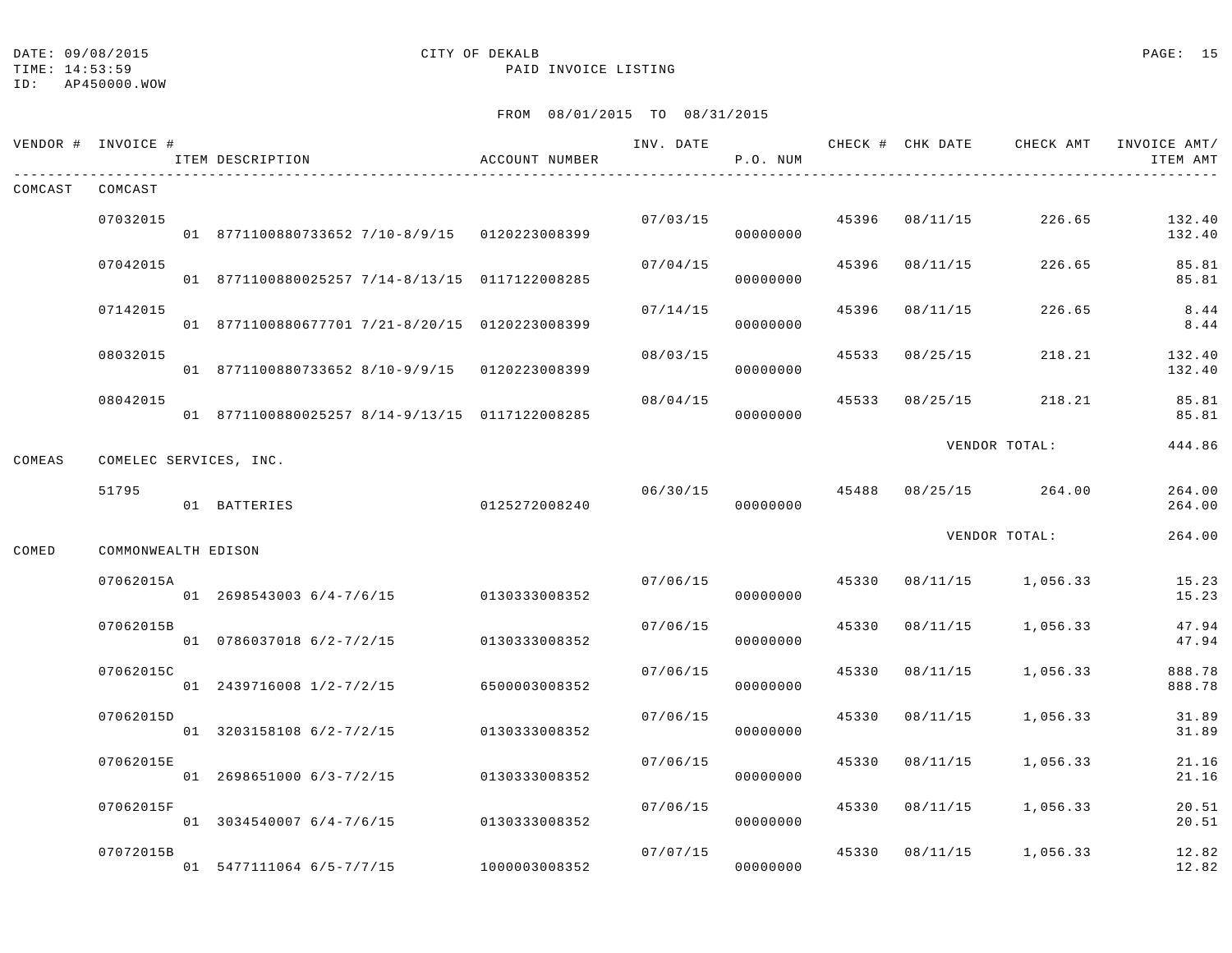#### ID: AP450000.WOW

## DATE: 09/08/2015 CITY OF DEKALB PAGE: 15

TIME: 14:53:59 PAID INVOICE LISTING

|         | VENDOR # INVOICE #     | ITEM DESCRIPTION                               | ACCOUNT NUMBER | INV. DATE | P.O. NUM |       |          |                   | ITEM AMT         |
|---------|------------------------|------------------------------------------------|----------------|-----------|----------|-------|----------|-------------------|------------------|
| COMCAST | COMCAST                |                                                |                |           |          |       |          |                   |                  |
|         | 07032015               | 01 8771100880733652 7/10-8/9/15 0120223008399  |                | 07/03/15  | 00000000 | 45396 | 08/11/15 | 226.65            | 132.40<br>132.40 |
|         | 07042015               | 01 8771100880025257 7/14-8/13/15 0117122008285 |                | 07/04/15  | 00000000 | 45396 | 08/11/15 | 226.65            | 85.81<br>85.81   |
|         | 07142015               | 01 8771100880677701 7/21-8/20/15 0120223008399 |                | 07/14/15  | 00000000 | 45396 | 08/11/15 | 226.65            | 8.44<br>8.44     |
|         | 08032015               | 01 8771100880733652 8/10-9/9/15 0120223008399  |                | 08/03/15  | 00000000 | 45533 | 08/25/15 | 218.21            | 132.40<br>132.40 |
|         | 08042015               | 01 8771100880025257 8/14-9/13/15 0117122008285 |                | 08/04/15  | 00000000 | 45533 | 08/25/15 | 218.21            | 85.81<br>85.81   |
| COMEAS  | COMELEC SERVICES, INC. |                                                |                |           |          |       |          | VENDOR TOTAL:     | 444.86           |
|         | 51795                  | 01 BATTERIES                                   | 0125272008240  | 06/30/15  | 00000000 | 45488 |          | 08/25/15 264.00   | 264.00<br>264.00 |
| COMED   | COMMONWEALTH EDISON    |                                                |                |           |          |       |          | VENDOR TOTAL:     | 264.00           |
|         | 07062015A              | 01 2698543003 6/4-7/6/15                       | 0130333008352  | 07/06/15  | 00000000 | 45330 | 08/11/15 | 1,056.33          | 15.23<br>15.23   |
|         | 07062015B              | 01 0786037018 6/2-7/2/15                       | 0130333008352  | 07/06/15  | 00000000 | 45330 | 08/11/15 | 1,056.33          | 47.94<br>47.94   |
|         | 07062015C              | 01 2439716008 1/2-7/2/15                       | 6500003008352  | 07/06/15  | 00000000 | 45330 | 08/11/15 | 1,056.33          | 888.78<br>888.78 |
|         | 07062015D              | 01 3203158108 6/2-7/2/15                       | 0130333008352  | 07/06/15  | 00000000 | 45330 | 08/11/15 | 1,056.33          | 31.89<br>31.89   |
|         | 07062015E              | 01 2698651000 6/3-7/2/15                       | 0130333008352  | 07/06/15  | 00000000 | 45330 | 08/11/15 | 1,056.33          | 21.16<br>21.16   |
|         | 07062015F              | 01 3034540007 6/4-7/6/15                       | 0130333008352  | 07/06/15  | 00000000 | 45330 | 08/11/15 | 1,056.33          | 20.51<br>20.51   |
|         | 07072015B              | 01 5477111064 6/5-7/7/15                       | 1000003008352  | 07/07/15  | 00000000 | 45330 |          | 08/11/15 1,056.33 | 12.82<br>12.82   |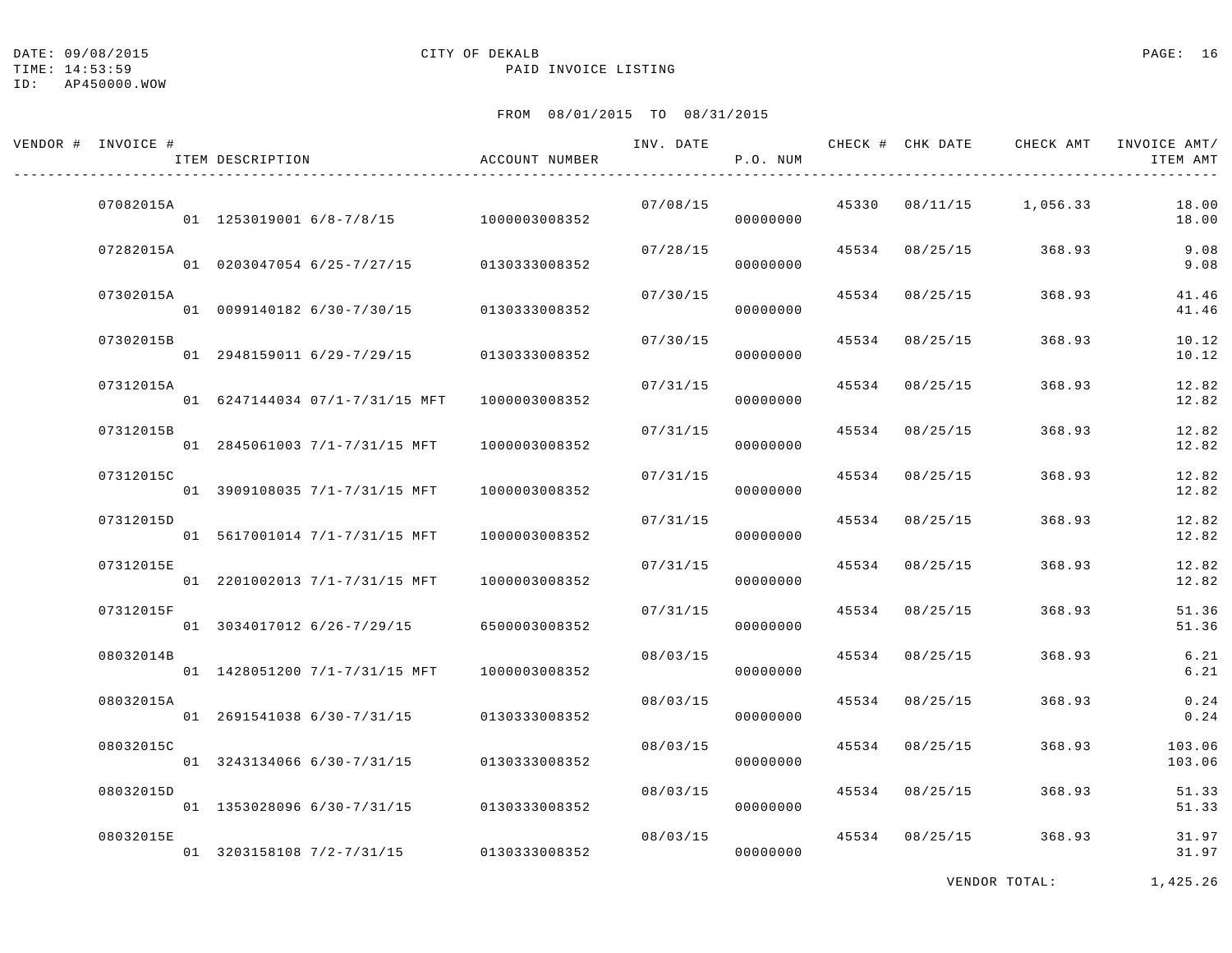DATE:  $09/08/2015$  PAGE: 16

#### TIME: 14:53:59 PAID INVOICE LISTING

ID: AP450000.WOW

## FROM 08/01/2015 TO 08/31/2015

| VENDOR # INVOICE # | ITEM DESCRIPTION                                        | ACCOUNT NUMBER                 | INV. DATE | P.O. NUM             |       |                | CHECK # CHK DATE CHECK AMT | INVOICE AMT/<br>ITEM AMT |
|--------------------|---------------------------------------------------------|--------------------------------|-----------|----------------------|-------|----------------|----------------------------|--------------------------|
| 07082015A          | 01  1253019001  6/8-7/8/15  1000003008352               |                                | 07/08/15  | 00000000             |       |                | 45330 08/11/15 1,056.33    | 18.00<br>18.00           |
| 07282015A          | 01 0203047054 6/25-7/27/15                              | 0130333008352                  | 07/28/15  | 00000000             |       | 45534 08/25/15 | 368.93                     | 9.08<br>9.08             |
| 07302015A          | 01 0099140182 6/30-7/30/15                              | 0130333008352                  | 07/30/15  | 00000000             | 45534 | 08/25/15       | 368.93                     | 41.46<br>41.46           |
| 07302015B          | 01 2948159011 6/29-7/29/15                              | 0130333008352                  | 07/30/15  | 00000000             |       | 45534 08/25/15 | 368.93                     | 10.12<br>10.12           |
| 07312015A          | 01 6247144034 07/1-7/31/15 MFT                          | 1000003008352                  | 07/31/15  | 00000000             |       | 45534 08/25/15 | 368.93                     | 12.82<br>12.82           |
| 07312015B          | 01 2845061003 7/1-7/31/15 MFT                           | 1000003008352                  | 07/31/15  | 00000000             | 45534 | 08/25/15       | 368.93                     | 12.82<br>12.82           |
| 07312015C          | 01 3909108035 7/1-7/31/15 MFT                           | 1000003008352                  | 07/31/15  | 00000000             |       | 45534 08/25/15 | 368.93                     | 12.82<br>12.82           |
| 07312015D          | 01 5617001014 7/1-7/31/15 MFT                           | 1000003008352                  | 07/31/15  | 00000000             |       | 45534 08/25/15 | 368.93                     | 12.82<br>12.82           |
| 07312015E          | 01 2201002013 7/1-7/31/15 MFT                           | 1000003008352                  | 07/31/15  | 00000000             | 45534 | 08/25/15       | 368.93                     | 12.82<br>12.82           |
| 07312015F          | 01 3034017012 6/26-7/29/15                              | 6500003008352                  | 07/31/15  | 00000000             |       | 45534 08/25/15 | 368.93                     | 51.36<br>51.36           |
| 08032014B          | 01 1428051200 7/1-7/31/15 MFT                           | 1000003008352                  | 08/03/15  | 00000000             |       | 45534 08/25/15 | 368.93                     | 6.21<br>6.21             |
| 08032015A          | 01 2691541038 6/30-7/31/15                              | 0130333008352                  | 08/03/15  | 00000000             | 45534 | 08/25/15       | 368.93                     | 0.24<br>0.24             |
| 08032015C          |                                                         |                                | 08/03/15  |                      |       | 45534 08/25/15 | 368.93                     | 103.06                   |
| 08032015D          | 01 3243134066 6/30-7/31/15                              | 0130333008352                  | 08/03/15  | 00000000             |       | 45534 08/25/15 | 368.93                     | 103.06<br>51.33          |
| 08032015E          | 01 1353028096 6/30-7/31/15<br>01 3203158108 7/2-7/31/15 | 0130333008352<br>0130333008352 | 08/03/15  | 00000000<br>00000000 |       | 45534 08/25/15 | 368.93                     | 51.33<br>31.97<br>31.97  |

VENDOR TOTAL: 1,425.26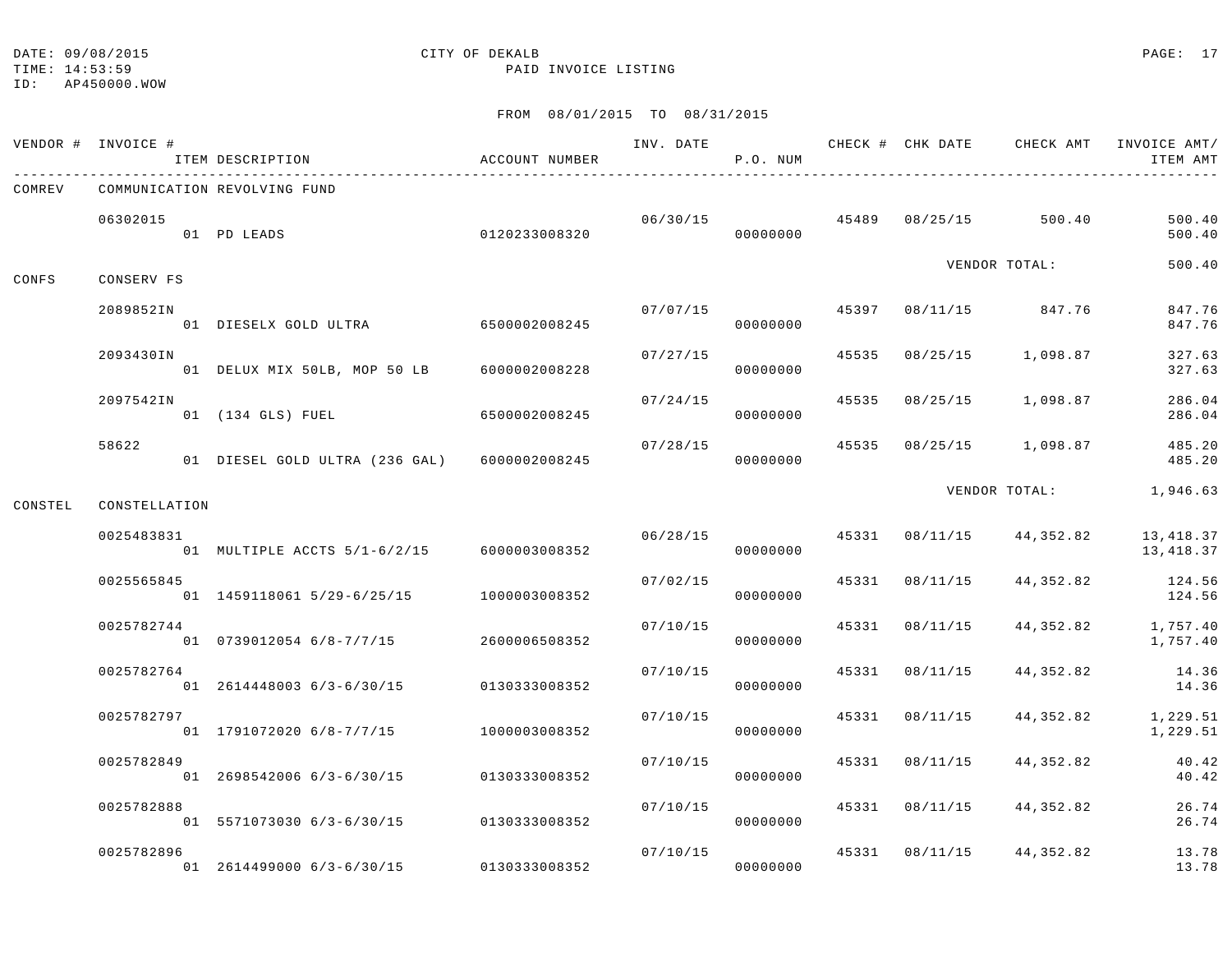## TIME: 14:53:59 PAID INVOICE LISTING

ID: AP450000.WOW

|         | VENDOR # INVOICE # | ITEM DESCRIPTION                             | ACCOUNT NUMBER |          | P.O. NUM |       |                |                                        | INV. DATE 6 1997 CHECK # CHK DATE 6 CHECK AMT INVOICE AMT<br>ITEM AMT |
|---------|--------------------|----------------------------------------------|----------------|----------|----------|-------|----------------|----------------------------------------|-----------------------------------------------------------------------|
| COMREV  |                    | COMMUNICATION REVOLVING FUND                 |                |          |          |       |                |                                        |                                                                       |
|         | 06302015           | 01 PD LEADS                                  | 0120233008320  |          | 00000000 |       |                | $06/30/15$ $45489$ $08/25/15$ $500.40$ | 500.40<br>500.40                                                      |
| CONFS   | CONSERV FS         |                                              |                |          |          |       |                | VENDOR TOTAL:                          | 500.40                                                                |
|         | 2089852IN          | 01 DIESELX GOLD ULTRA 6500002008245          |                | 07/07/15 | 00000000 |       |                | 45397 08/11/15 847.76                  | 847.76<br>847.76                                                      |
|         | 2093430IN          | 01 DELUX MIX 50LB, MOP 50 LB 6000002008228   |                | 07/27/15 | 00000000 | 45535 |                | 08/25/15 1,098.87                      | 327.63<br>327.63                                                      |
|         | 2097542IN          | 01 (134 GLS) FUEL                            | 6500002008245  | 07/24/15 | 00000000 | 45535 | 08/25/15       | 1,098.87                               | 286.04<br>286.04                                                      |
|         | 58622              | 01 DIESEL GOLD ULTRA (236 GAL) 6000002008245 |                | 07/28/15 | 00000000 |       |                | 45535 08/25/15 1,098.87                | 485.20<br>485.20                                                      |
| CONSTEL | CONSTELLATION      |                                              |                |          |          |       |                | VENDOR TOTAL:                          | 1,946.63                                                              |
|         | 0025483831         | 01 MULTIPLE ACCTS 5/1-6/2/15 6000003008352   |                | 06/28/15 | 00000000 | 45331 |                | 08/11/15 44,352.82                     | 13,418.37<br>13,418.37                                                |
|         | 0025565845         | 01  1459118061  5/29-6/25/15  1000003008352  |                | 07/02/15 | 00000000 |       | 45331 08/11/15 | 44,352.82                              | 124.56<br>124.56                                                      |
|         | 0025782744         | 01 0739012054 6/8-7/7/15 2600006508352       |                | 07/10/15 | 00000000 |       | 45331 08/11/15 | 44,352.82                              | 1,757.40<br>1,757.40                                                  |
|         | 0025782764         | 01 2614448003 6/3-6/30/15 0130333008352      |                | 07/10/15 | 00000000 | 45331 | 08/11/15       | 44,352.82                              | 14.36<br>14.36                                                        |
|         | 0025782797         | 01 1791072020 6/8-7/7/15 1000003008352       |                | 07/10/15 | 00000000 | 45331 | 08/11/15       | 44,352.82                              | 1,229.51<br>1,229.51                                                  |
|         | 0025782849         | 01 2698542006 6/3-6/30/15 0130333008352      |                | 07/10/15 | 00000000 | 45331 | 08/11/15       | 44,352.82                              | 40.42<br>40.42                                                        |
|         | 0025782888         | 01 5571073030 6/3-6/30/15 0130333008352      |                | 07/10/15 | 00000000 | 45331 | 08/11/15       | 44,352.82                              | 26.74<br>26.74                                                        |
|         | 0025782896         | 01 2614499000 6/3-6/30/15                    | 0130333008352  | 07/10/15 | 00000000 |       |                | 45331 08/11/15 44,352.82               | 13.78<br>13.78                                                        |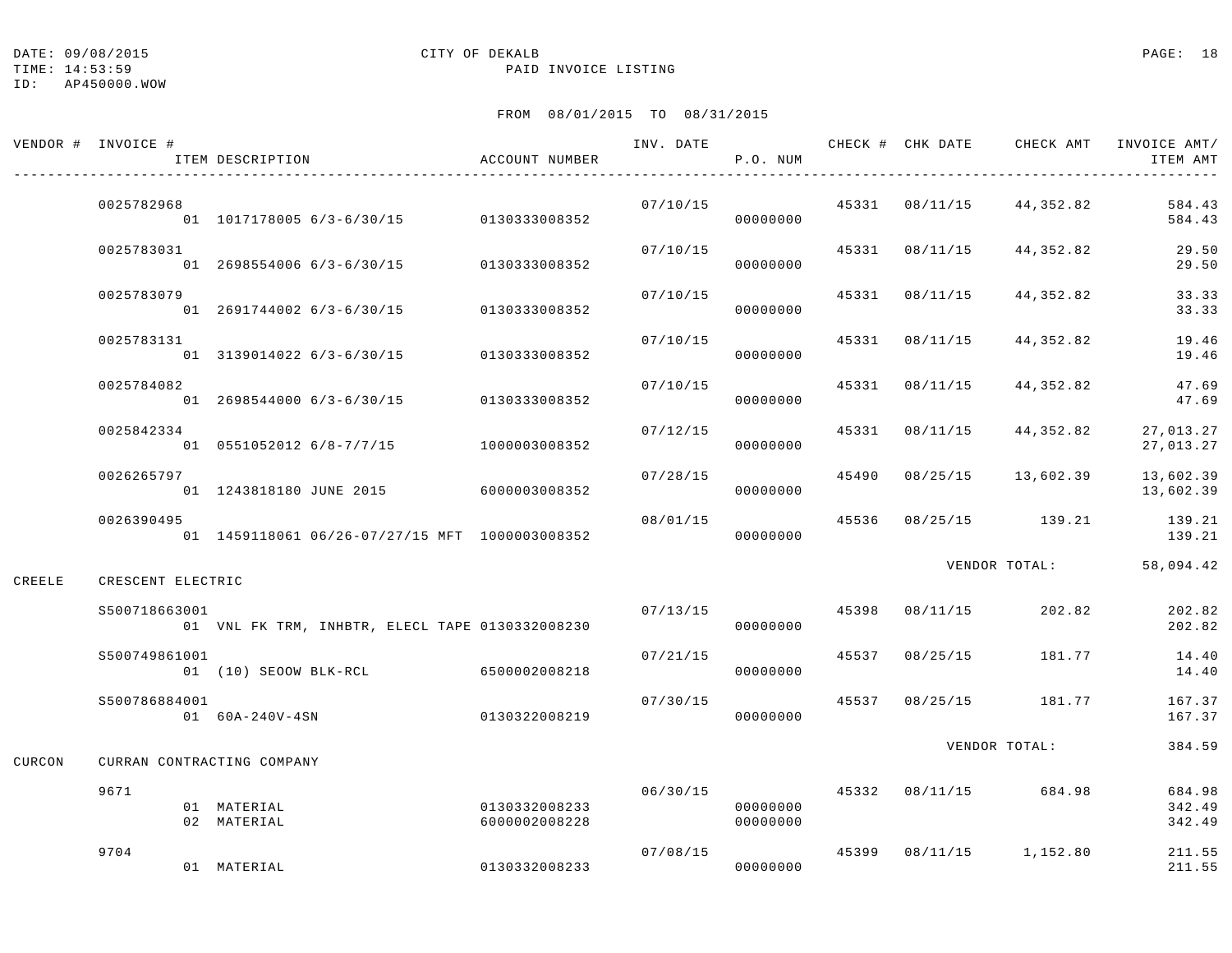TIME: 14:53:59 PAID INVOICE LISTING

|        | VENDOR # INVOICE # | ITEM DESCRIPTION                                | ACCOUNT NUMBER                 |          | P.O. NUM             |       |                |                                        | INVOICE AMT/<br>ITEM AMT   |
|--------|--------------------|-------------------------------------------------|--------------------------------|----------|----------------------|-------|----------------|----------------------------------------|----------------------------|
|        | 0025782968         | 01 1017178005 6/3-6/30/15 0130333008352         |                                | 07/10/15 | 00000000             |       |                | $45331$ $08/11/15$ $44,352.82$         | 584.43<br>584.43           |
|        | 0025783031         | 01 2698554006 6/3-6/30/15                       | 0130333008352                  | 07/10/15 | 00000000             |       | 45331 08/11/15 | 44,352.82                              | 29.50<br>29.50             |
|        | 0025783079         | 01 2691744002 6/3-6/30/15                       | 0130333008352                  | 07/10/15 | 00000000             | 45331 | 08/11/15       | 44,352.82                              | 33.33<br>33.33             |
|        | 0025783131         | 01 3139014022 6/3-6/30/15                       | 0130333008352                  | 07/10/15 | 00000000             |       | 45331 08/11/15 | 44,352.82                              | 19.46<br>19.46             |
|        | 0025784082         | 01 2698544000 6/3-6/30/15                       | 0130333008352                  | 07/10/15 | 00000000             |       | 45331 08/11/15 | 44,352.82                              | 47.69<br>47.69             |
|        | 0025842334         | 01 0551052012 6/8-7/7/15 1000003008352          |                                | 07/12/15 | 00000000             |       | 45331 08/11/15 | 44,352.82                              | 27,013.27<br>27,013.27     |
|        | 0026265797         | 01 1243818180 JUNE 2015 6000003008352           |                                | 07/28/15 | 00000000             |       | 45490 08/25/15 | 13,602.39                              | 13,602.39<br>13,602.39     |
|        | 0026390495         | 01 1459118061 06/26-07/27/15 MFT 1000003008352  |                                | 08/01/15 | 00000000             |       |                | 45536 08/25/15 139.21                  | 139.21<br>139.21           |
| CREELE | CRESCENT ELECTRIC  |                                                 |                                |          |                      |       |                | VENDOR TOTAL:                          | 58,094.42                  |
|        | \$500718663001     | 01 VNL FK TRM, INHBTR, ELECL TAPE 0130332008230 |                                |          | 07/13/15<br>00000000 |       |                | 45398 08/11/15 202.82                  | 202.82<br>202.82           |
|        | S500749861001      | 01 (10) SEOOW BLK-RCL 6500002008218             |                                | 07/21/15 | 00000000             |       | 45537 08/25/15 | 181.77                                 | 14.40<br>14.40             |
|        | S500786884001      | 01 60A-240V-4SN                                 | 0130322008219                  | 07/30/15 | 00000000             |       |                | 45537 08/25/15 181.77                  | 167.37<br>167.37           |
| CURCON |                    | CURRAN CONTRACTING COMPANY                      |                                |          |                      |       |                | VENDOR TOTAL:                          | 384.59                     |
|        | 9671               | 01 MATERIAL<br>02 MATERIAL                      | 0130332008233<br>6000002008228 |          | 00000000<br>00000000 |       |                | $06/30/15$ $45332$ $08/11/15$ $684.98$ | 684.98<br>342.49<br>342.49 |
|        | 9704               | 01 MATERIAL                                     | 0130332008233                  |          | 07/08/15<br>00000000 |       |                | 45399 08/11/15 1,152.80                | 211.55<br>211.55           |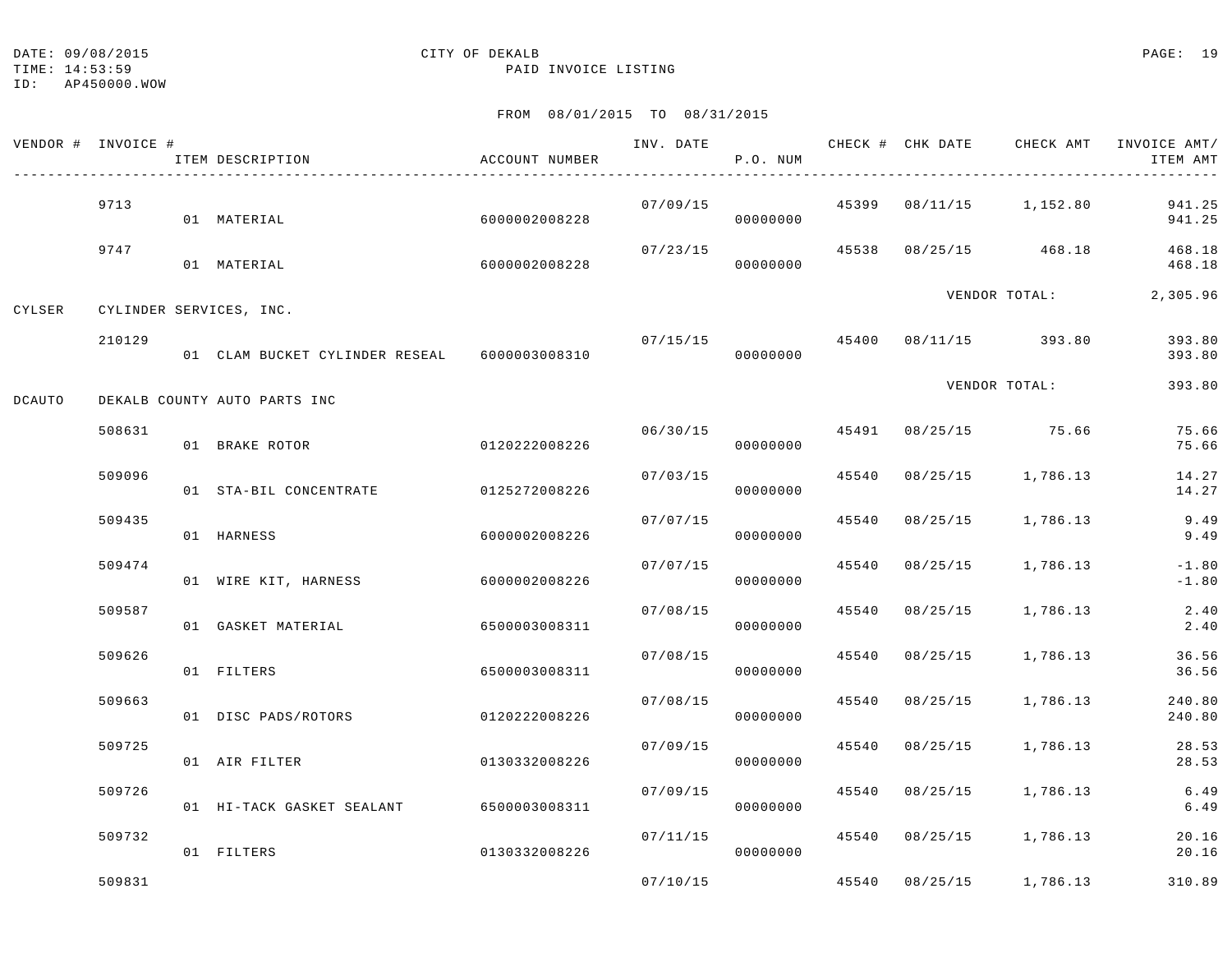#### TIME: 14:53:59 PAID INVOICE LISTING

ID: AP450000.WOW

|        | VENDOR # INVOICE # | ITEM DESCRIPTION                             | ACCOUNT NUMBER | INV. DATE      | P.O. NUM |       |          |                      | CHECK # CHK DATE GHECK AMT INVOICE AMT/<br>ITEM AMT |
|--------|--------------------|----------------------------------------------|----------------|----------------|----------|-------|----------|----------------------|-----------------------------------------------------|
|        | 9713               | 01 MATERIAL                                  | 6000002008228  | 07/09/15       | 00000000 | 45399 |          | 08/11/15 1,152.80    | 941.25<br>941.25                                    |
|        | 9747               | 01 MATERIAL                                  | 6000002008228  | 07/23/15       | 00000000 | 45538 |          | 08/25/15 468.18      | 468.18<br>468.18                                    |
| CYLSER |                    | CYLINDER SERVICES, INC.                      |                |                |          |       |          | VENDOR TOTAL:        | 2,305.96                                            |
|        | 210129             | 01 CLAM BUCKET CYLINDER RESEAL 6000003008310 |                | 07/15/15 45400 | 00000000 |       |          | 08/11/15 393.80      | 393.80<br>393.80                                    |
| DCAUTO |                    | DEKALB COUNTY AUTO PARTS INC                 |                |                |          |       |          | VENDOR TOTAL:        | 393.80                                              |
|        | 508631             | 01 BRAKE ROTOR                               | 0120222008226  | 06/30/15       | 00000000 |       |          | 45491 08/25/15 75.66 | 75.66<br>75.66                                      |
|        | 509096             | 01 STA-BIL CONCENTRATE                       | 0125272008226  | 07/03/15       | 00000000 | 45540 |          | 08/25/15 1,786.13    | 14.27<br>14.27                                      |
|        | 509435             | 01 HARNESS                                   | 6000002008226  | 07/07/15       | 00000000 | 45540 |          | $08/25/15$ 1,786.13  | 9.49<br>9.49                                        |
|        | 509474             | 01 WIRE KIT, HARNESS                         | 6000002008226  | 07/07/15       | 00000000 | 45540 | 08/25/15 | 1,786.13             | $-1.80$<br>$-1.80$                                  |
|        | 509587             | 01 GASKET MATERIAL                           | 6500003008311  | 07/08/15       | 00000000 | 45540 | 08/25/15 | 1,786.13             | 2.40<br>2.40                                        |
|        | 509626             | 01 FILTERS                                   | 6500003008311  | 07/08/15       | 00000000 | 45540 | 08/25/15 | 1,786.13             | 36.56<br>36.56                                      |
|        | 509663             | 01 DISC PADS/ROTORS                          | 0120222008226  | 07/08/15       | 00000000 | 45540 | 08/25/15 | 1,786.13             | 240.80<br>240.80                                    |
|        | 509725             | 01 AIR FILTER                                | 0130332008226  | 07/09/15       | 00000000 | 45540 | 08/25/15 | 1,786.13             | 28.53<br>28.53                                      |
|        | 509726             | 01 HI-TACK GASKET SEALANT                    | 6500003008311  | 07/09/15       | 00000000 | 45540 |          | 08/25/15 1,786.13    | 6.49<br>6.49                                        |
|        | 509732             | 01 FILTERS                                   | 0130332008226  | 07/11/15       | 00000000 | 45540 |          | 08/25/15 1,786.13    | 20.16<br>20.16                                      |
|        | 509831             |                                              |                | 07/10/15       |          | 45540 |          | $08/25/15$ 1,786.13  | 310.89                                              |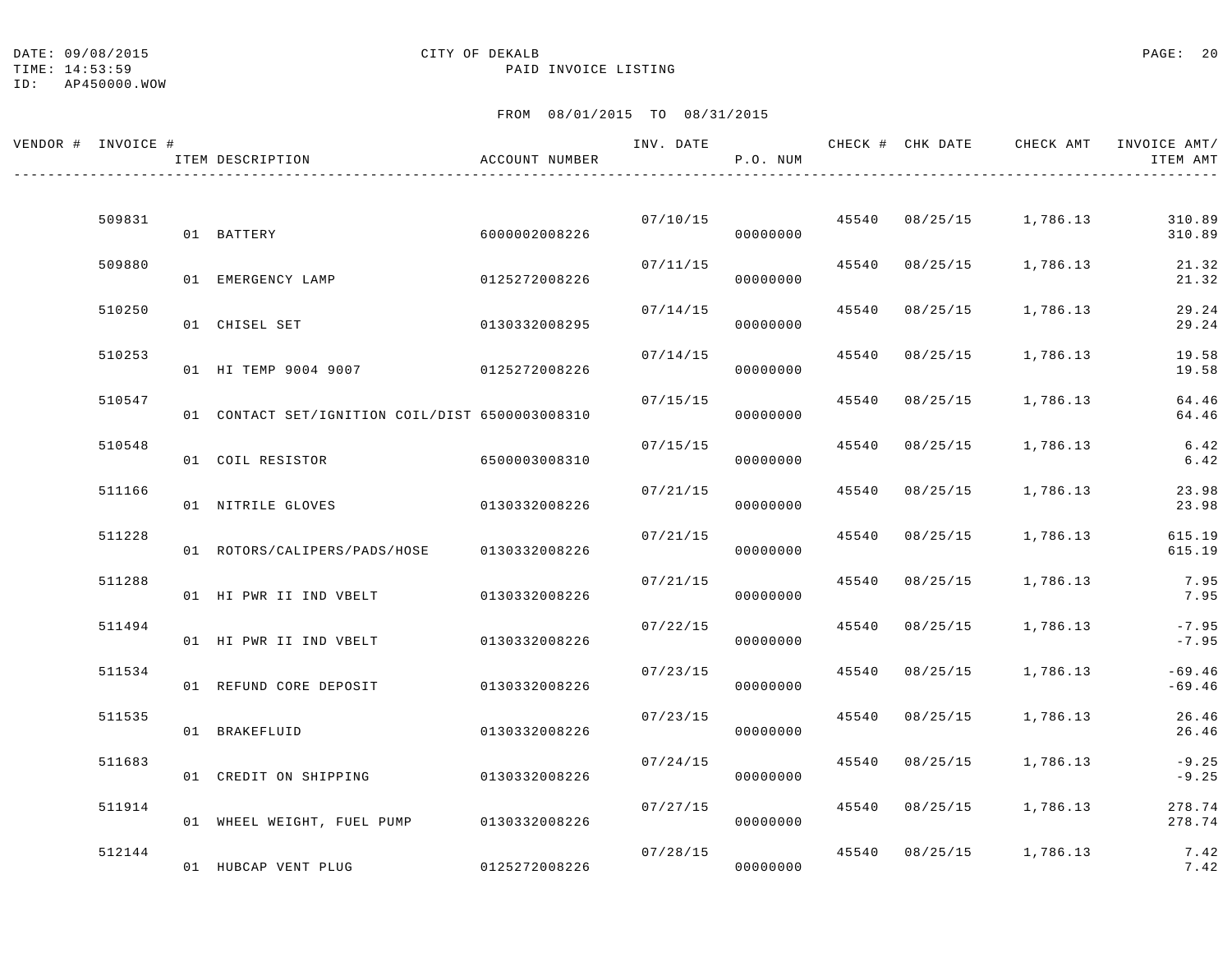TIME: 14:53:59 PAID INVOICE LISTING

ID: AP450000.WOW

| VENDOR # INVOICE # | ITEM DESCRIPTION                                | ACCOUNT NUMBER | INV. DATE | P.O. NUM |       |                | CHECK # CHK DATE CHECK AMT INVOICE AMT/ | ITEM AMT           |
|--------------------|-------------------------------------------------|----------------|-----------|----------|-------|----------------|-----------------------------------------|--------------------|
|                    |                                                 |                |           |          |       |                |                                         |                    |
| 509831             | 01 BATTERY                                      | 6000002008226  | 07/10/15  | 00000000 |       |                | 45540 08/25/15 1,786.13                 | 310.89<br>310.89   |
| 509880             | 01 EMERGENCY LAMP                               | 0125272008226  | 07/11/15  | 00000000 | 45540 | 08/25/15       | 1,786.13                                | 21.32<br>21.32     |
| 510250             | 01 CHISEL SET                                   | 0130332008295  | 07/14/15  | 00000000 |       | 45540 08/25/15 | 1,786.13                                | 29.24<br>29.24     |
| 510253             | 01 HI TEMP 9004 9007                            | 0125272008226  | 07/14/15  | 00000000 | 45540 | 08/25/15       | 1,786.13                                | 19.58<br>19.58     |
| 510547             | 01 CONTACT SET/IGNITION COIL/DIST 6500003008310 |                | 07/15/15  | 00000000 | 45540 | 08/25/15       | 1,786.13                                | 64.46<br>64.46     |
| 510548             | 01 COIL RESISTOR                                | 6500003008310  | 07/15/15  | 00000000 | 45540 | 08/25/15       | 1,786.13                                | 6.42<br>6.42       |
| 511166             | 01 NITRILE GLOVES                               | 0130332008226  | 07/21/15  | 00000000 |       | 45540 08/25/15 | 1,786.13                                | 23.98<br>23.98     |
| 511228             | 01 ROTORS/CALIPERS/PADS/HOSE                    | 0130332008226  | 07/21/15  | 00000000 | 45540 | 08/25/15       | 1,786.13                                | 615.19<br>615.19   |
| 511288             | 01 HI PWR II IND VBELT                          | 0130332008226  | 07/21/15  | 00000000 | 45540 | 08/25/15       | 1,786.13                                | 7.95<br>7.95       |
| 511494             | 01 HI PWR II IND VBELT                          | 0130332008226  | 07/22/15  | 00000000 |       | 45540 08/25/15 | 1,786.13                                | $-7.95$<br>$-7.95$ |
| 511534             |                                                 |                | 07/23/15  |          | 45540 | 08/25/15       | 1,786.13                                | $-69.46$           |
| 511535             | 01 REFUND CORE DEPOSIT                          | 0130332008226  | 07/23/15  | 00000000 |       | 45540 08/25/15 | 1,786.13                                | $-69.46$<br>26.46  |
| 511683             | 01 BRAKEFLUID                                   | 0130332008226  | 07/24/15  | 00000000 |       | 45540 08/25/15 | 1,786.13                                | 26.46<br>$-9.25$   |
|                    | 01 CREDIT ON SHIPPING                           | 0130332008226  |           | 00000000 |       |                |                                         | $-9.25$            |
| 511914             | 01 WHEEL WEIGHT, FUEL PUMP 0130332008226        |                | 07/27/15  | 00000000 | 45540 | 08/25/15       | 1,786.13                                | 278.74<br>278.74   |
| 512144             | 01 HUBCAP VENT PLUG                             | 0125272008226  | 07/28/15  | 00000000 |       |                | 45540 08/25/15 1,786.13                 | 7.42<br>7.42       |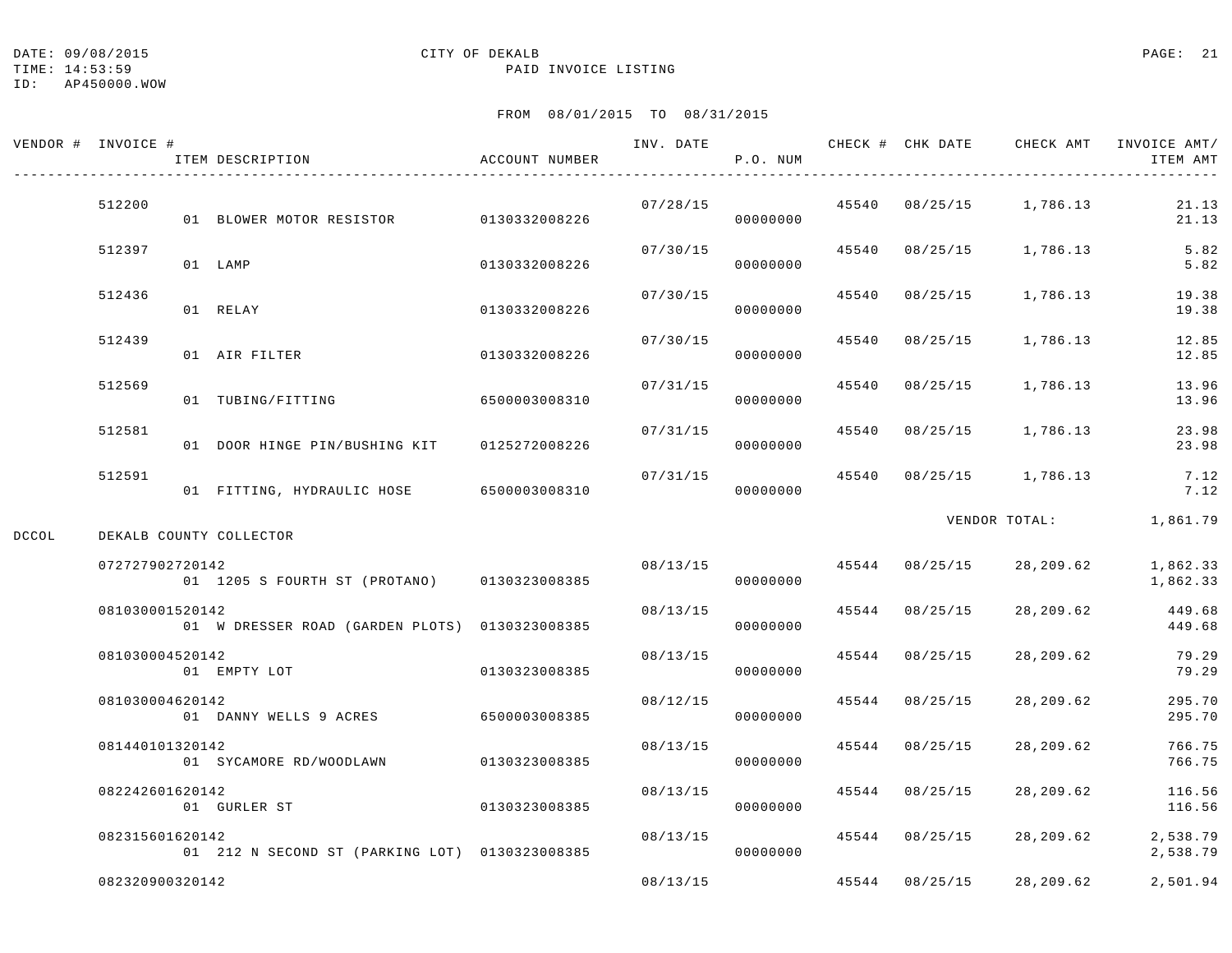TIME: 14:53:59 PAID INVOICE LISTING

|       | VENDOR # INVOICE # | ITEM DESCRIPTION                               | ACCOUNT NUMBER | INV. DATE | P.O. NUM             |       |                | CHECK # CHK DATE CHECK AMT | INVOICE AMT/<br>ITEM AMT |
|-------|--------------------|------------------------------------------------|----------------|-----------|----------------------|-------|----------------|----------------------------|--------------------------|
|       | 512200             | 01 BLOWER MOTOR RESISTOR 0130332008226         |                | 07/28/15  | 00000000             |       |                | 45540 08/25/15 1,786.13    | 21.13<br>21.13           |
|       | 512397             | 01 LAMP                                        | 0130332008226  | 07/30/15  | 00000000             |       | 45540 08/25/15 | 1,786.13                   | 5.82<br>5.82             |
|       | 512436             | 01 RELAY                                       | 0130332008226  | 07/30/15  | 00000000             |       | 45540 08/25/15 | 1,786.13                   | 19.38<br>19.38           |
|       | 512439             | 01 AIR FILTER                                  | 0130332008226  | 07/30/15  | 00000000             | 45540 | 08/25/15       | 1,786.13                   | 12.85<br>12.85           |
|       | 512569             | 01 TUBING/FITTING                              | 6500003008310  | 07/31/15  | 00000000             |       | 45540 08/25/15 | 1,786.13                   | 13.96<br>13.96           |
|       | 512581             | 01 DOOR HINGE PIN/BUSHING KIT                  | 0125272008226  | 07/31/15  | 00000000             |       | 45540 08/25/15 | 1,786.13                   | 23.98<br>23.98           |
|       | 512591             | 01 FITTING, HYDRAULIC HOSE 6500003008310       |                | 07/31/15  | 00000000             |       |                | 45540 08/25/15 1,786.13    | 7.12<br>7.12             |
| DCCOL |                    | DEKALB COUNTY COLLECTOR                        |                |           |                      |       |                | VENDOR TOTAL:              | 1,861.79                 |
|       | 072727902720142    | 01 1205 S FOURTH ST (PROTANO) 0130323008385    |                |           | 08/13/15<br>00000000 |       | 45544 08/25/15 | 28,209.62                  | 1,862.33<br>1,862.33     |
|       | 081030001520142    | 01 W DRESSER ROAD (GARDEN PLOTS) 0130323008385 |                | 08/13/15  | 00000000             |       | 45544 08/25/15 | 28,209.62                  | 449.68<br>449.68         |
|       | 081030004520142    | 01 EMPTY LOT                                   | 0130323008385  | 08/13/15  | 00000000             |       | 45544 08/25/15 | 28,209.62                  | 79.29<br>79.29           |
|       | 081030004620142    | 01 DANNY WELLS 9 ACRES                         | 6500003008385  | 08/12/15  | 00000000             | 45544 | 08/25/15       | 28,209.62                  | 295.70<br>295.70         |
|       | 081440101320142    | 01 SYCAMORE RD/WOODLAWN                        | 0130323008385  | 08/13/15  | 00000000             |       | 45544 08/25/15 | 28,209.62                  | 766.75<br>766.75         |
|       | 082242601620142    | 01 GURLER ST                                   | 0130323008385  | 08/13/15  | 00000000             |       | 45544 08/25/15 | 28,209.62                  | 116.56<br>116.56         |
|       | 082315601620142    | 01 212 N SECOND ST (PARKING LOT) 0130323008385 |                | 08/13/15  | 00000000             |       | 45544 08/25/15 | 28,209.62                  | 2,538.79<br>2,538.79     |
|       | 082320900320142    |                                                |                | 08/13/15  |                      |       | 45544 08/25/15 | 28,209.62                  | 2,501.94                 |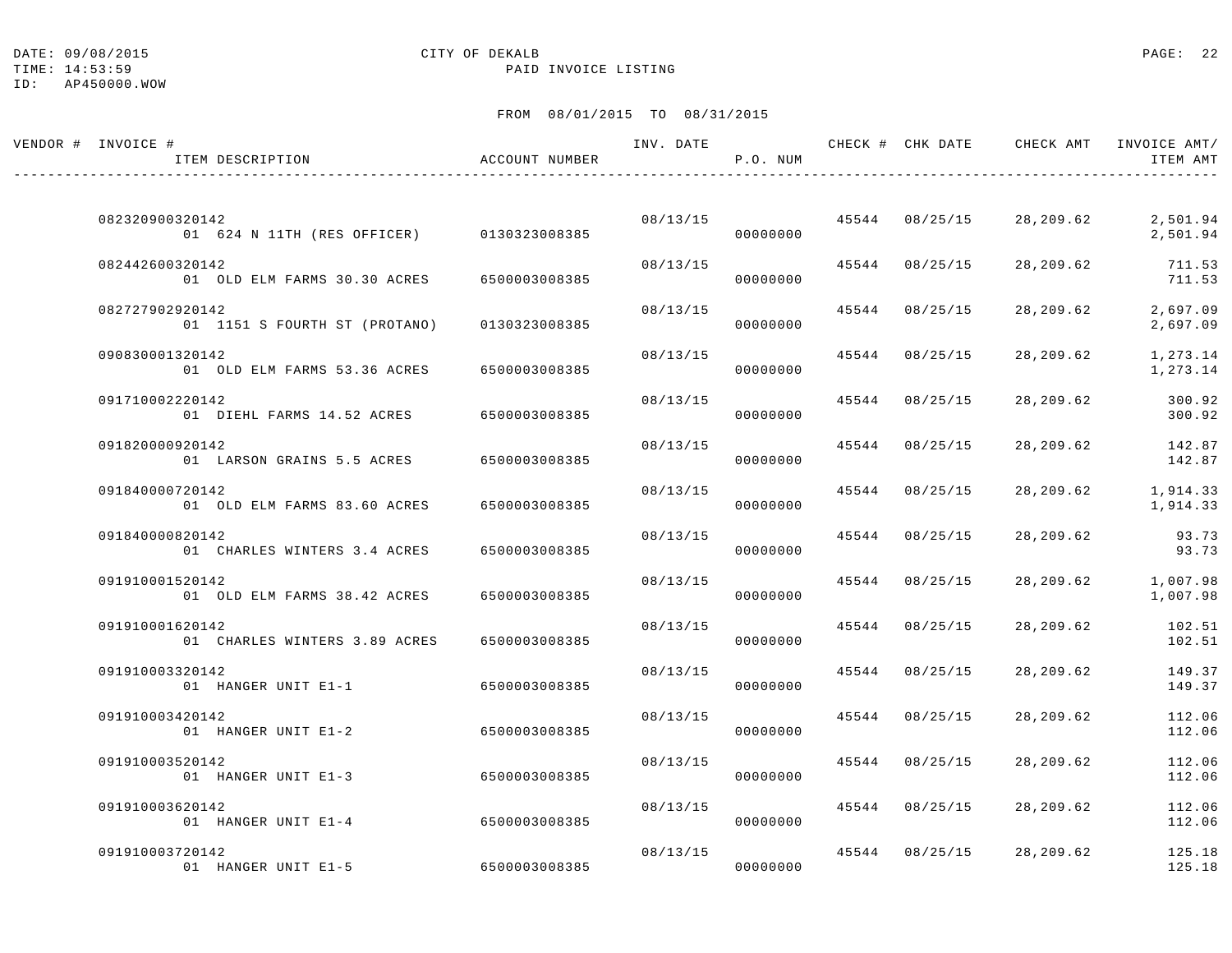TIME: 14:53:59 PAID INVOICE LISTING

| VENDOR # INVOICE #<br>ITEM DESCRIPTION                       | ACCOUNT NUMBER | INV. DATE | P.O. NUM             |       |                | CHECK # CHK DATE CHECK AMT | INVOICE AMT/<br>ITEM AMT |
|--------------------------------------------------------------|----------------|-----------|----------------------|-------|----------------|----------------------------|--------------------------|
|                                                              |                |           |                      |       |                |                            |                          |
| 082320900320142<br>01 624 N 11TH (RES OFFICER) 0130323008385 |                |           | 08/13/15<br>00000000 |       | 45544 08/25/15 | 28,209.62                  | 2,501.94<br>2,501.94     |
| 082442600320142<br>01 OLD ELM FARMS 30.30 ACRES              | 6500003008385  | 08/13/15  | 00000000             |       | 45544 08/25/15 | 28,209.62                  | 711.53<br>711.53         |
| 082727902920142<br>01 1151 S FOURTH ST (PROTANO)             | 0130323008385  | 08/13/15  | 00000000             |       | 45544 08/25/15 | 28,209.62                  | 2,697.09<br>2,697.09     |
| 090830001320142<br>01 OLD ELM FARMS 53.36 ACRES              | 6500003008385  | 08/13/15  | 00000000             |       | 45544 08/25/15 | 28,209.62                  | 1,273.14<br>1,273.14     |
| 091710002220142<br>01 DIEHL FARMS 14.52 ACRES                | 6500003008385  | 08/13/15  | 00000000             |       | 45544 08/25/15 | 28,209.62                  | 300.92<br>300.92         |
| 091820000920142<br>01 LARSON GRAINS 5.5 ACRES                | 6500003008385  | 08/13/15  | 00000000             |       | 45544 08/25/15 | 28,209.62                  | 142.87<br>142.87         |
| 091840000720142<br>01 OLD ELM FARMS 83.60 ACRES              | 6500003008385  | 08/13/15  | 00000000             |       | 45544 08/25/15 | 28,209.62                  | 1,914.33<br>1,914.33     |
| 091840000820142<br>01 CHARLES WINTERS 3.4 ACRES              | 6500003008385  | 08/13/15  | 00000000             | 45544 | 08/25/15       | 28,209.62                  | 93.73<br>93.73           |
| 091910001520142<br>01 OLD ELM FARMS 38.42 ACRES              | 6500003008385  | 08/13/15  | 00000000             | 45544 | 08/25/15       | 28,209.62                  | 1,007.98<br>1,007.98     |
| 091910001620142<br>01 CHARLES WINTERS 3.89 ACRES             | 6500003008385  | 08/13/15  | 00000000             |       | 45544 08/25/15 | 28,209.62                  | 102.51<br>102.51         |
| 091910003320142<br>01 HANGER UNIT E1-1                       | 6500003008385  | 08/13/15  | 00000000             |       | 45544 08/25/15 | 28,209.62                  | 149.37<br>149.37         |
| 091910003420142<br>01 HANGER UNIT E1-2                       | 6500003008385  | 08/13/15  | 00000000             |       | 45544 08/25/15 | 28,209.62                  | 112.06<br>112.06         |
| 091910003520142<br>01 HANGER UNIT E1-3                       | 6500003008385  | 08/13/15  | 00000000             |       | 45544 08/25/15 | 28,209.62                  | 112.06<br>112.06         |
| 091910003620142<br>01 HANGER UNIT E1-4                       | 6500003008385  | 08/13/15  | 00000000             |       | 45544 08/25/15 | 28,209.62                  | 112.06<br>112.06         |
| 091910003720142<br>01 HANGER UNIT E1-5                       | 6500003008385  | 08/13/15  | 00000000             |       | 45544 08/25/15 | 28,209.62                  | 125.18<br>125.18         |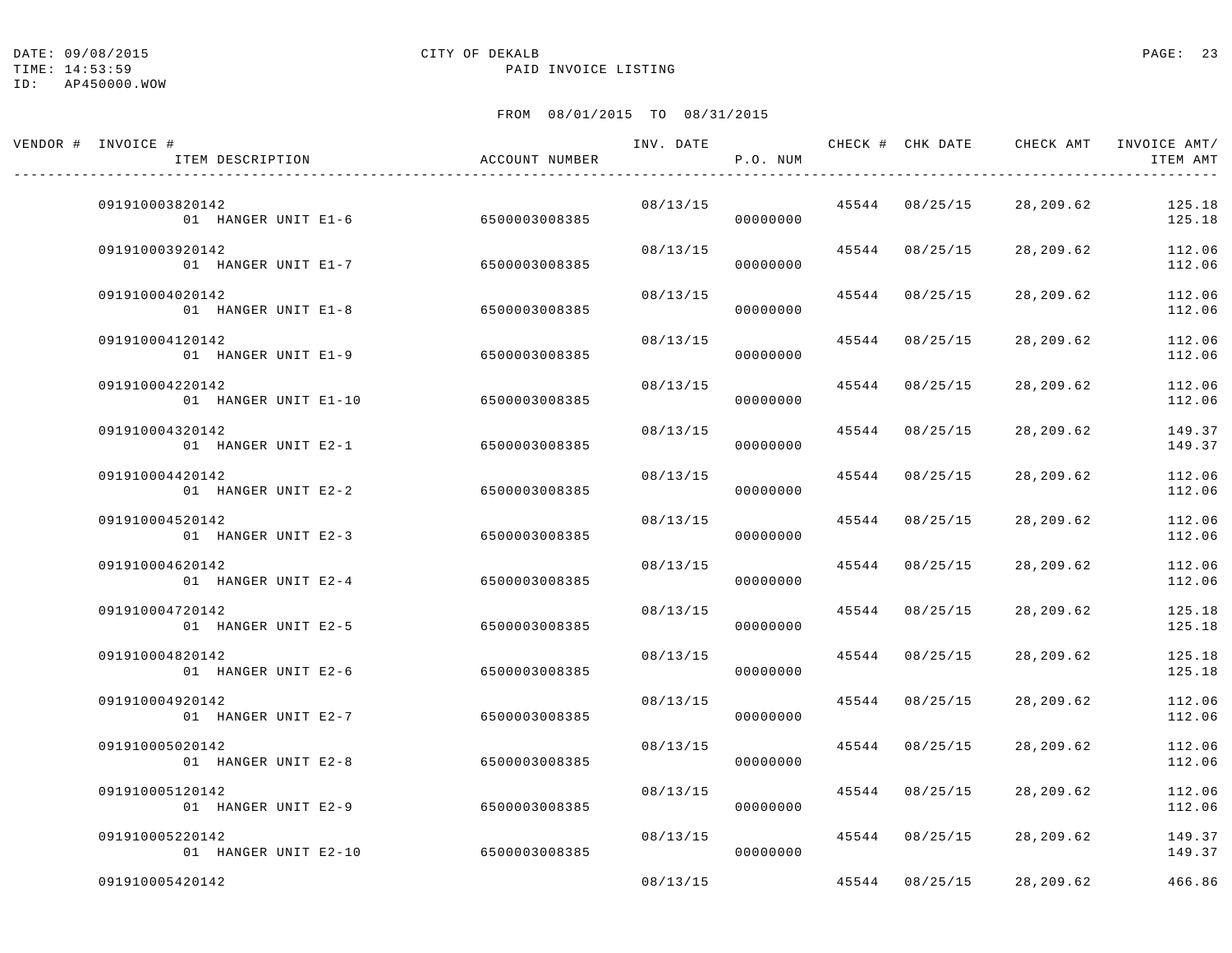TIME: 14:53:59 PAID INVOICE LISTING

| VENDOR # INVOICE #<br>ITEM DESCRIPTION  | ACCOUNT NUMBER | INV. DATE | P.O. NUM |       | CHECK # CHK DATE |           | CHECK AMT INVOICE AMT/<br>ITEM AMT |
|-----------------------------------------|----------------|-----------|----------|-------|------------------|-----------|------------------------------------|
| 091910003820142<br>01 HANGER UNIT E1-6  | 6500003008385  | 08/13/15  | 00000000 |       | 45544 08/25/15   | 28,209.62 | 125.18<br>125.18                   |
| 091910003920142<br>01 HANGER UNIT E1-7  | 6500003008385  | 08/13/15  | 00000000 |       | 45544 08/25/15   | 28,209.62 | 112.06<br>112.06                   |
| 091910004020142<br>01 HANGER UNIT E1-8  | 6500003008385  | 08/13/15  | 00000000 |       | 45544 08/25/15   | 28,209.62 | 112.06<br>112.06                   |
| 091910004120142<br>01 HANGER UNIT E1-9  | 6500003008385  | 08/13/15  | 00000000 | 45544 | 08/25/15         | 28,209.62 | 112.06<br>112.06                   |
| 091910004220142<br>01 HANGER UNIT E1-10 | 6500003008385  | 08/13/15  | 00000000 |       | 45544 08/25/15   | 28,209.62 | 112.06<br>112.06                   |
| 091910004320142<br>01 HANGER UNIT E2-1  | 6500003008385  | 08/13/15  | 00000000 |       | 45544 08/25/15   | 28,209.62 | 149.37<br>149.37                   |
| 091910004420142<br>01 HANGER UNIT E2-2  | 6500003008385  | 08/13/15  | 00000000 |       | 45544 08/25/15   | 28,209.62 | 112.06<br>112.06                   |
| 091910004520142<br>01 HANGER UNIT E2-3  | 6500003008385  | 08/13/15  | 00000000 | 45544 | 08/25/15         | 28,209.62 | 112.06<br>112.06                   |
| 091910004620142<br>01 HANGER UNIT E2-4  | 6500003008385  | 08/13/15  | 00000000 | 45544 | 08/25/15         | 28,209.62 | 112.06<br>112.06                   |
| 091910004720142<br>01 HANGER UNIT E2-5  | 6500003008385  | 08/13/15  | 00000000 | 45544 | 08/25/15         | 28,209.62 | 125.18<br>125.18                   |
| 091910004820142<br>01 HANGER UNIT E2-6  | 6500003008385  | 08/13/15  | 00000000 | 45544 | 08/25/15         | 28,209.62 | 125.18<br>125.18                   |
| 091910004920142<br>01 HANGER UNIT E2-7  | 6500003008385  | 08/13/15  | 00000000 | 45544 | 08/25/15         | 28,209.62 | 112.06<br>112.06                   |
| 091910005020142<br>01 HANGER UNIT E2-8  | 6500003008385  | 08/13/15  | 00000000 | 45544 | 08/25/15         | 28,209.62 | 112.06<br>112.06                   |
| 091910005120142<br>01 HANGER UNIT E2-9  | 6500003008385  | 08/13/15  | 00000000 |       | 45544 08/25/15   | 28,209.62 | 112.06<br>112.06                   |
| 091910005220142<br>01 HANGER UNIT E2-10 | 6500003008385  | 08/13/15  | 00000000 |       | 45544 08/25/15   | 28,209.62 | 149.37<br>149.37                   |
| 091910005420142                         |                | 08/13/15  |          | 45544 | 08/25/15         | 28,209.62 | 466.86                             |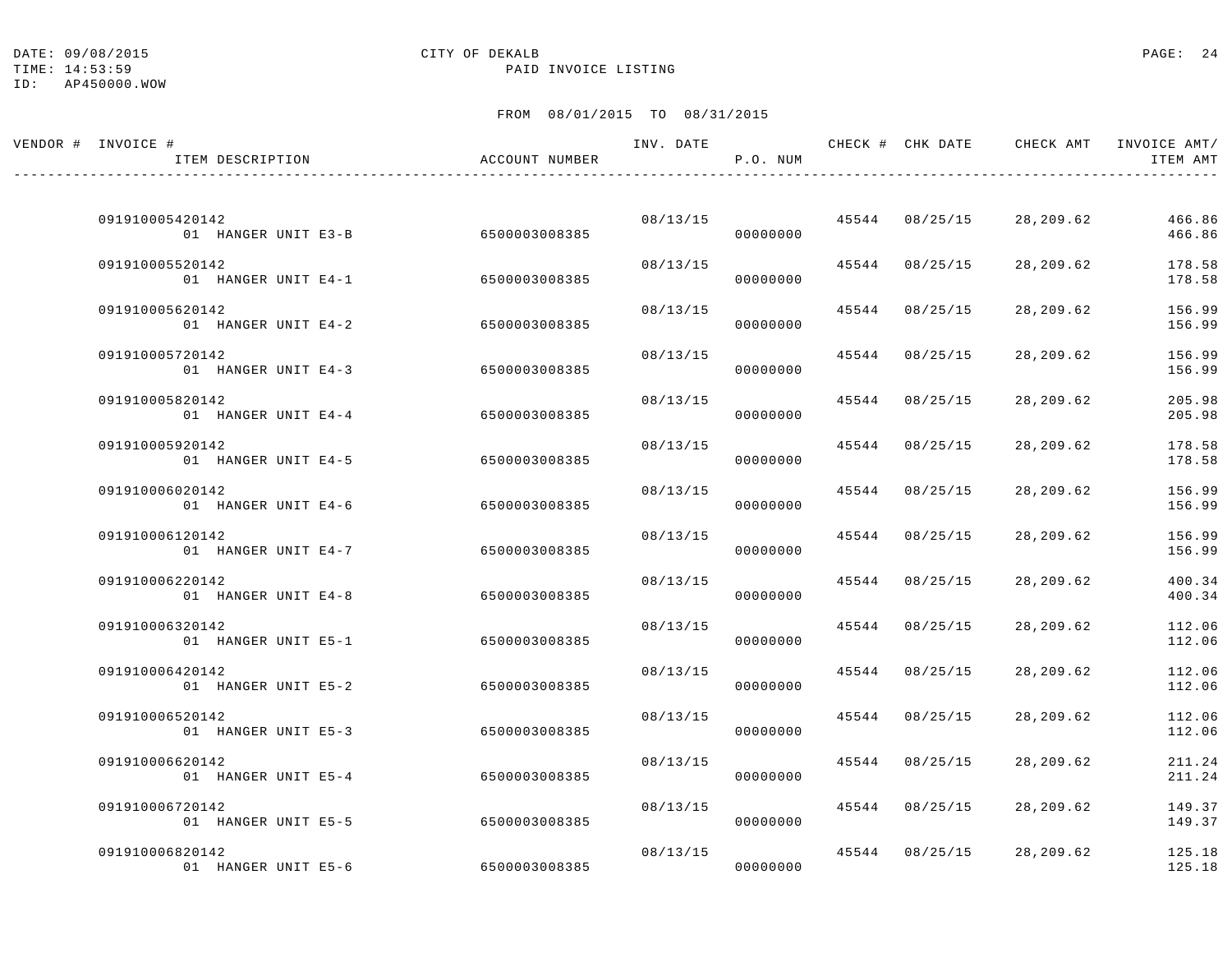TIME: 14:53:59 PAID INVOICE LISTING

| VENDOR # INVOICE #<br>ITEM DESCRIPTION | ACCOUNT NUMBER | INV. DATE | P.O. NUM             |                | CHECK # CHK DATE CHECK AMT | INVOICE AMT/<br>ITEM AMT |
|----------------------------------------|----------------|-----------|----------------------|----------------|----------------------------|--------------------------|
|                                        |                |           |                      |                |                            |                          |
| 091910005420142<br>01 HANGER UNIT E3-B | 6500003008385  |           | 08/13/15<br>00000000 | 45544 08/25/15 | 28,209.62                  | 466.86<br>466.86         |
| 091910005520142<br>01 HANGER UNIT E4-1 | 6500003008385  | 08/13/15  | 00000000             | 45544 08/25/15 | 28,209.62                  | 178.58<br>178.58         |
| 091910005620142<br>01 HANGER UNIT E4-2 | 6500003008385  | 08/13/15  | 00000000             | 45544 08/25/15 | 28,209.62                  | 156.99<br>156.99         |
| 091910005720142<br>01 HANGER UNIT E4-3 | 6500003008385  | 08/13/15  | 00000000             | 45544 08/25/15 | 28,209.62                  | 156.99<br>156.99         |
| 091910005820142<br>01 HANGER UNIT E4-4 | 6500003008385  | 08/13/15  | 00000000             | 45544 08/25/15 | 28,209.62                  | 205.98<br>205.98         |
| 091910005920142<br>01 HANGER UNIT E4-5 | 6500003008385  | 08/13/15  | 00000000             | 45544 08/25/15 | 28,209.62                  | 178.58<br>178.58         |
| 091910006020142<br>01 HANGER UNIT E4-6 | 6500003008385  | 08/13/15  | 00000000             | 45544 08/25/15 | 28,209.62                  | 156.99<br>156.99         |
| 091910006120142<br>01 HANGER UNIT E4-7 | 6500003008385  | 08/13/15  | 00000000             | 45544 08/25/15 | 28,209.62                  | 156.99<br>156.99         |
| 091910006220142<br>01 HANGER UNIT E4-8 | 6500003008385  | 08/13/15  | 00000000             | 45544 08/25/15 | 28,209.62                  | 400.34<br>400.34         |
| 091910006320142<br>01 HANGER UNIT E5-1 | 6500003008385  | 08/13/15  | 00000000             | 45544 08/25/15 | 28,209.62                  | 112.06<br>112.06         |
| 091910006420142<br>01 HANGER UNIT E5-2 | 6500003008385  | 08/13/15  | 00000000             | 45544 08/25/15 | 28,209.62                  | 112.06<br>112.06         |
| 091910006520142<br>01 HANGER UNIT E5-3 | 6500003008385  | 08/13/15  | 00000000             | 45544 08/25/15 | 28,209.62                  | 112.06<br>112.06         |
| 091910006620142<br>01 HANGER UNIT E5-4 | 6500003008385  | 08/13/15  |                      | 45544 08/25/15 | 28,209.62                  | 211.24                   |
| 091910006720142                        |                | 08/13/15  | 00000000             | 45544 08/25/15 | 28,209.62                  | 211.24<br>149.37         |
| 01 HANGER UNIT E5-5<br>091910006820142 | 6500003008385  |           | 00000000<br>08/13/15 | 45544 08/25/15 | 28,209.62                  | 149.37<br>125.18         |
| 01 HANGER UNIT E5-6                    | 6500003008385  |           | 00000000             |                |                            | 125.18                   |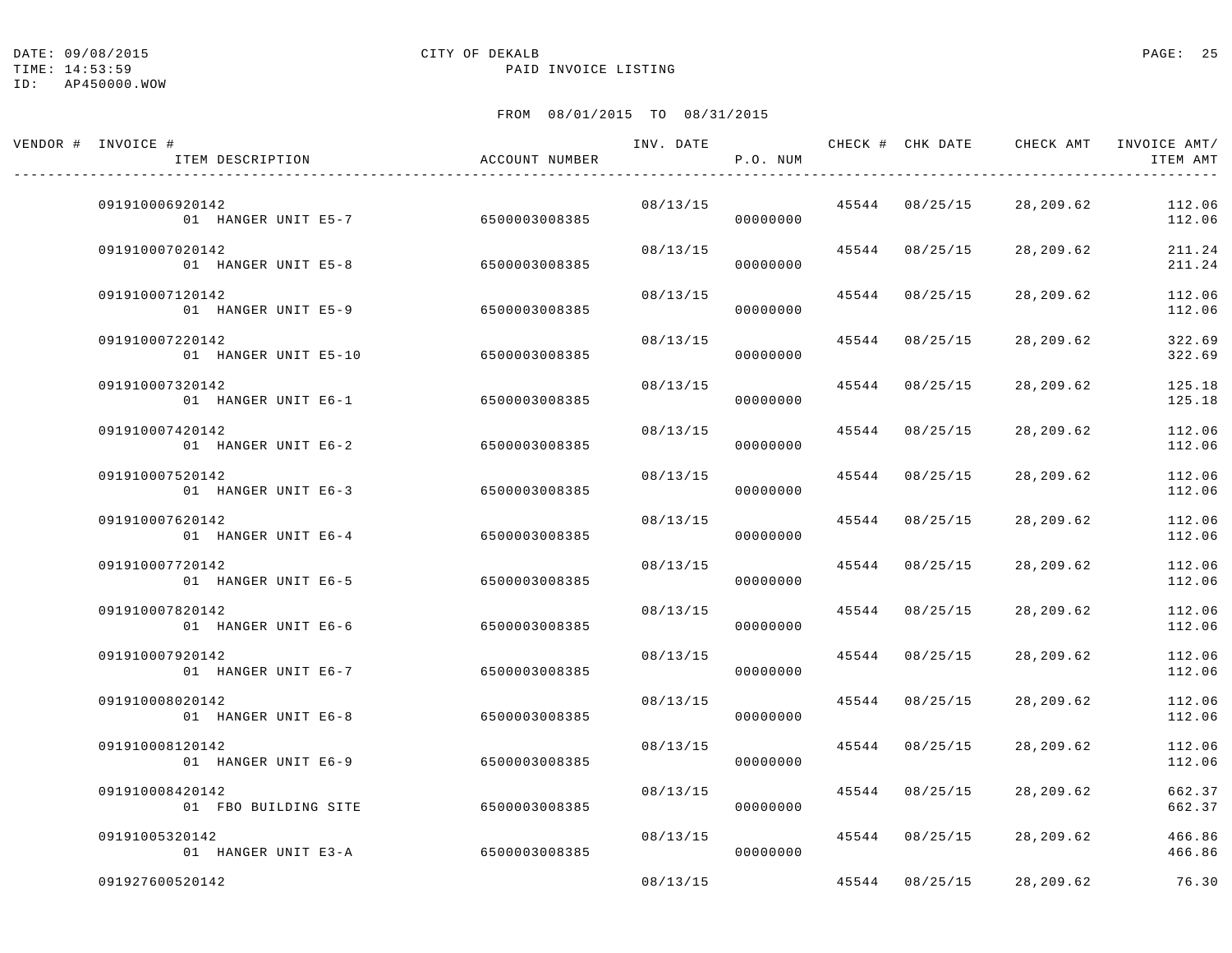TIME: 14:53:59 PAID INVOICE LISTING

| VENDOR # INVOICE #<br>ITEM DESCRIPTION               | ACCOUNT NUMBER |          | P.O. NUM |                | INV. DATE 6 1999 CHECK # CHK DATE 6 CHECK AMT INVOICE AMT | ITEM AMT         |
|------------------------------------------------------|----------------|----------|----------|----------------|-----------------------------------------------------------|------------------|
| 091910006920142<br>01 HANGER UNIT E5-7 6500003008385 |                | 08/13/15 | 00000000 | 45544 08/25/15 | 28,209.62                                                 | 112.06<br>112.06 |
| 091910007020142<br>01 HANGER UNIT E5-8               | 6500003008385  | 08/13/15 | 00000000 | 45544 08/25/15 | 28,209.62                                                 | 211.24<br>211.24 |
| 091910007120142<br>01 HANGER UNIT E5-9               | 6500003008385  | 08/13/15 | 00000000 | 45544 08/25/15 | 28,209.62                                                 | 112.06<br>112.06 |
| 091910007220142<br>01 HANGER UNIT E5-10              | 6500003008385  | 08/13/15 | 00000000 | 45544 08/25/15 | 28,209.62                                                 | 322.69<br>322.69 |
| 091910007320142<br>01 HANGER UNIT E6-1               | 6500003008385  | 08/13/15 | 00000000 | 45544 08/25/15 | 28,209.62                                                 | 125.18<br>125.18 |
| 091910007420142<br>01 HANGER UNIT E6-2               | 6500003008385  | 08/13/15 | 00000000 | 45544 08/25/15 | 28,209.62                                                 | 112.06<br>112.06 |
| 091910007520142<br>01 HANGER UNIT E6-3               | 6500003008385  | 08/13/15 | 00000000 | 45544 08/25/15 | 28,209.62                                                 | 112.06<br>112.06 |
| 091910007620142<br>01 HANGER UNIT E6-4               | 6500003008385  | 08/13/15 | 00000000 | 45544 08/25/15 | 28,209.62                                                 | 112.06<br>112.06 |
| 091910007720142<br>01 HANGER UNIT E6-5               | 6500003008385  | 08/13/15 | 00000000 | 45544 08/25/15 | 28,209.62                                                 | 112.06<br>112.06 |
| 091910007820142<br>01 HANGER UNIT E6-6               | 6500003008385  | 08/13/15 | 00000000 | 45544 08/25/15 | 28,209.62                                                 | 112.06<br>112.06 |
| 091910007920142<br>01 HANGER UNIT E6-7               | 6500003008385  | 08/13/15 | 00000000 | 45544 08/25/15 | 28,209.62                                                 | 112.06<br>112.06 |
| 091910008020142<br>01 HANGER UNIT E6-8               | 6500003008385  | 08/13/15 | 00000000 | 45544 08/25/15 | 28,209.62                                                 | 112.06<br>112.06 |
| 091910008120142<br>01 HANGER UNIT E6-9               | 6500003008385  | 08/13/15 | 00000000 | 45544 08/25/15 | 28,209.62                                                 | 112.06<br>112.06 |
| 091910008420142<br>01 FBO BUILDING SITE              | 6500003008385  | 08/13/15 | 00000000 | 45544 08/25/15 | 28,209.62                                                 | 662.37<br>662.37 |
| 09191005320142<br>01 HANGER UNIT E3-A                | 6500003008385  | 08/13/15 | 00000000 | 45544 08/25/15 | 28,209.62                                                 | 466.86<br>466.86 |
| 091927600520142                                      |                | 08/13/15 |          | 45544 08/25/15 | 28,209.62                                                 | 76.30            |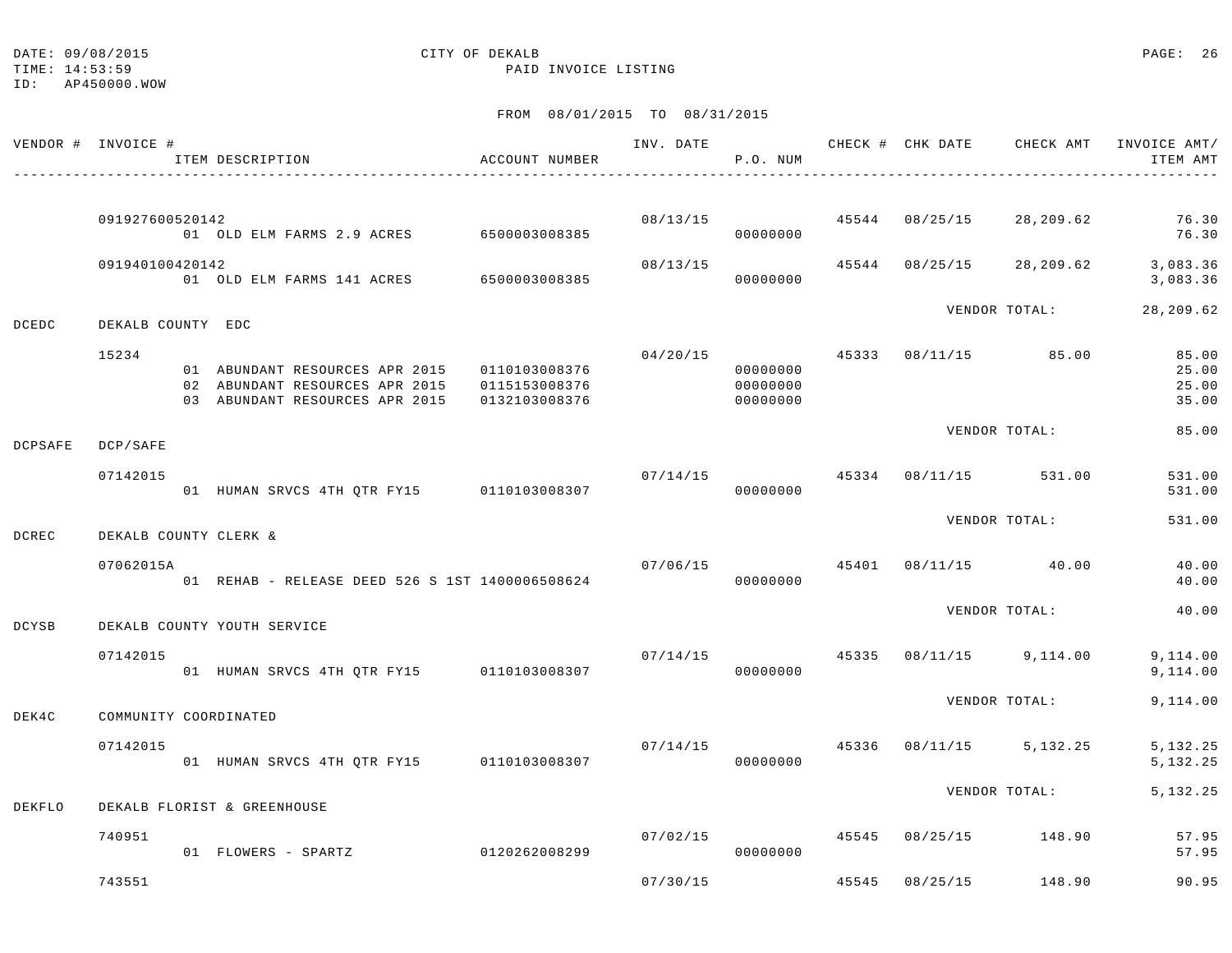TIME: 14:53:59 PAID INVOICE LISTING

ID: AP450000.WOW

|                | VENDOR # INVOICE #    | ITEM DESCRIPTION                                                                                                 | ACCOUNT NUMBER                 | INV. DATE | P.O. NUM                                           |       | CHECK # CHK DATE     | CHECK AMT     | INVOICE AMT/<br>ITEM AMT         |
|----------------|-----------------------|------------------------------------------------------------------------------------------------------------------|--------------------------------|-----------|----------------------------------------------------|-------|----------------------|---------------|----------------------------------|
|                |                       |                                                                                                                  |                                |           |                                                    |       |                      |               |                                  |
|                | 091927600520142       | 01 OLD ELM FARMS 2.9 ACRES 6500003008385                                                                         |                                | 08/13/15  | 00000000                                           |       | 45544 08/25/15       | 28,209.62     | 76.30<br>76.30                   |
|                | 091940100420142       | 01 OLD ELM FARMS 141 ACRES 6500003008385                                                                         |                                | 08/13/15  | 00000000                                           |       | 45544 08/25/15       | 28,209.62     | 3,083.36<br>3,083.36             |
| <b>DCEDC</b>   | DEKALB COUNTY EDC     |                                                                                                                  |                                |           |                                                    |       |                      | VENDOR TOTAL: | 28,209.62                        |
|                | 15234                 | 01 ABUNDANT RESOURCES APR 2015 0110103008376<br>02 ABUNDANT RESOURCES APR 2015<br>03 ABUNDANT RESOURCES APR 2015 | 0115153008376<br>0132103008376 |           | 04/20/15 45333<br>00000000<br>00000000<br>00000000 |       | 08/11/15 85.00       |               | 85.00<br>25.00<br>25.00<br>35.00 |
| <b>DCPSAFE</b> | DCP/SAFE              |                                                                                                                  |                                |           |                                                    |       |                      | VENDOR TOTAL: | 85.00                            |
|                | 07142015              | 01 HUMAN SRVCS 4TH QTR FY15 0110103008307                                                                        |                                | 07/14/15  | 45334<br>00000000                                  |       | 08/11/15 531.00      |               | 531.00<br>531.00                 |
| DCREC          | DEKALB COUNTY CLERK & |                                                                                                                  |                                |           |                                                    |       |                      | VENDOR TOTAL: | 531.00                           |
|                | 07062015A             | 01 REHAB - RELEASE DEED 526 S 1ST 1400006508624                                                                  |                                | 07/06/15  | 00000000                                           |       | 45401 08/11/15 40.00 |               | 40.00<br>40.00                   |
| DCYSB          |                       | DEKALB COUNTY YOUTH SERVICE                                                                                      |                                |           |                                                    |       |                      | VENDOR TOTAL: | 40.00                            |
|                | 07142015              | 01 HUMAN SRVCS 4TH QTR FY15 0110103008307                                                                        |                                | 07/14/15  | 45335<br>00000000                                  |       | 08/11/15 9,114.00    |               | 9,114.00<br>9,114.00             |
| DEK4C          | COMMUNITY COORDINATED |                                                                                                                  |                                |           |                                                    |       |                      | VENDOR TOTAL: | 9,114.00                         |
|                | 07142015              | 01 HUMAN SRVCS 4TH QTR FY15 0110103008307                                                                        |                                | 07/14/15  | 45336<br>00000000                                  |       | 08/11/15 5,132.25    |               | 5, 132.25<br>5, 132. 25          |
| DEKFLO         |                       | DEKALB FLORIST & GREENHOUSE                                                                                      |                                |           |                                                    |       |                      | VENDOR TOTAL: | 5, 132. 25                       |
|                | 740951                | 01 FLOWERS - SPARTZ                                                                                              | 0120262008299                  | 07/02/15  | 00000000                                           | 45545 | 08/25/15 148.90      |               | 57.95<br>57.95                   |
|                | 743551                |                                                                                                                  |                                | 07/30/15  |                                                    | 45545 | 08/25/15             | 148.90        | 90.95                            |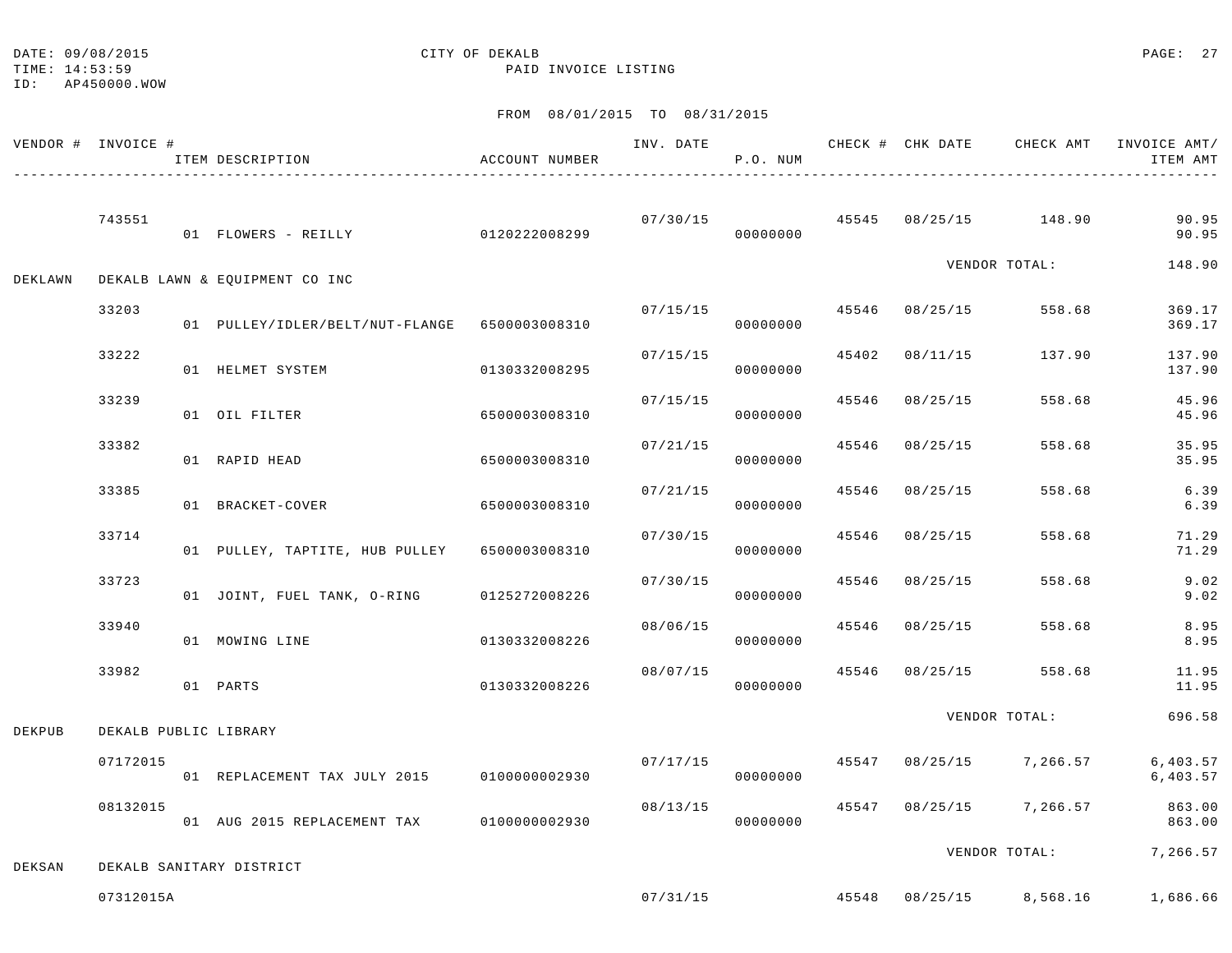ID: AP450000.WOW

TIME: 14:53:59 PAID INVOICE LISTING

|         | VENDOR # INVOICE #    | ITEM DESCRIPTION                              | ACCOUNT NUMBER | INV. DATE | P.O. NUM |       |                | CHECK # CHK DATE CHECK AMT INVOICE AMT/ | ITEM AMT             |
|---------|-----------------------|-----------------------------------------------|----------------|-----------|----------|-------|----------------|-----------------------------------------|----------------------|
|         | 743551                | 01 FLOWERS - REILLY                           | 0120222008299  | 07/30/15  | 00000000 |       |                | 45545 08/25/15 148.90                   | 90.95<br>90.95       |
| DEKLAWN |                       | DEKALB LAWN & EQUIPMENT CO INC                |                |           |          |       |                | VENDOR TOTAL:                           | 148.90               |
|         | 33203                 | 01 PULLEY/IDLER/BELT/NUT-FLANGE 6500003008310 |                | 07/15/15  | 00000000 |       | 45546 08/25/15 | 558.68                                  | 369.17<br>369.17     |
|         | 33222                 | 01 HELMET SYSTEM                              | 0130332008295  | 07/15/15  | 00000000 |       | 45402 08/11/15 | 137.90                                  | 137.90<br>137.90     |
|         | 33239                 | 01 OIL FILTER                                 | 6500003008310  | 07/15/15  | 00000000 |       | 45546 08/25/15 | 558.68                                  | 45.96<br>45.96       |
|         | 33382                 | 01 RAPID HEAD                                 | 6500003008310  | 07/21/15  | 00000000 | 45546 | 08/25/15       | 558.68                                  | 35.95<br>35.95       |
|         | 33385                 | 01 BRACKET-COVER                              | 6500003008310  | 07/21/15  | 00000000 | 45546 | 08/25/15       | 558.68                                  | 6.39<br>6.39         |
|         | 33714                 | 01 PULLEY, TAPTITE, HUB PULLEY 6500003008310  |                | 07/30/15  | 00000000 | 45546 | 08/25/15       | 558.68                                  | 71.29<br>71.29       |
|         | 33723                 | 01 JOINT, FUEL TANK, O-RING                   | 0125272008226  | 07/30/15  | 00000000 | 45546 | 08/25/15       | 558.68                                  | 9.02<br>9.02         |
|         | 33940                 | 01 MOWING LINE                                | 0130332008226  | 08/06/15  | 00000000 |       | 45546 08/25/15 | 558.68                                  | 8.95<br>8.95         |
|         | 33982                 | 01 PARTS                                      | 0130332008226  | 08/07/15  | 00000000 |       | 45546 08/25/15 | 558.68                                  | 11.95<br>11.95       |
| DEKPUB  | DEKALB PUBLIC LIBRARY |                                               |                |           |          |       |                | VENDOR TOTAL:                           | 696.58               |
|         | 07172015              | 01 REPLACEMENT TAX JULY 2015 0100000002930    |                | 07/17/15  | 00000000 |       |                | 45547 08/25/15 7,266.57                 | 6,403.57<br>6,403.57 |
|         | 08132015              | 01 AUG 2015 REPLACEMENT TAX                   | 0100000002930  | 08/13/15  | 00000000 |       |                | 45547 08/25/15 7,266.57                 | 863.00<br>863.00     |
| DEKSAN  |                       | DEKALB SANITARY DISTRICT                      |                |           |          |       |                | VENDOR TOTAL:                           | 7,266.57             |
|         | 07312015A             |                                               |                | 07/31/15  |          |       |                | 45548 08/25/15 8,568.16 1,686.66        |                      |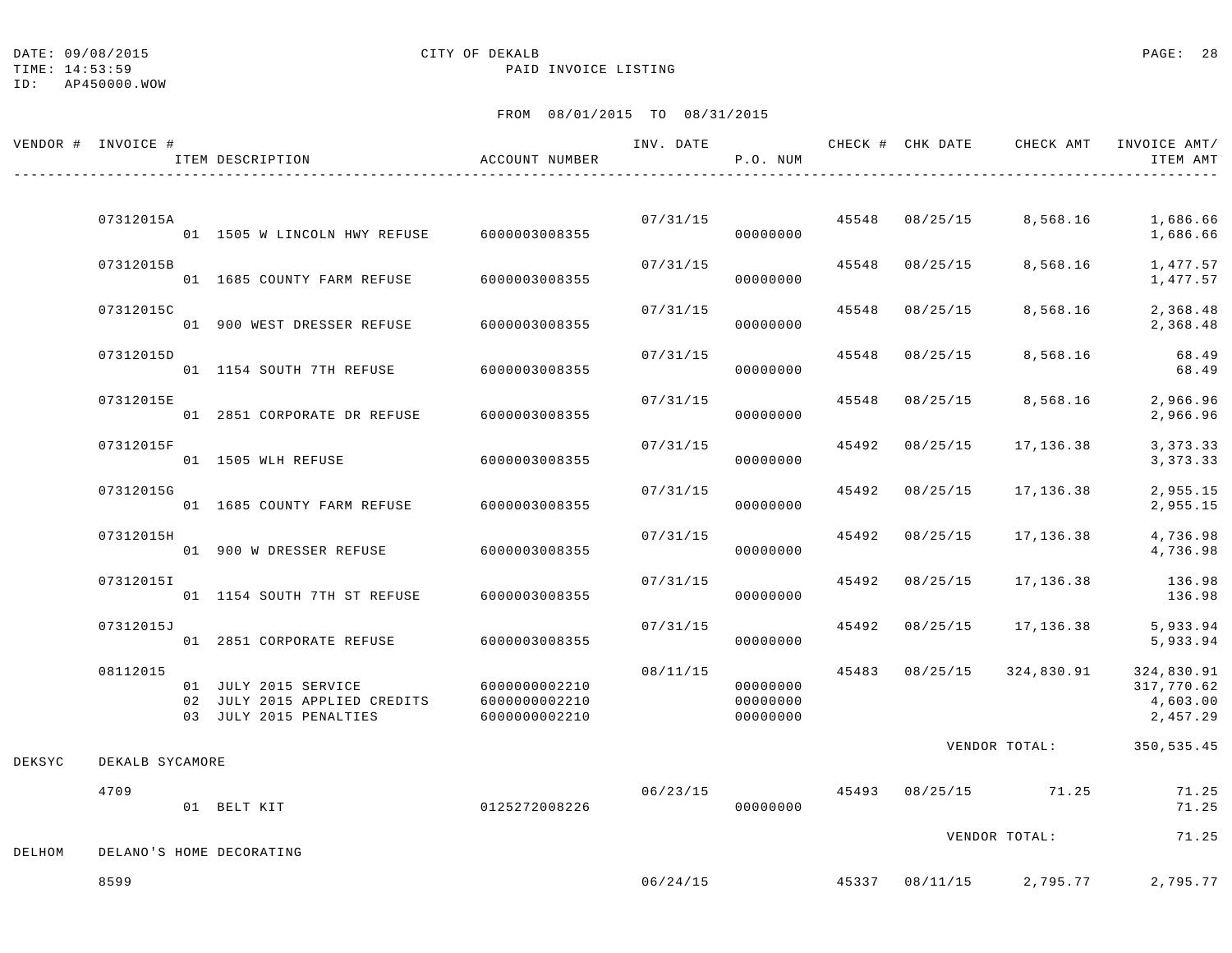TIME: 14:53:59 PAID INVOICE LISTING

|        | VENDOR # INVOICE # | ITEM DESCRIPTION                                                               | ACCOUNT NUMBER                                  |          | P.O. NUM                         |       |                         | INV. DATE 6 CHECK # CHK DATE CHECK AMT INVOICE AMT/ | ITEM AMT                                         |
|--------|--------------------|--------------------------------------------------------------------------------|-------------------------------------------------|----------|----------------------------------|-------|-------------------------|-----------------------------------------------------|--------------------------------------------------|
|        |                    |                                                                                |                                                 |          |                                  |       |                         |                                                     |                                                  |
|        | 07312015A          | 01 1505 W LINCOLN HWY REFUSE 6000003008355                                     |                                                 |          | 00000000                         |       | 07/31/15 45548 08/25/15 | 8,568.16                                            | 1,686.66<br>1,686.66                             |
|        | 07312015B          | 01 1685 COUNTY FARM REFUSE                                                     | 6000003008355                                   | 07/31/15 | 00000000                         | 45548 | 08/25/15                | 8,568.16                                            | 1,477.57<br>1,477.57                             |
|        | 07312015C          | 01 900 WEST DRESSER REFUSE                                                     | 6000003008355                                   | 07/31/15 | 00000000                         | 45548 | 08/25/15                | 8,568.16                                            | 2,368.48<br>2,368.48                             |
|        | 07312015D          | 01 1154 SOUTH 7TH REFUSE 6000003008355                                         |                                                 | 07/31/15 | 00000000                         | 45548 | 08/25/15                | 8,568.16                                            | 68.49<br>68.49                                   |
|        | 07312015E          | 01 2851 CORPORATE DR REFUSE                                                    | 6000003008355                                   | 07/31/15 | 00000000                         | 45548 | 08/25/15                | 8,568.16                                            | 2,966.96<br>2,966.96                             |
|        | 07312015F          | 01 1505 WLH REFUSE                                                             | 6000003008355                                   | 07/31/15 | 00000000                         | 45492 | 08/25/15                | 17,136.38                                           | 3, 373.33<br>3, 373. 33                          |
|        | 07312015G          | 01 1685 COUNTY FARM REFUSE                                                     | 6000003008355                                   | 07/31/15 | 00000000                         |       | 45492 08/25/15          | 17,136.38                                           | 2,955.15<br>2,955.15                             |
|        | 07312015H          | 01 900 W DRESSER REFUSE                                                        | 60000003008355                                  | 07/31/15 | 00000000                         |       | 45492 08/25/15          | 17,136.38                                           | 4,736.98<br>4,736.98                             |
|        | 07312015I          | 01 1154 SOUTH 7TH ST REFUSE                                                    | 6000003008355                                   | 07/31/15 | 00000000                         | 45492 | 08/25/15                | 17,136.38                                           | 136.98<br>136.98                                 |
|        | 07312015J          | 01 2851 CORPORATE REFUSE                                                       | 6000003008355                                   | 07/31/15 | 00000000                         |       | 45492 08/25/15          | 17,136.38                                           | 5,933.94<br>5,933.94                             |
|        | 08112015           | 01 JULY 2015 SERVICE<br>02 JULY 2015 APPLIED CREDITS<br>03 JULY 2015 PENALTIES | 6000000002210<br>6000000002210<br>6000000002210 | 08/11/15 | 00000000<br>00000000<br>00000000 |       |                         | 45483 08/25/15 324,830.91                           | 324,830.91<br>317,770.62<br>4,603.00<br>2,457.29 |
| DEKSYC | DEKALB SYCAMORE    |                                                                                |                                                 |          |                                  |       |                         | VENDOR TOTAL:                                       | 350,535.45                                       |
|        | 4709               | 01 BELT KIT                                                                    | 0125272008226                                   | 06/23/15 | 00000000                         |       |                         | 45493 08/25/15 71.25                                | 71.25<br>71.25                                   |
| DELHOM |                    | DELANO'S HOME DECORATING                                                       |                                                 |          |                                  |       |                         | VENDOR TOTAL:                                       | 71.25                                            |
|        | 8599               |                                                                                |                                                 |          | 06/24/15                         |       |                         | 45337 08/11/15 2,795.77                             | 2,795.77                                         |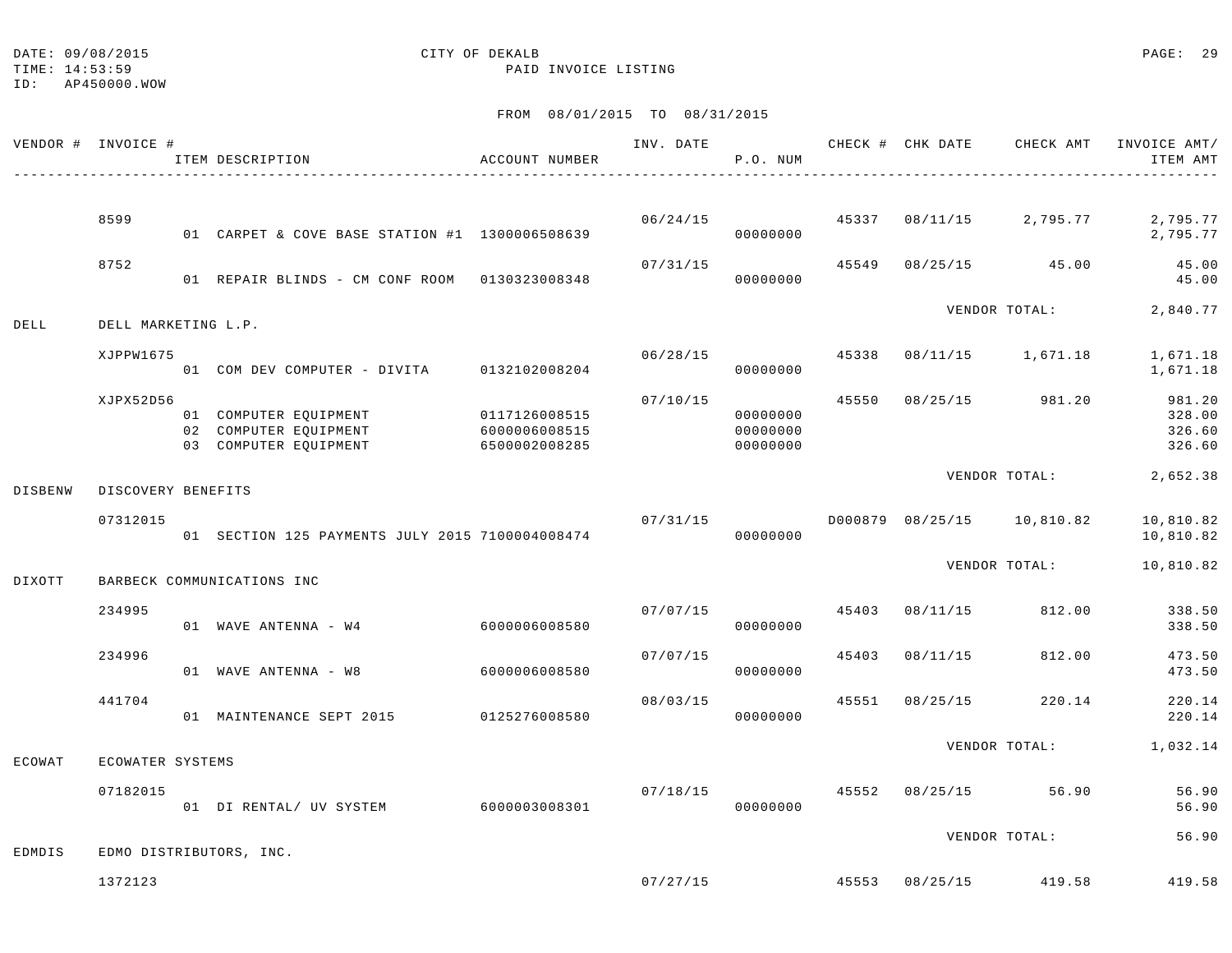TIME: 14:53:59 PAID INVOICE LISTING

|               | VENDOR # INVOICE #  | ITEM DESCRIPTION                                                        | ACCOUNT NUMBER                                  | INV. DATE | P.O. NUM                         |       | CHECK # CHK DATE | CHECK AMT                  | INVOICE AMT/<br>ITEM AMT             |
|---------------|---------------------|-------------------------------------------------------------------------|-------------------------------------------------|-----------|----------------------------------|-------|------------------|----------------------------|--------------------------------------|
|               | 8599                |                                                                         |                                                 |           |                                  | 45337 |                  |                            |                                      |
|               |                     | 01 CARPET & COVE BASE STATION #1 1300006508639                          |                                                 | 06/24/15  | 00000000                         |       |                  | 08/11/15 2,795.77          | 2,795.77<br>2,795.77                 |
|               | 8752                | 01 REPAIR BLINDS - CM CONF ROOM 0130323008348                           |                                                 | 07/31/15  | 00000000                         | 45549 |                  | 08/25/15 45.00             | 45.00<br>45.00                       |
| DELL          | DELL MARKETING L.P. |                                                                         |                                                 |           |                                  |       |                  | VENDOR TOTAL:              | 2,840.77                             |
|               | XJPPW1675           | 01 COM DEV COMPUTER - DIVITA 0132102008204                              |                                                 | 06/28/15  | 00000000                         | 45338 |                  | 08/11/15 1,671.18          | 1,671.18<br>1,671.18                 |
|               | XJPX52D56           | 01 COMPUTER EQUIPMENT<br>02 COMPUTER EQUIPMENT<br>03 COMPUTER EQUIPMENT | 0117126008515<br>6000006008515<br>6500002008285 | 07/10/15  | 00000000<br>00000000<br>00000000 | 45550 | 08/25/15         | 981.20                     | 981.20<br>328.00<br>326.60<br>326.60 |
| DISBENW       | DISCOVERY BENEFITS  |                                                                         |                                                 |           |                                  |       |                  | VENDOR TOTAL:              | 2,652.38                             |
|               | 07312015            | 01 SECTION 125 PAYMENTS JULY 2015 7100004008474                         |                                                 |           | 07/31/15<br>00000000             |       |                  | D000879 08/25/15 10,810.82 | 10,810.82<br>10,810.82               |
| DIXOTT        |                     | BARBECK COMMUNICATIONS INC                                              |                                                 |           |                                  |       |                  | VENDOR TOTAL:              | 10,810.82                            |
|               | 234995              | 01 WAVE ANTENNA - W4 6000006008580                                      |                                                 | 07/07/15  | 00000000                         | 45403 | 08/11/15         | 812.00                     | 338.50<br>338.50                     |
|               | 234996              | 01 WAVE ANTENNA - W8                                                    | 6000006008580                                   | 07/07/15  | 00000000                         | 45403 | 08/11/15         | 812.00                     | 473.50<br>473.50                     |
|               | 441704              | 01 MAINTENANCE SEPT 2015 0125276008580                                  |                                                 | 08/03/15  | 00000000                         | 45551 | 08/25/15         | 220.14                     | 220.14<br>220.14                     |
| <b>ECOWAT</b> | ECOWATER SYSTEMS    |                                                                         |                                                 |           |                                  |       |                  | VENDOR TOTAL:              | 1,032.14                             |
|               | 07182015            | 01 DI RENTAL/ UV SYSTEM                                                 | 6000003008301                                   | 07/18/15  | 00000000                         |       |                  | 45552 08/25/15 56.90       | 56.90<br>56.90                       |
| EDMDIS        |                     | EDMO DISTRIBUTORS, INC.                                                 |                                                 |           |                                  |       |                  | VENDOR TOTAL:              | 56.90                                |
|               | 1372123             |                                                                         |                                                 |           | 07/27/15                         |       |                  | 45553 08/25/15 419.58      | 419.58                               |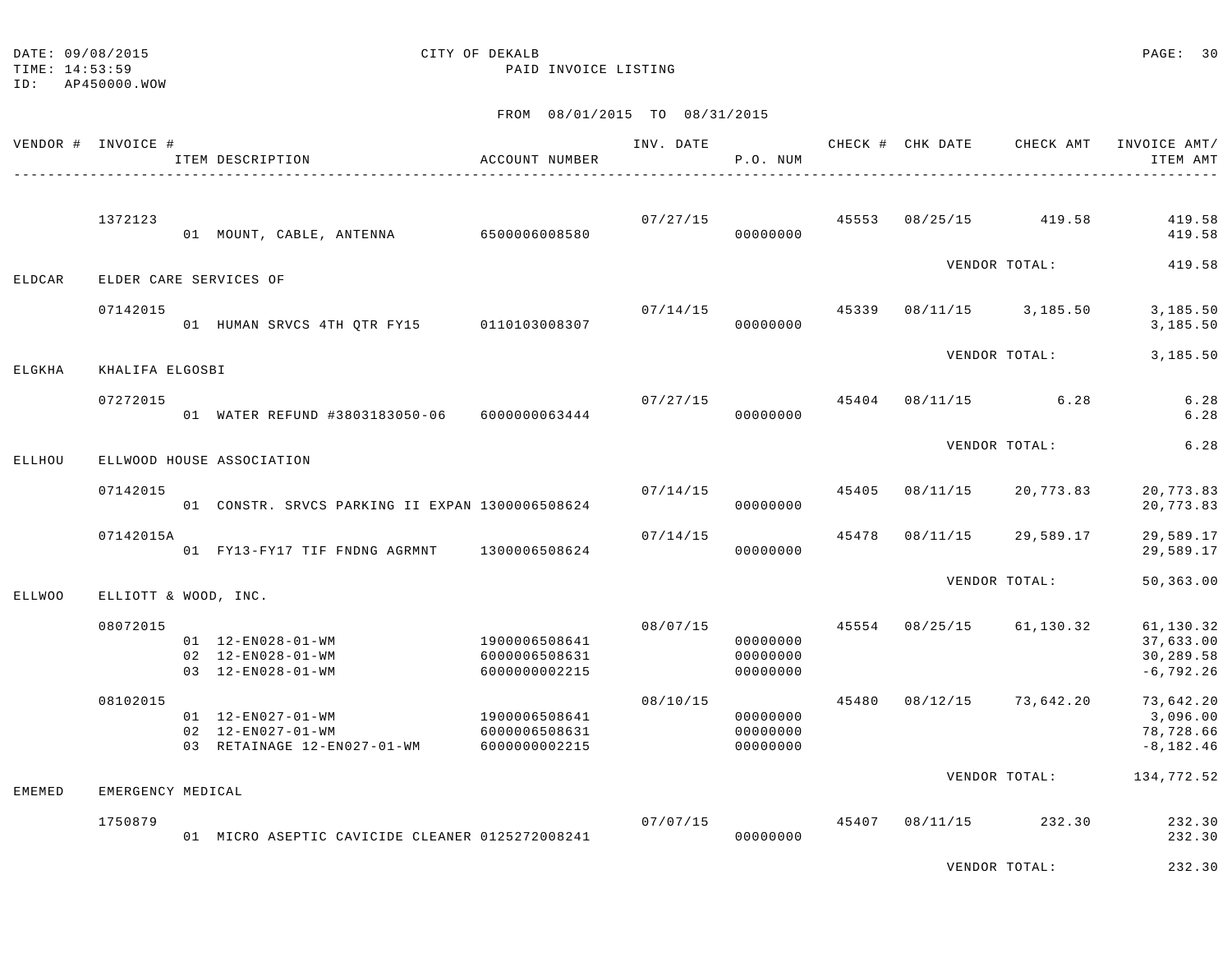DATE:  $09/08/2015$  PAGE: 30

TIME: 14:53:59 PAID INVOICE LISTING

ID: AP450000.WOW

#### FROM 08/01/2015 TO 08/31/2015

| VENDOR # INVOICE # |                      | ITEM DESCRIPTION                                                       | ACCOUNT NUMBER                                  | INV. DATE | P.O. NUM                         |       |          | CHECK # CHK DATE CHECK AMT | INVOICE AMT/<br>ITEM AMT                            |
|--------------------|----------------------|------------------------------------------------------------------------|-------------------------------------------------|-----------|----------------------------------|-------|----------|----------------------------|-----------------------------------------------------|
|                    | 1372123              | 01 MOUNT, CABLE, ANTENNA 6500006008580                                 |                                                 | 07/27/15  | 00000000                         |       |          | 45553 08/25/15 419.58      | 419.58<br>419.58                                    |
| ELDCAR             |                      | ELDER CARE SERVICES OF                                                 |                                                 |           |                                  |       |          | VENDOR TOTAL:              | 419.58                                              |
|                    | 07142015             | 01 HUMAN SRVCS 4TH QTR FY15 0110103008307                              |                                                 | 07/14/15  | 00000000                         | 45339 |          | 08/11/15 3,185.50          | 3,185.50<br>3,185.50                                |
| ELGKHA             | KHALIFA ELGOSBI      |                                                                        |                                                 |           |                                  |       |          | VENDOR TOTAL:              | 3,185.50                                            |
|                    | 07272015             | 01 WATER REFUND #3803183050-06 6000000063444                           |                                                 | 07/27/15  | 00000000                         |       |          | 45404 08/11/15 6.28        | 6.28<br>6.28                                        |
| ELLHOU             |                      | ELLWOOD HOUSE ASSOCIATION                                              |                                                 |           |                                  |       |          | VENDOR TOTAL:              | 6.28                                                |
|                    | 07142015             | 01 CONSTR. SRVCS PARKING II EXPAN 1300006508624                        |                                                 |           | 07/14/15<br>00000000             | 45405 | 08/11/15 | 20,773.83                  | 20,773.83<br>20,773.83                              |
|                    | 07142015A            | 01 FY13-FY17 TIF FNDNG AGRMNT                                          | 1300006508624                                   | 07/14/15  | 00000000                         | 45478 | 08/11/15 | 29,589.17                  | 29,589.17<br>29,589.17                              |
| <b>ELLWOO</b>      | ELLIOTT & WOOD, INC. |                                                                        |                                                 |           |                                  |       |          | VENDOR TOTAL:              | 50,363.00                                           |
|                    | 08072015             | 01  12-EN028-01-WM<br>02 12-EN028-01-WM<br>03 12-EN028-01-WM           | 1900006508641<br>6000006508631<br>6000000002215 | 08/07/15  | 00000000<br>00000000<br>00000000 | 45554 | 08/25/15 | 61,130.32                  | 61,130.32<br>37,633.00<br>30,289.58<br>$-6, 792.26$ |
|                    | 08102015             | 01  12-EN027-01-WM<br>02 12-EN027-01-WM<br>03 RETAINAGE 12-EN027-01-WM | 1900006508641<br>6000006508631<br>6000000002215 | 08/10/15  | 00000000<br>00000000<br>00000000 | 45480 |          | 08/12/15 73,642.20         | 73,642.20<br>3,096.00<br>78,728.66<br>$-8, 182.46$  |
| <b>EMEMED</b>      | EMERGENCY MEDICAL    |                                                                        |                                                 |           |                                  |       |          | VENDOR TOTAL:              | 134,772.52                                          |
|                    | 1750879              | 01 MICRO ASEPTIC CAVICIDE CLEANER 0125272008241                        |                                                 | 07/07/15  | 00000000                         | 45407 | 08/11/15 | 232.30                     | 232.30<br>232.30                                    |
|                    |                      |                                                                        |                                                 |           |                                  |       |          |                            | $\sim$ $\sim$ $\sim$ $\sim$                         |

VENDOR TOTAL: 232.30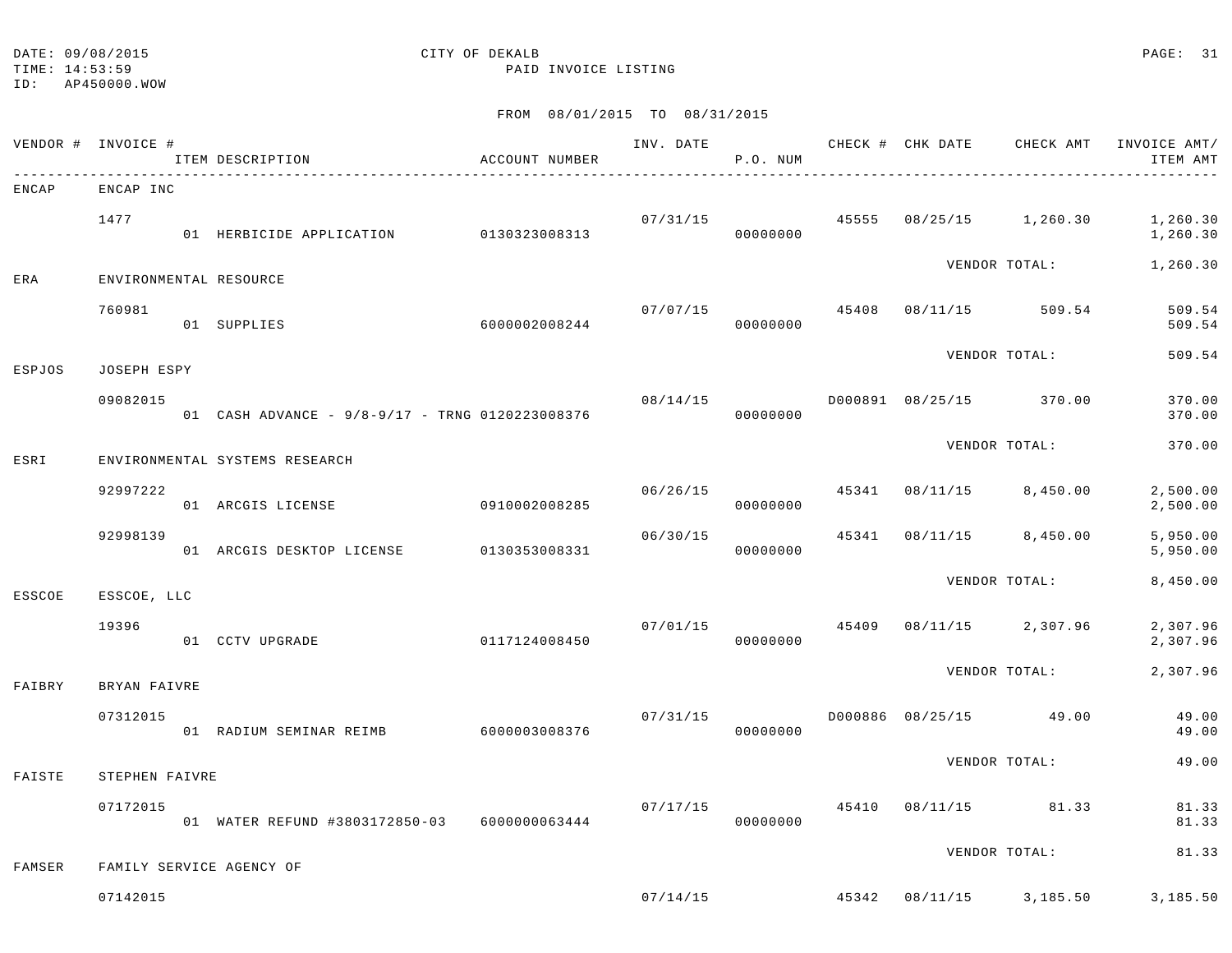TIME: 14:53:59 PAID INVOICE LISTING

ID: AP450000.WOW

| VENDOR # INVOICE # |                | ITEM DESCRIPTION                                | ACCOUNT NUMBER | INV. DATE | P.O. NUM             |       | CHECK # CHK DATE | CHECK AMT               | INVOICE AMT/<br>ITEM AMT |
|--------------------|----------------|-------------------------------------------------|----------------|-----------|----------------------|-------|------------------|-------------------------|--------------------------|
| ENCAP              | ENCAP INC      |                                                 |                |           |                      |       |                  |                         |                          |
|                    | 1477           | 01 HERBICIDE APPLICATION                        | 0130323008313  |           | 07/31/15<br>00000000 | 45555 | 08/25/15         | 1,260.30                | 1,260.30<br>1,260.30     |
| ERA                |                | ENVIRONMENTAL RESOURCE                          |                |           |                      |       |                  | VENDOR TOTAL:           | 1,260.30                 |
|                    | 760981         | 01 SUPPLIES                                     | 6000002008244  | 07/07/15  | 00000000             | 45408 | 08/11/15         | 509.54                  | 509.54<br>509.54         |
| ESPJOS             | JOSEPH ESPY    |                                                 |                |           |                      |       |                  | VENDOR TOTAL:           | 509.54                   |
|                    | 09082015       | 01 CASH ADVANCE - 9/8-9/17 - TRNG 0120223008376 |                | 08/14/15  | 00000000             |       |                  | D000891 08/25/15 370.00 | 370.00<br>370.00         |
| ESRI               |                | ENVIRONMENTAL SYSTEMS RESEARCH                  |                |           |                      |       |                  | VENDOR TOTAL:           | 370.00                   |
|                    | 92997222       | 01 ARCGIS LICENSE                               | 0910002008285  | 06/26/15  | 00000000             | 45341 | 08/11/15         | 8,450.00                | 2,500.00<br>2,500.00     |
|                    | 92998139       | 01 ARCGIS DESKTOP LICENSE                       | 0130353008331  | 06/30/15  | 00000000             | 45341 | 08/11/15         | 8,450.00                | 5,950.00<br>5,950.00     |
| ESSCOE             | ESSCOE, LLC    |                                                 |                |           |                      |       |                  | VENDOR TOTAL:           | 8,450.00                 |
|                    | 19396          | 01 CCTV UPGRADE                                 | 0117124008450  | 07/01/15  | 00000000             | 45409 | 08/11/15         | 2,307.96                | 2,307.96<br>2,307.96     |
| FAIBRY             | BRYAN FAIVRE   |                                                 |                |           |                      |       |                  | VENDOR TOTAL:           | 2,307.96                 |
|                    | 07312015       | 01 RADIUM SEMINAR REIMB                         | 6000003008376  | 07/31/15  | 00000000             |       | D000886 08/25/15 | 49.00                   | 49.00<br>49.00           |
| FAISTE             | STEPHEN FAIVRE |                                                 |                |           |                      |       |                  | VENDOR TOTAL:           | 49.00                    |
|                    | 07172015       | 01 WATER REFUND #3803172850-03                  | 6000000063444  | 07/17/15  | 00000000             | 45410 | 08/11/15         | 81.33                   | 81.33<br>81.33           |
|                    |                |                                                 |                |           |                      |       |                  | VENDOR TOTAL:           | 81.33                    |
| FAMSER             | 07142015       | FAMILY SERVICE AGENCY OF                        |                | 07/14/15  |                      | 45342 |                  | 08/11/15 3,185.50       | 3,185.50                 |
|                    |                |                                                 |                |           |                      |       |                  |                         |                          |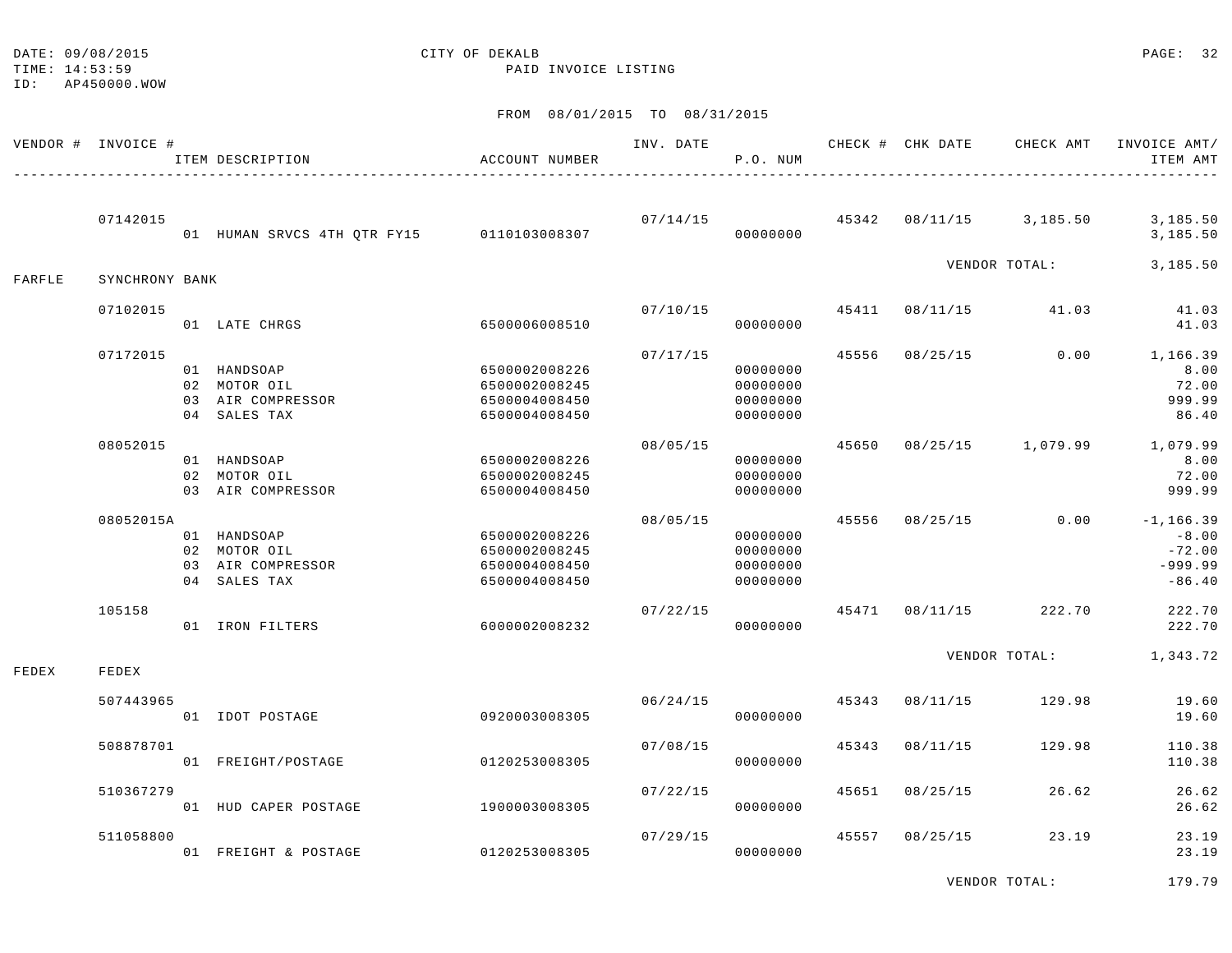TIME: 14:53:59 PAID INVOICE LISTING

#### FROM 08/01/2015 TO 08/31/2015

|        | VENDOR # INVOICE # | ITEM DESCRIPTION                                                 | ACCOUNT NUMBER                                                   | INV. DATE | P.O. NUM                                     |       | CHECK # CHK DATE | CHECK AMT               | INVOICE AMT/<br>ITEM AMT                                     |
|--------|--------------------|------------------------------------------------------------------|------------------------------------------------------------------|-----------|----------------------------------------------|-------|------------------|-------------------------|--------------------------------------------------------------|
|        | 07142015           | 01 HUMAN SRVCS 4TH QTR FY15 0110103008307                        |                                                                  | 07/14/15  | 00000000                                     |       |                  | 45342 08/11/15 3,185.50 | 3,185.50<br>3,185.50                                         |
| FARFLE | SYNCHRONY BANK     |                                                                  |                                                                  |           |                                              |       |                  | VENDOR TOTAL:           | 3,185.50                                                     |
|        | 07102015           | 01 LATE CHRGS                                                    | 6500006008510                                                    | 07/10/15  | 00000000                                     | 45411 | 08/11/15         | 41.03                   | 41.03<br>41.03                                               |
|        | 07172015           | 01 HANDSOAP<br>02 MOTOR OIL<br>03 AIR COMPRESSOR<br>04 SALES TAX | 6500002008226<br>6500002008245<br>6500004008450<br>6500004008450 | 07/17/15  | 00000000<br>00000000<br>00000000<br>00000000 | 45556 | 08/25/15         | 0.00                    | 1,166.39<br>8.00<br>72.00<br>999.99<br>86.40                 |
|        | 08052015           | 01 HANDSOAP<br>02 MOTOR OIL<br>03 AIR COMPRESSOR                 | 6500002008226<br>6500002008245<br>6500004008450                  | 08/05/15  | 00000000<br>00000000<br>00000000             |       |                  | 45650 08/25/15 1,079.99 | 1,079.99<br>8.00<br>72.00<br>999.99                          |
|        | 08052015A          | 01 HANDSOAP<br>02 MOTOR OIL<br>03 AIR COMPRESSOR<br>04 SALES TAX | 6500002008226<br>6500002008245<br>6500004008450<br>6500004008450 | 08/05/15  | 00000000<br>00000000<br>00000000<br>00000000 | 45556 |                  | $08/25/15$ 0.00         | $-1, 166.39$<br>$-8.00$<br>$-72.00$<br>$-999.99$<br>$-86.40$ |
|        | 105158             | 01 IRON FILTERS                                                  | 6000002008232                                                    | 07/22/15  | 00000000                                     |       | 45471 08/11/15   | 222.70                  | 222.70<br>222.70                                             |
| FEDEX  | FEDEX              |                                                                  |                                                                  |           |                                              |       |                  | VENDOR TOTAL: 1,343.72  |                                                              |
|        | 507443965          | 01 IDOT POSTAGE                                                  | 0920003008305                                                    | 06/24/15  | 00000000                                     | 45343 | 08/11/15         | 129.98                  | 19.60<br>19.60                                               |
|        | 508878701          | 01 FREIGHT/POSTAGE                                               | 0120253008305                                                    | 07/08/15  | 00000000                                     | 45343 | 08/11/15         | 129.98                  | 110.38<br>110.38                                             |
|        | 510367279          | 01 HUD CAPER POSTAGE                                             | 1900003008305                                                    | 07/22/15  | 00000000                                     | 45651 | 08/25/15         | 26.62                   | 26.62<br>26.62                                               |
|        | 511058800          | 01 FREIGHT & POSTAGE                                             | 0120253008305                                                    | 07/29/15  | 00000000                                     |       | 45557 08/25/15   | 23.19                   | 23.19<br>23.19                                               |

VENDOR TOTAL: 179.79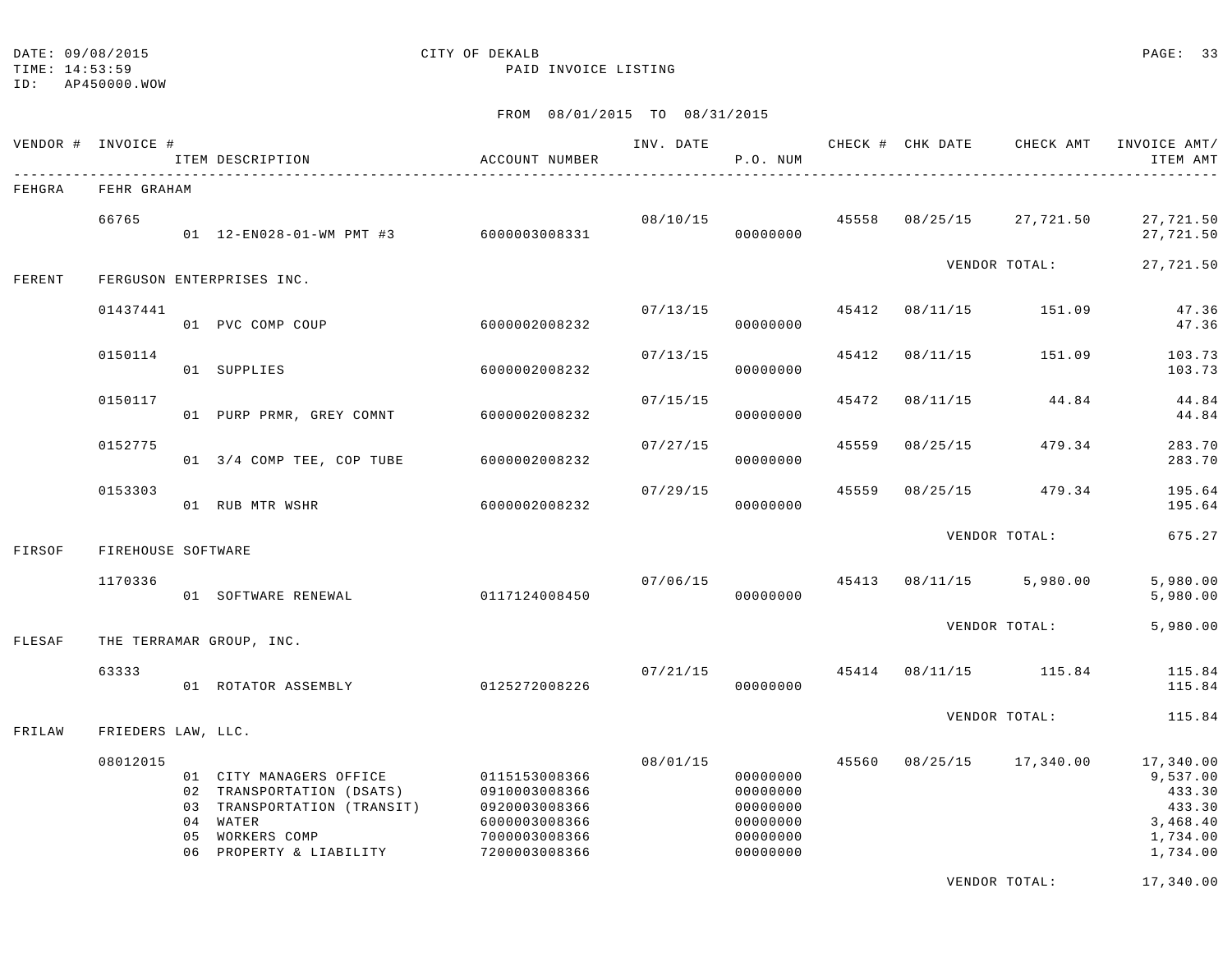### DATE:  $09/08/2015$  PAGE: 33

TIME: 14:53:59 PAID INVOICE LISTING

#### FROM 08/01/2015 TO 08/31/2015

|        | VENDOR # INVOICE # |    | ITEM DESCRIPTION                                                                                                                           | ACCOUNT NUMBER                                                                                     | INV. DATE | P.O. NUM                                                             |       |          | CHECK # CHK DATE CHECK AMT | INVOICE AMT/<br>ITEM AMT                                                      |
|--------|--------------------|----|--------------------------------------------------------------------------------------------------------------------------------------------|----------------------------------------------------------------------------------------------------|-----------|----------------------------------------------------------------------|-------|----------|----------------------------|-------------------------------------------------------------------------------|
| FEHGRA | FEHR GRAHAM        |    |                                                                                                                                            |                                                                                                    |           |                                                                      |       |          |                            |                                                                               |
|        | 66765              |    | 01  12-EN028-01-WM PMT #3  6000003008331                                                                                                   |                                                                                                    |           | 08/10/15<br>00000000                                                 | 45558 | 08/25/15 | 27,721.50                  | 27,721.50<br>27,721.50                                                        |
| FERENT |                    |    | FERGUSON ENTERPRISES INC.                                                                                                                  |                                                                                                    |           |                                                                      |       |          | VENDOR TOTAL:              | 27,721.50                                                                     |
|        | 01437441           |    | 01 PVC COMP COUP                                                                                                                           | 6000002008232                                                                                      | 07/13/15  | 00000000                                                             | 45412 | 08/11/15 | 151.09                     | 47.36<br>47.36                                                                |
|        | 0150114            |    | 01 SUPPLIES                                                                                                                                | 6000002008232                                                                                      | 07/13/15  | 00000000                                                             | 45412 | 08/11/15 | 151.09                     | 103.73<br>103.73                                                              |
|        | 0150117            |    | 01 PURP PRMR, GREY COMNT                                                                                                                   | 6000002008232                                                                                      | 07/15/15  | 00000000                                                             | 45472 | 08/11/15 | 44.84                      | 44.84<br>44.84                                                                |
|        | 0152775            |    | 01 3/4 COMP TEE, COP TUBE                                                                                                                  | 6000002008232                                                                                      | 07/27/15  | 00000000                                                             | 45559 | 08/25/15 | 479.34                     | 283.70<br>283.70                                                              |
|        | 0153303            |    | 01 RUB MTR WSHR                                                                                                                            | 6000002008232                                                                                      | 07/29/15  | 00000000                                                             | 45559 | 08/25/15 | 479.34                     | 195.64<br>195.64                                                              |
| FIRSOF | FIREHOUSE SOFTWARE |    |                                                                                                                                            |                                                                                                    |           |                                                                      |       |          | VENDOR TOTAL:              | 675.27                                                                        |
|        | 1170336            |    | 01 SOFTWARE RENEWAL                                                                                                                        | 0117124008450                                                                                      | 07/06/15  | 00000000                                                             |       |          | 45413 08/11/15 5,980.00    | 5,980.00<br>5,980.00                                                          |
| FLESAF |                    |    | THE TERRAMAR GROUP, INC.                                                                                                                   |                                                                                                    |           |                                                                      |       |          | VENDOR TOTAL:              | 5,980.00                                                                      |
|        | 63333              |    | 01 ROTATOR ASSEMBLY 0125272008226                                                                                                          |                                                                                                    |           | 07/21/15<br>00000000                                                 | 45414 |          | 08/11/15 115.84            | 115.84<br>115.84                                                              |
| FRILAW | FRIEDERS LAW, LLC. |    |                                                                                                                                            |                                                                                                    |           |                                                                      |       |          | VENDOR TOTAL:              | 115.84                                                                        |
|        | 08012015           | 05 | 01 CITY MANAGERS OFFICE<br>02 TRANSPORTATION (DSATS)<br>03 TRANSPORTATION (TRANSIT)<br>04 WATER<br>WORKERS COMP<br>06 PROPERTY & LIABILITY | 0115153008366<br>0910003008366<br>0920003008366<br>6000003008366<br>7000003008366<br>7200003008366 | 08/01/15  | 00000000<br>00000000<br>00000000<br>00000000<br>00000000<br>00000000 | 45560 |          | 08/25/15 17,340.00         | 17,340.00<br>9,537.00<br>433.30<br>433.30<br>3,468.40<br>1,734.00<br>1,734.00 |

VENDOR TOTAL: 17,340.00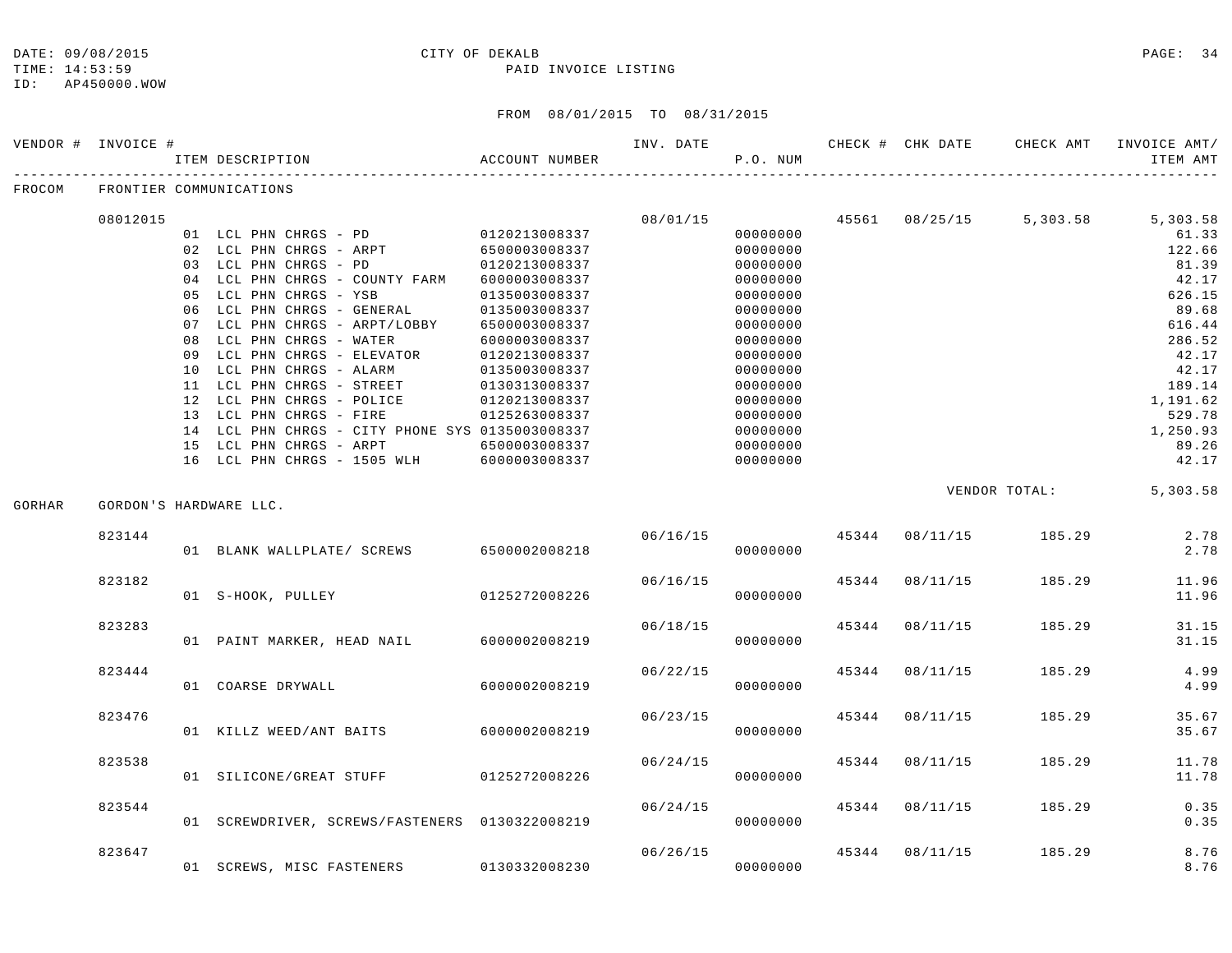ID: AP450000.WOW

#### DATE: 09/08/2015 CITY OF DEKALB PAGE: 34

TIME: 14:53:59 PAID INVOICE LISTING

|        | VENDOR # INVOICE # | ITEM DESCRIPTION<br>-----------------------     | ACCOUNT NUMBER |          | P.O. NUM |       |                |                       | ITEM AMT                         |
|--------|--------------------|-------------------------------------------------|----------------|----------|----------|-------|----------------|-----------------------|----------------------------------|
| FROCOM |                    | FRONTIER COMMUNICATIONS                         |                |          |          |       |                |                       |                                  |
|        | 08012015           |                                                 |                | 08/01/15 |          |       |                |                       | 45561 08/25/15 5,303.58 5,303.58 |
|        |                    | 01 LCL PHN CHRGS - PD 0120213008337             |                |          | 00000000 |       |                |                       | 61.33                            |
|        |                    | 02 LCL PHN CHRGS - ARPT                         | 6500003008337  |          | 00000000 |       |                |                       | 122.66                           |
|        |                    | 03 LCL PHN CHRGS - PD                           | 0120213008337  |          | 00000000 |       |                |                       | 81.39                            |
|        |                    | 04 LCL PHN CHRGS - COUNTY FARM 6000003008337    |                |          | 00000000 |       |                |                       | 42.17                            |
|        |                    | 05 LCL PHN CHRGS - YSB                          | 0135003008337  |          | 00000000 |       |                |                       | 626.15                           |
|        |                    | 06 LCL PHN CHRGS - GENERAL                      | 0135003008337  |          | 00000000 |       |                |                       | 89.68                            |
|        |                    | 07 LCL PHN CHRGS - ARPT/LOBBY                   | 6500003008337  |          | 00000000 |       |                |                       | 616.44                           |
|        |                    | 08 LCL PHN CHRGS - WATER                        | 6000003008337  |          | 00000000 |       |                |                       | 286.52                           |
|        |                    | 09 LCL PHN CHRGS - ELEVATOR                     | 0120213008337  |          | 00000000 |       |                |                       | 42.17                            |
|        |                    | 10 LCL PHN CHRGS - ALARM                        | 0135003008337  |          | 00000000 |       |                |                       | 42.17                            |
|        |                    | 11 LCL PHN CHRGS - STREET                       | 0130313008337  |          | 00000000 |       |                |                       | 189.14                           |
|        |                    | 12 LCL PHN CHRGS - POLICE                       | 0120213008337  |          | 00000000 |       |                |                       | 1,191.62                         |
|        |                    | 13 LCL PHN CHRGS - FIRE                         | 0125263008337  |          | 00000000 |       |                |                       | 529.78                           |
|        |                    | 14 LCL PHN CHRGS - CITY PHONE SYS 0135003008337 |                |          | 00000000 |       |                |                       | 1,250.93                         |
|        |                    | 15 LCL PHN CHRGS - ARPT                         | 6500003008337  |          | 00000000 |       |                |                       | 89.26                            |
|        |                    | 16 LCL PHN CHRGS - 1505 WLH 6000003008337       |                |          | 00000000 |       |                |                       | 42.17                            |
| GORHAR |                    | GORDON'S HARDWARE LLC.                          |                |          |          |       |                |                       | VENDOR TOTAL: 5,303.58           |
|        |                    |                                                 |                |          |          |       |                |                       |                                  |
|        | 823144             |                                                 |                | 06/16/15 |          |       |                | 45344 08/11/15 185.29 | 2.78                             |
|        |                    | 01 BLANK WALLPLATE/ SCREWS 6500002008218        |                |          | 00000000 |       |                |                       | 2.78                             |
|        | 823182             |                                                 |                | 06/16/15 |          |       |                | 45344 08/11/15 185.29 | 11.96                            |
|        |                    | 01 S-HOOK, PULLEY 0125272008226                 |                |          | 00000000 |       |                |                       | 11.96                            |
|        | 823283             |                                                 |                | 06/18/15 |          |       | 45344 08/11/15 | 185.29                | 31.15                            |
|        |                    | 01 PAINT MARKER, HEAD NAIL 6000002008219        |                |          | 00000000 |       |                |                       | 31.15                            |
|        | 823444             |                                                 |                | 06/22/15 |          | 45344 | 08/11/15       | 185.29                | 4.99                             |
|        |                    | 01 COARSE DRYWALL                               | 6000002008219  |          | 00000000 |       |                |                       | 4.99                             |
|        | 823476             |                                                 |                | 06/23/15 |          | 45344 | 08/11/15       | 185.29                | 35.67                            |
|        |                    | 01 KILLZ WEED/ANT BAITS 6000002008219           |                |          | 00000000 |       |                |                       | 35.67                            |
|        | 823538             |                                                 |                | 06/24/15 |          |       | 45344 08/11/15 | 185.29                | 11.78                            |
|        |                    | 01 SILICONE/GREAT STUFF 0125272008226           |                |          | 00000000 |       |                |                       | 11.78                            |
|        | 823544             |                                                 |                | 06/24/15 |          |       | 45344 08/11/15 | 185.29                | 0.35                             |
|        |                    | 01 SCREWDRIVER, SCREWS/FASTENERS 0130322008219  |                |          | 00000000 |       |                |                       | 0.35                             |
|        | 823647             |                                                 |                |          | 06/26/15 | 45344 | 08/11/15       | 185.29                | 8.76                             |
|        |                    | 01 SCREWS, MISC FASTENERS 0130332008230         |                |          | 00000000 |       |                |                       | 8.76                             |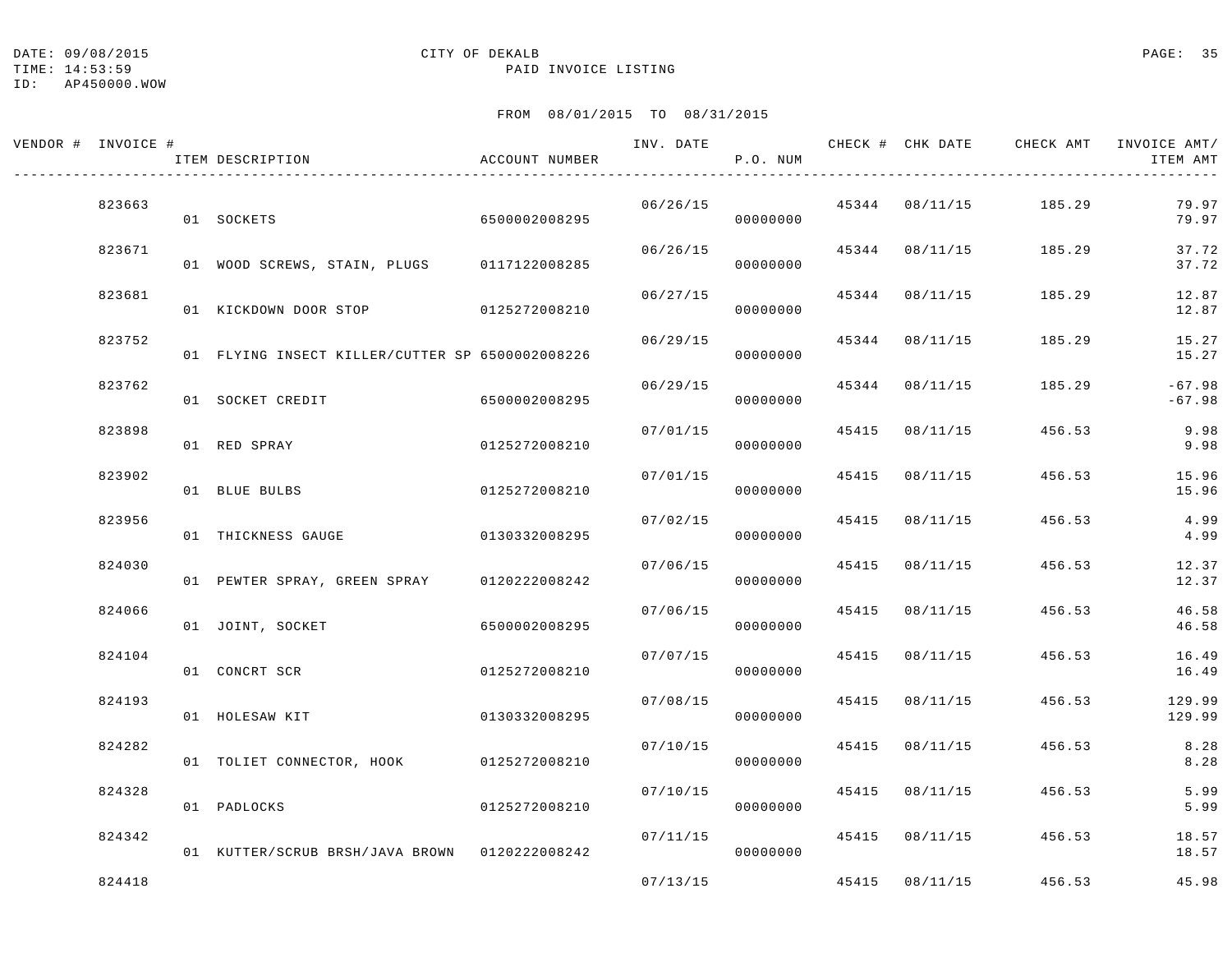DATE:  $09/08/2015$  PAGE: 35

#### TIME: 14:53:59 PAID INVOICE LISTING

ID: AP450000.WOW

| VENDOR # INVOICE # | ITEM DESCRIPTION                                | ACCOUNT NUMBER | INV. DATE | P.O. NUM |       | CHECK # CHK DATE | CHECK AMT             | INVOICE AMT/<br>ITEM AMT |
|--------------------|-------------------------------------------------|----------------|-----------|----------|-------|------------------|-----------------------|--------------------------|
| 823663             | 01 SOCKETS                                      | 6500002008295  | 06/26/15  | 00000000 |       |                  | 45344 08/11/15 185.29 | 79.97<br>79.97           |
| 823671             | 01 WOOD SCREWS, STAIN, PLUGS 0117122008285      |                | 06/26/15  | 00000000 |       | 45344 08/11/15   | 185.29                | 37.72<br>37.72           |
| 823681             | 01 KICKDOWN DOOR STOP 0125272008210             |                | 06/27/15  | 00000000 |       | 45344 08/11/15   | 185.29                | 12.87<br>12.87           |
| 823752             | 01 FLYING INSECT KILLER/CUTTER SP 6500002008226 |                | 06/29/15  | 00000000 | 45344 | 08/11/15         | 185.29                | 15.27<br>15.27           |
| 823762             | 01 SOCKET CREDIT                                | 6500002008295  | 06/29/15  | 00000000 | 45344 | 08/11/15         | 185.29                | $-67.98$<br>$-67.98$     |
| 823898             | 01 RED SPRAY                                    | 0125272008210  | 07/01/15  | 00000000 | 45415 | 08/11/15         | 456.53                | 9.98<br>9.98             |
| 823902             | 01 BLUE BULBS                                   | 0125272008210  | 07/01/15  | 00000000 | 45415 | 08/11/15         | 456.53                | 15.96<br>15.96           |
| 823956             | 01 THICKNESS GAUGE                              | 0130332008295  | 07/02/15  | 00000000 | 45415 | 08/11/15         | 456.53                | 4.99<br>4.99             |
| 824030             | 01 PEWTER SPRAY, GREEN SPRAY                    | 0120222008242  | 07/06/15  | 00000000 | 45415 | 08/11/15         | 456.53                | 12.37<br>12.37           |
| 824066             | 01 JOINT, SOCKET                                | 6500002008295  | 07/06/15  | 00000000 | 45415 | 08/11/15         | 456.53                | 46.58<br>46.58           |
| 824104             | 01 CONCRT SCR                                   | 0125272008210  | 07/07/15  | 00000000 | 45415 | 08/11/15         | 456.53                | 16.49<br>16.49           |
| 824193             | 01 HOLESAW KIT                                  | 0130332008295  | 07/08/15  | 00000000 | 45415 | 08/11/15         | 456.53                | 129.99<br>129.99         |
| 824282             | 01 TOLIET CONNECTOR, HOOK                       | 0125272008210  | 07/10/15  | 00000000 | 45415 | 08/11/15         | 456.53                | 8.28<br>8.28             |
| 824328             | 01 PADLOCKS                                     | 0125272008210  | 07/10/15  | 00000000 | 45415 | 08/11/15         | 456.53                | 5.99<br>5.99             |
| 824342             | 01 KUTTER/SCRUB BRSH/JAVA BROWN 0120222008242   |                | 07/11/15  | 00000000 |       | 45415 08/11/15   | 456.53                | 18.57<br>18.57           |
| 824418             |                                                 |                | 07/13/15  |          |       | 45415 08/11/15   | 456.53                | 45.98                    |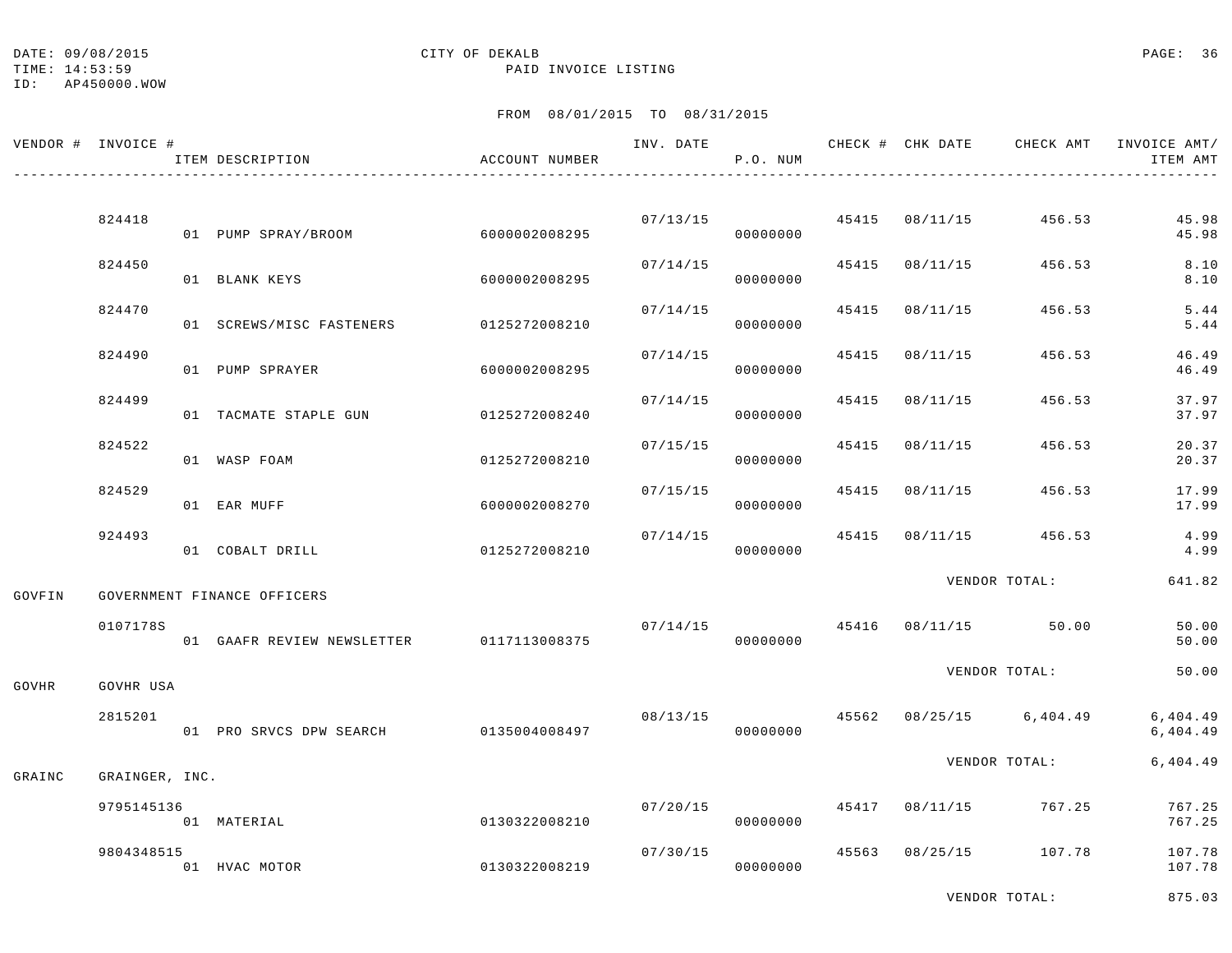TIME: 14:53:59 PAID INVOICE LISTING

#### FROM 08/01/2015 TO 08/31/2015

|        | VENDOR # INVOICE # |  | ITEM DESCRIPTION                      | ACCOUNT NUMBER |                      | INV. DATE<br>P.O. NUM |               |                         | CHECK # CHK DATE CHECK AMT               | INVOICE AMT/<br>ITEM AMT |
|--------|--------------------|--|---------------------------------------|----------------|----------------------|-----------------------|---------------|-------------------------|------------------------------------------|--------------------------|
|        | 824418             |  | 01 PUMP SPRAY/BROOM 6000002008295     |                |                      | 00000000              |               | 07/13/15 45415 08/11/15 | 456.53                                   | 45.98<br>45.98           |
|        | 824450             |  | 01 BLANK KEYS                         | 6000002008295  | 07/14/15             | 00000000              |               |                         | 45415 08/11/15 456.53                    | 8.10<br>8.10             |
|        | 824470             |  | 01 SCREWS/MISC FASTENERS              | 0125272008210  | 07/14/15             | 00000000              |               | 45415 08/11/15          | 456.53                                   | 5.44<br>5.44             |
|        | 824490             |  | 01 PUMP SPRAYER                       | 6000002008295  | 07/14/15             | 00000000              | 45415         | 08/11/15                | 456.53                                   | 46.49<br>46.49           |
|        | 824499             |  | 01 TACMATE STAPLE GUN                 | 0125272008240  | 07/14/15             | 00000000              | 45415         | 08/11/15                | 456.53                                   | 37.97<br>37.97           |
|        | 824522             |  | 01 WASP FOAM                          | 0125272008210  | 07/15/15             | 00000000              |               | 45415 08/11/15          | 456.53                                   | 20.37<br>20.37           |
|        | 824529             |  | 01 EAR MUFF                           | 6000002008270  | 07/15/15             | 00000000              |               | 45415 08/11/15          | 456.53                                   | 17.99<br>17.99           |
|        | 924493             |  | 01 COBALT DRILL                       | 0125272008210  | 07/14/15             | 00000000              | 45415         | 08/11/15                | 456.53                                   | 4.99<br>4.99             |
| GOVFIN |                    |  | GOVERNMENT FINANCE OFFICERS           |                |                      |                       | VENDOR TOTAL: | 641.82                  |                                          |                          |
|        | 0107178S           |  | 01 GAAFR REVIEW NEWSLETTER            | 0117113008375  | 07/14/15             | 00000000              |               |                         | 45416 08/11/15 50.00                     | 50.00<br>50.00           |
| GOVHR  | GOVHR USA          |  |                                       |                |                      |                       | VENDOR TOTAL: |                         | 50.00                                    |                          |
|        | 2815201            |  | 01 PRO SRVCS DPW SEARCH 0135004008497 |                |                      | 00000000              |               |                         | $08/13/15$ $45562$ $08/25/15$ $6,404.49$ | 6,404.49<br>6,404.49     |
| GRAINC | GRAINGER, INC.     |  |                                       |                |                      |                       |               |                         | VENDOR TOTAL:                            | 6,404.49                 |
|        | 9795145136         |  | 01 MATERIAL                           | 0130322008210  | 07/20/15             | 00000000              |               |                         | 45417 08/11/15 767.25                    | 767.25<br>767.25         |
|        | 9804348515         |  | 01 HVAC MOTOR                         | 0130322008219  | 07/30/15<br>00000000 |                       |               |                         | 45563 08/25/15 107.78                    | 107.78<br>107.78         |

VENDOR TOTAL: 875.03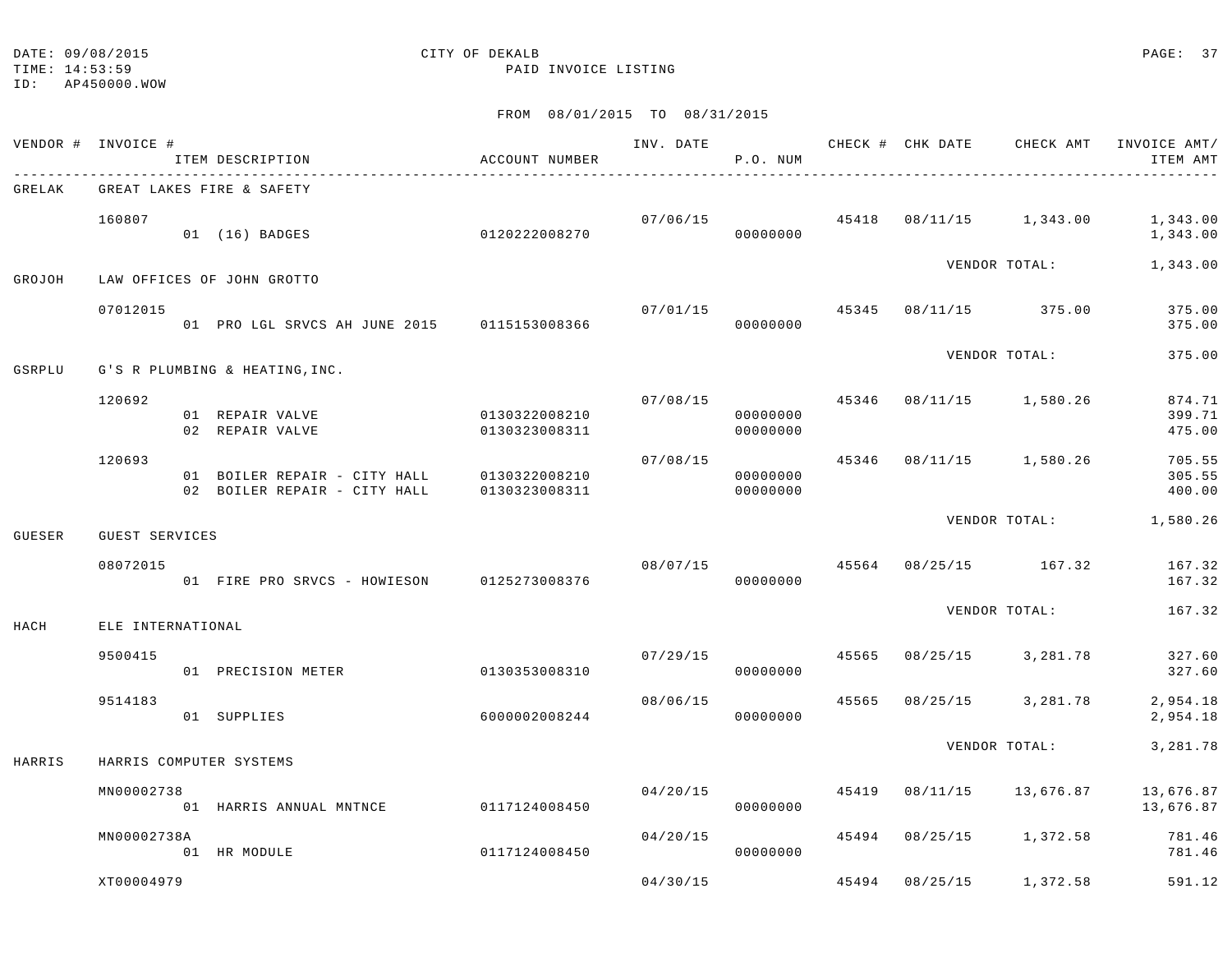ID: AP450000.WOW

|        | VENDOR # INVOICE # | ITEM DESCRIPTION<br>----------------------                                 | ACCOUNT NUMBER                 |          | P.O. NUM             |       |          |                         | INV. DATE 6 1992 CHECK # CHK DATE 6 CHECK AMT INVOICE AMT/<br>ITEM AMT |
|--------|--------------------|----------------------------------------------------------------------------|--------------------------------|----------|----------------------|-------|----------|-------------------------|------------------------------------------------------------------------|
| GRELAK |                    | GREAT LAKES FIRE & SAFETY                                                  |                                |          |                      |       |          |                         |                                                                        |
|        | 160807             | 01 (16) BADGES                                                             | 0120222008270                  |          | 07/06/15<br>00000000 |       |          | 45418 08/11/15 1,343.00 | 1,343.00<br>1,343.00                                                   |
| GROJOH |                    | LAW OFFICES OF JOHN GROTTO                                                 |                                |          |                      |       |          | VENDOR TOTAL:           | 1,343.00                                                               |
|        | 07012015           | 01 PRO LGL SRVCS AH JUNE 2015 0115153008366                                |                                | 07/01/15 | 00000000             |       |          | 45345 08/11/15 375.00   | 375.00<br>375.00                                                       |
| GSRPLU |                    | G'S R PLUMBING & HEATING, INC.                                             |                                |          |                      |       |          | VENDOR TOTAL:           | 375.00                                                                 |
|        | 120692             | 01 REPAIR VALVE<br>02 REPAIR VALVE                                         | 0130322008210<br>0130323008311 | 07/08/15 | 00000000<br>00000000 | 45346 |          | 08/11/15 1,580.26       | 874.71<br>399.71<br>475.00                                             |
|        | 120693             | 01 BOILER REPAIR - CITY HALL 0130322008210<br>02 BOILER REPAIR - CITY HALL | 0130323008311                  | 07/08/15 | 00000000<br>00000000 | 45346 |          | 08/11/15 1,580.26       | 705.55<br>305.55<br>400.00                                             |
| GUESER | GUEST SERVICES     |                                                                            |                                |          |                      |       |          | VENDOR TOTAL:           | 1,580.26                                                               |
|        | 08072015           | 01 FIRE PRO SRVCS - HOWIESON 0125273008376                                 |                                |          | 08/07/15<br>00000000 | 45564 |          | 08/25/15 167.32         | 167.32<br>167.32                                                       |
| HACH   | ELE INTERNATIONAL  |                                                                            |                                |          |                      |       |          | VENDOR TOTAL:           | 167.32                                                                 |
|        | 9500415            | 01 PRECISION METER                                                         | 0130353008310                  | 07/29/15 | 00000000             | 45565 |          | 08/25/15 3,281.78       | 327.60<br>327.60                                                       |
|        | 9514183            | 01 SUPPLIES                                                                | 6000002008244                  | 08/06/15 | 00000000             | 45565 |          | 08/25/15 3,281.78       | 2,954.18<br>2,954.18                                                   |
| HARRIS |                    | HARRIS COMPUTER SYSTEMS                                                    |                                |          |                      |       |          | VENDOR TOTAL:           | 3,281.78                                                               |
|        | MN00002738         | 01 HARRIS ANNUAL MNTNCE                                                    | 0117124008450                  | 04/20/15 | 00000000             | 45419 | 08/11/15 | 13,676.87               | 13,676.87<br>13,676.87                                                 |
|        | MN00002738A        | 01 HR MODULE                                                               | 0117124008450                  | 04/20/15 | 00000000             | 45494 |          | 08/25/15 1,372.58       | 781.46<br>781.46                                                       |
|        | XT00004979         |                                                                            |                                | 04/30/15 |                      | 45494 | 08/25/15 | 1,372.58                | 591.12                                                                 |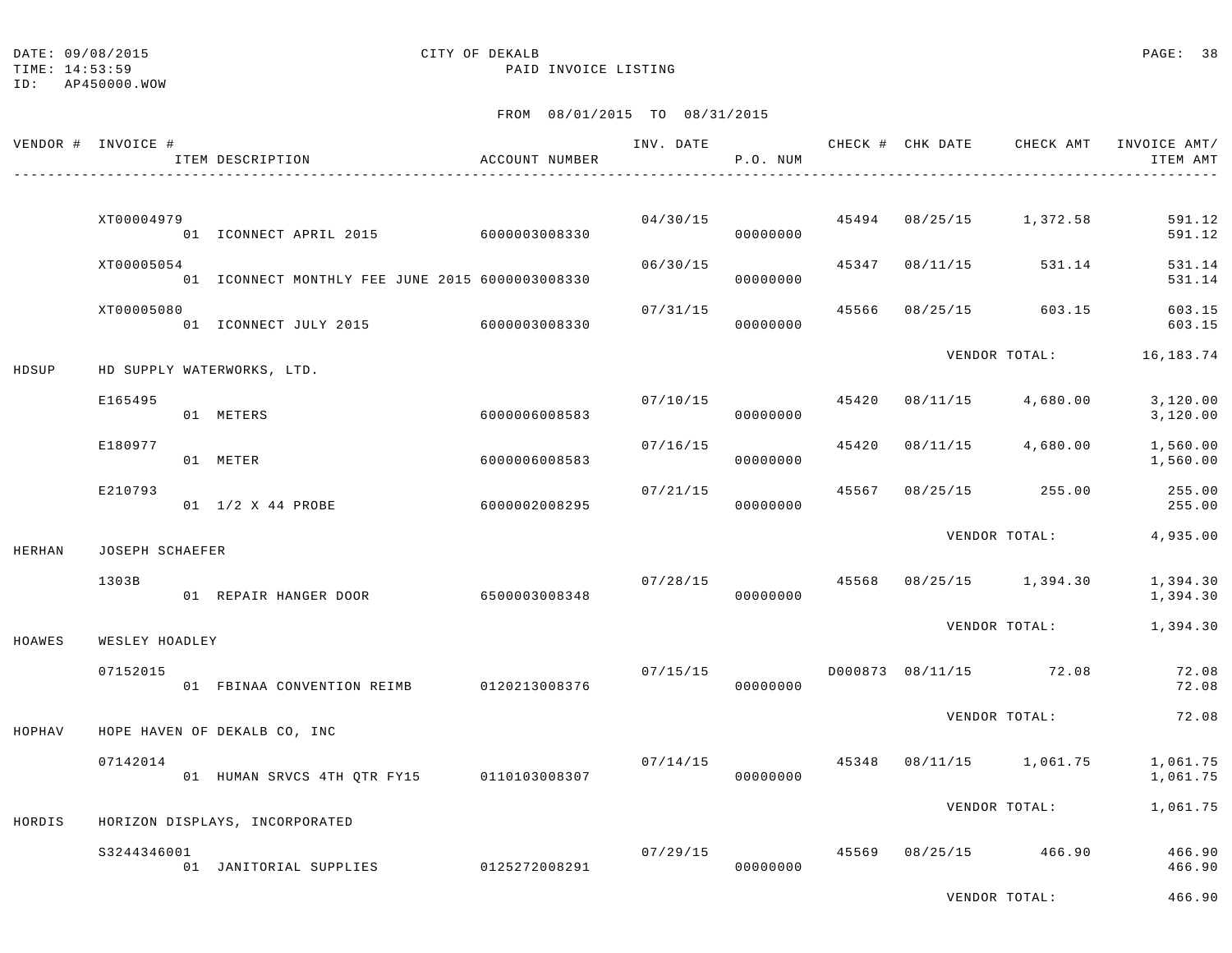DATE:  $09/08/2015$  PAGE: 38

## TIME: 14:53:59 PAID INVOICE LISTING

ID: AP450000.WOW

# FROM 08/01/2015 TO 08/31/2015

|        | VENDOR # INVOICE # | ITEM DESCRIPTION                                | ACCOUNT NUMBER |          | P.O. NUM                   |       |                | INV. DATE 6 CHECK # CHK DATE CHECK AMT | INVOICE AMT/<br>ITEM AMT |
|--------|--------------------|-------------------------------------------------|----------------|----------|----------------------------|-------|----------------|----------------------------------------|--------------------------|
|        | XT00004979         | 01 ICONNECT APRIL 2015 6000003008330            |                | 04/30/15 | 00000000                   |       |                | 45494 08/25/15 1,372.58                | 591.12<br>591.12         |
|        | XT00005054         | 01 ICONNECT MONTHLY FEE JUNE 2015 6000003008330 |                | 06/30/15 | 00000000                   | 45347 | 08/11/15       | 531.14                                 | 531.14<br>531.14         |
|        | XT00005080         | 01 ICONNECT JULY 2015 6000003008330             |                | 07/31/15 | 00000000                   | 45566 | 08/25/15       | 603.15                                 | 603.15<br>603.15         |
| HDSUP  |                    | HD SUPPLY WATERWORKS, LTD.                      |                |          |                            |       |                | VENDOR TOTAL:                          | 16,183.74                |
|        | E165495            | 01 METERS                                       | 6000006008583  |          | 07/10/15<br>00000000       | 45420 |                | 08/11/15 4,680.00                      | 3,120.00<br>3,120.00     |
|        | E180977            | 01 METER                                        | 6000006008583  | 07/16/15 | 00000000                   | 45420 |                | 08/11/15 4,680.00                      | 1,560.00<br>1,560.00     |
|        | E210793            | 01 1/2 X 44 PROBE                               | 6000002008295  | 07/21/15 | 00000000                   |       | 45567 08/25/15 | 255.00                                 | 255.00<br>255.00         |
| HERHAN | JOSEPH SCHAEFER    |                                                 |                |          |                            |       |                | VENDOR TOTAL:                          | 4,935.00                 |
|        | 1303B              | 01 REPAIR HANGER DOOR 6500003008348             |                |          | 07/28/15 45568<br>00000000 |       |                | 08/25/15 1,394.30                      | 1,394.30<br>1,394.30     |
| HOAWES | WESLEY HOADLEY     |                                                 |                |          |                            |       |                | VENDOR TOTAL:                          | 1,394.30                 |
|        | 07152015           | 01 FBINAA CONVENTION REIMB 0120213008376        |                | 07/15/15 | 00000000                   |       |                | D000873 08/11/15 72.08                 | 72.08<br>72.08           |
| HOPHAV |                    | HOPE HAVEN OF DEKALB CO, INC                    |                |          |                            |       |                | VENDOR TOTAL:                          | 72.08                    |
|        | 07142014           | 01 HUMAN SRVCS 4TH QTR FY15 0110103008307       |                |          | 07/14/15<br>00000000       | 45348 |                | 08/11/15 1,061.75                      | 1,061.75<br>1,061.75     |
| HORDIS |                    | HORIZON DISPLAYS, INCORPORATED                  |                |          |                            |       |                | VENDOR TOTAL:                          | 1,061.75                 |
|        | S3244346001        | 01 JANITORIAL SUPPLIES                          | 0125272008291  | 07/29/15 | 00000000                   |       | 45569 08/25/15 | 466.90                                 | 466.90<br>466.90         |

VENDOR TOTAL: 466.90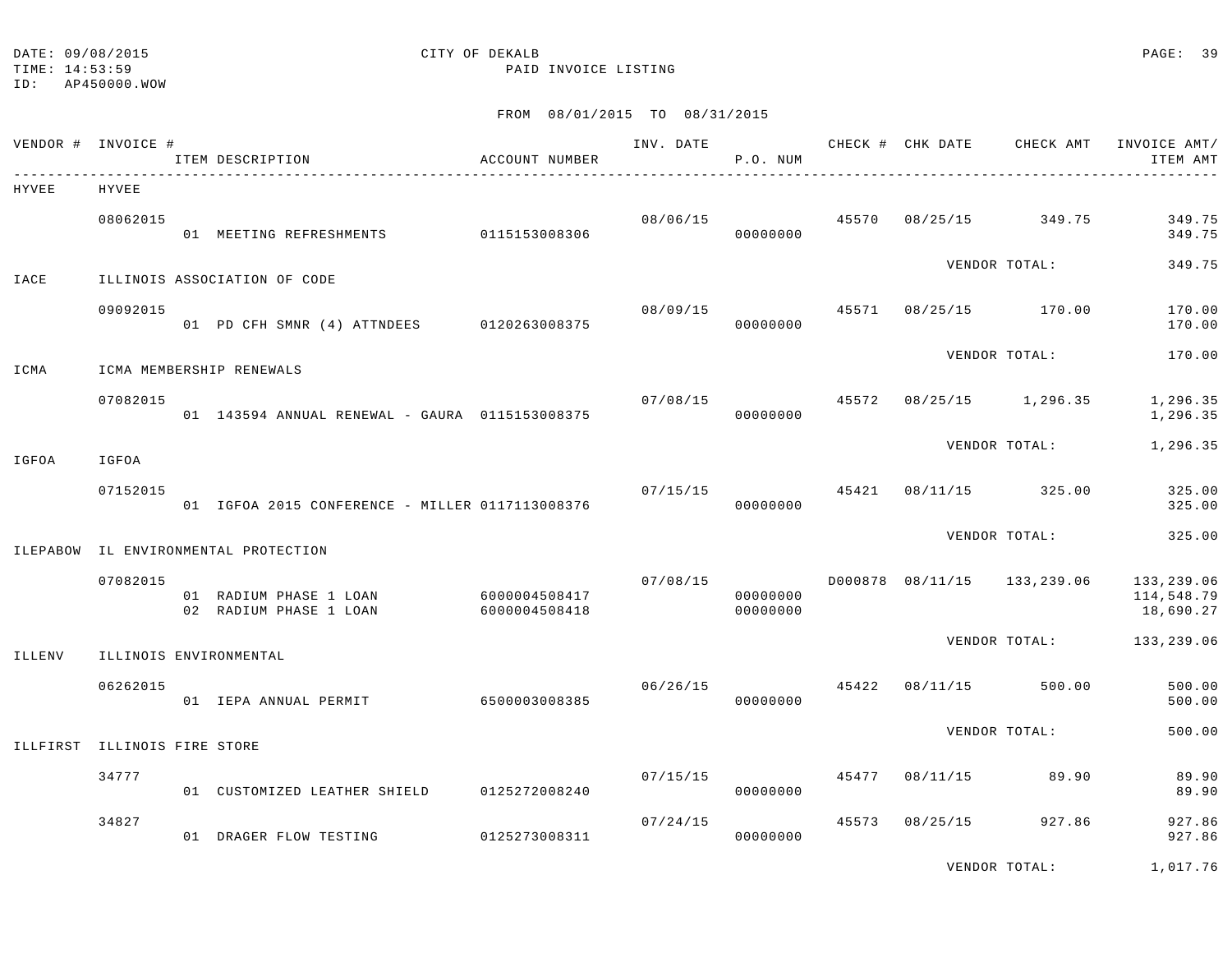# DATE:  $09/08/2015$  PAGE: 39

TIME: 14:53:59 PAID INVOICE LISTING

| VENDOR # INVOICE # |                     | ITEM DESCRIPTION                                 | ACCOUNT NUMBER                 | INV. DATE | P.O. NUM             |       |          | CHECK # CHK DATE CHECK AMT  | INVOICE AMT/<br>ITEM AMT              |
|--------------------|---------------------|--------------------------------------------------|--------------------------------|-----------|----------------------|-------|----------|-----------------------------|---------------------------------------|
| HYVEE              | HYVEE               |                                                  |                                |           |                      |       |          |                             |                                       |
|                    | 08062015            | 01 MEETING REFRESHMENTS 0115153008306            |                                | 08/06/15  | 00000000             | 45570 | 08/25/15 | 349.75                      | 349.75<br>349.75                      |
| IACE               |                     | ILLINOIS ASSOCIATION OF CODE                     |                                |           |                      |       |          | VENDOR TOTAL:               | 349.75                                |
|                    | 09092015            | 01 PD CFH SMNR (4) ATTNDEES 0120263008375        |                                | 08/09/15  | 00000000             | 45571 |          | 08/25/15 170.00             | 170.00<br>170.00                      |
| ICMA               |                     | ICMA MEMBERSHIP RENEWALS                         |                                |           |                      |       |          | VENDOR TOTAL:               | 170.00                                |
|                    | 07082015            | 01 143594 ANNUAL RENEWAL - GAURA 0115153008375   |                                |           | 07/08/15<br>00000000 | 45572 | 08/25/15 | 1,296.35                    | 1,296.35<br>1,296.35                  |
| IGFOA              | IGFOA               |                                                  |                                |           |                      |       |          | VENDOR TOTAL:               | 1,296.35                              |
|                    | 07152015            | 01 IGFOA 2015 CONFERENCE - MILLER 0117113008376  |                                |           | 07/15/15<br>00000000 | 45421 |          | 08/11/15 325.00             | 325.00<br>325.00                      |
| ILEPABOW           |                     | IL ENVIRONMENTAL PROTECTION                      |                                |           |                      |       |          | VENDOR TOTAL:               | 325.00                                |
|                    | 07082015            | 01 RADIUM PHASE 1 LOAN<br>02 RADIUM PHASE 1 LOAN | 6000004508417<br>6000004508418 | 07/08/15  | 00000000<br>00000000 |       |          | D000878 08/11/15 133,239.06 | 133,239.06<br>114,548.79<br>18,690.27 |
| ILLENV             |                     | ILLINOIS ENVIRONMENTAL                           |                                |           |                      |       |          | VENDOR TOTAL:               | 133,239.06                            |
|                    | 06262015            | 01 IEPA ANNUAL PERMIT                            | 6500003008385                  | 06/26/15  | 00000000             | 45422 | 08/11/15 | 500.00                      | 500.00<br>500.00                      |
| ILLFIRST           | ILLINOIS FIRE STORE |                                                  |                                |           |                      |       |          | VENDOR TOTAL:               | 500.00                                |
|                    | 34777               | 01 CUSTOMIZED LEATHER SHIELD                     | 0125272008240                  | 07/15/15  | 00000000             | 45477 | 08/11/15 | 89.90                       | 89.90<br>89.90                        |
|                    | 34827               | 01 DRAGER FLOW TESTING                           | 0125273008311                  | 07/24/15  | 00000000             | 45573 | 08/25/15 | 927.86                      | 927.86<br>927.86                      |
|                    |                     |                                                  |                                |           |                      |       |          | VENDOR TOTAL:               | 1,017.76                              |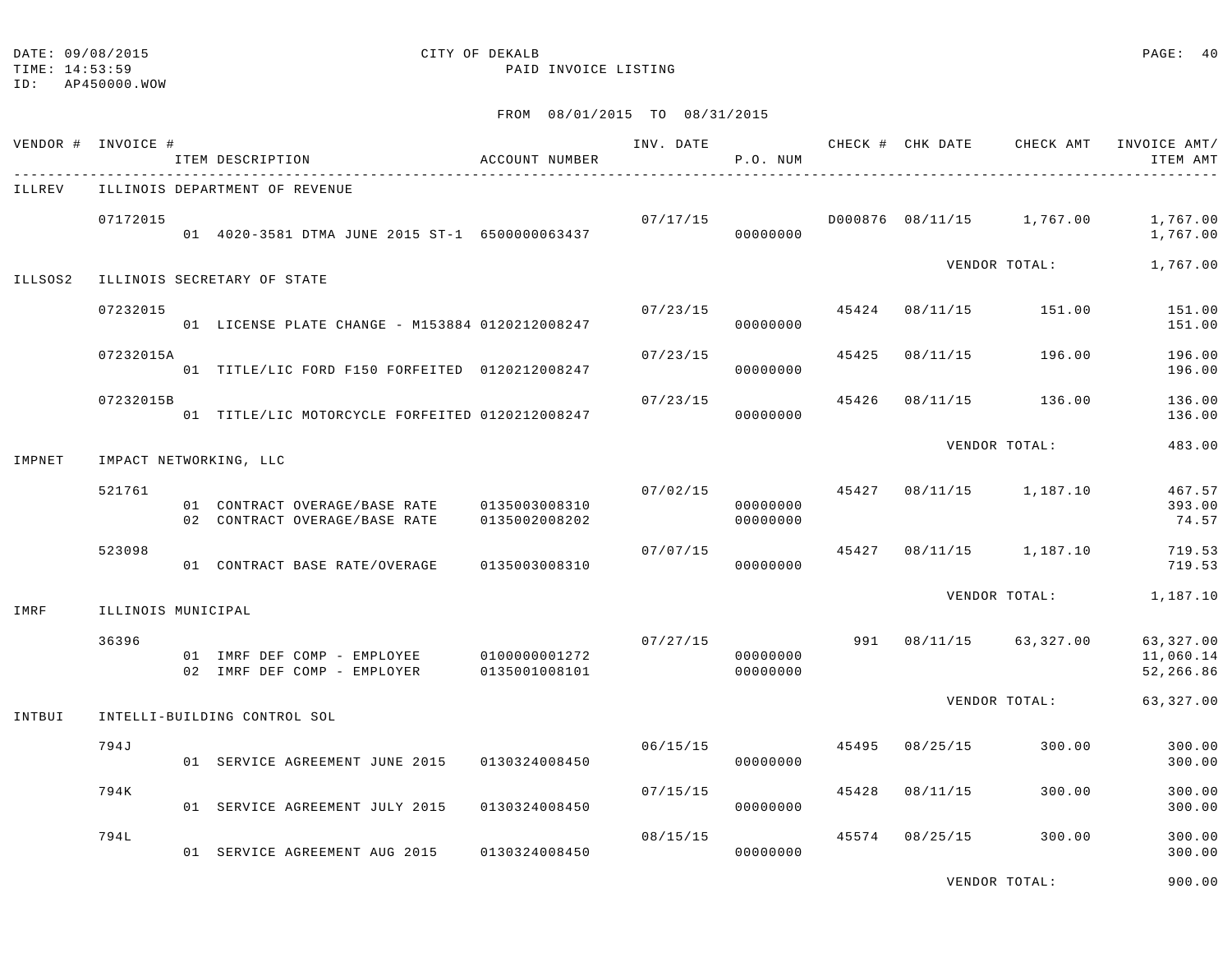# FROM 08/01/2015 TO 08/31/2015

|         | VENDOR # INVOICE # | ITEM DESCRIPTION                                                         | ACCOUNT NUMBER |          | P.O. NUM                         |       |                | INV. DATE CHECK # CHK DATE CHECK AMT INVOICE AMT/ | ITEM AMT                            |
|---------|--------------------|--------------------------------------------------------------------------|----------------|----------|----------------------------------|-------|----------------|---------------------------------------------------|-------------------------------------|
| ILLREV  |                    | ILLINOIS DEPARTMENT OF REVENUE                                           |                |          |                                  |       |                |                                                   |                                     |
|         | 07172015           | 01 4020-3581 DTMA JUNE 2015 ST-1 6500000063437                           |                |          | 00000000                         |       |                | $07/17/15$ $0000876$ $08/11/15$ $1,767.00$        | 1,767.00<br>1,767.00                |
| ILLSOS2 |                    | ILLINOIS SECRETARY OF STATE                                              |                |          |                                  |       |                | VENDOR TOTAL:                                     | 1,767.00                            |
|         |                    |                                                                          |                |          |                                  |       |                |                                                   |                                     |
|         | 07232015           | 01 LICENSE PLATE CHANGE - M153884 0120212008247                          |                | 07/23/15 | 00000000                         | 45424 | 08/11/15       | 151.00                                            | 151.00<br>151.00                    |
|         | 07232015A          | 01 TITLE/LIC FORD F150 FORFEITED 0120212008247                           |                | 07/23/15 | 00000000                         | 45425 |                | 08/11/15 196.00                                   | 196.00<br>196.00                    |
|         | 07232015B          | 01 TITLE/LIC MOTORCYCLE FORFEITED 0120212008247                          |                | 07/23/15 | 00000000                         | 45426 | 08/11/15       | 136.00                                            | 136.00<br>136.00                    |
| IMPNET  |                    | IMPACT NETWORKING, LLC                                                   |                |          |                                  |       |                | VENDOR TOTAL:                                     | 483.00                              |
|         |                    |                                                                          |                |          |                                  |       |                |                                                   |                                     |
|         | 521761             | 02 CONTRACT OVERAGE/BASE RATE                                            | 0135002008202  |          | 00000000<br>00000000             |       |                | $07/02/15$ 45427 08/11/15 1,187.10                | 467.57<br>393.00<br>74.57           |
|         | 523098             | 01 CONTRACT BASE RATE/OVERAGE                                            | 0135003008310  | 07/07/15 | 00000000                         |       |                | 45427 08/11/15 1,187.10                           | 719.53<br>719.53                    |
|         |                    |                                                                          |                |          |                                  |       |                | VENDOR TOTAL:                                     | 1,187.10                            |
| IMRF    | ILLINOIS MUNICIPAL |                                                                          |                |          |                                  |       |                |                                                   |                                     |
|         | 36396              | 01 IMRF DEF COMP - EMPLOYEE 0100000001272<br>02 IMRF DEF COMP - EMPLOYER | 0135001008101  |          | 07/27/15<br>00000000<br>00000000 |       |                | 991 08/11/15 63,327.00                            | 63,327.00<br>11,060.14<br>52,266.86 |
| INTBUI  |                    | INTELLI-BUILDING CONTROL SOL                                             |                |          |                                  |       |                | VENDOR TOTAL:                                     | 63,327.00                           |
|         |                    |                                                                          |                |          |                                  |       |                |                                                   |                                     |
|         | 794J               | 01 SERVICE AGREEMENT JUNE 2015 0130324008450                             |                | 06/15/15 | 00000000                         | 45495 | 08/25/15       | 300.00                                            | 300.00<br>300.00                    |
|         | 794K               | 01 SERVICE AGREEMENT JULY 2015 0130324008450                             |                | 07/15/15 | 00000000                         |       | 45428 08/11/15 | 300.00                                            | 300.00<br>300.00                    |
|         | 794L               | 01 SERVICE AGREEMENT AUG 2015 0130324008450                              |                | 08/15/15 | 00000000                         | 45574 | 08/25/15       | 300.00                                            | 300.00<br>300.00                    |

VENDOR TOTAL: 900.00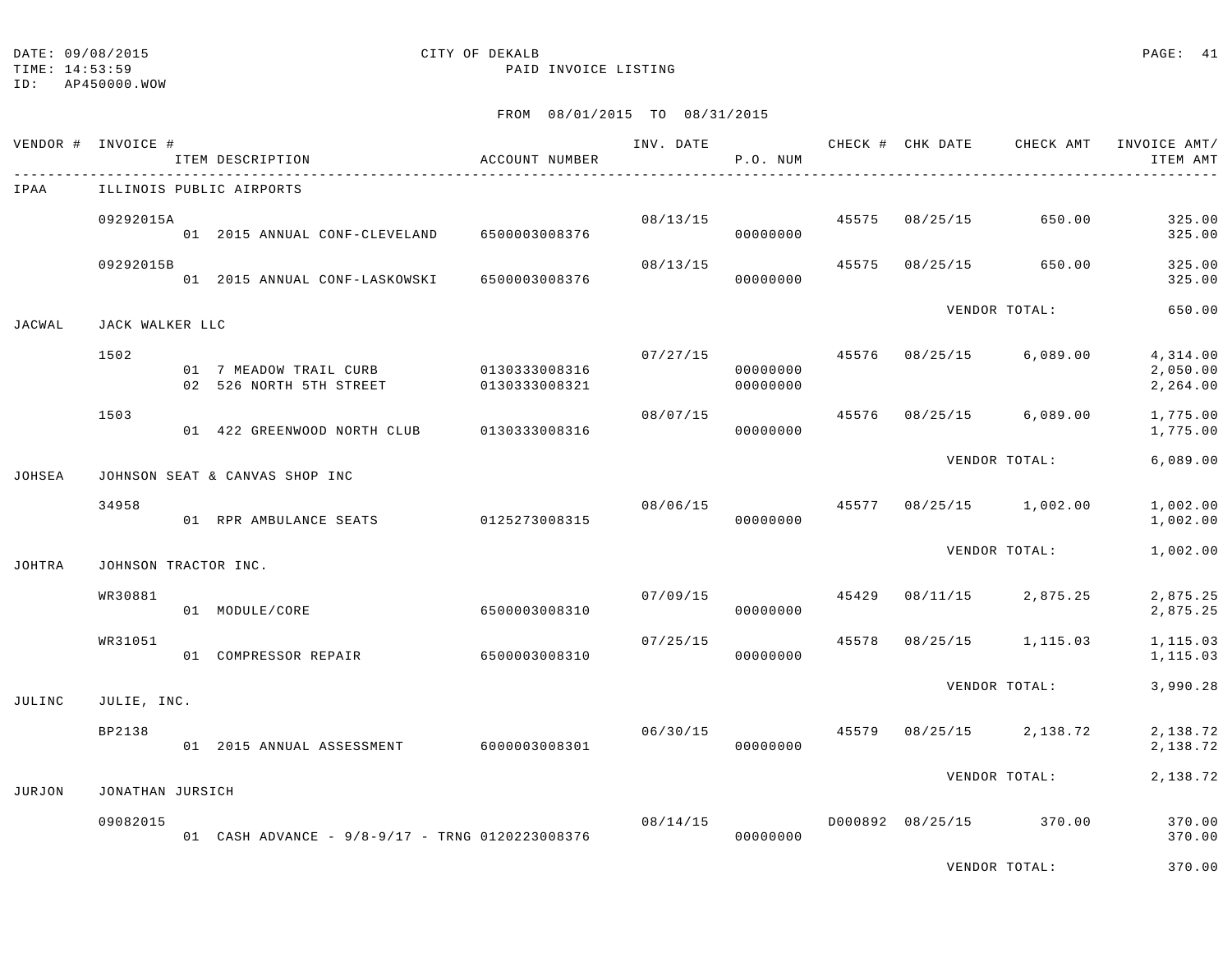ID: AP450000.WOW

## TIME: 14:53:59 PAID INVOICE LISTING

|               | VENDOR # INVOICE #   | ITEM DESCRIPTION                                                | ACCOUNT NUMBER | INV. DATE | P.O. NUM             |       |          | CHECK # CHK DATE CHECK AMT | INVOICE AMT/<br>ITEM AMT         |
|---------------|----------------------|-----------------------------------------------------------------|----------------|-----------|----------------------|-------|----------|----------------------------|----------------------------------|
| IPAA          |                      | ILLINOIS PUBLIC AIRPORTS                                        |                |           |                      |       |          |                            |                                  |
|               | 09292015A            | 01 2015 ANNUAL CONF-CLEVELAND                                   | 6500003008376  | 08/13/15  | 00000000             | 45575 | 08/25/15 | 650.00                     | 325.00<br>325.00                 |
|               | 09292015B            | 01 2015 ANNUAL CONF-LASKOWSKI                                   | 6500003008376  | 08/13/15  | 00000000             | 45575 | 08/25/15 | 650.00                     | 325.00<br>325.00                 |
| JACWAL        | JACK WALKER LLC      |                                                                 |                |           |                      |       |          | VENDOR TOTAL:              | 650.00                           |
|               | 1502                 | 01 7 MEADOW TRAIL CURB 0130333008316<br>02 526 NORTH 5TH STREET | 0130333008321  | 07/27/15  | 00000000<br>00000000 | 45576 | 08/25/15 | 6,089.00                   | 4,314.00<br>2,050.00<br>2,264.00 |
|               | 1503                 | 01 422 GREENWOOD NORTH CLUB                                     | 0130333008316  | 08/07/15  | 00000000             | 45576 |          | $08/25/15$ 6,089.00        | 1,775.00<br>1,775.00             |
| JOHSEA        |                      | JOHNSON SEAT & CANVAS SHOP INC                                  |                |           |                      |       |          | VENDOR TOTAL:              | 6,089.00                         |
|               | 34958                | 01 RPR AMBULANCE SEATS                                          | 0125273008315  |           | 08/06/15<br>00000000 |       |          | 45577 08/25/15 1,002.00    | 1,002.00<br>1,002.00             |
| <b>JOHTRA</b> | JOHNSON TRACTOR INC. |                                                                 |                |           |                      |       |          | VENDOR TOTAL:              | 1,002.00                         |
|               | WR30881              | 01 MODULE/CORE                                                  | 6500003008310  |           | 07/09/15<br>00000000 | 45429 | 08/11/15 | 2,875.25                   | 2,875.25<br>2,875.25             |
|               | WR31051              | 01 COMPRESSOR REPAIR                                            | 6500003008310  | 07/25/15  | 00000000             | 45578 | 08/25/15 | 1,115.03                   | 1,115.03<br>1,115.03             |
| JULINC        | JULIE, INC.          |                                                                 |                |           |                      |       |          | VENDOR TOTAL:              | 3,990.28                         |
|               | BP2138               | 01 2015 ANNUAL ASSESSMENT 6000003008301                         |                | 06/30/15  | 45579<br>00000000    |       |          | $08/25/15$ 2,138.72        | 2,138.72<br>2,138.72             |
| JURJON        | JONATHAN JURSICH     |                                                                 |                |           |                      |       |          | VENDOR TOTAL:              | 2,138.72                         |
|               | 09082015             | 01 CASH ADVANCE - 9/8-9/17 - TRNG 0120223008376                 |                | 08/14/15  | 00000000             |       |          | D000892 08/25/15 370.00    | 370.00<br>370.00                 |
|               |                      |                                                                 |                |           |                      |       |          | VENDOR TOTAL:              | 370.00                           |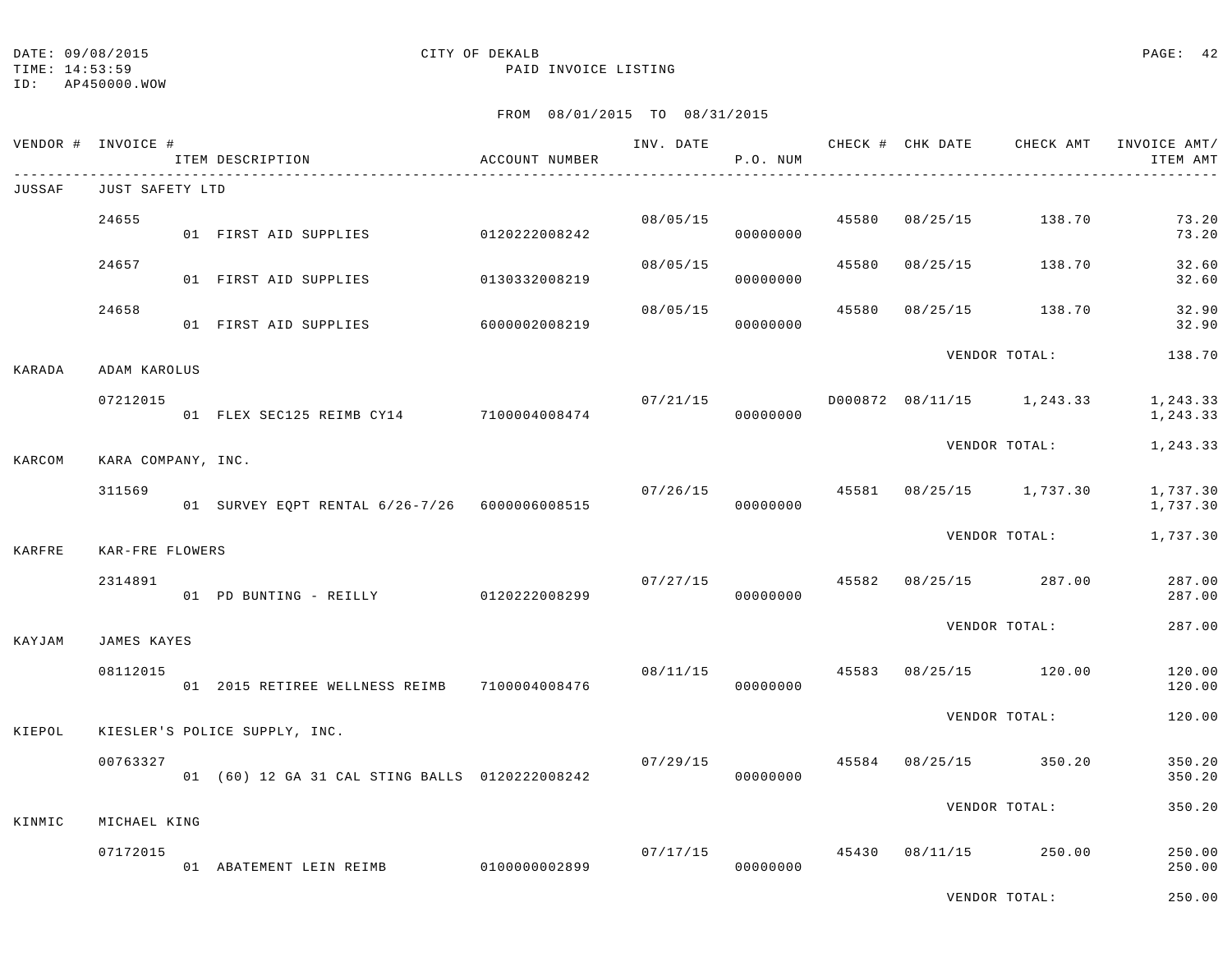TIME: 14:53:59 PAID INVOICE LISTING

ID: AP450000.WOW

# FROM 08/01/2015 TO 08/31/2015

| VENDOR # | INVOICE #                  | ITEM DESCRIPTION                               | ACCOUNT NUMBER | INV. DATE | P.O. NUM             |       | CHECK # CHK DATE | CHECK AMT                 | INVOICE AMT/<br>ITEM AMT |
|----------|----------------------------|------------------------------------------------|----------------|-----------|----------------------|-------|------------------|---------------------------|--------------------------|
| JUSSAF   | JUST SAFETY LTD            |                                                |                |           |                      |       |                  |                           |                          |
|          | 24655                      | 01 FIRST AID SUPPLIES                          | 0120222008242  | 08/05/15  | 00000000             | 45580 | 08/25/15         | 138.70                    | 73.20<br>73.20           |
|          | 24657                      | 01 FIRST AID SUPPLIES                          | 0130332008219  | 08/05/15  | 00000000             | 45580 | 08/25/15         | 138.70                    | 32.60<br>32.60           |
|          | 24658                      | 01 FIRST AID SUPPLIES                          | 6000002008219  | 08/05/15  | 00000000             | 45580 | 08/25/15         | 138.70                    | 32.90<br>32.90           |
| KARADA   | ADAM KAROLUS               |                                                |                |           |                      |       |                  | VENDOR TOTAL:             | 138.70                   |
|          | 07212015                   | 01 FLEX SEC125 REIMB CY14 7100004008474        |                | 07/21/15  | 00000000             |       |                  | D000872 08/11/15 1,243.33 | 1,243.33<br>1,243.33     |
| KARCOM   | KARA COMPANY, INC.         |                                                |                |           |                      |       |                  | VENDOR TOTAL:             | 1,243.33                 |
|          | 311569                     | 01 SURVEY EQPT RENTAL 6/26-7/26 6000006008515  |                | 07/26/15  | 00000000             |       |                  | 45581 08/25/15 1,737.30   | 1,737.30<br>1,737.30     |
|          |                            |                                                |                |           |                      |       |                  | VENDOR TOTAL:             | 1,737.30                 |
| KARFRE   | KAR-FRE FLOWERS<br>2314891 | 01 PD BUNTING - REILLY 0120222008299           |                |           | 07/27/15<br>00000000 | 45582 | 08/25/15         | 287.00                    | 287.00<br>287.00         |
| KAYJAM   | JAMES KAYES                |                                                |                |           |                      |       |                  | VENDOR TOTAL:             | 287.00                   |
|          | 08112015                   | 01  2015 RETIREE WELLNESS REIMB  7100004008476 |                | 08/11/15  | 00000000             |       |                  | 45583 08/25/15 120.00     | 120.00<br>120.00         |
| KIEPOL   |                            | KIESLER'S POLICE SUPPLY, INC.                  |                |           |                      |       |                  | VENDOR TOTAL:             | 120.00                   |
|          | 00763327                   | 01 (60) 12 GA 31 CAL STING BALLS 0120222008242 |                | 07/29/15  | 00000000             | 45584 | 08/25/15         | 350.20                    | 350.20<br>350.20         |
| KINMIC   | MICHAEL KING               |                                                |                |           |                      |       |                  | VENDOR TOTAL:             | 350.20                   |
|          | 07172015                   | 01 ABATEMENT LEIN REIMB                        | 0100000002899  | 07/17/15  | 00000000             |       | 45430 08/11/15   | 250.00                    | 250.00<br>250.00         |

VENDOR TOTAL: 250.00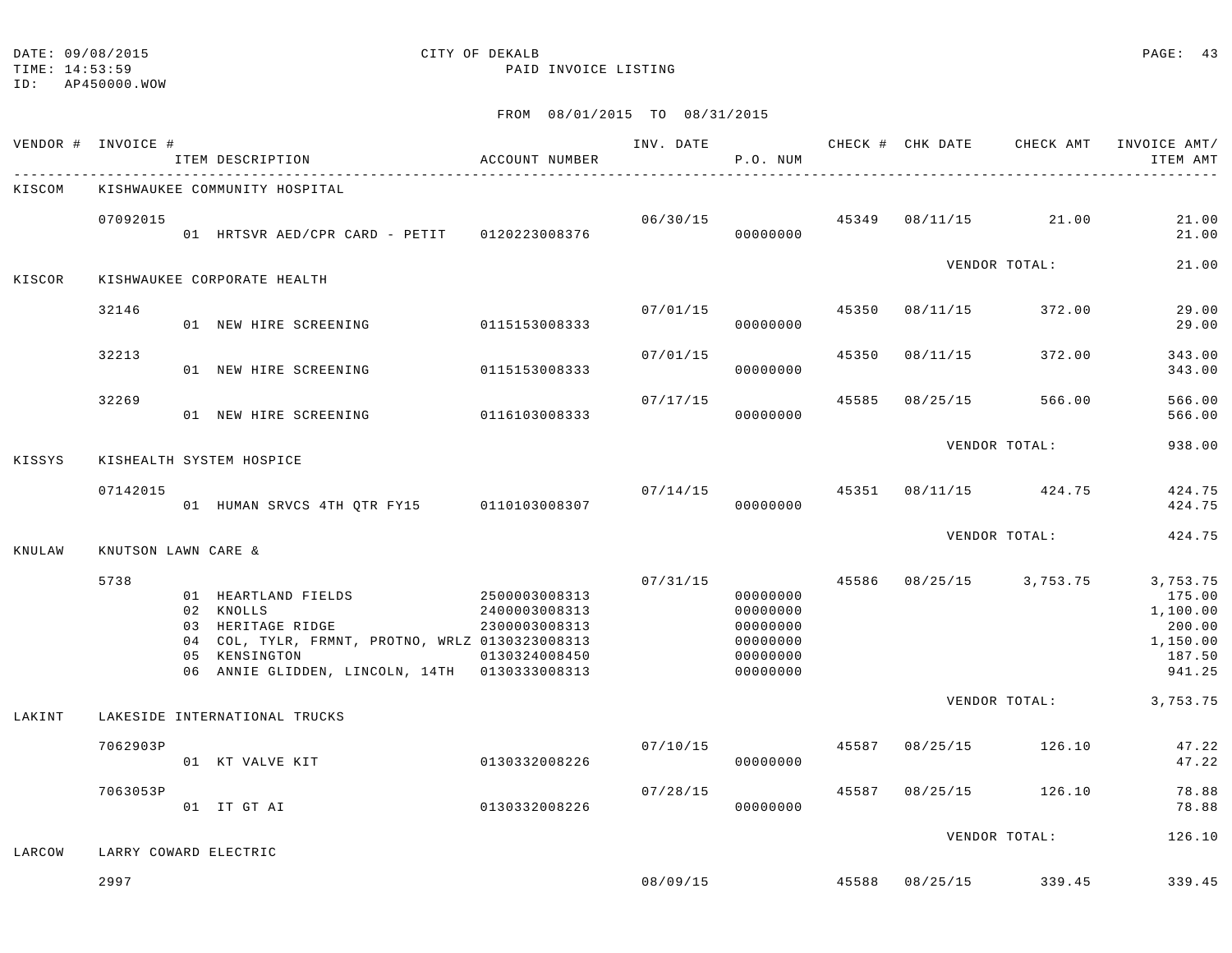|        | VENDOR # INVOICE #  | ITEM DESCRIPTION                                                                                                                                                           | ACCOUNT NUMBER                                                   | INV. DATE | P.O. NUM                                                             |       |          | CHECK # CHK DATE CHECK AMT | INVOICE AMT/<br>ITEM AMT                                                 |
|--------|---------------------|----------------------------------------------------------------------------------------------------------------------------------------------------------------------------|------------------------------------------------------------------|-----------|----------------------------------------------------------------------|-------|----------|----------------------------|--------------------------------------------------------------------------|
| KISCOM |                     | KISHWAUKEE COMMUNITY HOSPITAL                                                                                                                                              |                                                                  |           |                                                                      |       |          |                            |                                                                          |
|        | 07092015            | 01 HRTSVR AED/CPR CARD - PETIT 0120223008376                                                                                                                               |                                                                  | 06/30/15  | 00000000                                                             | 45349 | 08/11/15 | 21.00                      | 21.00<br>21.00                                                           |
| KISCOR |                     | KISHWAUKEE CORPORATE HEALTH                                                                                                                                                |                                                                  |           |                                                                      |       |          | VENDOR TOTAL:              | 21.00                                                                    |
|        | 32146               | 01 NEW HIRE SCREENING                                                                                                                                                      | 0115153008333                                                    | 07/01/15  | 00000000                                                             | 45350 | 08/11/15 | 372.00                     | 29.00<br>29.00                                                           |
|        | 32213               | 01 NEW HIRE SCREENING                                                                                                                                                      | 0115153008333                                                    | 07/01/15  | 00000000                                                             | 45350 | 08/11/15 | 372.00                     | 343.00<br>343.00                                                         |
|        | 32269               | 01 NEW HIRE SCREENING                                                                                                                                                      | 0116103008333                                                    | 07/17/15  | 00000000                                                             | 45585 | 08/25/15 | 566.00                     | 566.00<br>566.00                                                         |
| KISSYS |                     | KISHEALTH SYSTEM HOSPICE                                                                                                                                                   |                                                                  |           |                                                                      |       |          | VENDOR TOTAL:              | 938.00                                                                   |
|        | 07142015            | 01 HUMAN SRVCS 4TH QTR FY15 0110103008307                                                                                                                                  |                                                                  | 07/14/15  | 00000000                                                             | 45351 | 08/11/15 | 424.75                     | 424.75<br>424.75                                                         |
| KNULAW | KNUTSON LAWN CARE & |                                                                                                                                                                            |                                                                  |           |                                                                      |       |          | VENDOR TOTAL:              | 424.75                                                                   |
|        | 5738                | 01 HEARTLAND FIELDS<br>02 KNOLLS<br>03 HERITAGE RIDGE<br>04 COL, TYLR, FRMNT, PROTNO, WRLZ 0130323008313<br>05 KENSINGTON<br>06 ANNIE GLIDDEN, LINCOLN, 14TH 0130333008313 | 2500003008313<br>2400003008313<br>2300003008313<br>0130324008450 | 07/31/15  | 00000000<br>00000000<br>00000000<br>00000000<br>00000000<br>00000000 | 45586 |          | 08/25/15 3,753.75          | 3,753.75<br>175.00<br>1,100.00<br>200.00<br>1,150.00<br>187.50<br>941.25 |
| LAKINT |                     | LAKESIDE INTERNATIONAL TRUCKS                                                                                                                                              |                                                                  |           |                                                                      |       |          | VENDOR TOTAL:              | 3,753.75                                                                 |
|        | 7062903P            | 01 KT VALVE KIT                                                                                                                                                            | 0130332008226                                                    | 07/10/15  | 00000000                                                             | 45587 | 08/25/15 | 126.10                     | 47.22<br>47.22                                                           |
|        | 7063053P            | 01 IT GT AI                                                                                                                                                                | 0130332008226                                                    | 07/28/15  | 00000000                                                             | 45587 | 08/25/15 | 126.10                     | 78.88<br>78.88                                                           |
| LARCOW |                     | LARRY COWARD ELECTRIC                                                                                                                                                      |                                                                  |           |                                                                      |       |          | VENDOR TOTAL:              | 126.10                                                                   |
|        | 2997                |                                                                                                                                                                            |                                                                  | 08/09/15  |                                                                      | 45588 | 08/25/15 | 339.45                     | 339.45                                                                   |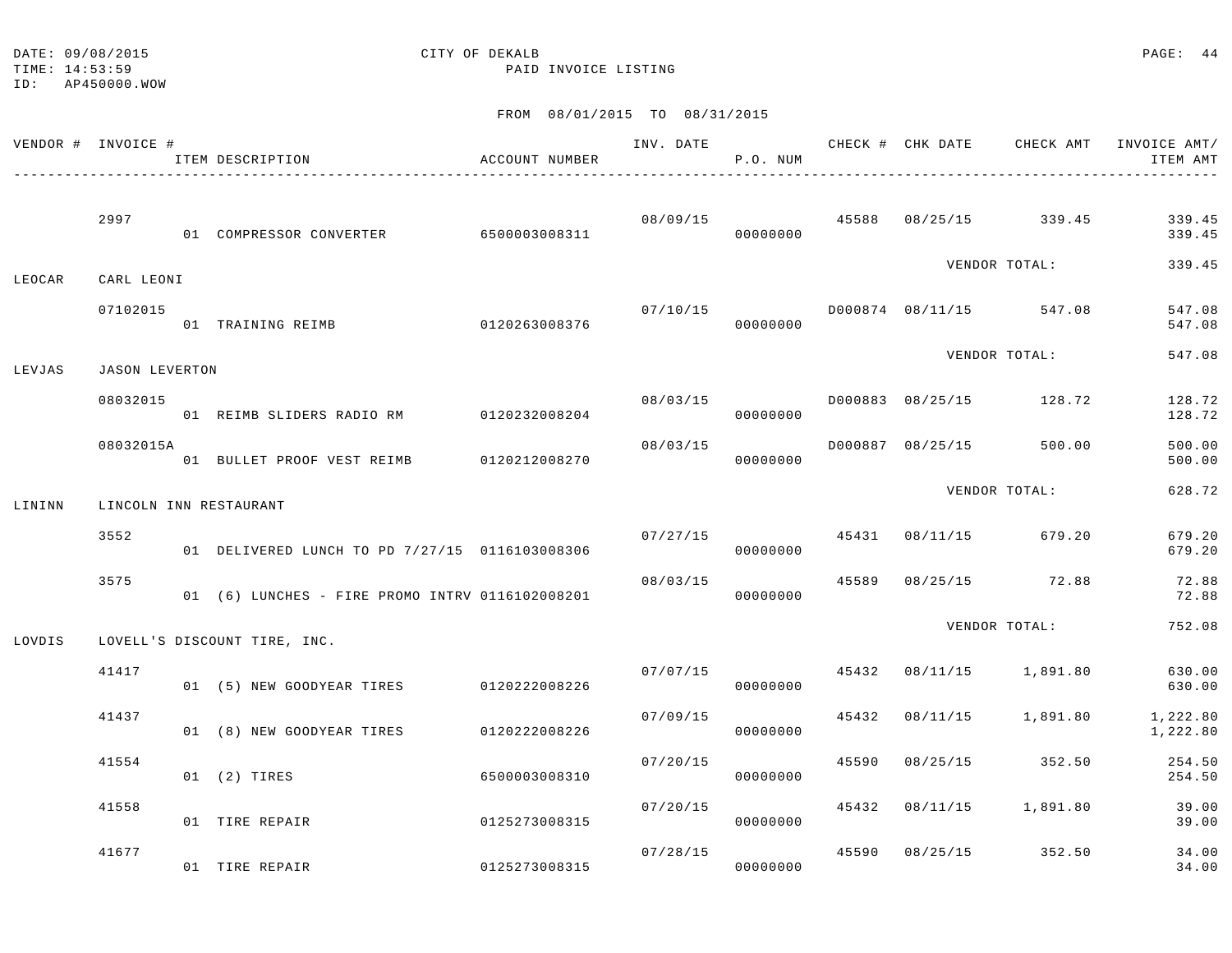TIME: 14:53:59 PAID INVOICE LISTING

ID: AP450000.WOW

| VENDOR # INVOICE # |                       | ITEM DESCRIPTION                                | ACCOUNT NUMBER |          | P.O. NUM             |       |                                |                                        | INV. DATE 6 CHECK # CHK DATE CHECK AMT INVOICE AMT/<br>ITEM AMT |
|--------------------|-----------------------|-------------------------------------------------|----------------|----------|----------------------|-------|--------------------------------|----------------------------------------|-----------------------------------------------------------------|
|                    |                       |                                                 |                |          |                      |       |                                |                                        |                                                                 |
|                    | 2997                  | 01 COMPRESSOR CONVERTER 6500003008311           |                |          | 00000000             |       |                                | $08/09/15$ $45588$ $08/25/15$ $339.45$ | 339.45<br>339.45                                                |
| LEOCAR             | CARL LEONI            |                                                 |                |          |                      |       |                                | VENDOR TOTAL:                          | 339.45                                                          |
|                    | 07102015              | 01 TRAINING REIMB 0120263008376                 |                | 07/10/15 | 00000000             |       | D000874 08/11/15 547.08        |                                        | 547.08<br>547.08                                                |
| LEVJAS             | <b>JASON LEVERTON</b> |                                                 |                |          |                      |       |                                | VENDOR TOTAL:                          | 547.08                                                          |
|                    | 08032015              | 01 REIMB SLIDERS RADIO RM 0120232008204         |                |          | 00000000             |       | $08/03/15$ $08/25/15$ $128.72$ |                                        | 128.72<br>128.72                                                |
|                    | 08032015A             | 01 BULLET PROOF VEST REIMB 0120212008270        |                | 08/03/15 | 00000000             |       | D000887 08/25/15               | 500.00                                 | 500.00<br>500.00                                                |
| LININN             |                       | LINCOLN INN RESTAURANT                          |                |          |                      |       |                                | VENDOR TOTAL:                          | 628.72                                                          |
|                    | 3552                  | 01 DELIVERED LUNCH TO PD 7/27/15 0116103008306  |                |          | 00000000             |       | $07/27/15$ 45431 08/11/15      | 679.20                                 | 679.20<br>679.20                                                |
|                    | 3575                  | 01 (6) LUNCHES - FIRE PROMO INTRV 0116102008201 |                | 08/03/15 | 00000000             |       | 45589 08/25/15 72.88           |                                        | 72.88<br>72.88                                                  |
| LOVDIS             |                       | LOVELL'S DISCOUNT TIRE, INC.                    |                |          |                      |       |                                | VENDOR TOTAL:                          | 752.08                                                          |
|                    | 41417                 | 01 (5) NEW GOODYEAR TIRES 0120222008226         |                |          | 07/07/15<br>00000000 | 45432 |                                | 08/11/15 1,891.80                      | 630.00<br>630.00                                                |
|                    | 41437                 | 01 (8) NEW GOODYEAR TIRES 0120222008226         |                | 07/09/15 | 00000000             |       | 45432 08/11/15                 | 1,891.80                               | 1,222.80<br>1,222.80                                            |
|                    | 41554                 | 01 (2) TIRES                                    | 6500003008310  | 07/20/15 | 00000000             |       |                                | 45590 08/25/15 352.50                  | 254.50<br>254.50                                                |
|                    | 41558                 | 01 TIRE REPAIR                                  | 0125273008315  | 07/20/15 | 00000000             | 45432 | 08/11/15                       | 1,891.80                               | 39.00<br>39.00                                                  |
|                    | 41677                 | 01 TIRE REPAIR                                  | 0125273008315  | 07/28/15 | 00000000             |       | 45590 08/25/15 352.50          |                                        | 34.00<br>34.00                                                  |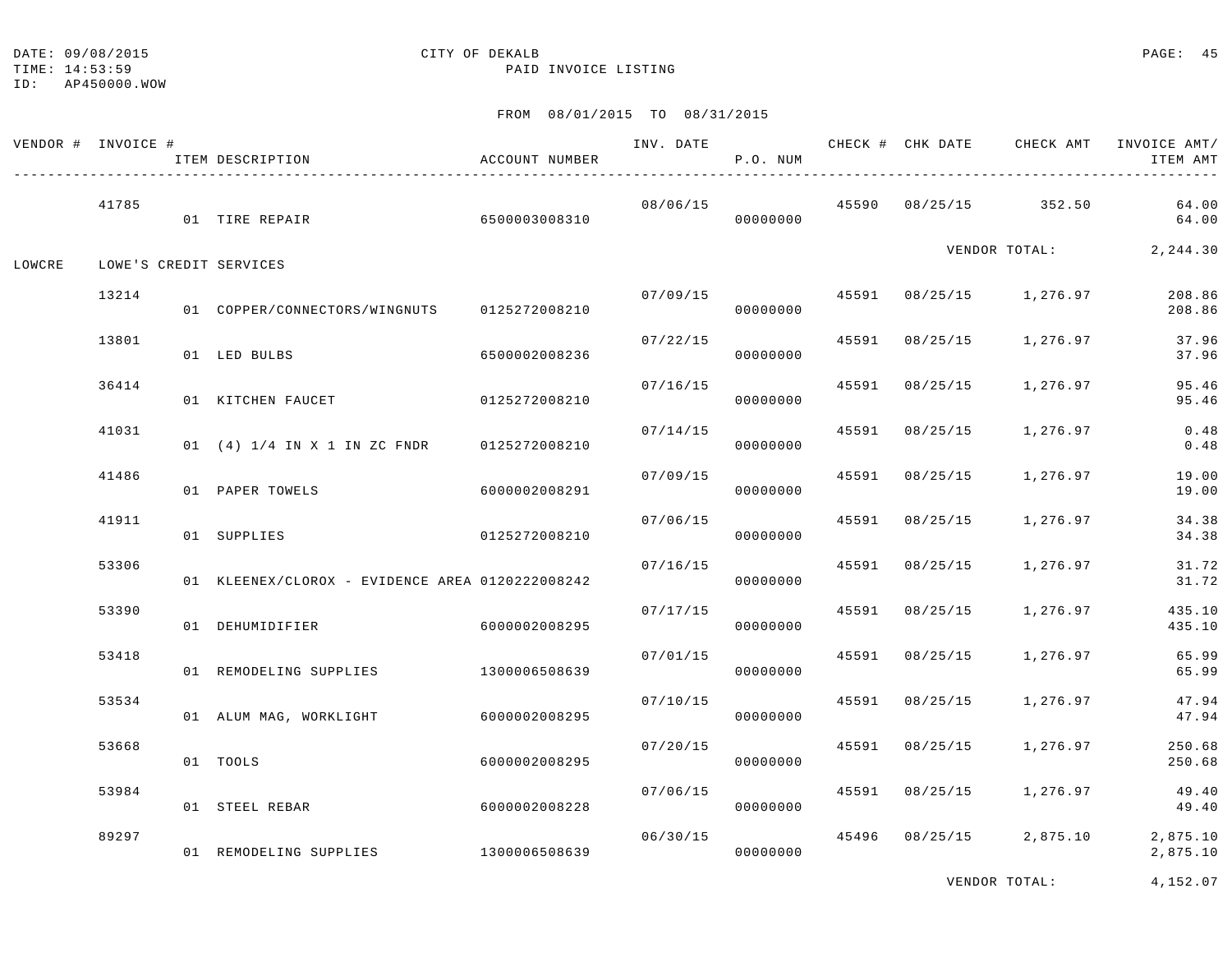TIME: 14:53:59 PAID INVOICE LISTING

ID: AP450000.WOW

# FROM 08/01/2015 TO 08/31/2015

|        | VENDOR # INVOICE # | ITEM DESCRIPTION                                | ACCOUNT NUMBER | INV. DATE | P.O. NUM |       |                | CHECK # CHK DATE CHECK AMT INVOICE AMT/ | ITEM AMT<br>------   |
|--------|--------------------|-------------------------------------------------|----------------|-----------|----------|-------|----------------|-----------------------------------------|----------------------|
|        | 41785              | 01 TIRE REPAIR                                  | 6500003008310  | 08/06/15  | 00000000 |       |                | 45590 08/25/15 352.50                   | 64.00<br>64.00       |
| LOWCRE |                    | LOWE'S CREDIT SERVICES                          |                |           |          |       |                | VENDOR TOTAL:                           | 2, 244.30            |
|        | 13214              | 01 COPPER/CONNECTORS/WINGNUTS                   | 0125272008210  | 07/09/15  | 00000000 |       |                | 45591 08/25/15 1,276.97                 | 208.86<br>208.86     |
|        | 13801              | 01 LED BULBS                                    | 6500002008236  | 07/22/15  | 00000000 |       | 45591 08/25/15 | 1,276.97                                | 37.96<br>37.96       |
|        | 36414              | 01 KITCHEN FAUCET                               | 0125272008210  | 07/16/15  | 00000000 |       | 45591 08/25/15 | 1,276.97                                | 95.46<br>95.46       |
|        | 41031              | 01 (4) 1/4 IN X 1 IN ZC FNDR                    | 0125272008210  | 07/14/15  | 00000000 | 45591 | 08/25/15       | 1,276.97                                | 0.48<br>0.48         |
|        | 41486              | 01 PAPER TOWELS                                 | 6000002008291  | 07/09/15  | 00000000 |       | 45591 08/25/15 | 1,276.97                                | 19.00<br>19.00       |
|        | 41911              | 01 SUPPLIES                                     | 0125272008210  | 07/06/15  | 00000000 |       | 45591 08/25/15 | 1,276.97                                | 34.38<br>34.38       |
|        | 53306              | 01 KLEENEX/CLOROX - EVIDENCE AREA 0120222008242 |                | 07/16/15  | 00000000 | 45591 | 08/25/15       | 1,276.97                                | 31.72<br>31.72       |
|        | 53390              | 01 DEHUMIDIFIER                                 | 6000002008295  | 07/17/15  | 00000000 |       | 45591 08/25/15 | 1,276.97                                | 435.10<br>435.10     |
|        | 53418              | 01 REMODELING SUPPLIES                          | 1300006508639  | 07/01/15  | 00000000 |       | 45591 08/25/15 | 1,276.97                                | 65.99<br>65.99       |
|        | 53534              | 01 ALUM MAG, WORKLIGHT                          | 6000002008295  | 07/10/15  | 00000000 | 45591 | 08/25/15       | 1,276.97                                | 47.94<br>47.94       |
|        | 53668              | 01 TOOLS                                        | 6000002008295  | 07/20/15  | 00000000 |       | 45591 08/25/15 | 1,276.97                                | 250.68<br>250.68     |
|        | 53984              | 01 STEEL REBAR                                  | 6000002008228  | 07/06/15  | 00000000 |       | 45591 08/25/15 | 1,276.97                                | 49.40<br>49.40       |
|        | 89297              | 01 REMODELING SUPPLIES 1300006508639            |                | 06/30/15  | 00000000 |       | 45496 08/25/15 | 2,875.10                                | 2,875.10<br>2,875.10 |

VENDOR TOTAL: 4,152.07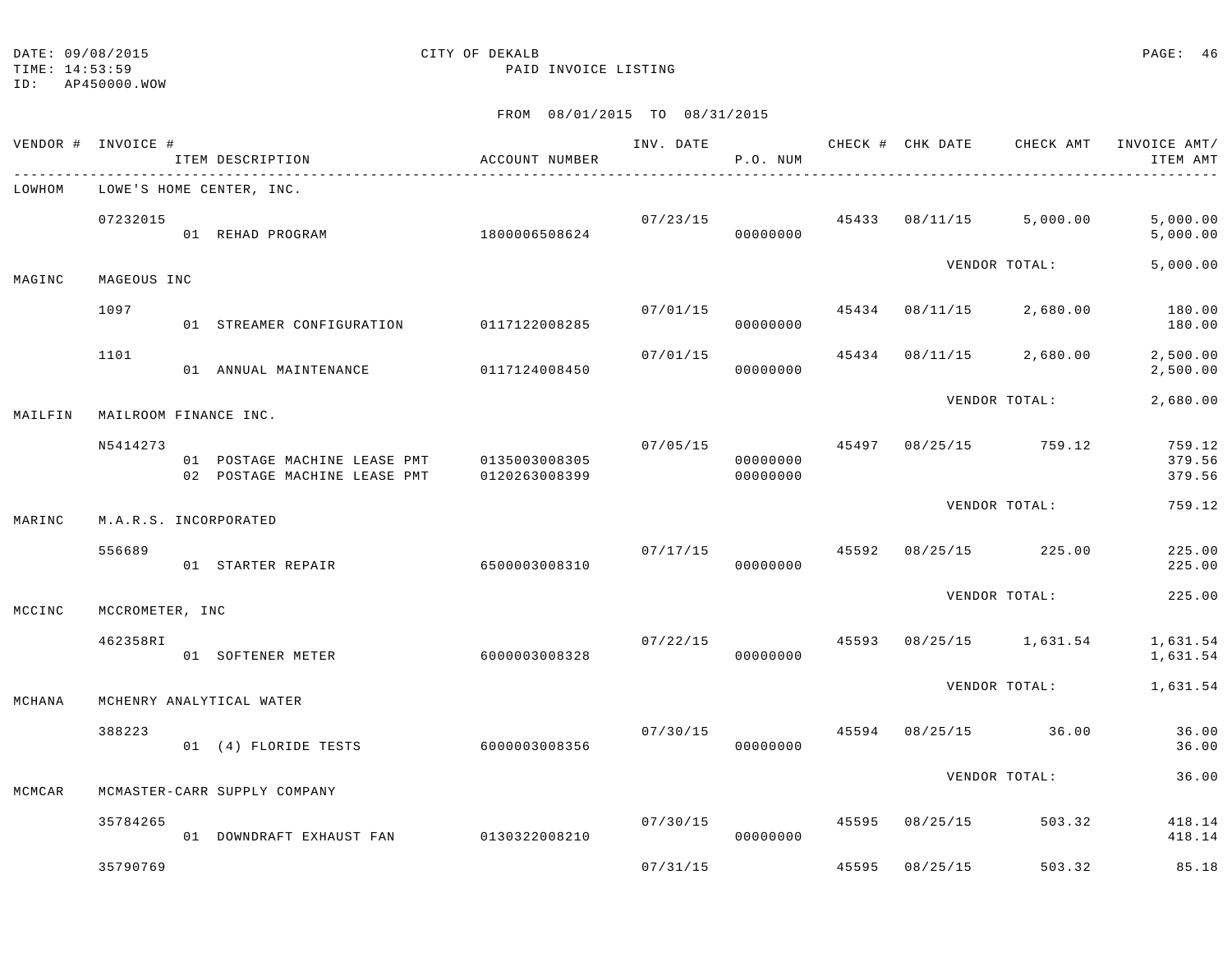ID: AP450000.WOW

|         | VENDOR # INVOICE #    | ITEM DESCRIPTION                                             | ACCOUNT NUMBER                 | INV. DATE | P.O. NUM             |       |          | CHECK # CHK DATE CHECK AMT INVOICE AMT/ | ITEM AMT                   |
|---------|-----------------------|--------------------------------------------------------------|--------------------------------|-----------|----------------------|-------|----------|-----------------------------------------|----------------------------|
| LOWHOM  |                       | LOWE'S HOME CENTER, INC.                                     |                                |           |                      |       |          |                                         |                            |
|         | 07232015              | 01 REHAD PROGRAM                                             | 1800006508624                  |           | 07/23/15<br>00000000 | 45433 | 08/11/15 | 5,000.00                                | 5,000.00<br>5,000.00       |
| MAGINC  | MAGEOUS INC           |                                                              |                                |           |                      |       |          | VENDOR TOTAL:                           | 5,000.00                   |
|         | 1097                  | 01 STREAMER CONFIGURATION                                    | 0117122008285                  | 07/01/15  | 00000000             | 45434 | 08/11/15 | 2,680.00                                | 180.00<br>180.00           |
|         | 1101                  | 01 ANNUAL MAINTENANCE                                        | 0117124008450                  | 07/01/15  | 00000000             | 45434 | 08/11/15 | 2,680.00                                | 2,500.00<br>2,500.00       |
| MAILFIN | MAILROOM FINANCE INC. |                                                              |                                |           |                      |       |          | VENDOR TOTAL:                           | 2,680.00                   |
|         | N5414273              | 01 POSTAGE MACHINE LEASE PMT<br>02 POSTAGE MACHINE LEASE PMT | 0135003008305<br>0120263008399 | 07/05/15  | 00000000<br>00000000 | 45497 |          | 08/25/15 759.12                         | 759.12<br>379.56<br>379.56 |
| MARINC  | M.A.R.S. INCORPORATED |                                                              |                                |           |                      |       |          | VENDOR TOTAL:                           | 759.12                     |
|         | 556689                | 01 STARTER REPAIR                                            | 6500003008310                  | 07/17/15  | 00000000             | 45592 | 08/25/15 | 225.00                                  | 225.00<br>225.00           |
| MCCINC  | MCCROMETER, INC       |                                                              |                                |           |                      |       |          | VENDOR TOTAL:                           | 225.00                     |
|         | 462358RI              | 01 SOFTENER METER                                            | 6000003008328                  | 07/22/15  | 00000000             | 45593 | 08/25/15 | 1,631.54                                | 1,631.54<br>1,631.54       |
| MCHANA  |                       | MCHENRY ANALYTICAL WATER                                     |                                |           |                      |       |          | VENDOR TOTAL:                           | 1,631.54                   |
|         | 388223                | 01 (4) FLORIDE TESTS                                         | 6000003008356                  | 07/30/15  | 00000000             | 45594 | 08/25/15 | 36.00                                   | 36.00<br>36.00             |
| MCMCAR  |                       | MCMASTER-CARR SUPPLY COMPANY                                 |                                |           |                      |       |          | VENDOR TOTAL:                           | 36.00                      |
|         | 35784265              | 01 DOWNDRAFT EXHAUST FAN                                     | 0130322008210                  | 07/30/15  | 00000000             | 45595 | 08/25/15 | 503.32                                  | 418.14<br>418.14           |
|         | 35790769              |                                                              |                                | 07/31/15  |                      | 45595 | 08/25/15 | 503.32                                  | 85.18                      |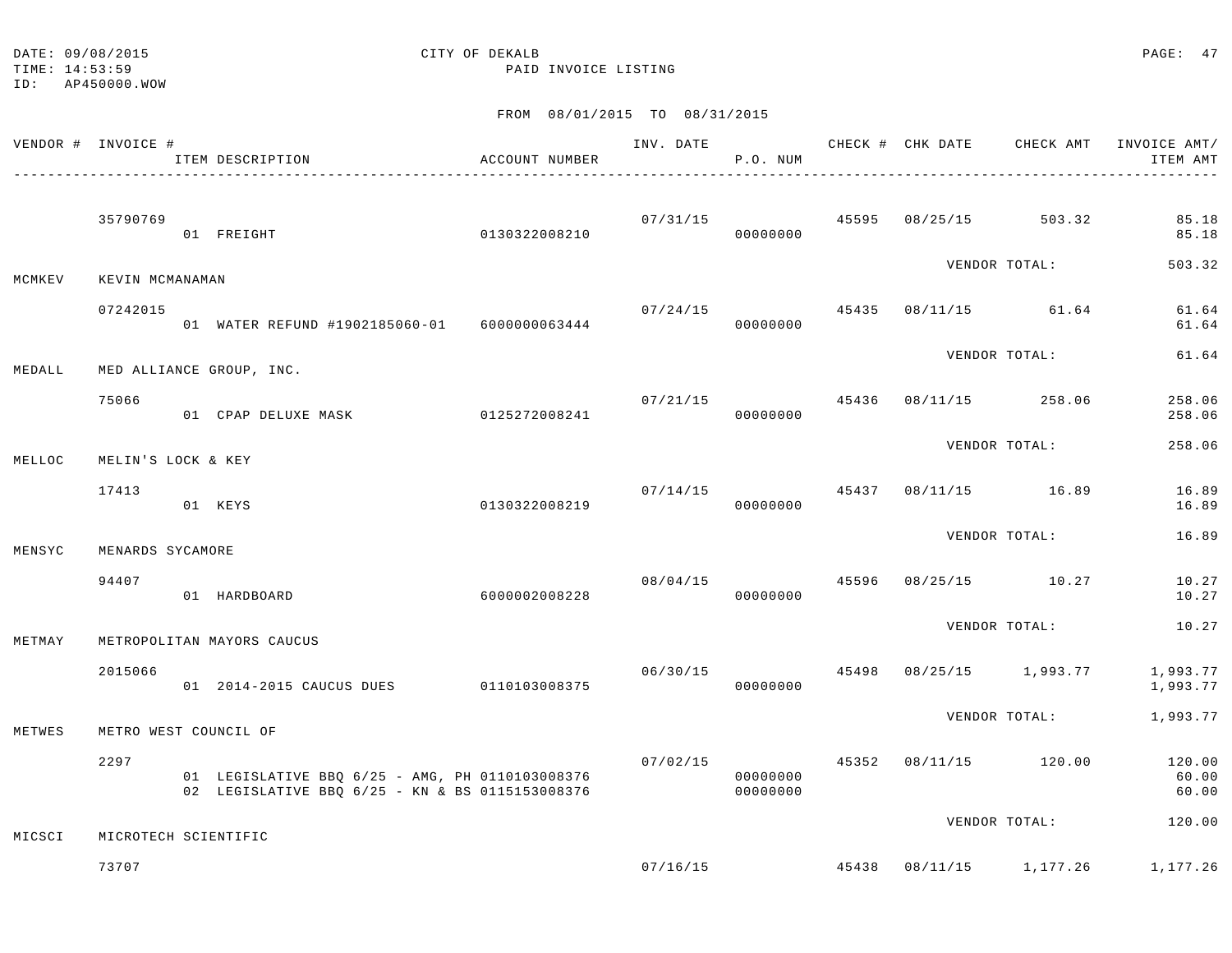ID: AP450000.WOW

TIME: 14:53:59 PAID INVOICE LISTING

|        | VENDOR # INVOICE #   | ITEM DESCRIPTION                                                                                   | ACCOUNT NUMBER |          | P.O. NUM             |  |                                        | INV. DATE 6 CHECK # CHK DATE CHECK AMT INVOICE AMT/<br>ITEM AMT |
|--------|----------------------|----------------------------------------------------------------------------------------------------|----------------|----------|----------------------|--|----------------------------------------|-----------------------------------------------------------------|
|        | 35790769             | 01 FREIGHT                                                                                         | 0130322008210  |          | 00000000             |  | $07/31/15$ $45595$ $08/25/15$ $503.32$ | 85.18<br>85.18                                                  |
| MCMKEV | KEVIN MCMANAMAN      |                                                                                                    |                |          |                      |  | VENDOR TOTAL:                          | 503.32                                                          |
|        | 07242015             | 01 WATER REFUND #1902185060-01 6000000063444                                                       |                | 07/24/15 | 00000000             |  | 45435 08/11/15 61.64                   | 61.64<br>61.64                                                  |
| MEDALL |                      | MED ALLIANCE GROUP, INC.                                                                           |                |          |                      |  | VENDOR TOTAL:                          | 61.64                                                           |
|        | 75066                | 01 CPAP DELUXE MASK                                                                                | 0125272008241  | 07/21/15 | 00000000             |  | 45436 08/11/15 258.06                  | 258.06<br>258.06                                                |
| MELLOC | MELIN'S LOCK & KEY   |                                                                                                    |                |          |                      |  | VENDOR TOTAL:                          | 258.06                                                          |
|        | 17413                | 01 KEYS                                                                                            | 0130322008219  |          | 00000000             |  | $07/14/15$ $45437$ $08/11/15$ $16.89$  | 16.89<br>16.89                                                  |
| MENSYC | MENARDS SYCAMORE     |                                                                                                    |                |          |                      |  | VENDOR TOTAL:                          | 16.89                                                           |
|        | 94407                | 01 HARDBOARD                                                                                       | 6000002008228  | 08/04/15 | 00000000             |  | 45596 08/25/15 10.27                   | 10.27<br>10.27                                                  |
| METMAY |                      | METROPOLITAN MAYORS CAUCUS                                                                         |                |          |                      |  | VENDOR TOTAL:                          | 10.27                                                           |
|        | 2015066              | 01 2014-2015 CAUCUS DUES 0110103008375                                                             |                |          | 00000000             |  |                                        | 06/30/15   45498   08/25/15   1,993.77   1,993.77<br>1,993.77   |
| METWES |                      | METRO WEST COUNCIL OF                                                                              |                |          |                      |  | VENDOR TOTAL:                          | 1,993.77                                                        |
|        | 2297                 | 01 LEGISLATIVE BBQ 6/25 - AMG, PH 0110103008376<br>02 LEGISLATIVE BBO 6/25 - KN & BS 0115153008376 |                | 07/02/15 | 00000000<br>00000000 |  | 45352 08/11/15 120.00                  | 120.00<br>60.00<br>60.00                                        |
| MICSCI | MICROTECH SCIENTIFIC |                                                                                                    |                |          |                      |  | VENDOR TOTAL:                          | 120.00                                                          |
|        | 73707                |                                                                                                    |                | 07/16/15 |                      |  |                                        | 45438 08/11/15 1,177.26 1,177.26                                |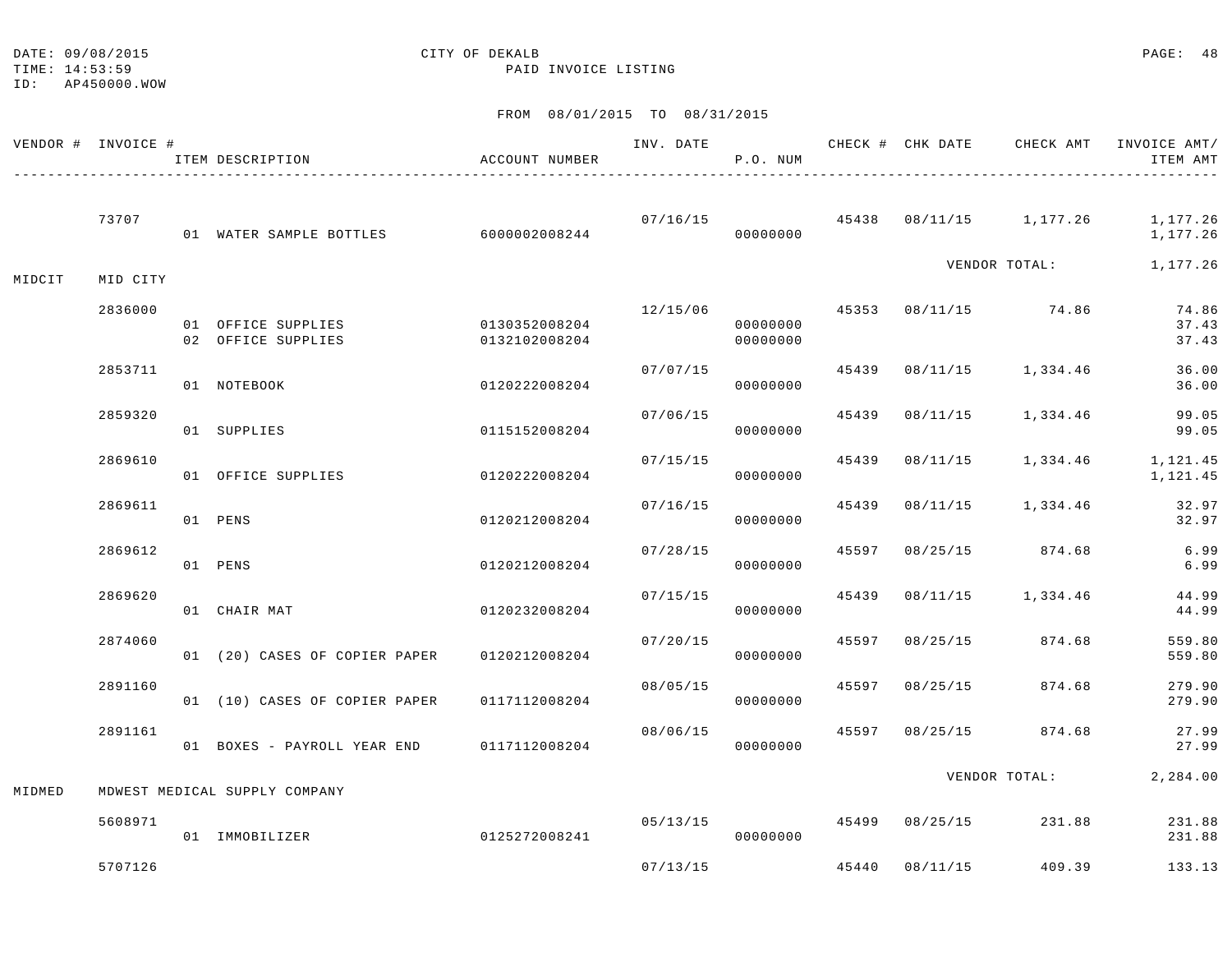DATE:  $09/08/2015$  PAGE: 48

TIME: 14:53:59 PAID INVOICE LISTING ID: AP450000.WOW

|        | VENDOR # INVOICE # | ITEM DESCRIPTION                          | ACCOUNT NUMBER                 | INV. DATE | P.O. NUM             |       |                |                         | CHECK # CHK DATE CHECK AMT INVOICE AMT/<br>ITEM AMT |
|--------|--------------------|-------------------------------------------|--------------------------------|-----------|----------------------|-------|----------------|-------------------------|-----------------------------------------------------|
|        | 73707              | 01 WATER SAMPLE BOTTLES 6000002008244     |                                | 07/16/15  | 00000000             |       |                | 45438 08/11/15 1,177.26 | 1,177.26<br>1,177.26                                |
| MIDCIT | MID CITY           |                                           |                                |           |                      |       |                | VENDOR TOTAL:           | 1,177.26                                            |
|        | 2836000            | 01 OFFICE SUPPLIES<br>02 OFFICE SUPPLIES  | 0130352008204<br>0132102008204 | 12/15/06  | 00000000<br>00000000 |       |                | 45353 08/11/15 74.86    | 74.86<br>37.43<br>37.43                             |
|        | 2853711            | 01 NOTEBOOK                               | 0120222008204                  | 07/07/15  | 00000000             | 45439 |                | 08/11/15 1,334.46       | 36.00<br>36.00                                      |
|        | 2859320            | 01 SUPPLIES                               | 0115152008204                  | 07/06/15  | 00000000             | 45439 | 08/11/15       | 1,334.46                | 99.05<br>99.05                                      |
|        | 2869610            | 01 OFFICE SUPPLIES                        | 0120222008204                  | 07/15/15  | 00000000             | 45439 | 08/11/15       | 1,334.46                | 1,121.45<br>1,121.45                                |
|        | 2869611            | 01 PENS                                   | 0120212008204                  | 07/16/15  | 00000000             | 45439 | 08/11/15       | 1,334.46                | 32.97<br>32.97                                      |
|        | 2869612            | 01 PENS                                   | 0120212008204                  | 07/28/15  | 00000000             | 45597 | 08/25/15       | 874.68                  | 6.99<br>6.99                                        |
|        | 2869620            | 01 CHAIR MAT                              | 0120232008204                  | 07/15/15  | 00000000             | 45439 | 08/11/15       | 1,334.46                | 44.99<br>44.99                                      |
|        | 2874060            | 01 (20) CASES OF COPIER PAPER             | 0120212008204                  | 07/20/15  | 00000000             | 45597 | 08/25/15       | 874.68                  | 559.80<br>559.80                                    |
|        | 2891160            | 01 (10) CASES OF COPIER PAPER             | 0117112008204                  | 08/05/15  | 00000000             | 45597 | 08/25/15       | 874.68                  | 279.90<br>279.90                                    |
|        | 2891161            | 01 BOXES - PAYROLL YEAR END 0117112008204 |                                | 08/06/15  | 00000000             | 45597 | 08/25/15       | 874.68                  | 27.99<br>27.99                                      |
| MIDMED |                    | MDWEST MEDICAL SUPPLY COMPANY             |                                |           |                      |       |                | VENDOR TOTAL:           | 2,284.00                                            |
|        | 5608971            | 01 IMMOBILIZER                            | 0125272008241                  | 05/13/15  | 00000000             |       | 45499 08/25/15 | 231.88                  | 231.88<br>231.88                                    |
|        | 5707126            |                                           |                                | 07/13/15  |                      |       | 45440 08/11/15 | 409.39                  | 133.13                                              |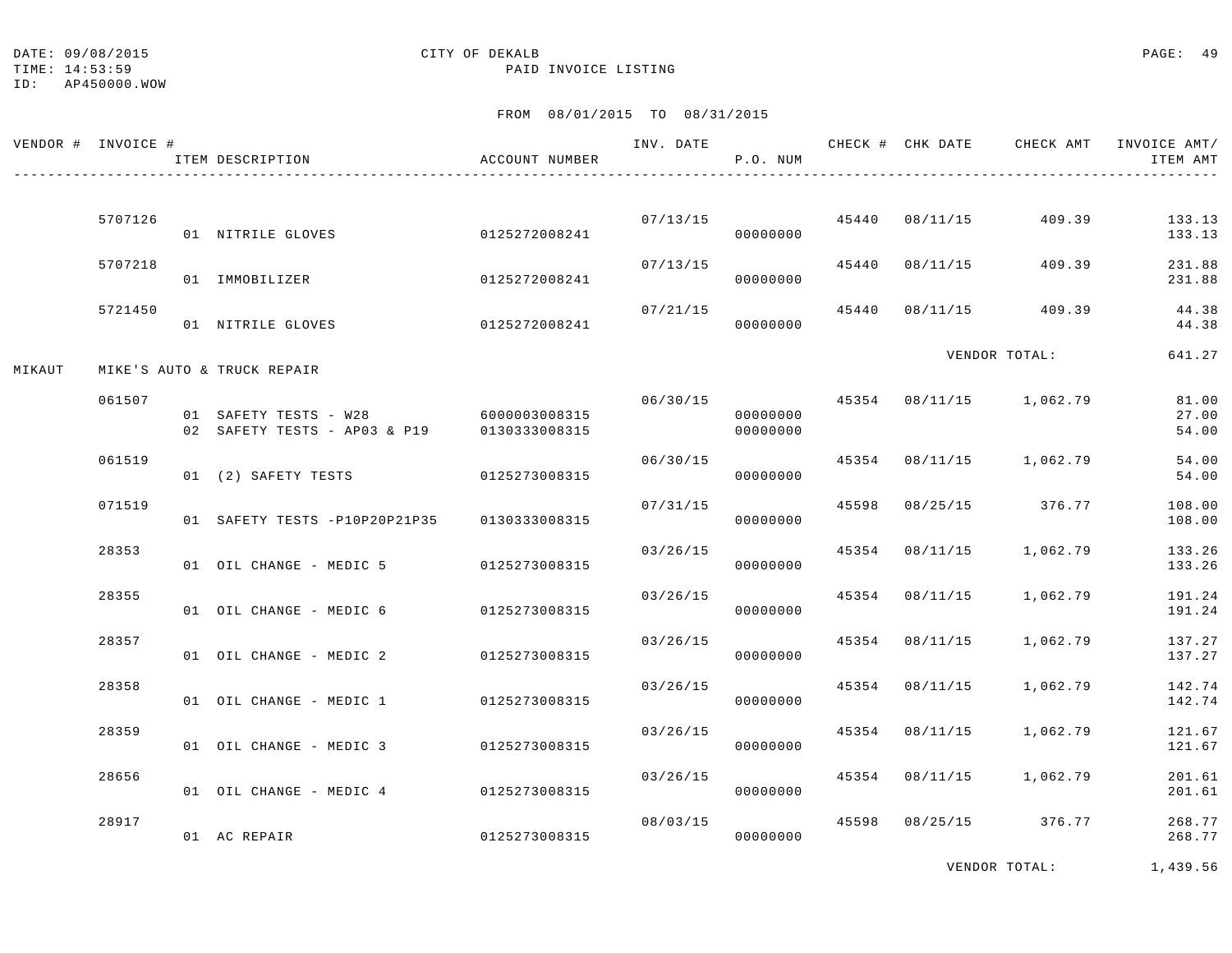TIME: 14:53:59 PAID INVOICE LISTING

ID: AP450000.WOW

| VENDOR # INVOICE # |         | ITEM DESCRIPTION                                                    | ACCOUNT NUMBER |          | P.O. NUM             |                           | INV. DATE 6 1999 CHECK # CHK DATE 6 CHECK AMT INVOICE AMT | ITEM AMT                |
|--------------------|---------|---------------------------------------------------------------------|----------------|----------|----------------------|---------------------------|-----------------------------------------------------------|-------------------------|
|                    | 5707126 |                                                                     |                |          |                      | $07/13/15$ 45440 08/11/15 | 409.39                                                    | 133.13                  |
|                    |         | 01 NITRILE GLOVES                                                   | 0125272008241  |          | 00000000             |                           |                                                           | 133.13                  |
|                    | 5707218 | 01 IMMOBILIZER                                                      | 0125272008241  |          | 07/13/15<br>00000000 | 45440 08/11/15            | 409.39                                                    | 231.88<br>231.88        |
|                    | 5721450 | 01 NITRILE GLOVES                                                   | 0125272008241  | 07/21/15 | 00000000             |                           | $45440$ $08/11/15$ $409.39$                               | 44.38<br>44.38          |
| MIKAUT             |         | MIKE'S AUTO & TRUCK REPAIR                                          |                |          |                      |                           | VENDOR TOTAL:                                             | 641.27                  |
|                    | 061507  | 01 SAFETY TESTS - W28 6000003008315<br>02 SAFETY TESTS - AP03 & P19 | 0130333008315  | 06/30/15 | 00000000<br>00000000 |                           | 45354 08/11/15 1,062.79                                   | 81.00<br>27.00<br>54.00 |
|                    | 061519  | 01 (2) SAFETY TESTS                                                 | 0125273008315  | 06/30/15 | 00000000             |                           | 45354 08/11/15 1,062.79                                   | 54.00<br>54.00          |
|                    | 071519  | 01 SAFETY TESTS -P10P20P21P35                                       | 0130333008315  | 07/31/15 | 00000000             |                           | 45598 08/25/15 376.77                                     | 108.00<br>108.00        |
|                    | 28353   | 01 OIL CHANGE - MEDIC 5 0125273008315                               |                | 03/26/15 | 00000000             |                           | 45354 08/11/15 1,062.79                                   | 133.26<br>133.26        |
|                    | 28355   | 01 OIL CHANGE - MEDIC 6 0125273008315                               |                | 03/26/15 | 00000000             | 45354 08/11/15            | 1,062.79                                                  | 191.24<br>191.24        |
|                    | 28357   | 01 OIL CHANGE - MEDIC 2 0125273008315                               |                | 03/26/15 | 00000000             | 45354 08/11/15            | 1,062.79                                                  | 137.27<br>137.27        |
|                    | 28358   | 01 OIL CHANGE - MEDIC 1 0125273008315                               |                | 03/26/15 | 00000000             | 45354 08/11/15            | 1,062.79                                                  | 142.74<br>142.74        |
|                    | 28359   | 01 OIL CHANGE - MEDIC 3 0125273008315                               |                | 03/26/15 | 00000000             | 45354 08/11/15            | 1,062.79                                                  | 121.67<br>121.67        |
|                    | 28656   | 01 OIL CHANGE - MEDIC 4 0125273008315                               |                | 03/26/15 | 00000000             |                           | 45354 08/11/15 1,062.79                                   | 201.61<br>201.61        |
|                    | 28917   | 01 AC REPAIR                                                        | 0125273008315  | 08/03/15 | 00000000             |                           | 45598 08/25/15 376.77                                     | 268.77<br>268.77        |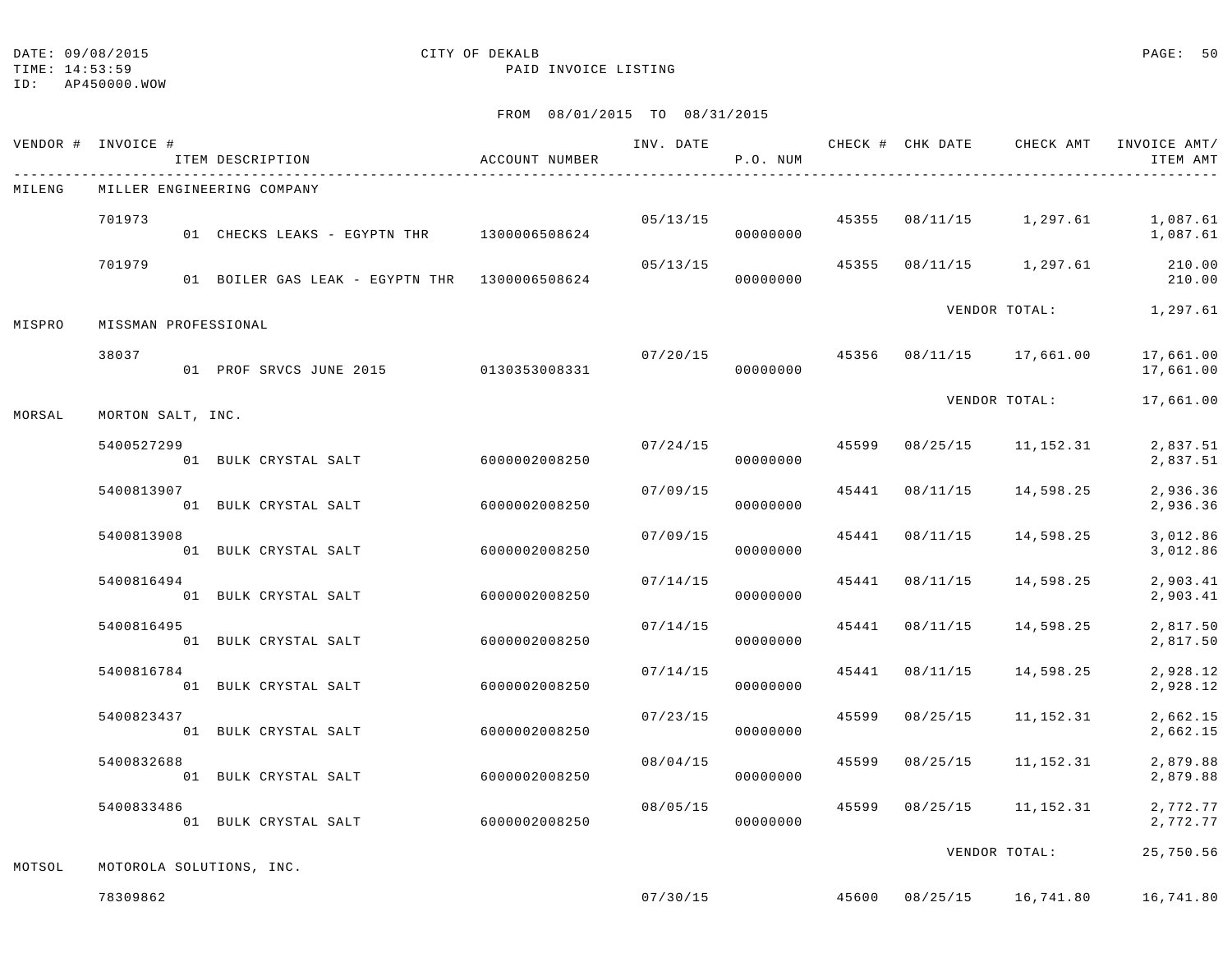## ID: AP450000.WOW

# DATE: 09/08/2015 CITY OF DEKALB PAGE: 50

TIME: 14:53:59 PAID INVOICE LISTING

|        | VENDOR # INVOICE #<br>ITEM DESCRIPTION                  | ACCOUNT NUMBER |          | P.O. NUM             |       |                | INV. DATE 6 1992 CHECK # CHK DATE CHECK AMT INVOICE AMT | ITEM AMT               |
|--------|---------------------------------------------------------|----------------|----------|----------------------|-------|----------------|---------------------------------------------------------|------------------------|
| MILENG | MILLER ENGINEERING COMPANY                              |                |          |                      |       |                |                                                         |                        |
|        | 701973<br>01 CHECKS LEAKS - EGYPTN THR 1300006508624    |                |          | 05/13/15<br>00000000 |       |                | 45355 08/11/15 1,297.61                                 | 1,087.61<br>1,087.61   |
|        | 701979<br>01 BOILER GAS LEAK - EGYPTN THR 1300006508624 |                | 05/13/15 | 00000000             | 45355 |                | 08/11/15 1,297.61                                       | 210.00<br>210.00       |
| MISPRO | MISSMAN PROFESSIONAL                                    |                |          |                      |       |                | VENDOR TOTAL:                                           | 1,297.61               |
|        | 38037<br>01 PROF SRVCS JUNE 2015 0130353008331          |                | 07/20/15 | 00000000             |       |                | 45356 08/11/15 17,661.00                                | 17,661.00<br>17,661.00 |
| MORSAL | MORTON SALT, INC.                                       |                |          |                      |       |                | VENDOR TOTAL:                                           | 17,661.00              |
|        | 5400527299<br>01 BULK CRYSTAL SALT                      | 6000002008250  | 07/24/15 | 00000000             | 45599 | 08/25/15       | 11,152.31                                               | 2,837.51<br>2,837.51   |
|        | 5400813907<br>01 BULK CRYSTAL SALT                      | 6000002008250  | 07/09/15 | 00000000             |       | 45441 08/11/15 | 14,598.25                                               | 2,936.36<br>2,936.36   |
|        | 5400813908<br>01 BULK CRYSTAL SALT                      | 6000002008250  | 07/09/15 | 00000000             |       | 45441 08/11/15 | 14,598.25                                               | 3,012.86<br>3,012.86   |
|        | 5400816494<br>01 BULK CRYSTAL SALT                      | 6000002008250  | 07/14/15 | 00000000             |       | 45441 08/11/15 | 14,598.25                                               | 2,903.41<br>2,903.41   |
|        | 5400816495<br>01 BULK CRYSTAL SALT                      | 6000002008250  | 07/14/15 | 00000000             |       | 45441 08/11/15 | 14,598.25                                               | 2,817.50<br>2,817.50   |
|        | 5400816784<br>01 BULK CRYSTAL SALT                      | 6000002008250  | 07/14/15 | 00000000             | 45441 | 08/11/15       | 14,598.25                                               | 2,928.12<br>2,928.12   |
|        | 5400823437<br>01 BULK CRYSTAL SALT                      | 6000002008250  | 07/23/15 | 00000000             | 45599 | 08/25/15       | 11,152.31                                               | 2,662.15<br>2,662.15   |
|        | 5400832688<br>01 BULK CRYSTAL SALT                      | 6000002008250  | 08/04/15 | 00000000             | 45599 | 08/25/15       | 11,152.31                                               | 2,879.88<br>2,879.88   |
|        | 5400833486<br>01 BULK CRYSTAL SALT                      | 6000002008250  | 08/05/15 | 00000000             |       | 45599 08/25/15 | 11,152.31                                               | 2,772.77<br>2,772.77   |
| MOTSOL | MOTOROLA SOLUTIONS, INC.                                |                |          |                      |       |                | VENDOR TOTAL:                                           | 25,750.56              |
|        | 78309862                                                |                |          |                      |       |                | $07/30/15$ $45600$ $08/25/15$ $16,741.80$               | 16,741.80              |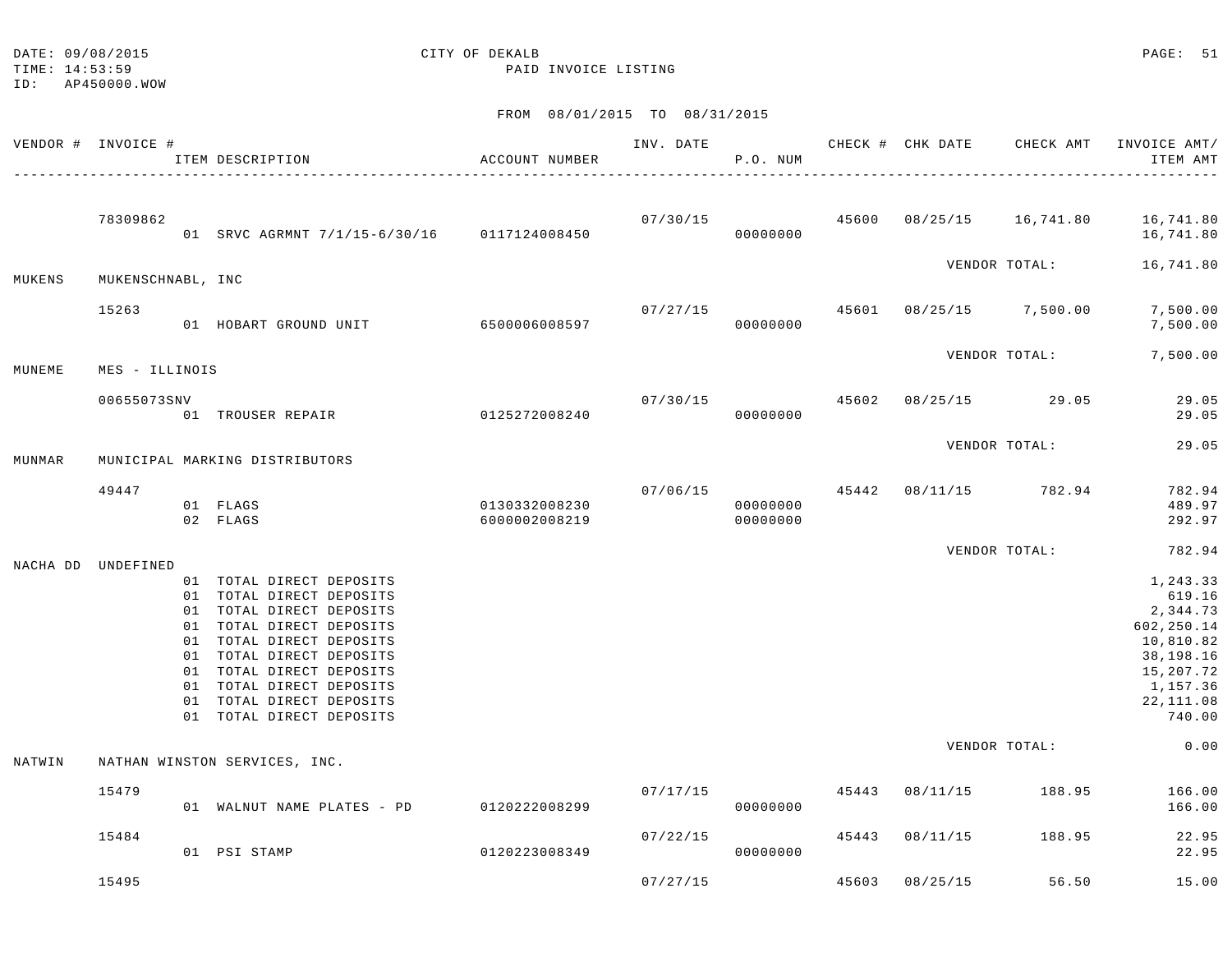| DATE: 09/08/2015 | CITY OF DEKALB | PAGE: 51 |  |
|------------------|----------------|----------|--|
|                  |                |          |  |

|        | VENDOR # INVOICE # | ITEM DESCRIPTION                                                                                                                                                                                                                                                                     | ACCOUNT NUMBER                 | INV. DATE | P.O. NUM                         | CHECK # CHK DATE                | CHECK AMT             | INVOICE AMT/<br>ITEM AMT                                                                                               |
|--------|--------------------|--------------------------------------------------------------------------------------------------------------------------------------------------------------------------------------------------------------------------------------------------------------------------------------|--------------------------------|-----------|----------------------------------|---------------------------------|-----------------------|------------------------------------------------------------------------------------------------------------------------|
|        | 78309862           | 01 SRVC AGRMNT 7/1/15-6/30/16 0117124008450                                                                                                                                                                                                                                          |                                |           | 00000000                         |                                 |                       | $07/30/15$ $45600$ $08/25/15$ $16,741.80$ $16,741.80$<br>16,741.80                                                     |
| MUKENS | MUKENSCHNABL, INC  |                                                                                                                                                                                                                                                                                      |                                |           |                                  |                                 | VENDOR TOTAL:         | 16,741.80                                                                                                              |
|        | 15263              | 01 HOBART GROUND UNIT                                                                                                                                                                                                                                                                | 6500006008597                  | 07/27/15  | 00000000                         | 45601 08/25/15 7,500.00         |                       | 7,500.00<br>7,500.00                                                                                                   |
| MUNEME | MES - ILLINOIS     |                                                                                                                                                                                                                                                                                      |                                |           |                                  |                                 | VENDOR TOTAL:         | 7,500.00                                                                                                               |
|        | 00655073SNV        | 01 TROUSER REPAIR 0125272008240                                                                                                                                                                                                                                                      |                                |           | 00000000                         | $07/30/15$ 45602 08/25/15 29.05 |                       | 29.05<br>29.05                                                                                                         |
| MUNMAR |                    | MUNICIPAL MARKING DISTRIBUTORS                                                                                                                                                                                                                                                       |                                |           |                                  |                                 | VENDOR TOTAL:         | 29.05                                                                                                                  |
|        | 49447              | 01 FLAGS<br>02 FLAGS                                                                                                                                                                                                                                                                 | 0130332008230<br>6000002008219 |           | 07/06/15<br>00000000<br>00000000 |                                 | 45442 08/11/15 782.94 | 782.94<br>489.97<br>292.97                                                                                             |
|        |                    |                                                                                                                                                                                                                                                                                      |                                |           |                                  |                                 | VENDOR TOTAL:         | 782.94                                                                                                                 |
|        | NACHA DD UNDEFINED | 01 TOTAL DIRECT DEPOSITS<br>01 TOTAL DIRECT DEPOSITS<br>01 TOTAL DIRECT DEPOSITS<br>01 TOTAL DIRECT DEPOSITS<br>01 TOTAL DIRECT DEPOSITS<br>01 TOTAL DIRECT DEPOSITS<br>01 TOTAL DIRECT DEPOSITS<br>01 TOTAL DIRECT DEPOSITS<br>01 TOTAL DIRECT DEPOSITS<br>01 TOTAL DIRECT DEPOSITS |                                |           |                                  |                                 |                       | 1,243.33<br>619.16<br>2,344.73<br>602,250.14<br>10,810.82<br>38,198.16<br>15,207.72<br>1,157.36<br>22,111.08<br>740.00 |
| NATWIN |                    | NATHAN WINSTON SERVICES, INC.                                                                                                                                                                                                                                                        |                                |           |                                  |                                 | VENDOR TOTAL:         | 0.00                                                                                                                   |
|        | 15479              | 01 WALNUT NAME PLATES - PD 0120222008299                                                                                                                                                                                                                                             |                                | 07/17/15  | 00000000                         | 45443 08/11/15                  | 188.95                | 166.00<br>166.00                                                                                                       |
|        | 15484              | 01 PSI STAMP                                                                                                                                                                                                                                                                         | 0120223008349                  | 07/22/15  | 00000000                         | 45443 08/11/15                  | 188.95                | 22.95<br>22.95                                                                                                         |
|        | 15495              |                                                                                                                                                                                                                                                                                      |                                | 07/27/15  |                                  | 45603 08/25/15                  | 56.50                 | 15.00                                                                                                                  |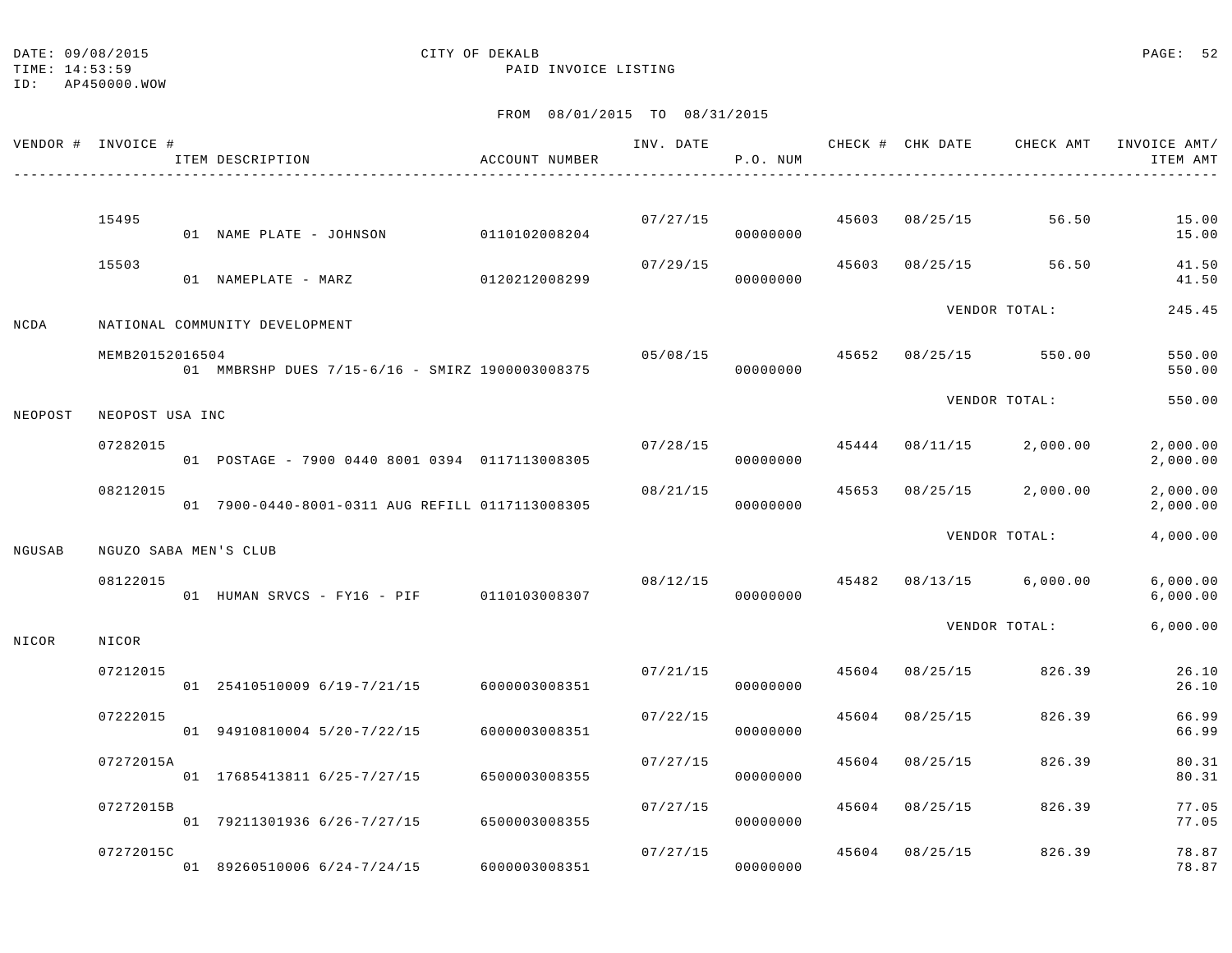TIME: 14:53:59 PAID INVOICE LISTING

ID: AP450000.WOW

|         | VENDOR # INVOICE #    | ITEM DESCRIPTION                                | ACCOUNT NUMBER | INV. DATE | P.O. NUM |       | CHECK # CHK DATE | CHECK AMT     | INVOICE AMT/<br>ITEM AMT |
|---------|-----------------------|-------------------------------------------------|----------------|-----------|----------|-------|------------------|---------------|--------------------------|
|         |                       |                                                 |                |           |          |       |                  |               |                          |
|         | 15495                 | 01 NAME PLATE - JOHNSON                         | 0110102008204  | 07/27/15  | 00000000 | 45603 | 08/25/15         | 56.50         | 15.00<br>15.00           |
|         | 15503                 | 01 NAMEPLATE - MARZ                             | 0120212008299  | 07/29/15  | 00000000 | 45603 | 08/25/15         | 56.50         | 41.50<br>41.50           |
| NCDA    |                       | NATIONAL COMMUNITY DEVELOPMENT                  |                |           |          |       |                  | VENDOR TOTAL: | 245.45                   |
|         | MEMB20152016504       | 01 MMBRSHP DUES 7/15-6/16 - SMIRZ 1900003008375 |                | 05/08/15  | 00000000 | 45652 | 08/25/15         | 550.00        | 550.00<br>550.00         |
| NEOPOST | NEOPOST USA INC       |                                                 |                |           |          |       |                  | VENDOR TOTAL: | 550.00                   |
|         | 07282015              | 01 POSTAGE - 7900 0440 8001 0394 0117113008305  |                | 07/28/15  | 00000000 | 45444 | 08/11/15         | 2,000.00      | 2,000.00<br>2,000.00     |
|         | 08212015              | 01 7900-0440-8001-0311 AUG REFILL 0117113008305 |                | 08/21/15  | 00000000 | 45653 | 08/25/15         | 2,000.00      | 2,000.00<br>2,000.00     |
| NGUSAB  | NGUZO SABA MEN'S CLUB |                                                 |                |           |          |       |                  | VENDOR TOTAL: | 4,000.00                 |
|         | 08122015              | 01 HUMAN SRVCS - FY16 - PIF 0110103008307       |                | 08/12/15  | 00000000 | 45482 | 08/13/15         | 6,000.00      | 6,000.00<br>6,000.00     |
| NICOR   | NICOR                 |                                                 |                |           |          |       |                  | VENDOR TOTAL: | 6,000.00                 |
|         | 07212015              | 01 25410510009 6/19-7/21/15                     | 6000003008351  | 07/21/15  | 00000000 | 45604 | 08/25/15         | 826.39        | 26.10<br>26.10           |
|         | 07222015              | 01 94910810004 5/20-7/22/15                     | 6000003008351  | 07/22/15  | 00000000 | 45604 | 08/25/15         | 826.39        | 66.99<br>66.99           |
|         | 07272015A             | 01 17685413811 6/25-7/27/15                     | 6500003008355  | 07/27/15  | 00000000 | 45604 | 08/25/15         | 826.39        | 80.31<br>80.31           |
|         | 07272015B             | 01 79211301936 6/26-7/27/15                     | 6500003008355  | 07/27/15  | 00000000 | 45604 | 08/25/15         | 826.39        | 77.05<br>77.05           |
|         | 07272015C             | 01 89260510006 6/24-7/24/15                     | 6000003008351  | 07/27/15  | 00000000 | 45604 | 08/25/15         | 826.39        | 78.87<br>78.87           |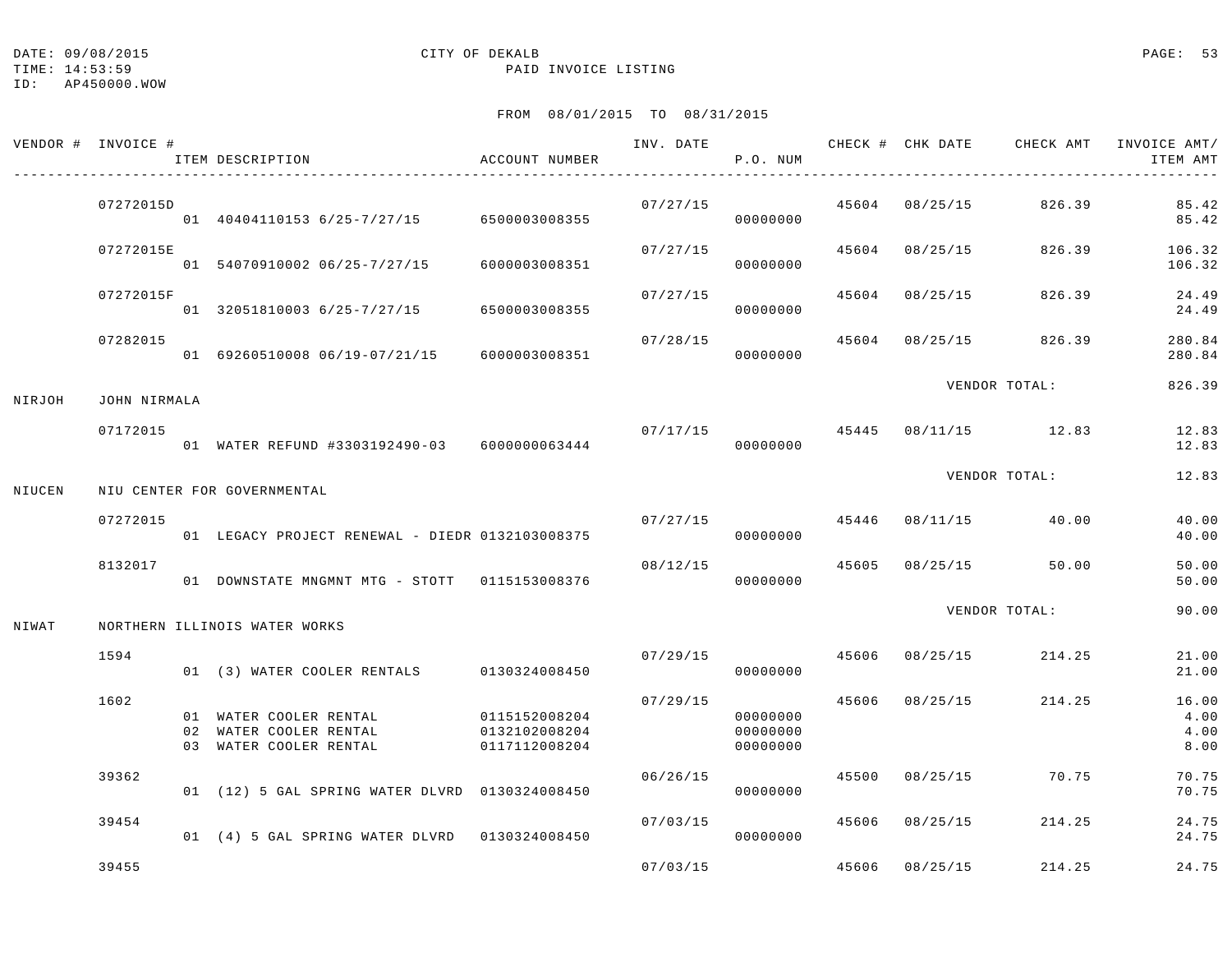|        | VENDOR # INVOICE # | ITEM DESCRIPTION                                                           | ACCOUNT NUMBER                                  |          | P.O. NUM                         |       |                | INV. DATE 6 CHECK # CHK DATE CHECK AMT INVOICE AMT/ | ITEM AMT                      |
|--------|--------------------|----------------------------------------------------------------------------|-------------------------------------------------|----------|----------------------------------|-------|----------------|-----------------------------------------------------|-------------------------------|
|        | 07272015D          | 01 40404110153 6/25-7/27/15 6500003008355                                  |                                                 | 07/27/15 | 00000000                         |       | 45604 08/25/15 | 826.39                                              | 85.42<br>85.42                |
|        | 07272015E          | 01 54070910002 06/25-7/27/15                                               | 6000003008351                                   | 07/27/15 | 00000000                         |       | 45604 08/25/15 | 826.39                                              | 106.32<br>106.32              |
|        | 07272015F          | 01 32051810003 6/25-7/27/15                                                | 6500003008355                                   | 07/27/15 | 00000000                         | 45604 | 08/25/15       | 826.39                                              | 24.49<br>24.49                |
|        | 07282015           | 01 69260510008 06/19-07/21/15                                              | 6000003008351                                   | 07/28/15 | 00000000                         | 45604 | 08/25/15       | 826.39                                              | 280.84<br>280.84              |
| NIRJOH | JOHN NIRMALA       |                                                                            |                                                 |          |                                  |       |                | VENDOR TOTAL:                                       | 826.39                        |
|        | 07172015           | 01 WATER REFUND #3303192490-03 6000000063444                               |                                                 | 07/17/15 | 00000000                         |       |                | 45445 08/11/15 12.83                                | 12.83<br>12.83                |
| NIUCEN |                    | NIU CENTER FOR GOVERNMENTAL                                                |                                                 |          |                                  |       |                | VENDOR TOTAL:                                       | 12.83                         |
|        | 07272015           | 01 LEGACY PROJECT RENEWAL - DIEDR 0132103008375                            |                                                 |          | 07/27/15<br>00000000             |       | 45446 08/11/15 | 40.00                                               | 40.00<br>40.00                |
|        | 8132017            | 01 DOWNSTATE MNGMNT MTG - STOTT 0115153008376                              |                                                 | 08/12/15 | 00000000                         |       |                | 45605 08/25/15 50.00                                | 50.00<br>50.00                |
| NIWAT  |                    | NORTHERN ILLINOIS WATER WORKS                                              |                                                 |          |                                  |       |                | VENDOR TOTAL:                                       | 90.00                         |
|        | 1594               | 01 (3) WATER COOLER RENTALS 0130324008450                                  |                                                 | 07/29/15 | 00000000                         |       | 45606 08/25/15 | 214.25                                              | 21.00<br>21.00                |
|        | 1602               | 01 WATER COOLER RENTAL<br>02 WATER COOLER RENTAL<br>03 WATER COOLER RENTAL | 0115152008204<br>0132102008204<br>0117112008204 | 07/29/15 | 00000000<br>00000000<br>00000000 |       | 45606 08/25/15 | 214.25                                              | 16.00<br>4.00<br>4.00<br>8.00 |
|        | 39362              | 01 (12) 5 GAL SPRING WATER DLVRD 0130324008450                             |                                                 | 06/26/15 | 00000000                         |       | 45500 08/25/15 | 70.75                                               | 70.75<br>70.75                |
|        | 39454              | 01 (4) 5 GAL SPRING WATER DLVRD 0130324008450                              |                                                 | 07/03/15 | 00000000                         |       | 45606 08/25/15 | 214.25                                              | 24.75<br>24.75                |
|        | 39455              |                                                                            |                                                 |          | 07/03/15                         |       | 45606 08/25/15 | 214.25                                              | 24.75                         |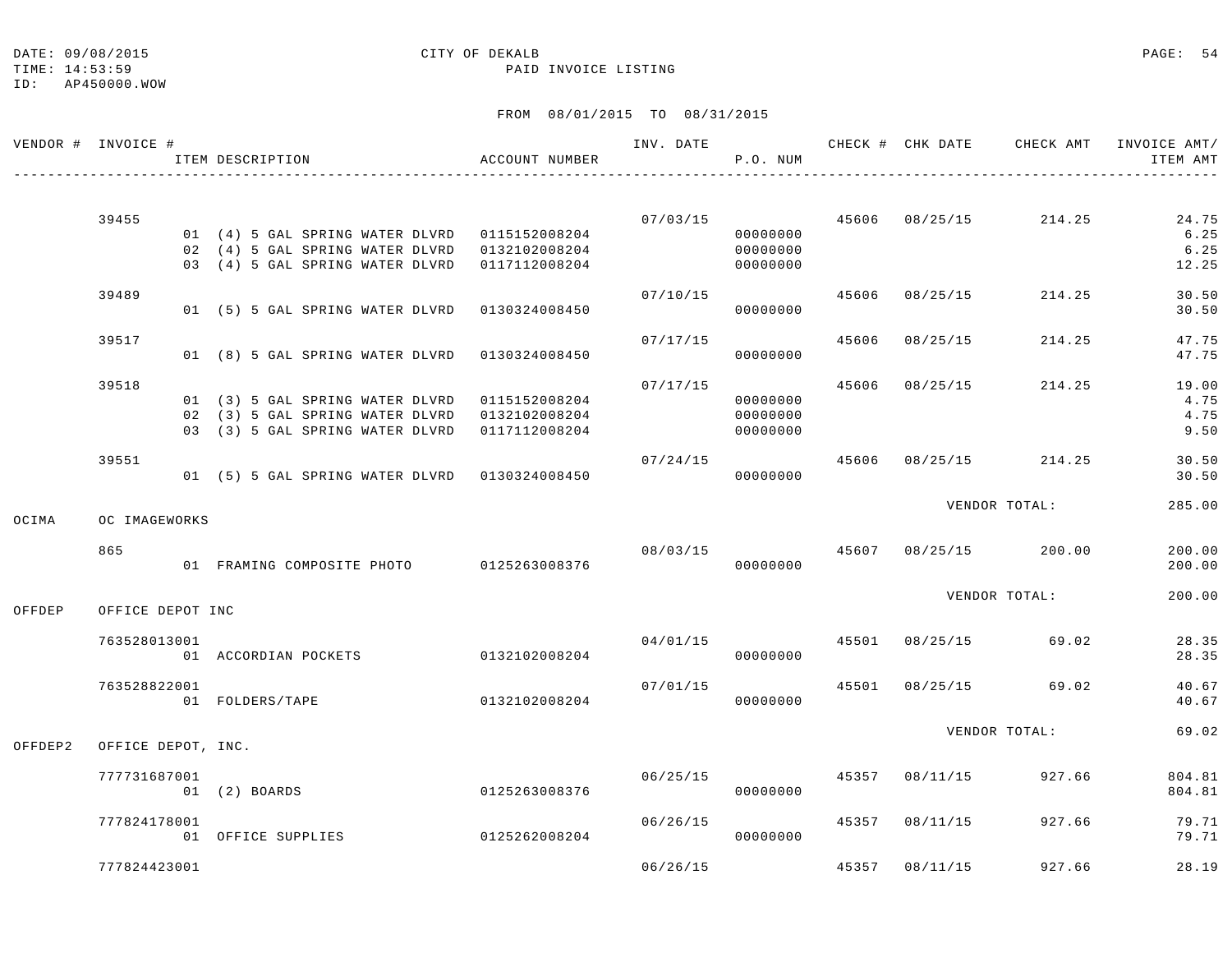## ID: AP450000.WOW

# DATE: 09/08/2015 CITY OF DEKALB PAGE: 54

TIME: 14:53:59 PAID INVOICE LISTING

|         | VENDOR # INVOICE # | ITEM DESCRIPTION                              | ACCOUNT NUMBER |          | P.O. NUM |       |                           | INV. DATE 6 CHECK # CHK DATE CHECK AMT INVOICE AMT/ | ITEM AMT |
|---------|--------------------|-----------------------------------------------|----------------|----------|----------|-------|---------------------------|-----------------------------------------------------|----------|
|         |                    |                                               |                |          |          |       |                           |                                                     |          |
|         | 39455              |                                               |                |          |          |       | $07/03/15$ 45606 08/25/15 | 214.25                                              | 24.75    |
|         |                    | 01 (4) 5 GAL SPRING WATER DLVRD 0115152008204 |                |          | 00000000 |       |                           |                                                     | 6.25     |
|         |                    | 02 (4) 5 GAL SPRING WATER DLVRD 0132102008204 |                |          | 00000000 |       |                           |                                                     | 6.25     |
|         |                    | 03 (4) 5 GAL SPRING WATER DLVRD               | 0117112008204  |          | 00000000 |       |                           |                                                     | 12.25    |
|         | 39489              |                                               |                | 07/10/15 |          | 45606 | 08/25/15                  | 214.25                                              | 30.50    |
|         |                    | 01 (5) 5 GAL SPRING WATER DLVRD 0130324008450 |                |          | 00000000 |       |                           |                                                     | 30.50    |
|         | 39517              |                                               |                | 07/17/15 |          | 45606 | 08/25/15                  | 214.25                                              | 47.75    |
|         |                    | 01 (8) 5 GAL SPRING WATER DLVRD               | 0130324008450  |          | 00000000 |       |                           |                                                     | 47.75    |
|         | 39518              |                                               |                | 07/17/15 |          |       | 45606 08/25/15            | 214.25                                              | 19.00    |
|         |                    | 01 (3) 5 GAL SPRING WATER DLVRD               | 0115152008204  |          | 00000000 |       |                           |                                                     | 4.75     |
|         |                    | 02 (3) 5 GAL SPRING WATER DLVRD               | 0132102008204  |          | 00000000 |       |                           |                                                     | 4.75     |
|         |                    | 03 (3) 5 GAL SPRING WATER DLVRD               | 0117112008204  |          | 00000000 |       |                           |                                                     | 9.50     |
|         | 39551              |                                               |                | 07/24/15 |          |       | 45606 08/25/15            | 214.25                                              | 30.50    |
|         |                    | 01 (5) 5 GAL SPRING WATER DLVRD 0130324008450 |                |          | 00000000 |       |                           |                                                     | 30.50    |
|         |                    |                                               |                |          |          |       |                           | VENDOR TOTAL:                                       | 285.00   |
| OCIMA   | OC IMAGEWORKS      |                                               |                |          |          |       |                           |                                                     |          |
|         | 865                |                                               |                |          |          |       |                           | $08/03/15$ $45607$ $08/25/15$ $200.00$              | 200.00   |
|         |                    | 01 FRAMING COMPOSITE PHOTO 0125263008376      |                |          | 00000000 |       |                           |                                                     | 200.00   |
|         |                    |                                               |                |          |          |       |                           | VENDOR TOTAL:                                       | 200.00   |
| OFFDEP  | OFFICE DEPOT INC   |                                               |                |          |          |       |                           |                                                     |          |
|         | 763528013001       |                                               |                |          | 04/01/15 |       |                           | 45501 08/25/15 69.02                                | 28.35    |
|         |                    | 01 ACCORDIAN POCKETS                          | 0132102008204  |          | 00000000 |       |                           |                                                     | 28.35    |
|         | 763528822001       |                                               |                | 07/01/15 |          |       |                           | 45501 08/25/15 69.02                                | 40.67    |
|         |                    | 01 FOLDERS/TAPE                               | 0132102008204  |          | 00000000 |       |                           |                                                     | 40.67    |
|         |                    |                                               |                |          |          |       |                           | VENDOR TOTAL:                                       | 69.02    |
| OFFDEP2 | OFFICE DEPOT, INC. |                                               |                |          |          |       |                           |                                                     |          |
|         | 777731687001       |                                               |                | 06/25/15 |          |       | 45357 08/11/15            | 927.66                                              | 804.81   |
|         |                    | 01 (2) BOARDS                                 | 0125263008376  |          | 00000000 |       |                           |                                                     | 804.81   |
|         | 777824178001       |                                               |                | 06/26/15 |          |       | 45357 08/11/15            | 927.66                                              | 79.71    |
|         |                    | 01 OFFICE SUPPLIES                            | 0125262008204  |          | 00000000 |       |                           |                                                     | 79.71    |
|         | 777824423001       |                                               |                | 06/26/15 |          |       | 45357 08/11/15            | 927.66                                              | 28.19    |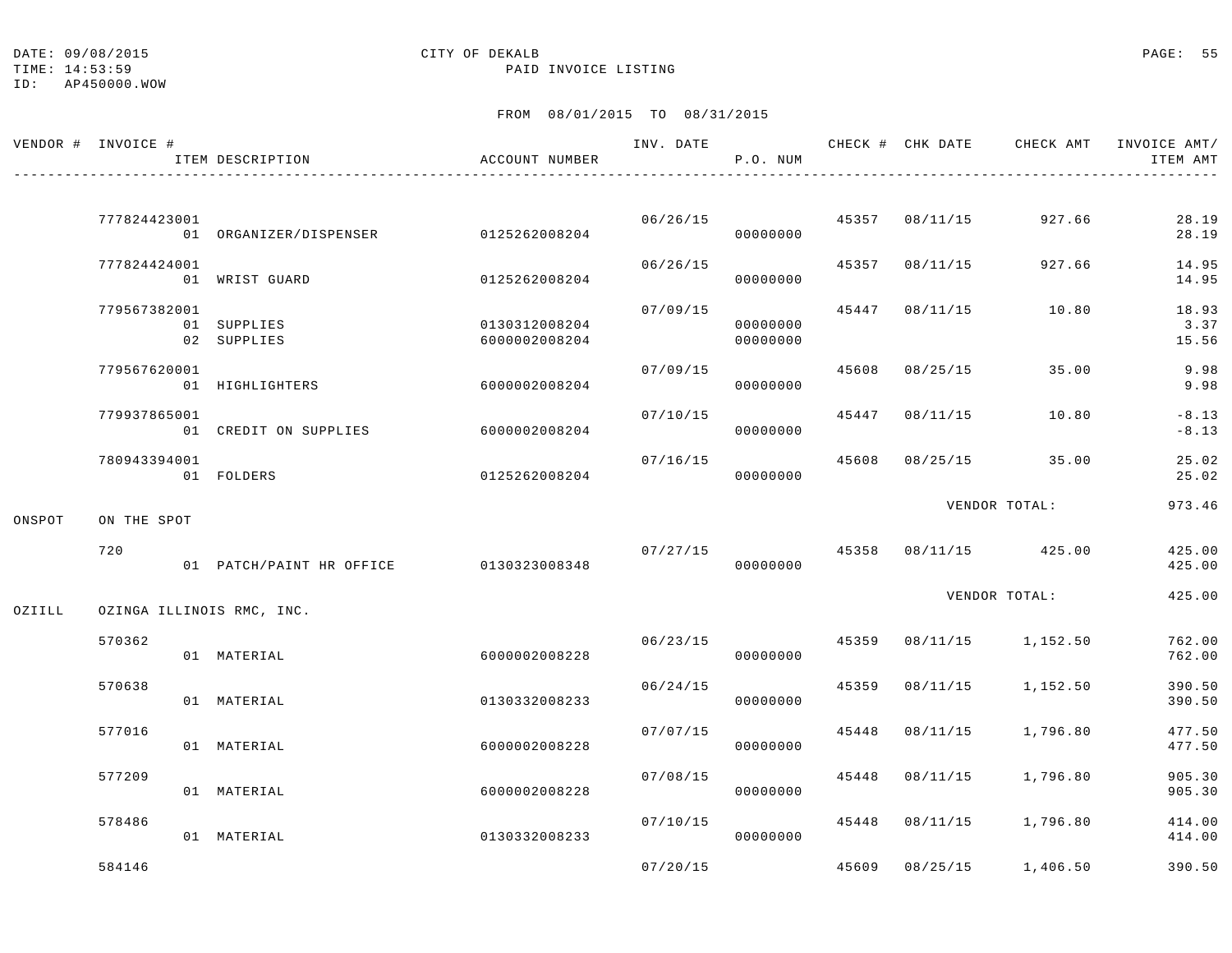TIME: 14:53:59 PAID INVOICE LISTING

|        | VENDOR # INVOICE # | ITEM DESCRIPTION                       | ACCOUNT NUMBER                 | INV. DATE | P.O. NUM             |       | CHECK # CHK DATE | CHECK AMT               | INVOICE AMT/<br>ITEM AMT |
|--------|--------------------|----------------------------------------|--------------------------------|-----------|----------------------|-------|------------------|-------------------------|--------------------------|
|        | 777824423001       |                                        | 0125262008204                  | 06/26/15  |                      |       | 45357 08/11/15   | 927.66                  | 28.19                    |
|        | 777824424001       | 01 ORGANIZER/DISPENSER                 |                                | 06/26/15  | 00000000             | 45357 | 08/11/15         | 927.66                  | 28.19<br>14.95           |
|        |                    | 01 WRIST GUARD                         | 0125262008204                  |           | 00000000             |       |                  |                         | 14.95                    |
|        | 779567382001       | 01 SUPPLIES<br>02 SUPPLIES             | 0130312008204<br>6000002008204 | 07/09/15  | 00000000<br>00000000 | 45447 | 08/11/15         | 10.80                   | 18.93<br>3.37<br>15.56   |
|        | 779567620001       | 01 HIGHLIGHTERS                        | 6000002008204                  | 07/09/15  | 00000000             | 45608 | 08/25/15         | 35.00                   | 9.98<br>9.98             |
|        | 779937865001       | 01 CREDIT ON SUPPLIES                  | 6000002008204                  | 07/10/15  | 00000000             | 45447 | 08/11/15         | 10.80                   | $-8.13$<br>$-8.13$       |
|        | 780943394001       | 01 FOLDERS                             | 0125262008204                  | 07/16/15  | 00000000             | 45608 | 08/25/15         | 35.00                   | 25.02<br>25.02           |
| ONSPOT | ON THE SPOT        |                                        |                                |           |                      |       |                  | VENDOR TOTAL:           | 973.46                   |
|        | 720                | 01 PATCH/PAINT HR OFFICE 0130323008348 |                                | 07/27/15  | 00000000             | 45358 |                  | 08/11/15 425.00         | 425.00<br>425.00         |
| OZIILL |                    | OZINGA ILLINOIS RMC, INC.              |                                |           |                      |       |                  | VENDOR TOTAL:           | 425.00                   |
|        | 570362             | 01 MATERIAL                            | 6000002008228                  | 06/23/15  | 00000000             | 45359 |                  | 08/11/15 1,152.50       | 762.00<br>762.00         |
|        | 570638             | 01 MATERIAL                            | 0130332008233                  | 06/24/15  | 00000000             | 45359 | 08/11/15         | 1,152.50                | 390.50<br>390.50         |
|        | 577016             | 01 MATERIAL                            | 6000002008228                  | 07/07/15  | 00000000             | 45448 | 08/11/15         | 1,796.80                | 477.50<br>477.50         |
|        | 577209             | 01 MATERIAL                            | 6000002008228                  | 07/08/15  | 00000000             | 45448 | 08/11/15         | 1,796.80                | 905.30<br>905.30         |
|        | 578486             | 01 MATERIAL                            | 0130332008233                  | 07/10/15  | 00000000             |       |                  | 45448 08/11/15 1,796.80 | 414.00<br>414.00         |
|        | 584146             |                                        |                                | 07/20/15  |                      | 45609 |                  | 08/25/15 1,406.50       | 390.50                   |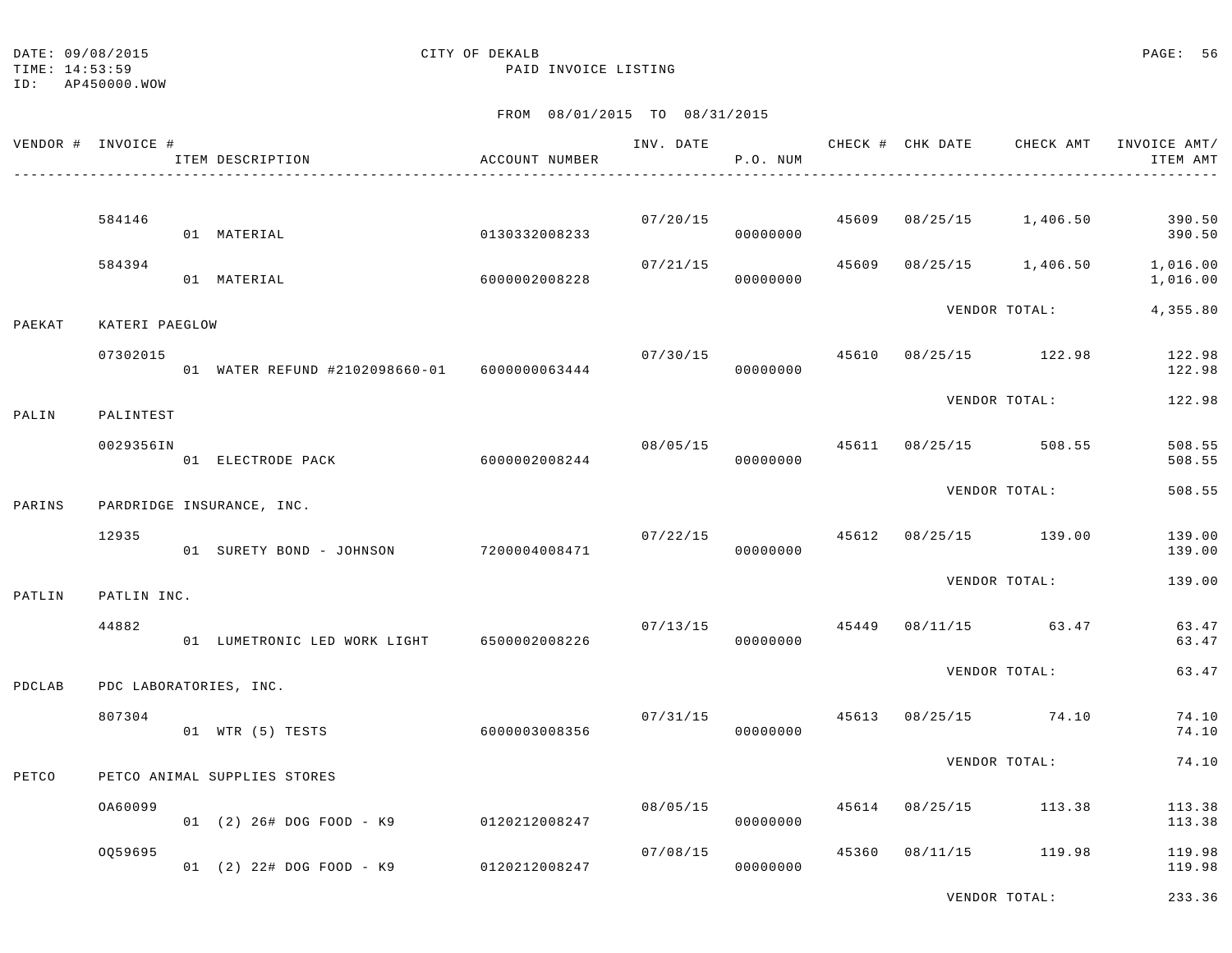TIME: 14:53:59 PAID INVOICE LISTING

ID: AP450000.WOW

# FROM 08/01/2015 TO 08/31/2015

| VENDOR # INVOICE # |                | ITEM DESCRIPTION                             | ACCOUNT NUMBER | INV. DATE | P.O. NUM                   |       | CHECK # CHK DATE      | CHECK AMT         | INVOICE AMT/<br>ITEM AMT |
|--------------------|----------------|----------------------------------------------|----------------|-----------|----------------------------|-------|-----------------------|-------------------|--------------------------|
|                    |                |                                              |                |           |                            |       |                       |                   |                          |
|                    | 584146         | 01 MATERIAL                                  | 0130332008233  | 07/20/15  | 45609<br>00000000          |       | $08/25/15$ 1,406.50   |                   | 390.50<br>390.50         |
|                    | 584394         | 01 MATERIAL                                  | 6000002008228  | 07/21/15  | 00000000                   | 45609 |                       | 08/25/15 1,406.50 | 1,016.00<br>1,016.00     |
| PAEKAT             | KATERI PAEGLOW |                                              |                |           |                            |       |                       | VENDOR TOTAL:     | 4,355.80                 |
|                    | 07302015       | 01 WATER REFUND #2102098660-01 6000000063444 |                |           | 07/30/15<br>00000000       | 45610 | 08/25/15 122.98       |                   | 122.98<br>122.98         |
| PALIN              | PALINTEST      |                                              |                |           |                            |       |                       | VENDOR TOTAL:     | 122.98                   |
|                    | 0029356IN      | 01 ELECTRODE PACK                            | 6000002008244  | 08/05/15  | 00000000                   |       | 45611 08/25/15 508.55 |                   | 508.55<br>508.55         |
| PARINS             |                | PARDRIDGE INSURANCE, INC.                    |                |           |                            |       |                       | VENDOR TOTAL:     | 508.55                   |
|                    | 12935          | 01 SURETY BOND - JOHNSON                     | 7200004008471  |           | 07/22/15 45612<br>00000000 |       | 08/25/15 139.00       |                   | 139.00<br>139.00         |
| PATLIN             | PATLIN INC.    |                                              |                |           |                            |       |                       | VENDOR TOTAL:     | 139.00                   |
|                    | 44882          | 01 LUMETRONIC LED WORK LIGHT 6500002008226   |                | 07/13/15  | 00000000                   |       | 45449 08/11/15 63.47  |                   | 63.47<br>63.47           |
| PDCLAB             |                | PDC LABORATORIES, INC.                       |                |           |                            |       |                       | VENDOR TOTAL:     | 63.47                    |
|                    | 807304         | 01 WTR (5) TESTS                             | 6000003008356  | 07/31/15  | 00000000                   | 45613 | 08/25/15 74.10        |                   | 74.10<br>74.10           |
| PETCO              |                | PETCO ANIMAL SUPPLIES STORES                 |                |           |                            |       |                       | VENDOR TOTAL:     | 74.10                    |
|                    | OA60099        | 01 (2) 26# DOG FOOD - K9                     | 0120212008247  | 08/05/15  | 00000000                   |       | 45614 08/25/15 113.38 |                   | 113.38<br>113.38         |
|                    | 0059695        | 01 (2) 22# DOG FOOD - K9                     | 0120212008247  | 07/08/15  | 00000000                   | 45360 | 08/11/15 119.98       |                   | 119.98<br>119.98         |

VENDOR TOTAL: 233.36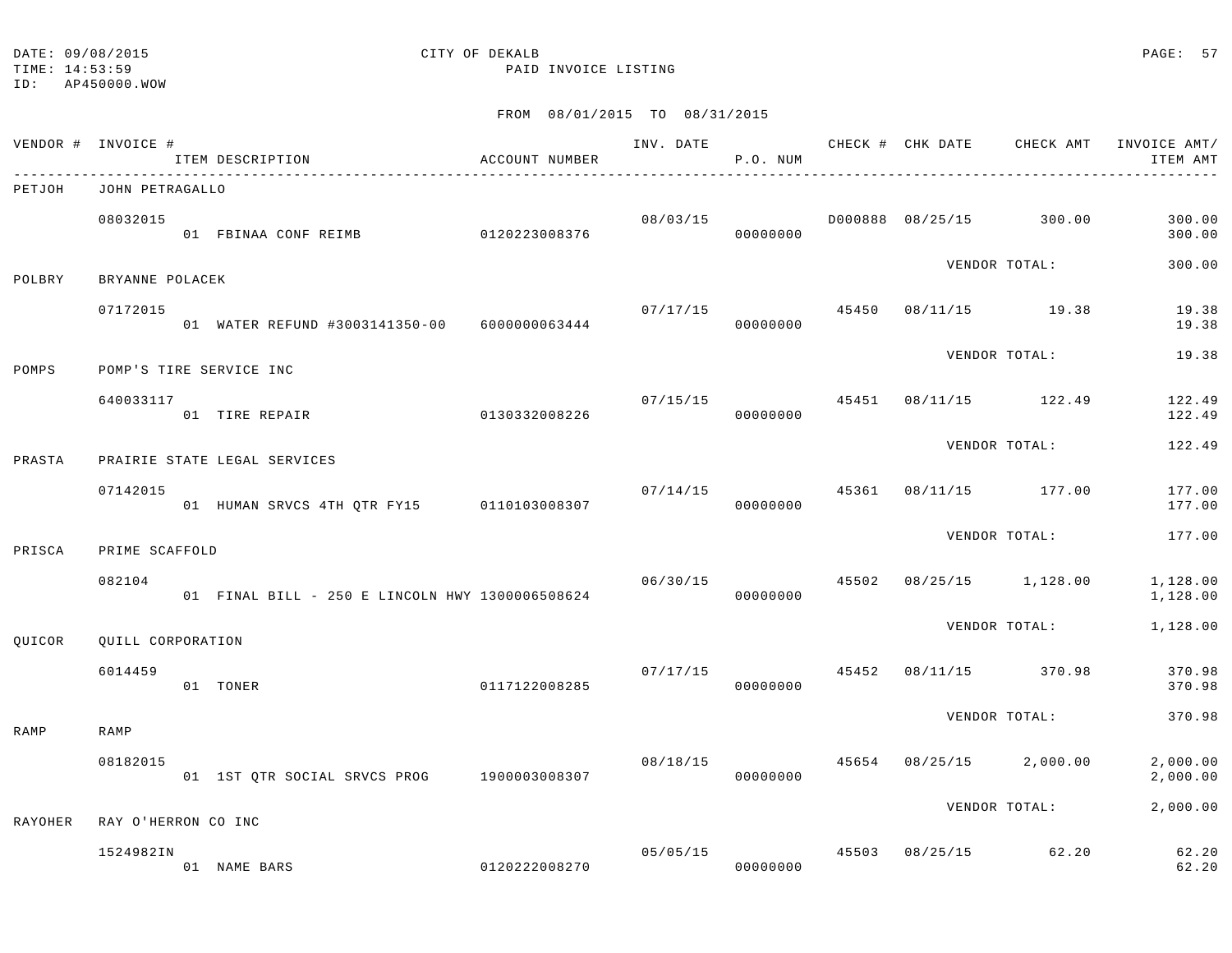ID: AP450000.WOW

# TIME: 14:53:59 PAID INVOICE LISTING

|                | VENDOR # INVOICE #  | ITEM DESCRIPTION                                | ACCOUNT NUMBER |          | P.O. NUM             |       |          | ___________________________________ | INV. DATE 6 CHECK # CHK DATE CHECK AMT INVOICE AMT/<br>ITEM AMT |
|----------------|---------------------|-------------------------------------------------|----------------|----------|----------------------|-------|----------|-------------------------------------|-----------------------------------------------------------------|
| PETJOH         | JOHN PETRAGALLO     |                                                 |                |          |                      |       |          |                                     |                                                                 |
|                | 08032015            | 01 FBINAA CONF REIMB                            | 0120223008376  | 08/03/15 | 00000000             |       |          | D000888 08/25/15 300.00             | 300.00<br>300.00                                                |
| POLBRY         | BRYANNE POLACEK     |                                                 |                |          |                      |       |          | VENDOR TOTAL:                       | 300.00                                                          |
|                | 07172015            | 01 WATER REFUND #3003141350-00 6000000063444    |                | 07/17/15 | 00000000             |       |          | 45450 08/11/15 19.38                | 19.38<br>19.38                                                  |
| POMPS          |                     | POMP'S TIRE SERVICE INC                         |                |          |                      |       |          | VENDOR TOTAL:                       | 19.38                                                           |
|                | 640033117           | 01 TIRE REPAIR                                  | 0130332008226  | 07/15/15 | 00000000             |       |          | 45451 08/11/15 122.49               | 122.49<br>122.49                                                |
| PRASTA         |                     | PRAIRIE STATE LEGAL SERVICES                    |                |          |                      |       |          | VENDOR TOTAL:                       | 122.49                                                          |
|                | 07142015            | 01 HUMAN SRVCS 4TH QTR FY15 0110103008307       |                |          | 07/14/15<br>00000000 | 45361 |          | 08/11/15 177.00                     | 177.00<br>177.00                                                |
| PRISCA         | PRIME SCAFFOLD      |                                                 |                |          |                      |       |          | VENDOR TOTAL:                       | 177.00                                                          |
|                | 082104              | 01 FINAL BILL - 250 E LINCOLN HWY 1300006508624 |                | 06/30/15 | 00000000             | 45502 |          | 08/25/15 1,128.00                   | 1,128.00<br>1,128.00                                            |
| QUICOR         | QUILL CORPORATION   |                                                 |                |          |                      |       |          | VENDOR TOTAL:                       | 1,128.00                                                        |
|                | 6014459             | 01 TONER                                        | 0117122008285  |          | 07/17/15<br>00000000 | 45452 | 08/11/15 | 370.98                              | 370.98<br>370.98                                                |
| RAMP           | RAMP                |                                                 |                |          |                      |       |          | VENDOR TOTAL:                       | 370.98                                                          |
|                | 08182015            | 01 1ST QTR SOCIAL SRVCS PROG 1900003008307      |                | 08/18/15 | 00000000             |       |          | 45654 08/25/15 2,000.00             | 2,000.00<br>2,000.00                                            |
| <b>RAYOHER</b> | RAY O'HERRON CO INC |                                                 |                |          |                      |       |          | VENDOR TOTAL:                       | 2,000.00                                                        |
|                | 1524982IN           | 01 NAME BARS                                    | 0120222008270  | 05/05/15 | 00000000             |       |          | 45503 08/25/15 62.20                | 62.20<br>62.20                                                  |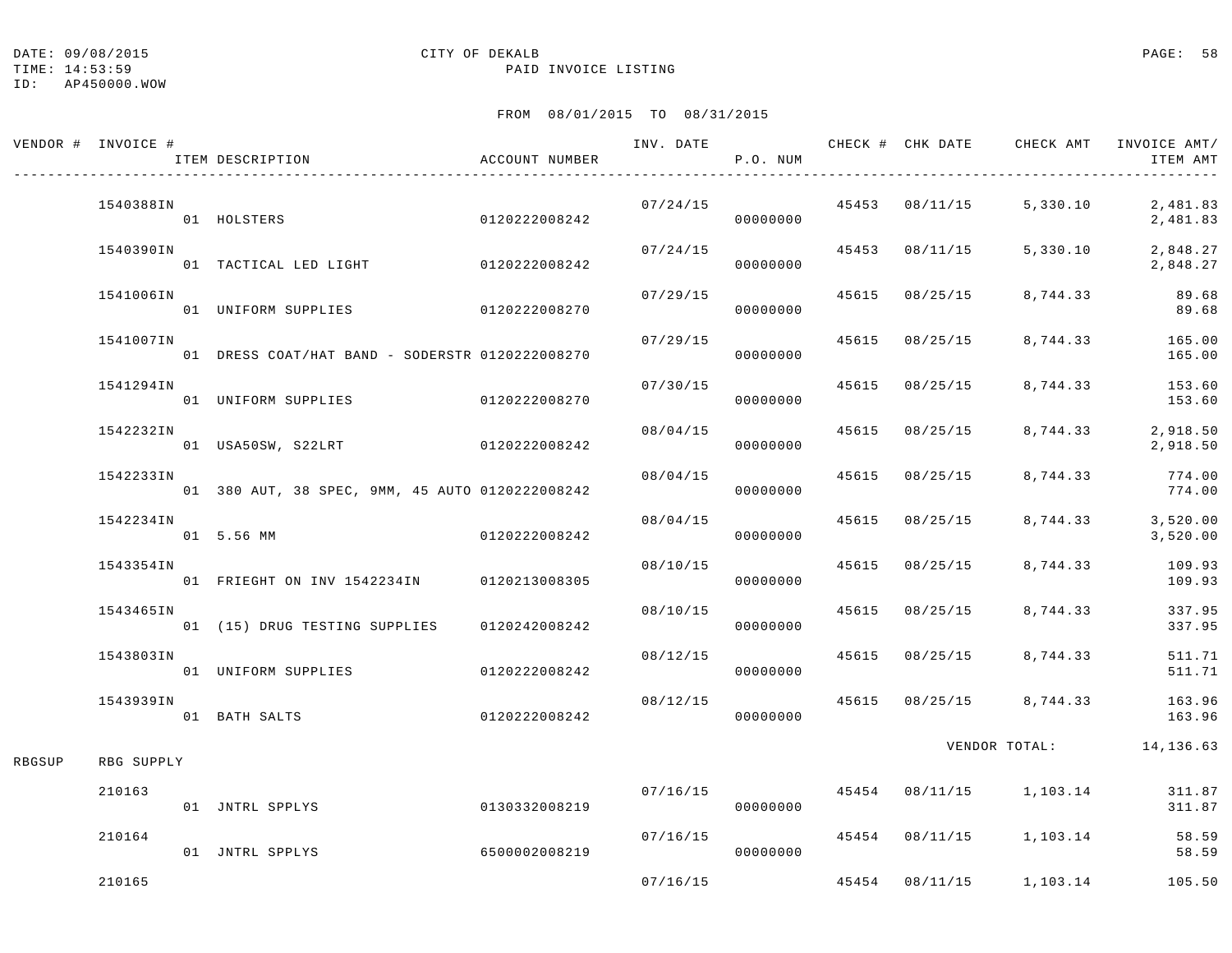|        | VENDOR # INVOICE # | ITEM DESCRIPTION                                | ACCOUNT NUMBER | INV. DATE | P.O. NUM              |                | CHECK # CHK DATE CHECK AMT               | INVOICE AMT/<br>ITEM AMT                 |
|--------|--------------------|-------------------------------------------------|----------------|-----------|-----------------------|----------------|------------------------------------------|------------------------------------------|
|        | 1540388IN          | 01 HOLSTERS                                     | 0120222008242  | 07/24/15  | 00000000              |                | $45453$ $08/11/15$ 5,330.10              | 2,481.83<br>2,481.83                     |
|        | 1540390IN          | 01 TACTICAL LED LIGHT 0120222008242             |                |           | 07/24/15<br>00000000  | 45453 08/11/15 | 5,330.10                                 | 2,848.27<br>2,848.27                     |
|        | 1541006IN          | 01 UNIFORM SUPPLIES 0120222008270               |                | 07/29/15  | 00000000              | 45615 08/25/15 | 8,744.33                                 | 89.68<br>89.68                           |
|        | 1541007IN          | 01 DRESS COAT/HAT BAND - SODERSTR 0120222008270 |                | 07/29/15  | 00000000              | 45615 08/25/15 |                                          | 8,744.33 165.00<br>165.00                |
|        | 1541294IN          | 01 UNIFORM SUPPLIES 0120222008270               |                | 07/30/15  | 00000000              | 45615 08/25/15 |                                          | 8,744.33 153.60<br>153.60                |
|        | 1542232IN          | 01 USA50SW, S22LRT 0120222008242                |                | 08/04/15  | 00000000              | 45615 08/25/15 | 8,744.33                                 | 2,918.50<br>2,918.50                     |
|        | 1542233IN          | 01 380 AUT, 38 SPEC, 9MM, 45 AUTO 0120222008242 |                | 08/04/15  | 00000000              | 45615 08/25/15 | 8,744.33                                 | 774.00<br>774.00                         |
|        | 1542234IN          | 01 5.56 MM                                      | 0120222008242  |           | 08/04/15<br>00000000  | 45615 08/25/15 | 8,744.33                                 | 3,520.00<br>3,520.00                     |
|        | 1543354IN          | 01 FRIEGHT ON INV 1542234IN 0120213008305       |                | 08/10/15  | 00000000              | 45615 08/25/15 | 8,744.33                                 | 109.93<br>109.93                         |
|        | 1543465IN          | 01 (15) DRUG TESTING SUPPLIES                   | 0120242008242  | 08/10/15  | 00000000              | 45615 08/25/15 | 8,744.33                                 | 337.95<br>337.95                         |
|        | 1543803IN          | 01 UNIFORM SUPPLIES                             | 0120222008242  | 08/12/15  | 00000000              | 45615 08/25/15 | 8,744.33                                 | 511.71<br>511.71                         |
|        | 1543939IN          | 01 BATH SALTS                                   | 0120222008242  |           | 00000000              |                | $08/12/15$ $45615$ $08/25/15$ $8,744.33$ | 163.96<br>163.96                         |
| RBGSUP | RBG SUPPLY         |                                                 |                |           |                       |                |                                          | VENDOR TOTAL: 14,136.63                  |
|        | 210163             | 01 JNTRL SPPLYS                                 | 0130332008219  |           | 07/16/15<br>00000000  |                |                                          | 45454 08/11/15 1,103.14 311.87<br>311.87 |
|        | 210164             | 01 JNTRL SPPLYS                                 | 6500002008219  |           | 07/16/15<br>000000000 |                | 45454 08/11/15 1,103.14                  | 58.59<br>58.59                           |
|        | 210165             |                                                 |                | 07/16/15  |                       |                | 45454 08/11/15 1,103.14                  | 105.50                                   |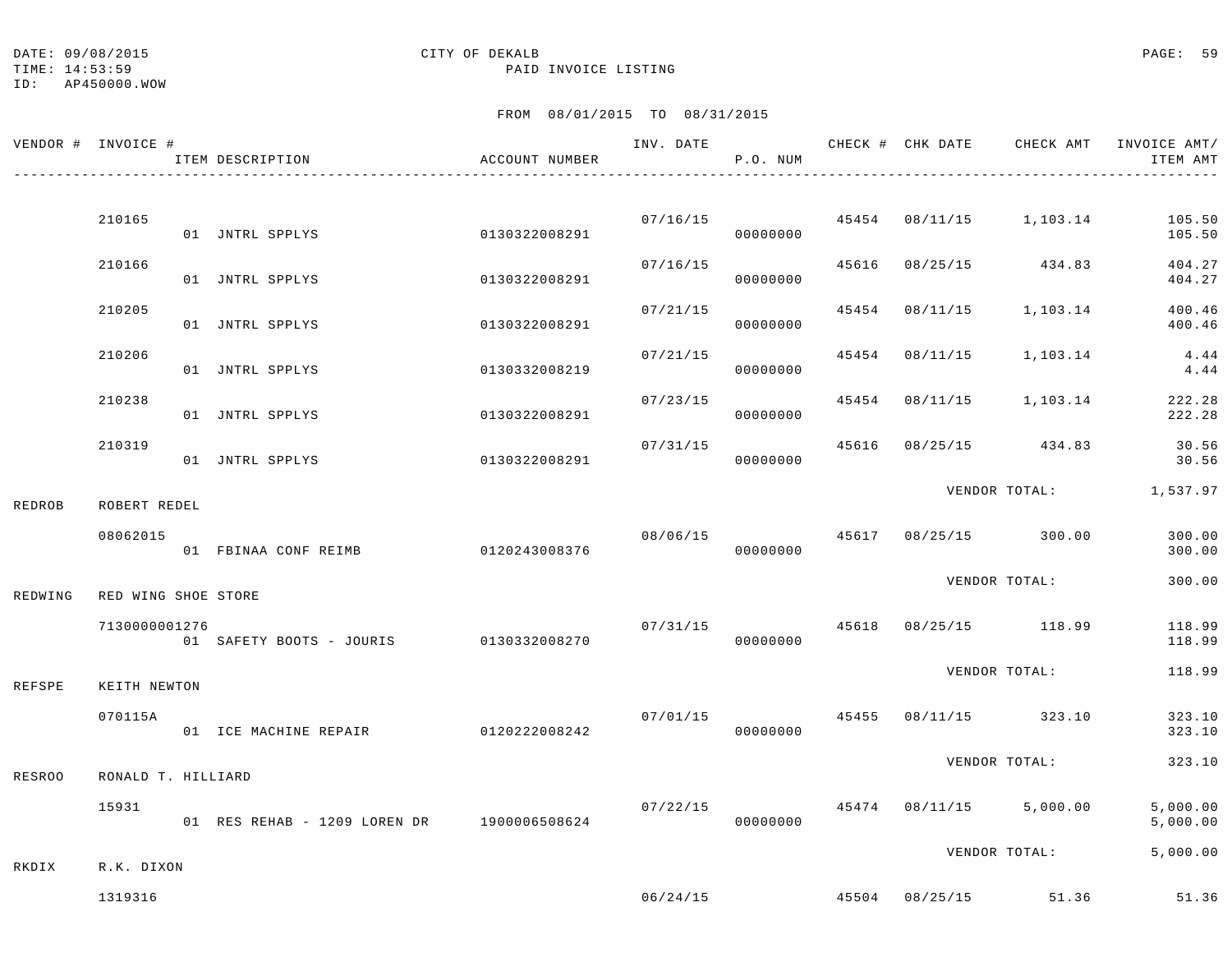TIME: 14:53:59 PAID INVOICE LISTING

|               | VENDOR # INVOICE #  | ITEM DESCRIPTION                           | ACCOUNT NUMBER | INV. DATE | P.O. NUM             |       | CHECK # CHK DATE | CHECK AMT                             | INVOICE AMT/<br>ITEM AMT |
|---------------|---------------------|--------------------------------------------|----------------|-----------|----------------------|-------|------------------|---------------------------------------|--------------------------|
|               |                     |                                            |                |           |                      |       |                  |                                       |                          |
|               | 210165              | 01 JNTRL SPPLYS                            | 0130322008291  |           | 00000000             |       |                  | $07/16/15$ 45454 $08/11/15$ 1,103.14  | 105.50<br>105.50         |
|               | 210166              | 01 JNTRL SPPLYS                            | 0130322008291  |           | 07/16/15<br>00000000 | 45616 |                  | 08/25/15 434.83                       | 404.27<br>404.27         |
|               | 210205              | 01 JNTRL SPPLYS                            | 0130322008291  | 07/21/15  | 00000000             |       | 45454 08/11/15   | 1,103.14                              | 400.46<br>400.46         |
|               | 210206              | 01 JNTRL SPPLYS                            | 0130332008219  | 07/21/15  | 00000000             | 45454 | 08/11/15         | 1,103.14                              | 4.44<br>4.44             |
|               | 210238              | 01 JNTRL SPPLYS                            | 0130322008291  | 07/23/15  | 00000000             |       |                  | 45454 08/11/15 1,103.14               | 222.28<br>222.28         |
|               | 210319              | 01 JNTRL SPPLYS                            | 0130322008291  | 07/31/15  | 00000000             | 45616 |                  | 08/25/15 434.83                       | 30.56<br>30.56           |
| <b>REDROB</b> | ROBERT REDEL        |                                            |                |           |                      |       |                  |                                       | VENDOR TOTAL: 1,537.97   |
|               | 08062015            | 01 FBINAA CONF REIMB                       | 0120243008376  | 08/06/15  | 00000000             |       |                  | 45617 08/25/15 300.00                 | 300.00<br>300.00         |
| REDWING       | RED WING SHOE STORE |                                            |                |           |                      |       |                  | VENDOR TOTAL:                         | 300.00                   |
|               | 7130000001276       | 01 SAFETY BOOTS - JOURIS 0130332008270     |                |           | 07/31/15<br>00000000 |       |                  | 45618 08/25/15 118.99                 | 118.99<br>118.99         |
| <b>REFSPE</b> | KEITH NEWTON        |                                            |                |           |                      |       |                  | VENDOR TOTAL:                         | 118.99                   |
|               | 070115A             | 01 ICE MACHINE REPAIR 0120222008242        |                |           | 07/01/15<br>00000000 | 45455 |                  | 08/11/15 323.10                       | 323.10<br>323.10         |
| <b>RESROO</b> | RONALD T. HILLIARD  |                                            |                |           |                      |       |                  | VENDOR TOTAL:                         | 323.10                   |
|               | 15931               | 01 RES REHAB - 1209 LOREN DR 1900006508624 |                | 07/22/15  | 00000000             |       |                  | 45474 08/11/15 5,000.00               | 5,000.00<br>5,000.00     |
| RKDIX         | R.K. DIXON          |                                            |                |           |                      |       |                  | VENDOR TOTAL:                         | 5,000.00                 |
|               | 1319316             |                                            |                |           |                      |       |                  | $06/24/15$ $45504$ $08/25/15$ $51.36$ | 51.36                    |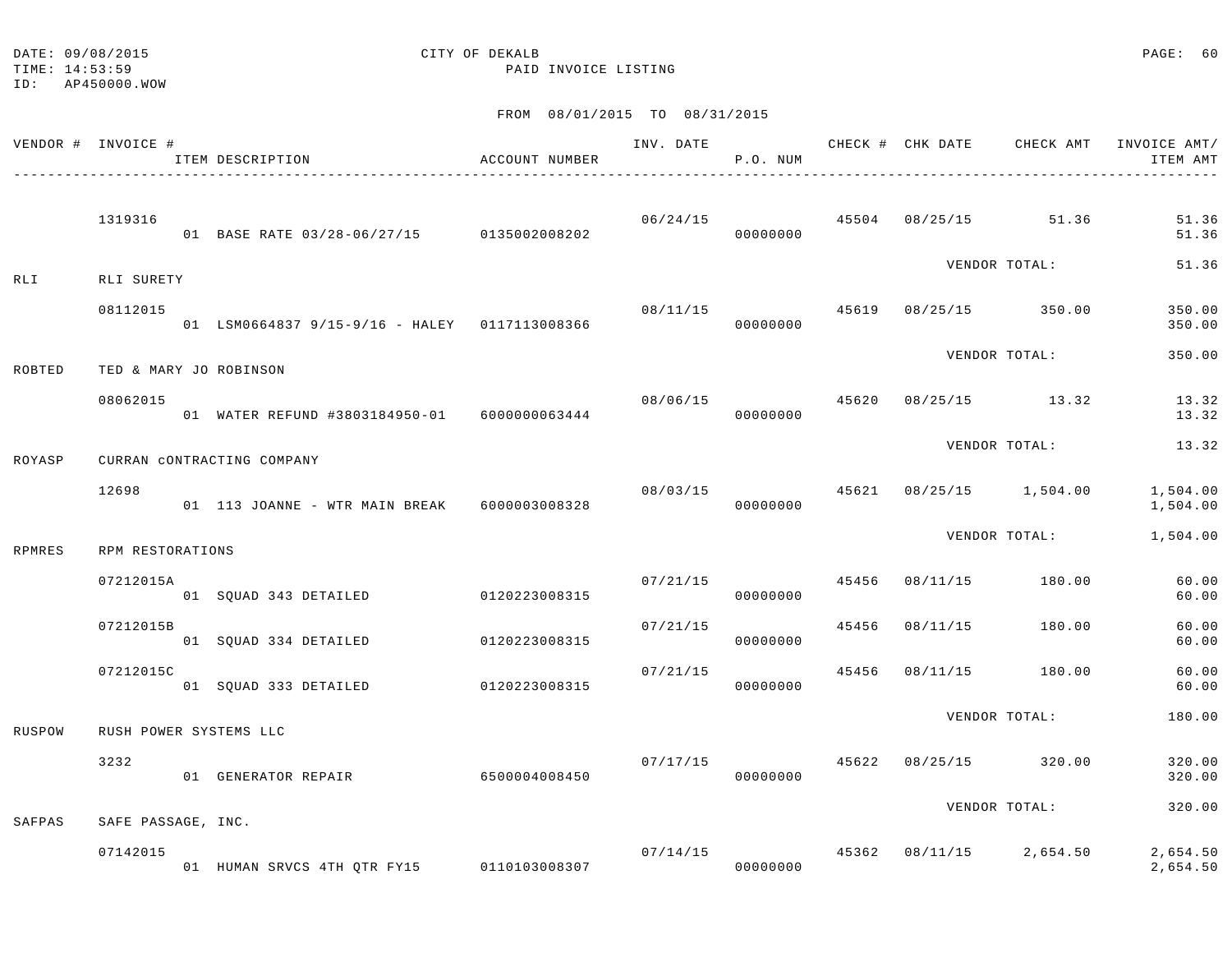TIME: 14:53:59 PAID INVOICE LISTING

ID: AP450000.WOW

|        | VENDOR # INVOICE # | ITEM DESCRIPTION                              | ACCOUNT NUMBER | INV. DATE      | P.O. NUM             |       | CHECK # CHK DATE | CHECK AMT               | INVOICE AMT/<br>ITEM AMT |
|--------|--------------------|-----------------------------------------------|----------------|----------------|----------------------|-------|------------------|-------------------------|--------------------------|
|        | 1319316            | 01 BASE RATE 03/28-06/27/15 0135002008202     |                | 06/24/15       | 00000000             | 45504 |                  | 08/25/15 51.36          | 51.36<br>51.36           |
| RLI    | RLI SURETY         |                                               |                |                |                      |       |                  | VENDOR TOTAL:           | 51.36                    |
|        | 08112015           | 01 LSM0664837 9/15-9/16 - HALEY 0117113008366 |                | 08/11/15       | 00000000             | 45619 |                  | 08/25/15 350.00         | 350.00<br>350.00         |
| ROBTED |                    | TED & MARY JO ROBINSON                        |                |                |                      |       |                  | VENDOR TOTAL:           | 350.00                   |
|        | 08062015           | 01 WATER REFUND #3803184950-01 6000000063444  |                | 08/06/15 45620 | 00000000             |       |                  | 08/25/15 13.32          | 13.32<br>13.32           |
| ROYASP |                    | CURRAN CONTRACTING COMPANY                    |                |                |                      |       |                  | VENDOR TOTAL:           | 13.32                    |
|        | 12698              | 01 113 JOANNE - WTR MAIN BREAK 6000003008328  |                |                | 08/03/15<br>00000000 |       |                  | 45621 08/25/15 1,504.00 | 1,504.00<br>1,504.00     |
| RPMRES | RPM RESTORATIONS   |                                               |                |                |                      |       |                  | VENDOR TOTAL:           | 1,504.00                 |
|        | 07212015A          | 01 SOUAD 343 DETAILED                         | 0120223008315  | 07/21/15       | 00000000             | 45456 | 08/11/15         | 180.00                  | 60.00<br>60.00           |
|        | 07212015B          | 01 SQUAD 334 DETAILED                         | 0120223008315  | 07/21/15       | 00000000             | 45456 | 08/11/15         | 180.00                  | 60.00<br>60.00           |
|        | 07212015C          | 01 SQUAD 333 DETAILED                         | 0120223008315  | 07/21/15       | 00000000             | 45456 | 08/11/15         | 180.00                  | 60.00<br>60.00           |
| RUSPOW |                    | RUSH POWER SYSTEMS LLC                        |                |                |                      |       |                  | VENDOR TOTAL:           | 180.00                   |
|        | 3232               | 01 GENERATOR REPAIR                           | 6500004008450  | 07/17/15       | 00000000             | 45622 |                  | 08/25/15 320.00         | 320.00<br>320.00         |
| SAFPAS | SAFE PASSAGE, INC. |                                               |                |                |                      |       |                  | VENDOR TOTAL:           | 320.00                   |
|        | 07142015           | 01 HUMAN SRVCS 4TH QTR FY15 0110103008307     |                | 07/14/15       | 00000000             | 45362 | 08/11/15         | 2,654.50                | 2,654.50<br>2,654.50     |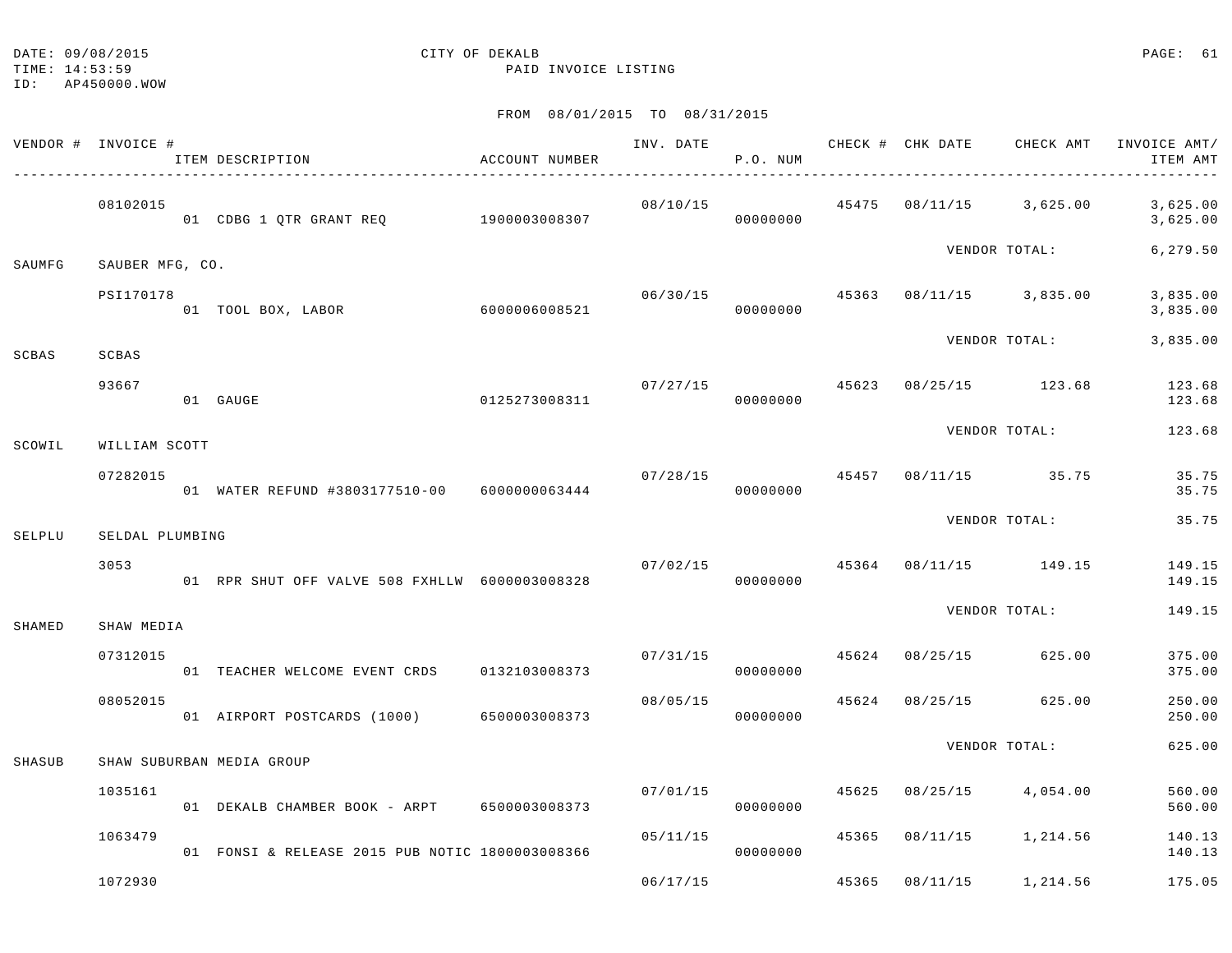|        | VENDOR # INVOICE # | ITEM DESCRIPTION                                | ACCOUNT NUMBER | INV. DATE                             | P.O. NUM                     |       |                | CHECK # CHK DATE CHECK AMT               | INVOICE AMT/<br>ITEM AMT |
|--------|--------------------|-------------------------------------------------|----------------|---------------------------------------|------------------------------|-------|----------------|------------------------------------------|--------------------------|
|        | 08102015           | 01 CDBG 1 QTR GRANT REQ 1900003008307           |                | 08/10/15                              | 00000000                     |       |                | 45475 08/11/15 3,625.00                  | 3,625.00<br>3,625.00     |
| SAUMFG | SAUBER MFG, CO.    |                                                 |                |                                       |                              |       |                | VENDOR TOTAL:                            | 6,279.50                 |
|        | PSI170178          | 01 TOOL BOX, LABOR                              | 6000006008521  |                                       | 00000000                     |       |                | $06/30/15$ $45363$ $08/11/15$ $3,835.00$ | 3,835.00<br>3,835.00     |
| SCBAS  | SCBAS              |                                                 |                |                                       |                              |       |                | VENDOR TOTAL:                            | 3,835.00                 |
|        | 93667              | 01 GAUGE                                        | 0125273008311  |                                       | $07/27/15$ 45623<br>00000000 |       |                | 08/25/15 123.68                          | 123.68<br>123.68         |
| SCOWIL | WILLIAM SCOTT      |                                                 |                |                                       |                              |       |                | VENDOR TOTAL:                            | 123.68                   |
|        | 07282015           | 01 WATER REFUND #3803177510-00 6000000063444    |                | $07/28/15$ $45457$ $08/11/15$ $35.75$ | 00000000                     |       |                |                                          | 35.75<br>35.75           |
| SELPLU | SELDAL PLUMBING    |                                                 |                |                                       |                              |       |                | VENDOR TOTAL:                            | 35.75                    |
|        | 3053               | 01 RPR SHUT OFF VALVE 508 FXHLLW 6000003008328  |                | $07/02/15$ 45364 08/11/15 149.15      | 00000000                     |       |                |                                          | 149.15<br>149.15         |
| SHAMED | SHAW MEDIA         |                                                 |                |                                       |                              |       |                | VENDOR TOTAL:                            | 149.15                   |
|        | 07312015           | 01 TEACHER WELCOME EVENT CRDS 0132103008373     |                |                                       | 00000000                     |       |                | $07/31/15$ 45624 08/25/15 625.00         | 375.00<br>375.00         |
|        | 08052015           | 01 AIRPORT POSTCARDS (1000) 6500003008373       |                |                                       | 08/05/15<br>00000000         | 45624 |                | 08/25/15 625.00                          | 250.00<br>250.00         |
| SHASUB |                    | SHAW SUBURBAN MEDIA GROUP                       |                |                                       |                              |       |                | VENDOR TOTAL:                            | 625.00                   |
|        | 1035161            | 01 DEKALB CHAMBER BOOK - ARPT 6500003008373     |                | 07/01/15                              | 00000000                     |       |                | 45625 08/25/15 4,054.00                  | 560.00<br>560.00         |
|        | 1063479            | 01 FONSI & RELEASE 2015 PUB NOTIC 1800003008366 |                | 05/11/15                              | 00000000                     |       |                | 45365 08/11/15 1,214.56                  | 140.13<br>140.13         |
|        | 1072930            |                                                 |                | 06/17/15                              |                              |       | 45365 08/11/15 | 1,214.56                                 | 175.05                   |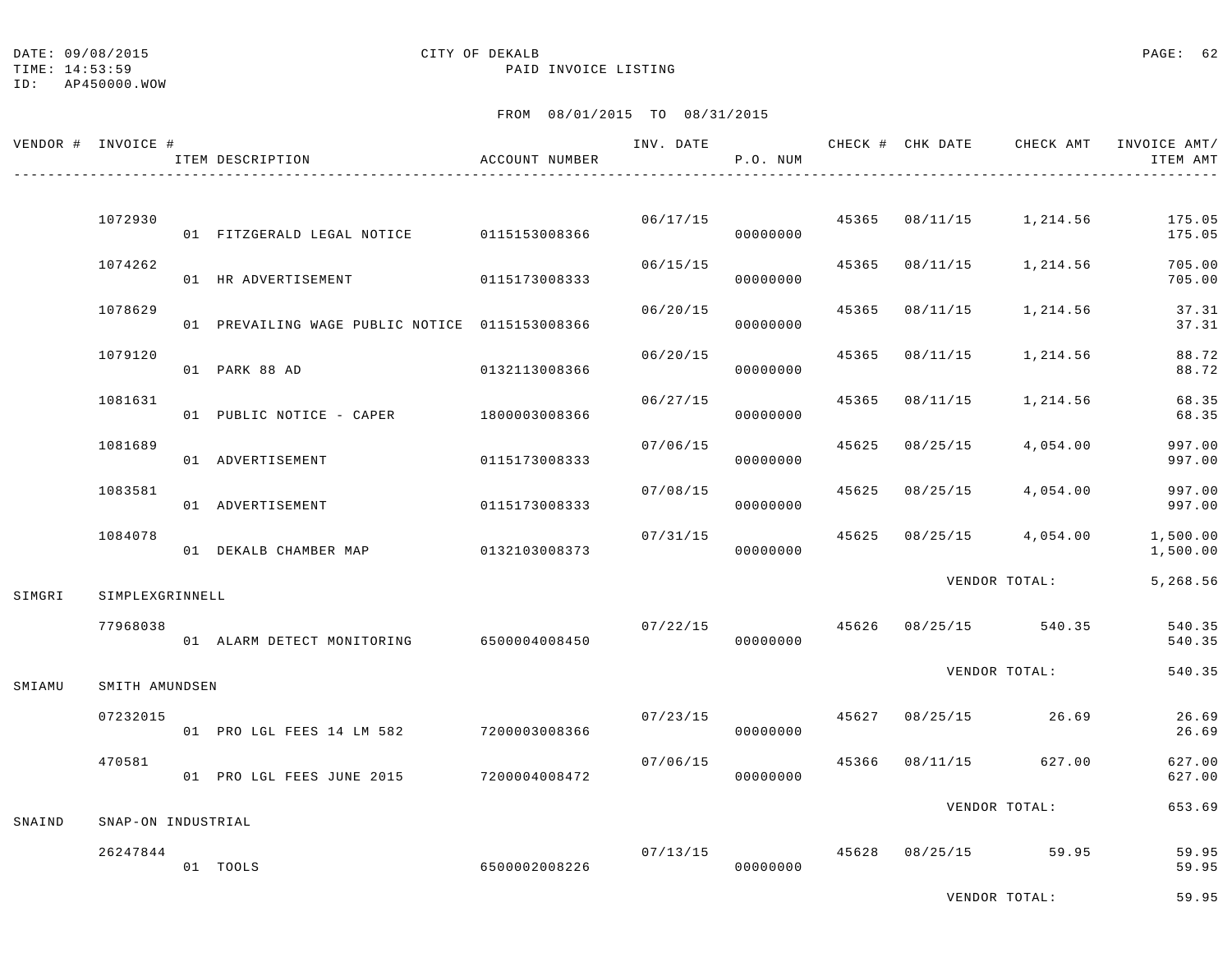ID: AP450000.WOW

# DATE: 09/08/2015 CITY OF DEKALB PAGE: 62

TIME: 14:53:59 PAID INVOICE LISTING

# FROM 08/01/2015 TO 08/31/2015

| VENDOR # INVOICE # |                    | ITEM DESCRIPTION                               | ACCOUNT NUMBER |          | INV. DATE<br>P.O. NUM |       |          | CHECK # CHK DATE CHECK AMT INVOICE AMT/ | ITEM AMT             |
|--------------------|--------------------|------------------------------------------------|----------------|----------|-----------------------|-------|----------|-----------------------------------------|----------------------|
|                    |                    |                                                |                |          |                       |       |          |                                         |                      |
|                    | 1072930            | 01 FITZGERALD LEGAL NOTICE 0115153008366       |                | 06/17/15 | 00000000              |       |          | 45365 08/11/15 1,214.56                 | 175.05<br>175.05     |
|                    | 1074262            | 01 HR ADVERTISEMENT                            | 0115173008333  | 06/15/15 | 00000000              | 45365 |          | 08/11/15 1,214.56                       | 705.00<br>705.00     |
|                    | 1078629            | 01 PREVAILING WAGE PUBLIC NOTICE 0115153008366 |                | 06/20/15 | 00000000              | 45365 | 08/11/15 | 1,214.56                                | 37.31<br>37.31       |
|                    | 1079120            | 01 PARK 88 AD                                  | 0132113008366  | 06/20/15 | 00000000              | 45365 | 08/11/15 | 1,214.56                                | 88.72<br>88.72       |
|                    | 1081631            | 01 PUBLIC NOTICE - CAPER                       | 1800003008366  | 06/27/15 | 00000000              | 45365 | 08/11/15 | 1,214.56                                | 68.35<br>68.35       |
|                    | 1081689            | 01 ADVERTISEMENT                               | 0115173008333  | 07/06/15 | 00000000              | 45625 | 08/25/15 | 4,054.00                                | 997.00<br>997.00     |
|                    | 1083581            | 01 ADVERTISEMENT                               | 0115173008333  | 07/08/15 | 00000000              | 45625 | 08/25/15 | 4,054.00                                | 997.00<br>997.00     |
|                    | 1084078            | 01 DEKALB CHAMBER MAP                          | 0132103008373  | 07/31/15 | 00000000              | 45625 |          | $08/25/15$ 4,054.00                     | 1,500.00<br>1,500.00 |
| SIMGRI             | SIMPLEXGRINNELL    |                                                |                |          |                       |       |          | VENDOR TOTAL:                           | 5,268.56             |
|                    | 77968038           | 01 ALARM DETECT MONITORING 6500004008450       |                | 07/22/15 | 00000000              |       |          | 45626 08/25/15 540.35                   | 540.35<br>540.35     |
| SMIAMU             | SMITH AMUNDSEN     |                                                |                |          |                       |       |          | VENDOR TOTAL:                           | 540.35               |
|                    | 07232015           | 01 PRO LGL FEES 14 LM 582                      | 7200003008366  | 07/23/15 | 00000000              | 45627 |          | 08/25/15 26.69                          | 26.69<br>26.69       |
|                    | 470581             | 01 PRO LGL FEES JUNE 2015                      | 7200004008472  | 07/06/15 | 00000000              | 45366 |          | 08/11/15 627.00                         | 627.00<br>627.00     |
| SNAIND             | SNAP-ON INDUSTRIAL |                                                |                |          |                       |       |          | VENDOR TOTAL:                           | 653.69               |
|                    | 26247844           | 01 TOOLS                                       | 6500002008226  | 07/13/15 | 00000000              |       |          | 45628 08/25/15 59.95                    | 59.95<br>59.95       |

VENDOR TOTAL: 59.95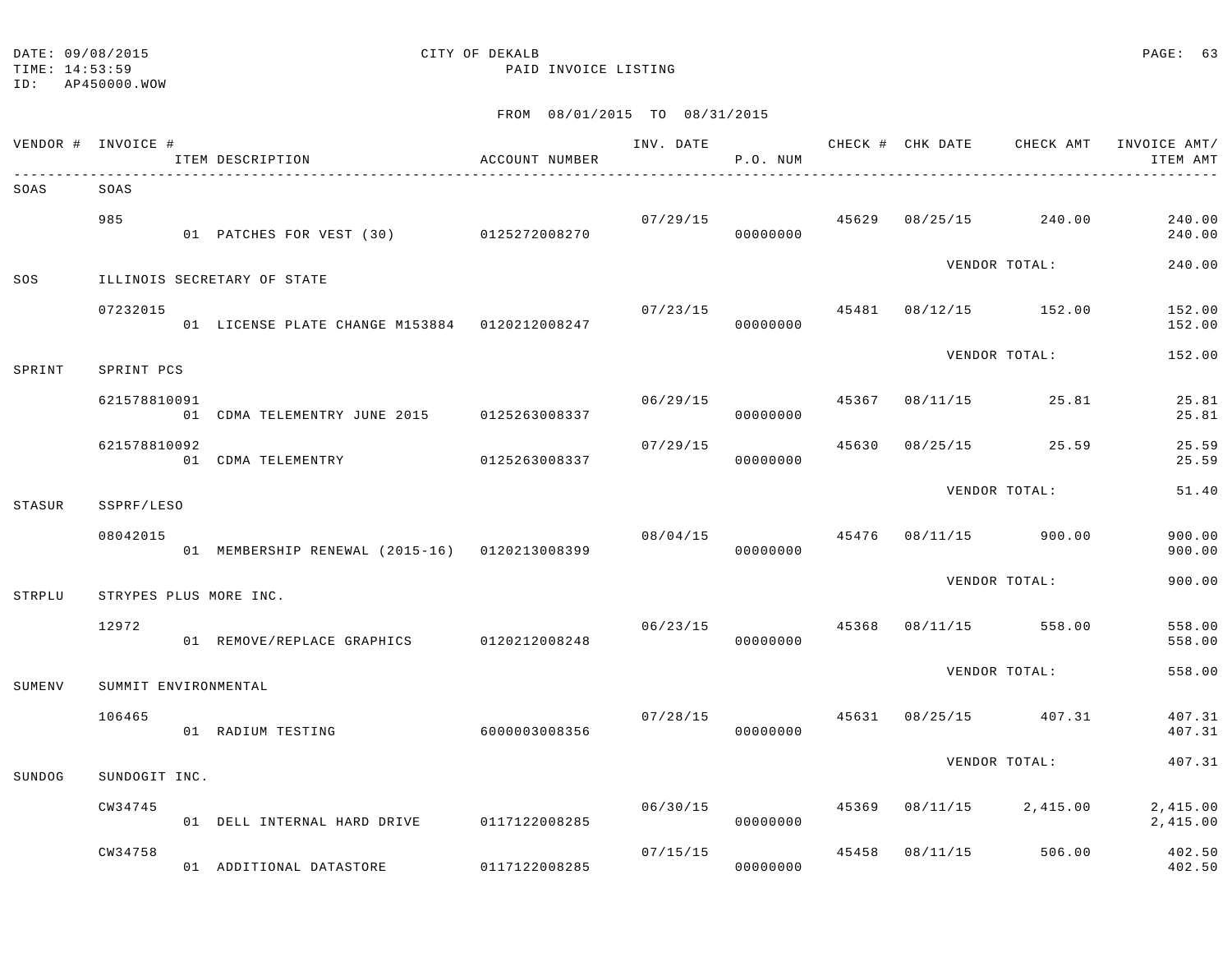TIME: 14:53:59 PAID INVOICE LISTING

ID: AP450000.WOW

|        | VENDOR # INVOICE #   | ITEM DESCRIPTION                              | ACCOUNT NUMBER |          | P.O. NUM             |       |          |                       | INV. DATE 6 CHECK # CHK DATE CHECK AMT INVOICE AMT/<br>ITEM AMT |
|--------|----------------------|-----------------------------------------------|----------------|----------|----------------------|-------|----------|-----------------------|-----------------------------------------------------------------|
| SOAS   | SOAS                 |                                               |                |          |                      |       |          |                       |                                                                 |
|        | 985                  | 01 PATCHES FOR VEST (30) 0125272008270        |                |          | 07/29/15<br>00000000 | 45629 |          | 08/25/15 240.00       | 240.00<br>240.00                                                |
| SOS    |                      | ILLINOIS SECRETARY OF STATE                   |                |          |                      |       |          | VENDOR TOTAL:         | 240.00                                                          |
|        | 07232015             | 01 LICENSE PLATE CHANGE M153884 0120212008247 |                | 07/23/15 | 00000000             |       |          | 45481 08/12/15 152.00 | 152.00<br>152.00                                                |
| SPRINT | SPRINT PCS           |                                               |                |          |                      |       |          | VENDOR TOTAL:         | 152.00                                                          |
|        | 621578810091         | 01 CDMA TELEMENTRY JUNE 2015 0125263008337    |                |          | 06/29/15<br>00000000 | 45367 |          | 08/11/15 25.81        | 25.81<br>25.81                                                  |
|        | 621578810092         | 01 CDMA TELEMENTRY                            | 0125263008337  | 07/29/15 | 00000000             | 45630 |          | 08/25/15 25.59        | 25.59<br>25.59                                                  |
| STASUR | SSPRF/LESO           |                                               |                |          |                      |       |          | VENDOR TOTAL:         | 51.40                                                           |
|        | 08042015             | 01 MEMBERSHIP RENEWAL (2015-16) 0120213008399 |                |          | 08/04/15<br>00000000 | 45476 |          | 08/11/15 900.00       | 900.00<br>900.00                                                |
| STRPLU |                      | STRYPES PLUS MORE INC.                        |                |          |                      |       |          | VENDOR TOTAL:         | 900.00                                                          |
|        | 12972                | 01 REMOVE/REPLACE GRAPHICS 0120212008248      |                | 06/23/15 | 00000000             | 45368 |          | 08/11/15 558.00       | 558.00<br>558.00                                                |
| SUMENV | SUMMIT ENVIRONMENTAL |                                               |                |          |                      |       |          | VENDOR TOTAL:         | 558.00                                                          |
|        | 106465               | 01 RADIUM TESTING                             | 6000003008356  | 07/28/15 | 00000000             |       |          | 45631 08/25/15 407.31 | 407.31<br>407.31                                                |
| SUNDOG | SUNDOGIT INC.        |                                               |                |          |                      |       |          | VENDOR TOTAL:         | 407.31                                                          |
|        | CW34745              | 01 DELL INTERNAL HARD DRIVE                   | 0117122008285  | 06/30/15 | 00000000             | 45369 | 08/11/15 | 2,415.00              | 2,415.00<br>2,415.00                                            |
|        | CW34758              | 01 ADDITIONAL DATASTORE                       | 0117122008285  | 07/15/15 | 00000000             | 45458 | 08/11/15 | 506.00                | 402.50<br>402.50                                                |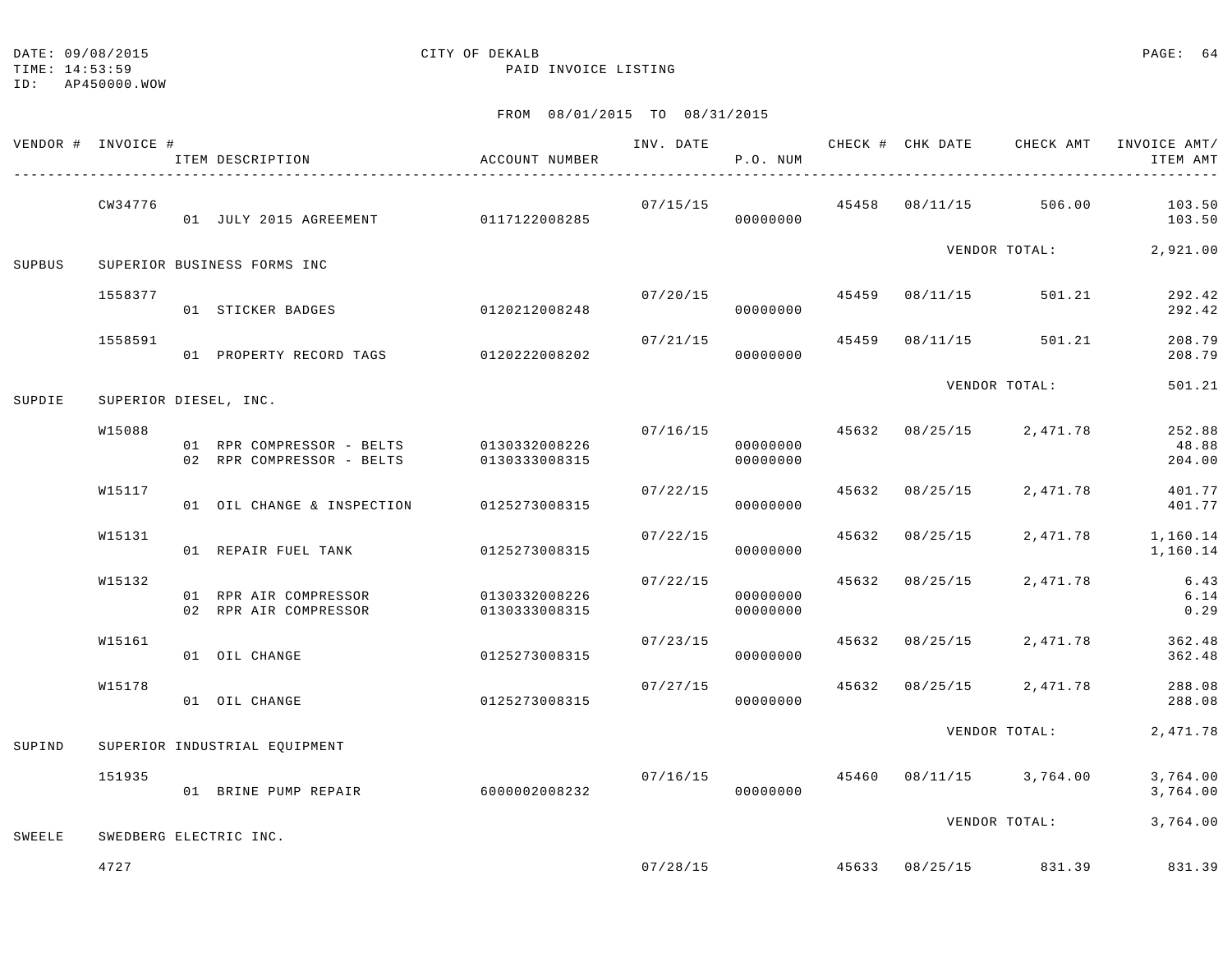TIME: 14:53:59 PAID INVOICE LISTING

|        | VENDOR # INVOICE # | ITEM DESCRIPTION                                                     | ACCOUNT NUMBER                 |          | P.O. NUM             |                |                                        | INV. DATE 6 CHECK # CHK DATE CHECK AMT INVOICE AMT/<br>ITEM AMT |
|--------|--------------------|----------------------------------------------------------------------|--------------------------------|----------|----------------------|----------------|----------------------------------------|-----------------------------------------------------------------|
|        | CW34776            | 01 JULY 2015 AGREEMENT 0117122008285                                 |                                | 07/15/15 | 00000000             |                | 45458 08/11/15 506.00                  | 103.50<br>103.50                                                |
| SUPBUS |                    | SUPERIOR BUSINESS FORMS INC                                          |                                |          |                      |                |                                        | VENDOR TOTAL: 2,921.00                                          |
|        | 1558377            | 01 STICKER BADGES                                                    | 0120212008248                  | 07/20/15 | 00000000             |                | 45459 08/11/15 501.21                  | 292.42<br>292.42                                                |
|        | 1558591            | 01 PROPERTY RECORD TAGS 0120222008202                                |                                | 07/21/15 | 00000000             |                | 45459 08/11/15 501.21                  | 208.79<br>208.79                                                |
| SUPDIE |                    | SUPERIOR DIESEL, INC.                                                |                                |          |                      |                | VENDOR TOTAL:                          | 501.21                                                          |
|        | W15088             | 01 RPR COMPRESSOR - BELTS 0130332008226<br>02 RPR COMPRESSOR - BELTS | 0130333008315                  | 07/16/15 | 00000000<br>00000000 |                | 45632 08/25/15 2,471.78                | 252.88<br>48.88<br>204.00                                       |
|        | W15117             | 01 OIL CHANGE & INSPECTION 0125273008315                             |                                | 07/22/15 | 00000000             | 45632 08/25/15 | 2,471.78                               | 401.77<br>401.77                                                |
|        | W15131             | 01 REPAIR FUEL TANK                                                  | 0125273008315                  | 07/22/15 | 00000000             | 45632 08/25/15 | 2,471.78                               | 1,160.14<br>1,160.14                                            |
|        | W15132             | 01 RPR AIR COMPRESSOR<br>02 RPR AIR COMPRESSOR                       | 0130332008226<br>0130333008315 | 07/22/15 | 00000000<br>00000000 | 45632 08/25/15 | 2,471.78                               | 6.43<br>6.14<br>0.29                                            |
|        | W15161             | 01 OIL CHANGE                                                        | 0125273008315                  | 07/23/15 | 00000000             |                | 45632 08/25/15 2,471.78                | 362.48<br>362.48                                                |
|        | W15178             | 01 OIL CHANGE                                                        | 0125273008315                  | 07/27/15 | 00000000             |                | 45632 08/25/15 2,471.78                | 288.08<br>288.08                                                |
| SUPIND |                    | SUPERIOR INDUSTRIAL EQUIPMENT                                        |                                |          |                      |                | VENDOR TOTAL:                          | 2,471.78                                                        |
|        | 151935             | 01 BRINE PUMP REPAIR                                                 | 6000002008232                  | 07/16/15 | 00000000             |                | 45460 08/11/15 3,764.00                | 3,764.00<br>3,764.00                                            |
| SWEELE |                    | SWEDBERG ELECTRIC INC.                                               |                                |          |                      |                |                                        | VENDOR TOTAL: 3,764.00                                          |
|        | 4727               |                                                                      |                                |          |                      |                | $07/28/15$ $45633$ $08/25/15$ $831.39$ | 831.39                                                          |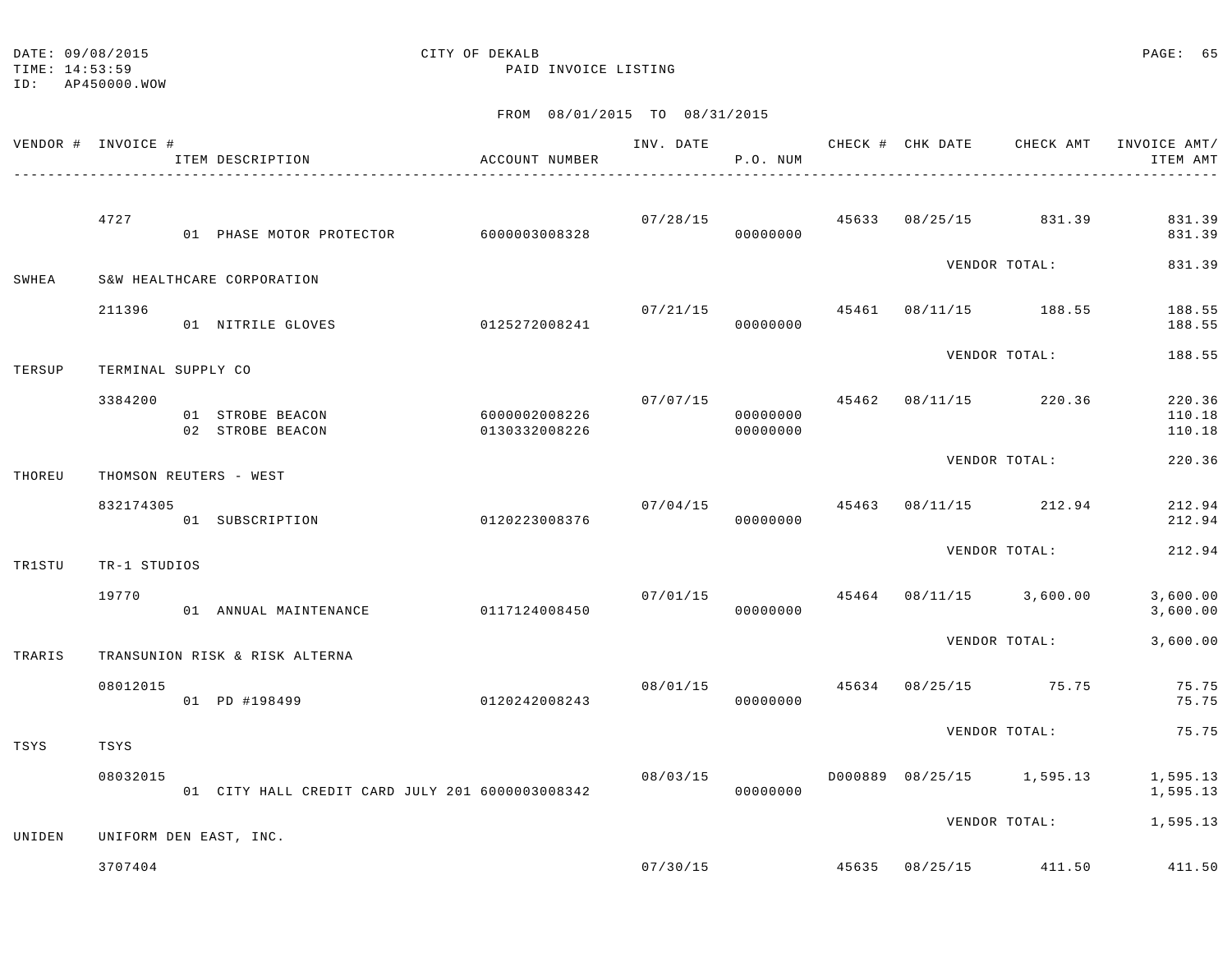| DATE: 09/08/2015 | CITY OF DEKALB | PAGE: 65 |  |
|------------------|----------------|----------|--|
|                  |                |          |  |

ID: AP450000.WOW

TIME: 14:53:59 PAID INVOICE LISTING

|        | VENDOR # INVOICE # | ITEM DESCRIPTION                                | ACCOUNT NUMBER                 |          | P.O. NUM             |  | INV. DATE 6 CHECK # CHK DATE CHECK AMT   | INVOICE AMT/<br>ITEM AMT   |
|--------|--------------------|-------------------------------------------------|--------------------------------|----------|----------------------|--|------------------------------------------|----------------------------|
|        | 4727               | 01 PHASE MOTOR PROTECTOR 6000003008328          |                                | 07/28/15 | 00000000             |  | 45633 08/25/15 831.39                    | 831.39<br>831.39           |
| SWHEA  |                    | S&W HEALTHCARE CORPORATION                      |                                |          |                      |  | VENDOR TOTAL:                            | 831.39                     |
|        | 211396             | 01 NITRILE GLOVES                               | 0125272008241                  | 07/21/15 | 00000000             |  | 45461 08/11/15 188.55                    | 188.55<br>188.55           |
| TERSUP | TERMINAL SUPPLY CO |                                                 |                                |          |                      |  | VENDOR TOTAL:                            | 188.55                     |
|        | 3384200            | 01 STROBE BEACON<br>02 STROBE BEACON            | 6000002008226<br>0130332008226 | 07/07/15 | 00000000<br>00000000 |  | 45462 08/11/15 220.36                    | 220.36<br>110.18<br>110.18 |
| THOREU |                    | THOMSON REUTERS - WEST                          |                                |          |                      |  | VENDOR TOTAL:                            | 220.36                     |
|        | 832174305          | 01 SUBSCRIPTION                                 | 0120223008376                  | 07/04/15 | 00000000             |  | 45463 08/11/15 212.94                    | 212.94<br>212.94           |
| TR1STU | TR-1 STUDIOS       |                                                 |                                |          |                      |  | VENDOR TOTAL:                            | 212.94                     |
|        | 19770              | 01 ANNUAL MAINTENANCE                           | 0117124008450                  |          | 00000000             |  | $07/01/15$ $45464$ $08/11/15$ $3,600.00$ | 3,600.00<br>3,600.00       |
| TRARIS |                    | TRANSUNION RISK & RISK ALTERNA                  |                                |          |                      |  | VENDOR TOTAL:                            | 3,600.00                   |
|        | 08012015           | 0120242008243<br>01 PD #198499                  |                                | 08/01/15 | 00000000             |  | 45634 08/25/15 75.75                     | 75.75<br>75.75             |
| TSYS   | TSYS               |                                                 |                                |          |                      |  | VENDOR TOTAL:                            | 75.75                      |
|        | 08032015           | 01 CITY HALL CREDIT CARD JULY 201 6000003008342 |                                | 08/03/15 | 00000000             |  | D000889 08/25/15 1,595.13                | 1,595.13<br>1,595.13       |
| UNIDEN |                    | UNIFORM DEN EAST, INC.                          |                                |          |                      |  |                                          | VENDOR TOTAL: 1,595.13     |
|        | 3707404            |                                                 |                                |          | 07/30/15             |  | 45635 08/25/15 411.50                    | 411.50                     |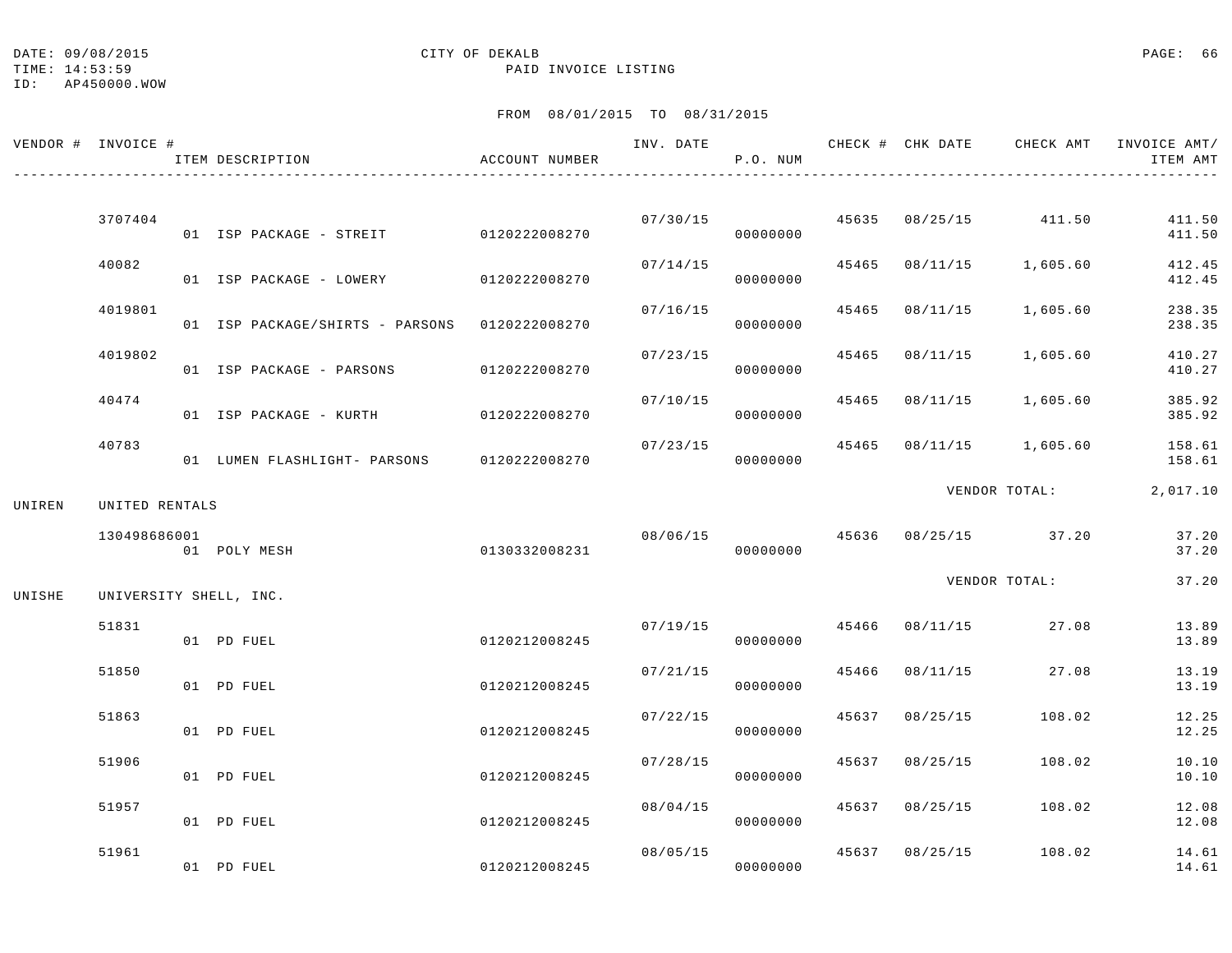DATE:  $09/08/2015$  PAGE: 66

## TIME: 14:53:59 PAID INVOICE LISTING

ID: AP450000.WOW

|        | VENDOR # INVOICE # | ITEM DESCRIPTION                              | ACCOUNT NUMBER |          | P.O. NUM |       |                | INV. DATE 6 1999 CHECK # CHK DATE 6 CHECK AMT INVOICE AMT | ITEM AMT         |
|--------|--------------------|-----------------------------------------------|----------------|----------|----------|-------|----------------|-----------------------------------------------------------|------------------|
|        | 3707404            | 01 ISP PACKAGE - STREIT 0120222008270         |                | 07/30/15 | 00000000 |       |                | 45635 08/25/15 411.50                                     | 411.50<br>411.50 |
|        | 40082              | 01 ISP PACKAGE - LOWERY                       | 0120222008270  | 07/14/15 | 00000000 | 45465 |                | 08/11/15 1,605.60                                         | 412.45<br>412.45 |
|        | 4019801            | 01 ISP PACKAGE/SHIRTS - PARSONS 0120222008270 |                | 07/16/15 | 00000000 | 45465 | 08/11/15       | 1,605.60                                                  | 238.35<br>238.35 |
|        | 4019802            | 01 ISP PACKAGE - PARSONS                      | 0120222008270  | 07/23/15 | 00000000 | 45465 | 08/11/15       | 1,605.60                                                  | 410.27<br>410.27 |
|        | 40474              | 01 ISP PACKAGE - KURTH                        | 0120222008270  | 07/10/15 | 00000000 | 45465 | 08/11/15       | 1,605.60                                                  | 385.92<br>385.92 |
|        | 40783              | 01 LUMEN FLASHLIGHT- PARSONS 0120222008270    |                | 07/23/15 | 00000000 |       |                | 45465 08/11/15 1,605.60                                   | 158.61<br>158.61 |
| UNIREN | UNITED RENTALS     |                                               |                |          |          |       |                | VENDOR TOTAL:                                             | 2,017.10         |
|        | 130498686001       | 01 POLY MESH                                  | 0130332008231  | 08/06/15 | 00000000 |       |                | 45636 08/25/15 37.20                                      | 37.20<br>37.20   |
| UNISHE |                    | UNIVERSITY SHELL, INC.                        |                |          |          |       |                | VENDOR TOTAL:                                             | 37.20            |
|        | 51831              | 01 PD FUEL                                    | 0120212008245  | 07/19/15 | 00000000 |       |                | 45466 08/11/15 27.08                                      | 13.89<br>13.89   |
|        | 51850              | 01 PD FUEL                                    | 0120212008245  | 07/21/15 | 00000000 | 45466 |                | 08/11/15 27.08                                            | 13.19<br>13.19   |
|        | 51863              | 01 PD FUEL                                    | 0120212008245  | 07/22/15 | 00000000 | 45637 | 08/25/15       | 108.02                                                    | 12.25<br>12.25   |
|        | 51906              | 01 PD FUEL                                    | 0120212008245  | 07/28/15 | 00000000 | 45637 | 08/25/15       | 108.02                                                    | 10.10<br>10.10   |
|        | 51957              | 01 PD FUEL                                    | 0120212008245  | 08/04/15 | 00000000 | 45637 | 08/25/15       | 108.02                                                    | 12.08<br>12.08   |
|        | 51961              | 01 PD FUEL                                    | 0120212008245  | 08/05/15 | 00000000 |       | 45637 08/25/15 | 108.02                                                    | 14.61<br>14.61   |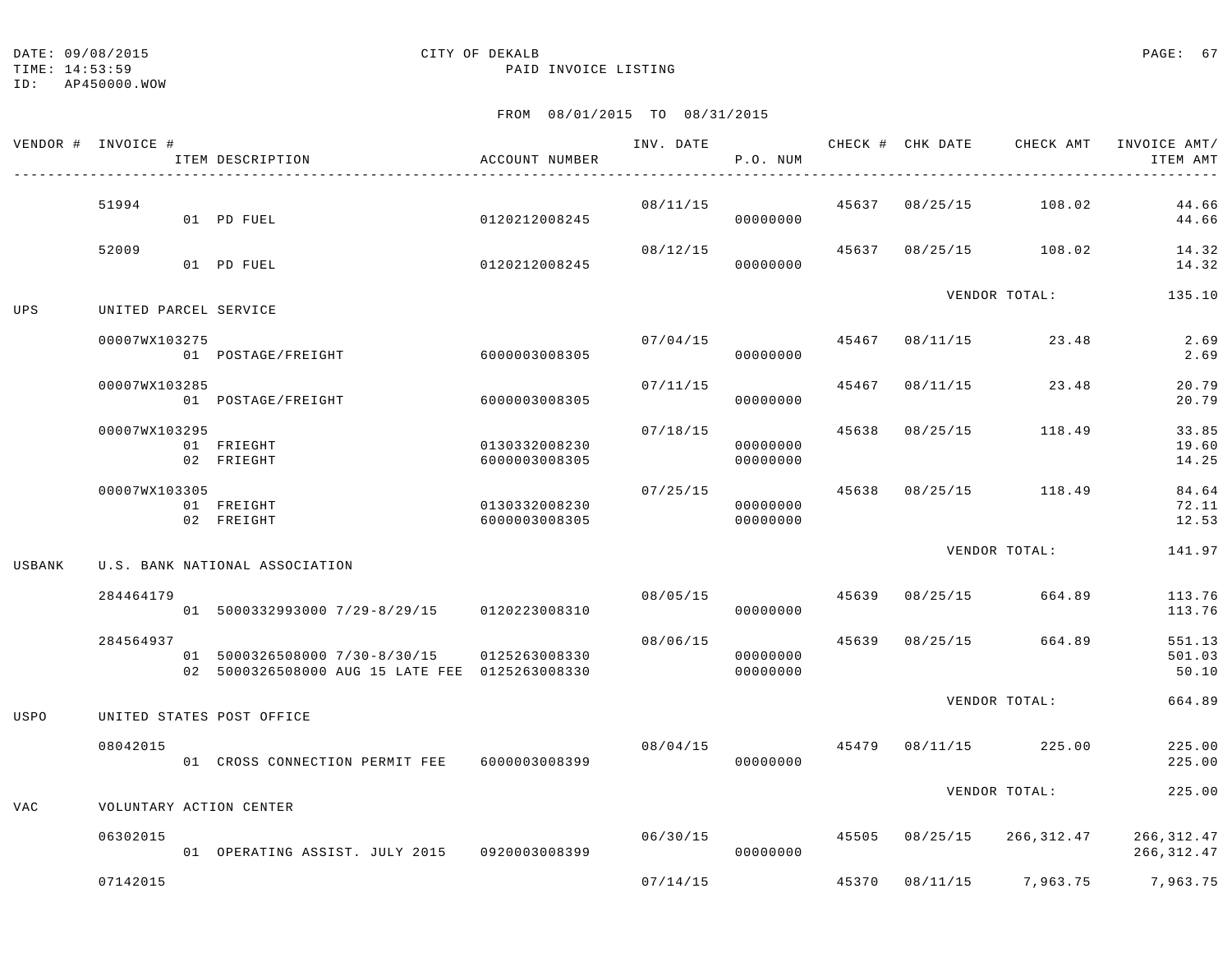TIME: 14:53:59 PAID INVOICE LISTING

ID: AP450000.WOW

|             | VENDOR # INVOICE # | ITEM DESCRIPTION                                                                | ACCOUNT NUMBER                 | INV. DATE | P.O. NUM             |       | CHECK # CHK DATE | CHECK AMT                  | INVOICE AMT/<br>ITEM AMT   |
|-------------|--------------------|---------------------------------------------------------------------------------|--------------------------------|-----------|----------------------|-------|------------------|----------------------------|----------------------------|
|             | 51994              | 01 PD FUEL                                                                      | 0120212008245                  | 08/11/15  | 00000000             |       |                  | 45637 08/25/15 108.02      | 44.66<br>44.66             |
|             | 52009              | 01 PD FUEL                                                                      | 0120212008245                  | 08/12/15  | 00000000             |       |                  | 45637 08/25/15 108.02      | 14.32<br>14.32             |
| UPS         |                    | UNITED PARCEL SERVICE                                                           |                                |           |                      |       |                  | VENDOR TOTAL:              | 135.10                     |
|             | 00007WX103275      | 01 POSTAGE/FREIGHT                                                              | 6000003008305                  | 07/04/15  | 00000000             | 45467 | 08/11/15         | 23.48                      | 2.69<br>2.69               |
|             | 00007WX103285      | 01 POSTAGE/FREIGHT                                                              | 6000003008305                  | 07/11/15  | 00000000             | 45467 | 08/11/15         | 23.48                      | 20.79<br>20.79             |
|             | 00007WX103295      | 01 FRIEGHT<br>02 FRIEGHT                                                        | 0130332008230<br>6000003008305 | 07/18/15  | 00000000<br>00000000 | 45638 | 08/25/15         | 118.49                     | 33.85<br>19.60<br>14.25    |
|             | 00007WX103305      | 01 FREIGHT<br>02 FREIGHT                                                        | 0130332008230<br>6000003008305 | 07/25/15  | 00000000<br>00000000 | 45638 | 08/25/15         | 118.49                     | 84.64<br>72.11<br>12.53    |
| USBANK      |                    | U.S. BANK NATIONAL ASSOCIATION                                                  |                                |           |                      |       |                  | VENDOR TOTAL:              | 141.97                     |
|             | 284464179          | 01 5000332993000 7/29-8/29/15 0120223008310                                     |                                | 08/05/15  | 00000000             |       | 45639 08/25/15   | 664.89                     | 113.76<br>113.76           |
|             | 284564937          | 01 5000326508000 7/30-8/30/15<br>02 5000326508000 AUG 15 LATE FEE 0125263008330 | 0125263008330                  | 08/06/15  | 00000000<br>00000000 | 45639 | 08/25/15         | 664.89                     | 551.13<br>501.03<br>50.10  |
| <b>USPO</b> |                    | UNITED STATES POST OFFICE                                                       |                                |           |                      |       |                  | VENDOR TOTAL:              | 664.89                     |
|             | 08042015           | 01 CROSS CONNECTION PERMIT FEE 6000003008399                                    |                                | 08/04/15  | 00000000             | 45479 |                  | 08/11/15 225.00            | 225.00<br>225.00           |
| <b>VAC</b>  |                    | VOLUNTARY ACTION CENTER                                                         |                                |           |                      |       |                  | VENDOR TOTAL:              | 225.00                     |
|             | 06302015           | 01 OPERATING ASSIST. JULY 2015 0920003008399                                    |                                | 06/30/15  | 00000000             |       |                  | 45505 08/25/15 266,312.47  | 266, 312.47<br>266, 312.47 |
|             | 07142015           |                                                                                 |                                | 07/14/15  |                      | 45370 |                  | 08/11/15 7,963.75 7,963.75 |                            |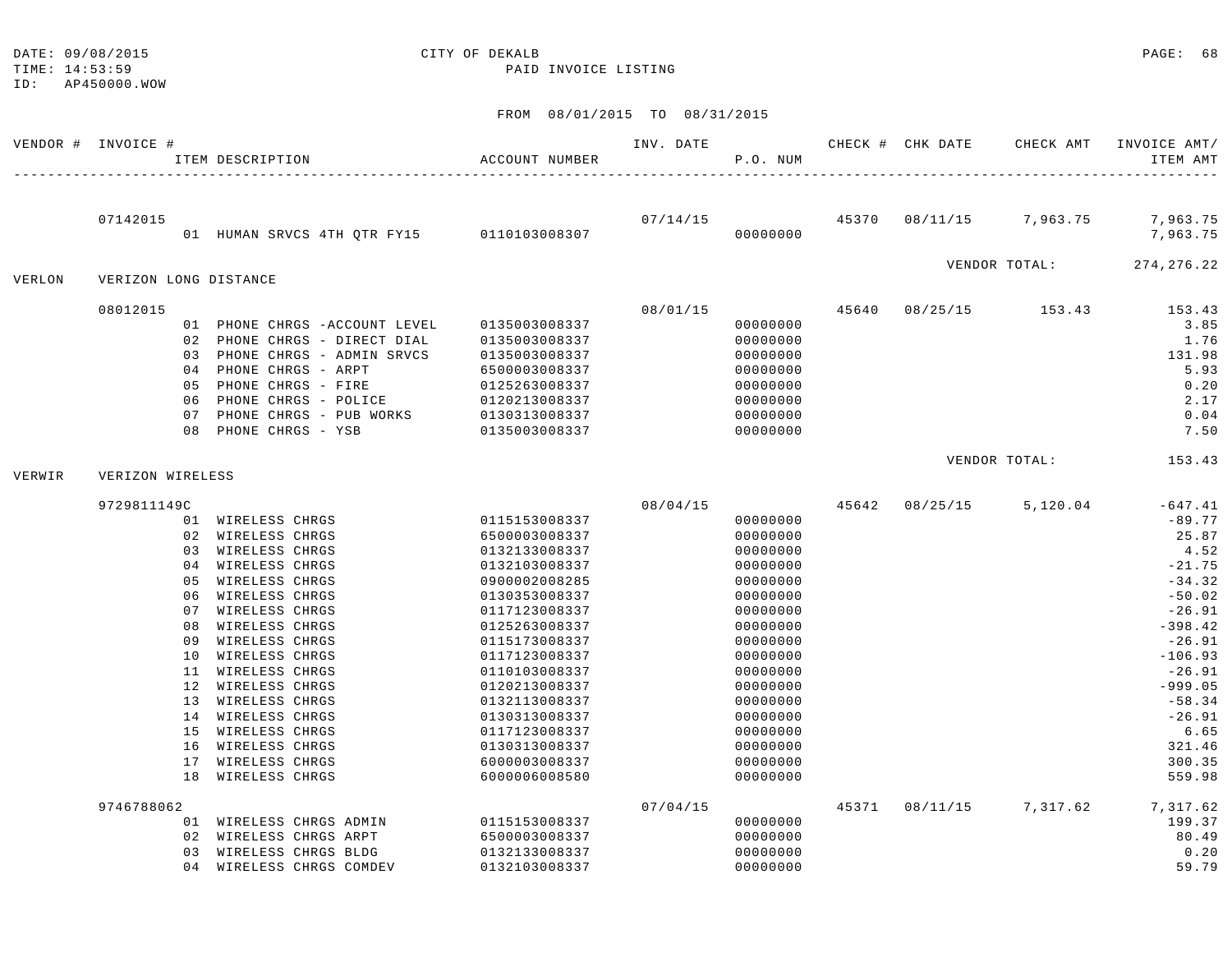| TIME: 14:53:59<br>ID: | AP450000.WOW          |                                                                                                                                                                                                                                                                                                                                                                                        | PAID INVOICE LISTING                                                                                                                                                                                                                                                                                           |           |                                                                                                                                                                                                                      |       |                  |                         |                                                                                                                                                                                                                     |
|-----------------------|-----------------------|----------------------------------------------------------------------------------------------------------------------------------------------------------------------------------------------------------------------------------------------------------------------------------------------------------------------------------------------------------------------------------------|----------------------------------------------------------------------------------------------------------------------------------------------------------------------------------------------------------------------------------------------------------------------------------------------------------------|-----------|----------------------------------------------------------------------------------------------------------------------------------------------------------------------------------------------------------------------|-------|------------------|-------------------------|---------------------------------------------------------------------------------------------------------------------------------------------------------------------------------------------------------------------|
|                       |                       |                                                                                                                                                                                                                                                                                                                                                                                        | FROM 08/01/2015 TO 08/31/2015                                                                                                                                                                                                                                                                                  |           |                                                                                                                                                                                                                      |       |                  |                         |                                                                                                                                                                                                                     |
|                       | VENDOR # INVOICE #    | ITEM DESCRIPTION                                                                                                                                                                                                                                                                                                                                                                       | ACCOUNT NUMBER                                                                                                                                                                                                                                                                                                 | INV. DATE | P.O. NUM                                                                                                                                                                                                             |       | CHECK # CHK DATE | CHECK AMT               | INVOICE AMT/<br>ITEM AMT                                                                                                                                                                                            |
|                       | 07142015              | 01 HUMAN SRVCS 4TH QTR FY15 0110103008307                                                                                                                                                                                                                                                                                                                                              |                                                                                                                                                                                                                                                                                                                | 07/14/15  | 00000000                                                                                                                                                                                                             |       |                  |                         | 45370 08/11/15 7,963.75 7,963.75<br>7,963.75                                                                                                                                                                        |
| VERLON                | VERIZON LONG DISTANCE |                                                                                                                                                                                                                                                                                                                                                                                        |                                                                                                                                                                                                                                                                                                                |           |                                                                                                                                                                                                                      |       |                  | VENDOR TOTAL:           | 274, 276. 22                                                                                                                                                                                                        |
|                       | 08012015              | 01 PHONE CHRGS - ACCOUNT LEVEL<br>02 PHONE CHRGS - DIRECT DIAL<br>03 PHONE CHRGS - ADMIN SRVCS<br>04 PHONE CHRGS - ARPT<br>05 PHONE CHRGS - FIRE<br>06 PHONE CHRGS - POLICE<br>07 PHONE CHRGS - PUB WORKS<br>08 PHONE CHRGS - YSB                                                                                                                                                      | 0135003008337<br>0135003008337<br>0135003008337<br>6500003008337<br>0125263008337<br>0120213008337<br>0130313008337<br>0135003008337                                                                                                                                                                           | 08/01/15  | 00000000<br>00000000<br>00000000<br>00000000<br>00000000<br>00000000<br>00000000<br>00000000                                                                                                                         |       |                  | 45640 08/25/15 153.43   | 153.43<br>3.85<br>1.76<br>131.98<br>5.93<br>0.20<br>2.17<br>0.04<br>7.50                                                                                                                                            |
| VERWIR                | VERIZON WIRELESS      |                                                                                                                                                                                                                                                                                                                                                                                        |                                                                                                                                                                                                                                                                                                                |           |                                                                                                                                                                                                                      |       |                  | VENDOR TOTAL:           | 153.43                                                                                                                                                                                                              |
|                       | 9729811149C           | 01 WIRELESS CHRGS<br>02 WIRELESS CHRGS<br>03 WIRELESS CHRGS<br>04 WIRELESS CHRGS<br>05 WIRELESS CHRGS<br>06 WIRELESS CHRGS<br>07 WIRELESS CHRGS<br>08 WIRELESS CHRGS<br>09 WIRELESS CHRGS<br>10 WIRELESS CHRGS<br>11 WIRELESS CHRGS<br>12 WIRELESS CHRGS<br>13 WIRELESS CHRGS<br>14 WIRELESS CHRGS<br>15 WIRELESS CHRGS<br>16 WIRELESS CHRGS<br>17 WIRELESS CHRGS<br>18 WIRELESS CHRGS | 0115153008337<br>6500003008337<br>0132133008337<br>0132103008337<br>0900002008285<br>0130353008337<br>0117123008337<br>0125263008337<br>0115173008337<br>0117123008337<br>0110103008337<br>0120213008337<br>0132113008337<br>0130313008337<br>0117123008337<br>0130313008337<br>6000003008337<br>6000006008580 | 08/04/15  | 00000000<br>00000000<br>00000000<br>00000000<br>00000000<br>00000000<br>00000000<br>00000000<br>00000000<br>00000000<br>00000000<br>00000000<br>00000000<br>00000000<br>00000000<br>00000000<br>00000000<br>00000000 |       |                  | 45642 08/25/15 5,120.04 | $-647.41$<br>$-89.77$<br>25.87<br>4.52<br>$-21.75$<br>$-34.32$<br>$-50.02$<br>$-26.91$<br>$-398.42$<br>$-26.91$<br>$-106.93$<br>$-26.91$<br>$-999.05$<br>$-58.34$<br>$-26.91$<br>6.65<br>321.46<br>300.35<br>559.98 |
|                       | 9746788062            | 01 WIRELESS CHRGS ADMIN<br>02 WIRELESS CHRGS ARPT<br>03 WIRELESS CHRGS BLDG                                                                                                                                                                                                                                                                                                            | 0115153008337<br>6500003008337<br>0132133008337                                                                                                                                                                                                                                                                | 07/04/15  | 00000000<br>00000000<br>00000000                                                                                                                                                                                     | 45371 |                  | 08/11/15 7,317.62       | 7,317.62<br>199.37<br>80.49<br>0.20                                                                                                                                                                                 |

04 WIRELESS CHRGS COMDEV 0132103008337 00000000 59.79

DATE: 09/08/2015 CITY OF DEKALB PAGE: 68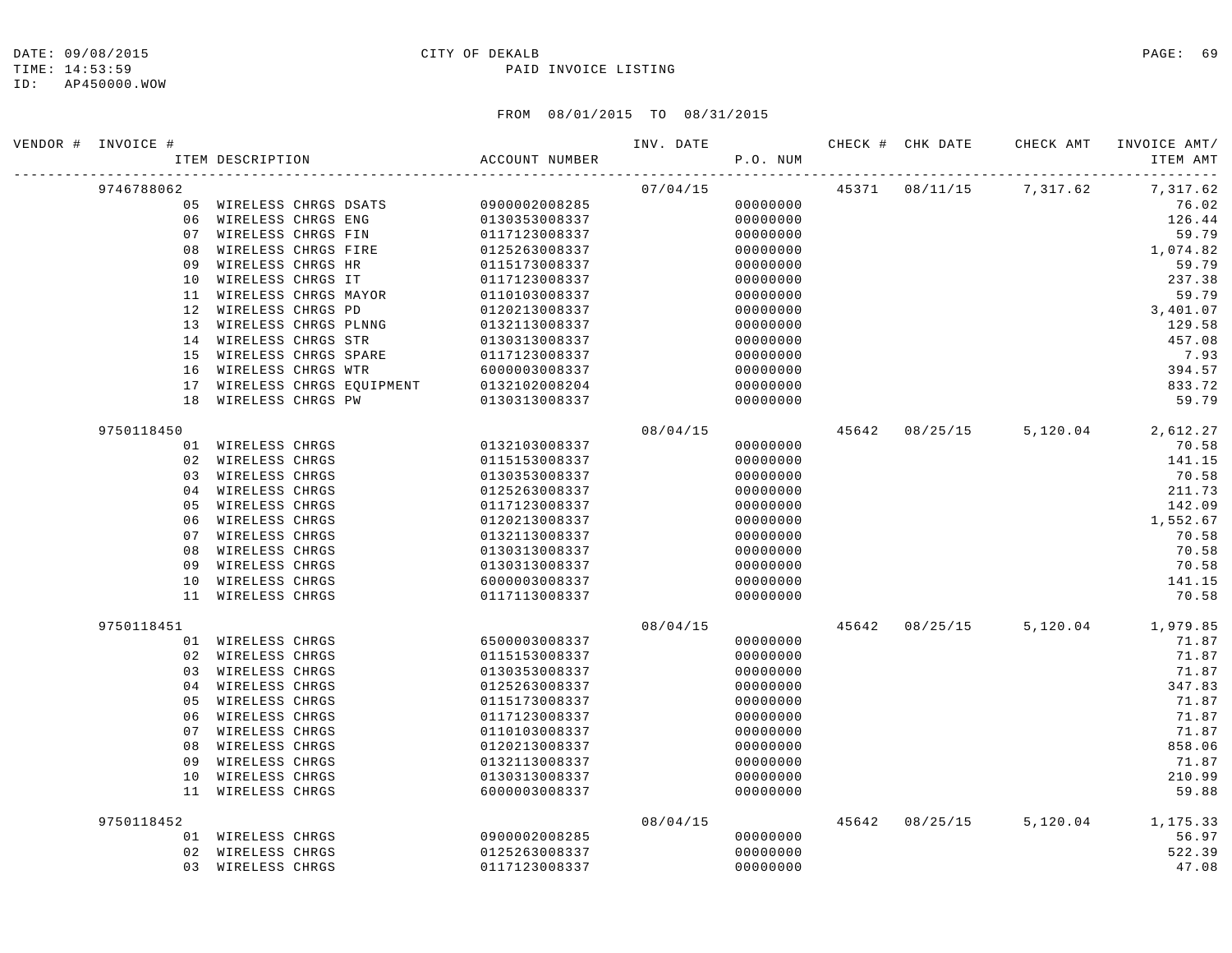TIME: 14:53:59 PAID INVOICE LISTING

ID: AP450000.WOW

| VENDOR # INVOICE # | ITEM DESCRIPTION        |  | ACCOUNT NUMBER                                                                  | INV. DATE | P.O. NUM |  | CHECK # CHK DATE     CHECK AMT   INVOICE AMT/ | ITEM AMT |
|--------------------|-------------------------|--|---------------------------------------------------------------------------------|-----------|----------|--|-----------------------------------------------|----------|
| 9746788062         |                         |  |                                                                                 | 07/04/15  |          |  | 45371 08/11/15 7,317.62 7,317.62              |          |
|                    |                         |  | 05 WIRELESS CHRGS DSATS 0900002008285                                           |           | 00000000 |  |                                               | 76.02    |
|                    | 06 WIRELESS CHRGS ENG   |  | 0130353008337                                                                   |           | 00000000 |  |                                               | 126.44   |
|                    | 07 WIRELESS CHRGS FIN   |  | 0117123008337                                                                   |           | 00000000 |  |                                               | 59.79    |
|                    | 08 WIRELESS CHRGS FIRE  |  | 0125263008337                                                                   |           | 00000000 |  |                                               | 1,074.82 |
| 09                 | WIRELESS CHRGS HR       |  | 0115173008337                                                                   |           | 00000000 |  |                                               | 59.79    |
|                    | 10 WIRELESS CHRGS IT    |  | 0117123008337                                                                   |           | 00000000 |  |                                               | 237.38   |
|                    | 11 WIRELESS CHRGS MAYOR |  | 0110103008337                                                                   |           | 00000000 |  |                                               | 59.79    |
|                    | 12 WIRELESS CHRGS PD    |  | 0120213008337                                                                   |           | 00000000 |  |                                               | 3,401.07 |
|                    | 13 WIRELESS CHRGS PLNNG |  | 0132113008337                                                                   |           | 00000000 |  |                                               | 129.58   |
|                    | 14 WIRELESS CHRGS STR   |  | 0130313008337                                                                   |           | 00000000 |  |                                               | 457.08   |
|                    | 15 WIRELESS CHRGS SPARE |  | 0117123008337                                                                   |           | 00000000 |  |                                               | 7.93     |
|                    | 16 WIRELESS CHRGS WTR   |  | 6000003008337                                                                   |           | 00000000 |  |                                               | 394.57   |
|                    |                         |  | 17 WIRELESS CHRGS EQUIPMENT 0132102008204<br>18 WIRELESS CHRGS PW 0130313008337 |           | 00000000 |  |                                               | 833.72   |
|                    |                         |  |                                                                                 |           | 00000000 |  |                                               | 59.79    |
| 9750118450         |                         |  |                                                                                 | 08/04/15  |          |  | 45642 08/25/15 5,120.04 2,612.27              |          |
|                    | 01 WIRELESS CHRGS       |  | 0132103008337                                                                   |           | 00000000 |  |                                               | 70.58    |
|                    | 02 WIRELESS CHRGS       |  | 0115153008337                                                                   |           | 00000000 |  |                                               | 141.15   |
|                    | 03 WIRELESS CHRGS       |  | 0130353008337                                                                   |           | 00000000 |  |                                               | 70.58    |
|                    | 04 WIRELESS CHRGS       |  | 0125263008337                                                                   |           | 00000000 |  |                                               | 211.73   |
| 05                 | WIRELESS CHRGS          |  | 0117123008337                                                                   |           | 00000000 |  |                                               | 142.09   |
| 06                 | WIRELESS CHRGS          |  | 0120213008337                                                                   |           | 00000000 |  |                                               | 1,552.67 |
|                    | 07 WIRELESS CHRGS       |  | 0132113008337                                                                   |           | 00000000 |  |                                               | 70.58    |
| 08                 | WIRELESS CHRGS          |  | 0130313008337                                                                   |           | 00000000 |  |                                               | 70.58    |
| 09                 | WIRELESS CHRGS          |  | 0130313008337                                                                   |           | 00000000 |  |                                               | 70.58    |
| 10                 | WIRELESS CHRGS          |  | 6000003008337                                                                   |           | 00000000 |  |                                               | 141.15   |
|                    | 11 WIRELESS CHRGS       |  | 0117113008337                                                                   |           | 00000000 |  |                                               | 70.58    |
| 9750118451         |                         |  |                                                                                 | 08/04/15  |          |  | 45642 08/25/15 5,120.04 1,979.85              |          |
|                    | 01 WIRELESS CHRGS       |  | 6500003008337                                                                   |           | 00000000 |  |                                               | 71.87    |
|                    | 02 WIRELESS CHRGS       |  | 0115153008337                                                                   |           | 00000000 |  |                                               | 71.87    |
|                    | 03 WIRELESS CHRGS       |  | 0130353008337                                                                   |           | 00000000 |  |                                               | 71.87    |
| 04                 | WIRELESS CHRGS          |  | 0125263008337                                                                   |           | 00000000 |  |                                               | 347.83   |
| 05                 | WIRELESS CHRGS          |  | 0115173008337                                                                   |           | 00000000 |  |                                               | 71.87    |
|                    | 06 WIRELESS CHRGS       |  | 0117123008337                                                                   |           | 00000000 |  |                                               | 71.87    |
|                    | 07 WIRELESS CHRGS       |  | 0110103008337                                                                   |           | 00000000 |  |                                               | 71.87    |
| 08                 | WIRELESS CHRGS          |  | 0120213008337                                                                   |           | 00000000 |  |                                               | 858.06   |
| 09                 | WIRELESS CHRGS          |  | 0132113008337                                                                   |           | 00000000 |  |                                               | 71.87    |
| 10                 | WIRELESS CHRGS          |  | 0130313008337                                                                   |           | 00000000 |  |                                               | 210.99   |
|                    | 11 WIRELESS CHRGS       |  | 6000003008337                                                                   |           | 00000000 |  |                                               | 59.88    |
| 9750118452         |                         |  |                                                                                 | 08/04/15  |          |  | 45642 08/25/15 5,120.04 1,175.33              |          |
|                    | 01 WIRELESS CHRGS       |  | 0900002008285                                                                   |           | 00000000 |  |                                               | 56.97    |
|                    | 02 WIRELESS CHRGS       |  | 0125263008337                                                                   |           | 00000000 |  |                                               | 522.39   |
|                    | 03 WIRELESS CHRGS       |  | 0117123008337                                                                   |           | 00000000 |  |                                               | 47.08    |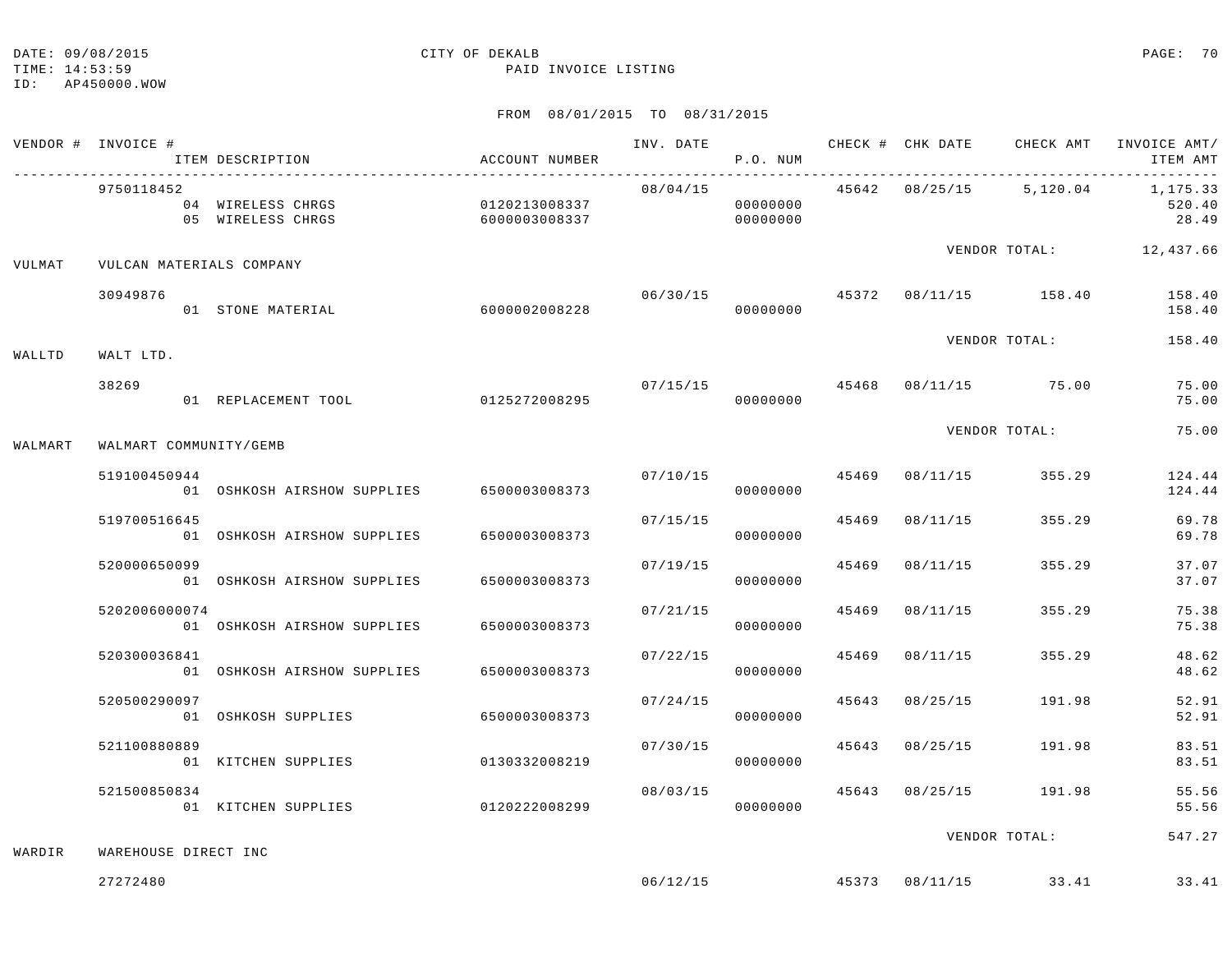TIME: 14:53:59 PAID INVOICE LISTING

## ID: AP450000.WOW

|         | VENDOR # INVOICE #       | ITEM DESCRIPTION                       | ACCOUNT NUMBER                 | INV. DATE | P.O. NUM             |       |                |                                       | CHECK # CHK DATE CHECK AMT INVOICE AMT/<br>ITEM AMT |
|---------|--------------------------|----------------------------------------|--------------------------------|-----------|----------------------|-------|----------------|---------------------------------------|-----------------------------------------------------|
|         | 9750118452               | 04 WIRELESS CHRGS<br>05 WIRELESS CHRGS | 0120213008337<br>6000003008337 | 08/04/15  | 00000000<br>00000000 |       |                |                                       | 45642 08/25/15 5,120.04 1,175.33<br>520.40<br>28.49 |
| VULMAT  | VULCAN MATERIALS COMPANY |                                        |                                |           |                      |       |                |                                       | VENDOR TOTAL: 12,437.66                             |
|         | 30949876                 | 01 STONE MATERIAL                      | 6000002008228                  | 06/30/15  | 00000000             |       |                |                                       | 45372 08/11/15 158.40 158.40<br>158.40              |
| WALLTD  | WALT LTD.                |                                        |                                |           |                      |       |                | VENDOR TOTAL:                         | 158.40                                              |
|         | 38269                    | 01 REPLACEMENT TOOL 0125272008295      |                                |           | 00000000             |       |                | $07/15/15$ 45468 $08/11/15$ 75.00     | 75.00<br>75.00                                      |
| WALMART | WALMART COMMUNITY/GEMB   |                                        |                                |           |                      |       |                | VENDOR TOTAL:                         | 75.00                                               |
|         | 519100450944             | 01 OSHKOSH AIRSHOW SUPPLIES            | 6500003008373                  | 07/10/15  | 00000000             |       | 45469 08/11/15 | 355.29                                | 124.44<br>124.44                                    |
|         | 519700516645             | 01 OSHKOSH AIRSHOW SUPPLIES            | 6500003008373                  | 07/15/15  | 00000000             | 45469 | 08/11/15       | 355.29                                | 69.78<br>69.78                                      |
|         | 520000650099             | 01 OSHKOSH AIRSHOW SUPPLIES            | 6500003008373                  | 07/19/15  | 00000000             | 45469 | 08/11/15       | 355.29                                | 37.07<br>37.07                                      |
|         | 5202006000074            | 01 OSHKOSH AIRSHOW SUPPLIES            | 6500003008373                  | 07/21/15  | 00000000             | 45469 | 08/11/15       | 355.29                                | 75.38<br>75.38                                      |
|         | 520300036841             | 01 OSHKOSH AIRSHOW SUPPLIES            | 6500003008373                  | 07/22/15  | 00000000             | 45469 | 08/11/15       | 355.29                                | 48.62<br>48.62                                      |
|         | 520500290097             | 01 OSHKOSH SUPPLIES                    | 6500003008373                  | 07/24/15  | 00000000             |       |                | 45643 08/25/15 191.98                 | 52.91<br>52.91                                      |
|         | 521100880889             | 01 KITCHEN SUPPLIES                    | 0130332008219                  |           | 07/30/15<br>00000000 | 45643 |                | 08/25/15 191.98                       | 83.51<br>83.51                                      |
|         | 521500850834             | 01 KITCHEN SUPPLIES                    | 0120222008299                  | 08/03/15  | 00000000             |       |                | 45643 08/25/15 191.98                 | 55.56<br>55.56                                      |
| WARDIR  | WAREHOUSE DIRECT INC     |                                        |                                |           |                      |       |                | VENDOR TOTAL:                         | 547.27                                              |
|         | 27272480                 |                                        |                                |           |                      |       |                | $06/12/15$ $45373$ $08/11/15$ $33.41$ | 33.41                                               |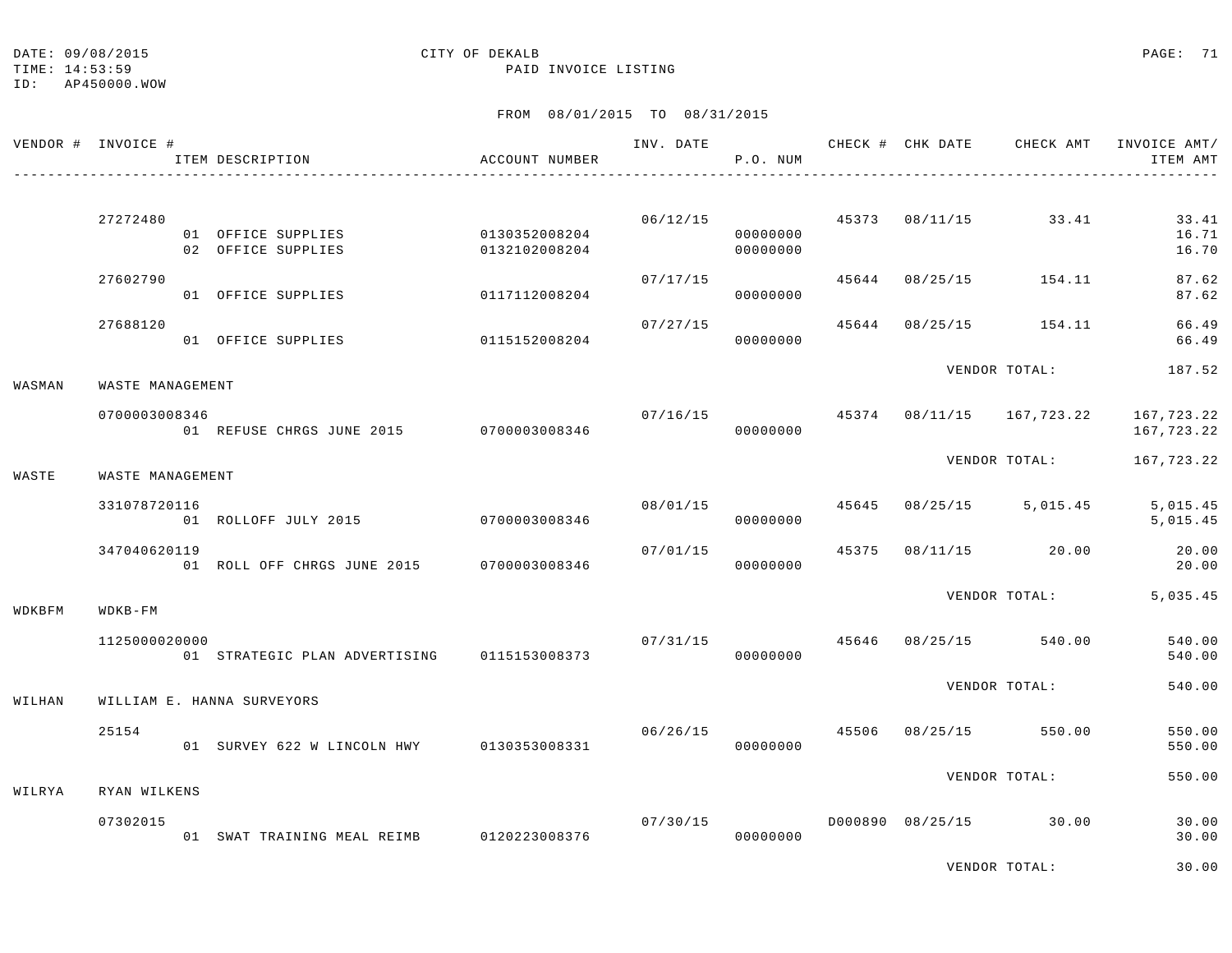TIME: 14:53:59 PAID INVOICE LISTING

ID: AP450000.WOW

|        | VENDOR # INVOICE # | ITEM DESCRIPTION                          | ACCOUNT NUMBER                 | INV. DATE | P.O. NUM                   |               |                | CHECK # CHK DATE CHECK AMT | INVOICE AMT/<br>ITEM AMT |
|--------|--------------------|-------------------------------------------|--------------------------------|-----------|----------------------------|---------------|----------------|----------------------------|--------------------------|
|        | 27272480           | 01 OFFICE SUPPLIES<br>02 OFFICE SUPPLIES  | 0130352008204<br>0132102008204 | 06/12/15  | 00000000<br>00000000       |               | 45373 08/11/15 | 33.41                      | 33.41<br>16.71<br>16.70  |
|        | 27602790           | 01 OFFICE SUPPLIES                        | 0117112008204                  | 07/17/15  | 00000000                   | 45644         |                | 08/25/15 154.11            | 87.62<br>87.62           |
|        | 27688120           | 01 OFFICE SUPPLIES                        | 0115152008204                  | 07/27/15  | 00000000                   |               |                | 45644 08/25/15 154.11      | 66.49<br>66.49           |
| WASMAN | WASTE MANAGEMENT   |                                           |                                |           |                            |               | VENDOR TOTAL:  | 187.52                     |                          |
|        | 0700003008346      | 01 REFUSE CHRGS JUNE 2015 0700003008346   |                                | 07/16/15  | 00000000                   |               |                | 45374 08/11/15 167,723.22  | 167,723.22<br>167,723.22 |
| WASTE  | WASTE MANAGEMENT   |                                           |                                |           | VENDOR TOTAL:              |               |                | 167,723.22                 |                          |
|        | 331078720116       | 01 ROLLOFF JULY 2015 0700003008346        |                                | 08/01/15  | 00000000                   | 45645         |                | 08/25/15 5,015.45          | 5,015.45<br>5,015.45     |
|        | 347040620119       | 01 ROLL OFF CHRGS JUNE 2015 0700003008346 |                                | 07/01/15  | 00000000                   | 45375         |                | 08/11/15 20.00             | 20.00<br>20.00           |
| WDKBFM | $WDKB-FM$          |                                           |                                |           |                            |               | VENDOR TOTAL:  | 5,035.45                   |                          |
|        | 1125000020000      | 01 STRATEGIC PLAN ADVERTISING             | 0115153008373                  | 07/31/15  | 00000000                   |               |                | 45646 08/25/15 540.00      | 540.00<br>540.00         |
| WILHAN |                    | WILLIAM E. HANNA SURVEYORS                |                                |           |                            |               | VENDOR TOTAL:  | 540.00                     |                          |
|        | 25154              | 01 SURVEY 622 W LINCOLN HWY 0130353008331 |                                |           | 06/26/15 45506<br>00000000 |               |                | 08/25/15 550.00            | 550.00<br>550.00         |
| WILRYA | RYAN WILKENS       |                                           |                                |           |                            | VENDOR TOTAL: |                | 550.00                     |                          |
|        | 07302015           | 01 SWAT TRAINING MEAL REIMB               | 0120223008376                  | 07/30/15  | 00000000                   |               |                | D000890 08/25/15 30.00     | 30.00<br>30.00           |
|        |                    |                                           |                                |           |                            |               |                | VENDOR TOTAL:              | 30.00                    |